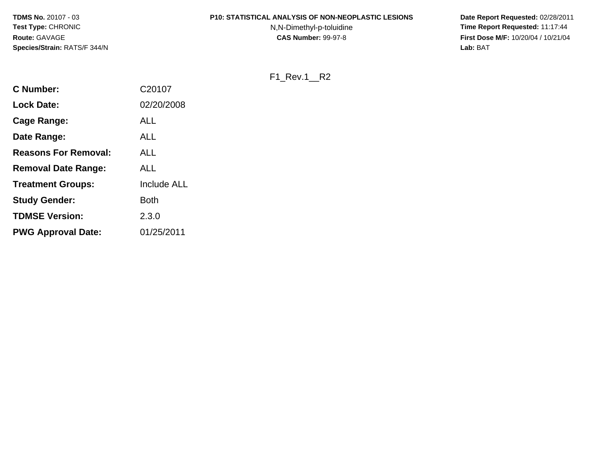#### **P10: STATISTICAL ANALYSIS OF NON-NEOPLASTIC LESIONS**

N,N-Dimethyl-p-toluidine

 **Date Report Requested:** 02/28/2011 **Time Report Requested:** 11:17:44 **First Dose M/F:** 10/20/04 / 10/21/04<br>**Lab:** BAT **Lab:** BAT

F1\_Rev.1\_\_R2

| C20107             |
|--------------------|
| 02/20/2008         |
| <b>ALL</b>         |
| <b>ALL</b>         |
| <b>ALL</b>         |
| ALL                |
| <b>Include ALL</b> |
| <b>Both</b>        |
| 2.3.0              |
| 01/25/2011         |
|                    |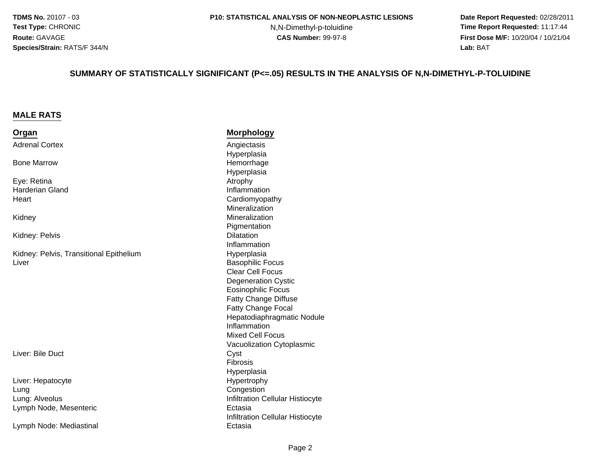N,N-Dimethyl-p-toluidine

 **Date Report Requested:** 02/28/2011 **Time Report Requested:** 11:17:44 **First Dose M/F:** 10/20/04 / 10/21/04<br>**Lab:** BAT **Lab:** BAT

#### **SUMMARY OF STATISTICALLY SIGNIFICANT (P<=.05) RESULTS IN THE ANALYSIS OF N,N-DIMETHYL-P-TOLUIDINE**

#### **MALE RATS**

| Organ                                   | <b>Morphology</b>                |
|-----------------------------------------|----------------------------------|
| <b>Adrenal Cortex</b>                   | Angiectasis                      |
|                                         | Hyperplasia                      |
| <b>Bone Marrow</b>                      | Hemorrhage                       |
|                                         | Hyperplasia                      |
| Eye: Retina                             | Atrophy                          |
| <b>Harderian Gland</b>                  | Inflammation                     |
| Heart                                   | Cardiomyopathy                   |
|                                         | Mineralization                   |
| Kidney                                  | Mineralization                   |
|                                         | Pigmentation                     |
| Kidney: Pelvis                          | <b>Dilatation</b>                |
|                                         | Inflammation                     |
| Kidney: Pelvis, Transitional Epithelium | Hyperplasia                      |
| Liver                                   | <b>Basophilic Focus</b>          |
|                                         | <b>Clear Cell Focus</b>          |
|                                         | <b>Degeneration Cystic</b>       |
|                                         | <b>Eosinophilic Focus</b>        |
|                                         | Fatty Change Diffuse             |
|                                         | <b>Fatty Change Focal</b>        |
|                                         | Hepatodiaphragmatic Nodule       |
|                                         | Inflammation                     |
|                                         | <b>Mixed Cell Focus</b>          |
|                                         | Vacuolization Cytoplasmic        |
| Liver: Bile Duct                        | Cyst                             |
|                                         | Fibrosis                         |
|                                         | Hyperplasia                      |
| Liver: Hepatocyte                       | Hypertrophy                      |
| Lung                                    | Congestion                       |
| Lung: Alveolus                          | Infiltration Cellular Histiocyte |
| Lymph Node, Mesenteric                  | Ectasia                          |
|                                         | Infiltration Cellular Histiocyte |
| Lymph Node: Mediastinal                 | Ectasia                          |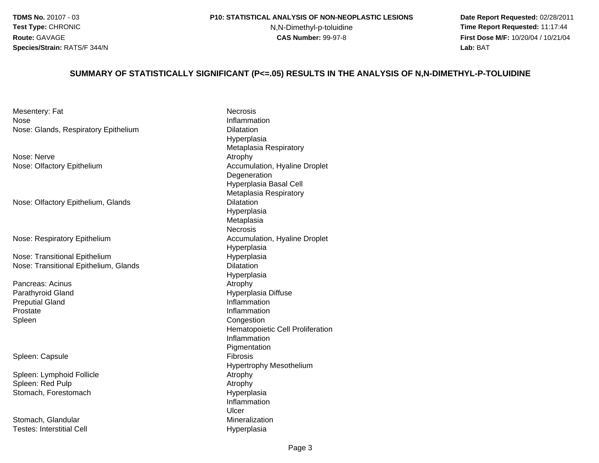N,N-Dimethyl-p-toluidine

 **Date Report Requested:** 02/28/2011 **Time Report Requested:** 11:17:44 **First Dose M/F:** 10/20/04 / 10/21/04<br>**Lab:** BAT **Lab:** BAT

#### **SUMMARY OF STATISTICALLY SIGNIFICANT (P<=.05) RESULTS IN THE ANALYSIS OF N,N-DIMETHYL-P-TOLUIDINE**

Mesentery: FatNosee Inflammation Nose: Glands, Respiratory Epithelium

Nose: Nervee Atrophy Nose: Olfactory Epithelium

Nose: Olfactory Epithelium, Glands

Nose: Respiratory Epithelium

 Hyperplasia Nose: Transitional EpitheliumNose: Transitional Epithelium, Glands

Pancreas: AcinusParathyroid GlandPreputial GlandProstateSpleen

Spleen: Capsule

Spleen: Lymphoid FollicleSpleen: Red Pulpp and the contract of the contract of the Atrophy Stomach, Forestomach

Stomach, GlandularTestes: Interstitial Cell

 NecrosisInflammation Dilatation Hyperplasia Metaplasia Respiratory Accumulation, Hyaline Droplet **Degeneration**  Hyperplasia Basal CellMetaplasia Respiratory Dilatation Hyperplasia MetaplasiaNecrosism and the communition, Hyaline Droplet<br>Hunomiasie Hyperplasia Dilatation Hyperplasias and the contract of the contract of the Atrophy Hyperplasia Diffuse Inflammation Inflammation **Congestion** Hematopoietic Cell ProliferationInflammation Pigmentatione Fibrosis et al. (1999)<br>External proposals and the second state of the second state of the second state of the second state of the second state of the second state of the second state of the second state of the second sta Hypertrophy MesotheliumAtrophy<br>Atrophy Hyperplasia InflammationUlcer**The Contract of Contract Contract Contract Contract Contract Contract Contract Contract Contract Contract Contract Contract Contract Contract Contract Contract Contract Contract Contract Contract Contract Contract Contrac** Hyperplasia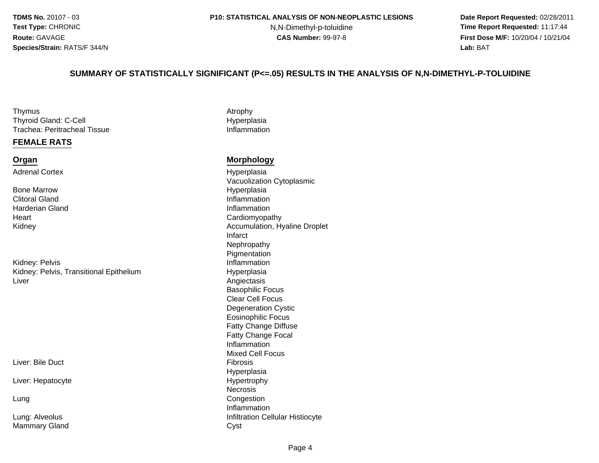N,N-Dimethyl-p-toluidine

 **Date Report Requested:** 02/28/2011 **Time Report Requested:** 11:17:44 **First Dose M/F:** 10/20/04 / 10/21/04<br>**Lab:** BAT **Lab:** BAT

#### **SUMMARY OF STATISTICALLY SIGNIFICANT (P<=.05) RESULTS IN THE ANALYSIS OF N,N-DIMETHYL-P-TOLUIDINE**

Thymuss Atrophy Thyroid Gland: C-CellTrachea: Peritracheal Tissue

#### **FEMALE RATS**

#### **Organ**

Adrenal Cortex

Bone MarrowClitoral GlandHarderian GlandHeartKidney

s and the contract of the contract of the contract of the contract of the contract of the contract of the contract of the contract of the contract of the contract of the contract of the contract of the contract of the cont Kidney: PelvisKidney: Pelvis, Transitional EpitheliumLiver

Liver: Bile Duct

Liver: Hepatocyte

Lung

Lung: AlveolusMammary Gland

 Hyperplasiae Inflammation

#### **Morphology**

 Hyperplasia Vacuolization Cytoplasmic Hyperplasia Inflammation Inflammation Cardiomyopathyy **Accumulation**, Hyaline Droplet Infarct Nephropathy Pigmentation Hyperplasia Angiectasis Basophilic Focus Clear Cell Focus Degeneration CysticEosinophilic Focus Fatty Change Diffuse Fatty Change FocalInflammation Mixed Cell Focust **the contract of the contract of the contract of the contract of the contract of the contract of the contract of the contract of the contract of the contract of the contract of the contract of the contract of the contrac**  Hyperplasiae Burn and the Hypertrophy **Necrosis** g Congestion Inflammations **Infiltration Cellular Histiocyte** d Cyst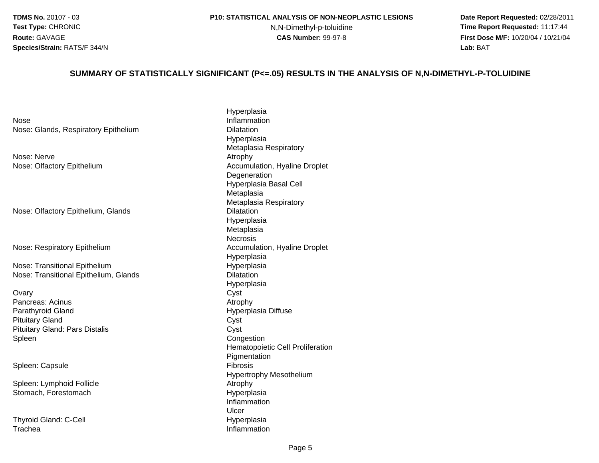N,N-Dimethyl-p-toluidine

 **Date Report Requested:** 02/28/2011 **Time Report Requested:** 11:17:44 **First Dose M/F:** 10/20/04 / 10/21/04<br>**Lab:** BAT **Lab:** BAT

#### **SUMMARY OF STATISTICALLY SIGNIFICANT (P<=.05) RESULTS IN THE ANALYSIS OF N,N-DIMETHYL-P-TOLUIDINE**

e Inflammation NoseNose: Glands, Respiratory Epithelium

Nose: Nervee Atrophy Nose: Olfactory Epithelium

Nose: Olfactory Epithelium, Glands

Nose: Respiratory Epithelium

Nose: Transitional EpitheliumNose: Transitional Epithelium, Glands

**Ovary** y Cyst Pancreas: Acinuss and the contract of the contract of the Atrophy Parathyroid GlandPituitary Glandd Cyst Pituitary Gland: Pars DistalisSpleen

Spleen: Capsule

Spleen: Lymphoid FollicleStomach, Forestomach

Thyroid Gland: C-CellTracheaa and the contraction of the contraction of the contraction of the contraction of the contraction of the contraction

Hyperplasia Dilatation Hyperplasia Metaplasia Respiratory Accumulation, Hyaline Droplet **Degeneration**  Hyperplasia Basal CellMetaplasia Metaplasia Respiratory**Dilatation**  Hyperplasia MetaplasiaNecrosism and the communition, Hyaline Droplet<br>Hunomiasie Hyperplasia Hyperplasia Dilatation Hyperplasia Hyperplasia Diffuse s Cyst **Congestion** Hematopoietic Cell Proliferation**Pigmentation** e Fibrosis et al. (1999)<br>External proposals and the second state of the second state of the second state of the second state of the second state of the second state of the second state of the second state of the second sta Hypertrophy Mesothelium Atrophy Hyperplasia InflammationUlcerI and the contract of the contract of the Hyperplasia Inflammation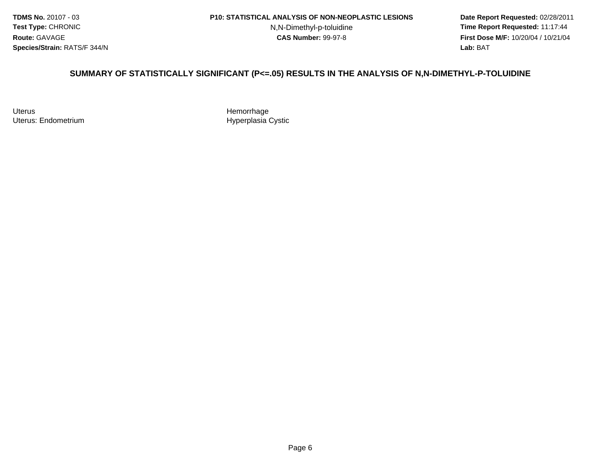N,N-Dimethyl-p-toluidine

 **Date Report Requested:** 02/28/2011 **Time Report Requested:** 11:17:44 **First Dose M/F:** 10/20/04 / 10/21/04<br>**Lab:** BAT **Lab:** BAT

#### **SUMMARY OF STATISTICALLY SIGNIFICANT (P<=.05) RESULTS IN THE ANALYSIS OF N,N-DIMETHYL-P-TOLUIDINE**

UterusUterus: Endometrium

 HemorrhageHyperplasia Cystic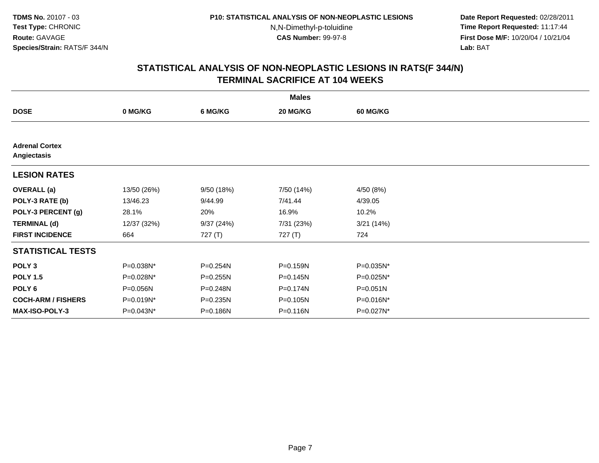N,N-Dimethyl-p-toluidine

 **Date Report Requested:** 02/28/2011 **Time Report Requested:** 11:17:44 **First Dose M/F:** 10/20/04 / 10/21/04<br>**Lab:** BAT **Lab:** BAT

| <b>Males</b>                         |             |            |              |                 |  |  |
|--------------------------------------|-------------|------------|--------------|-----------------|--|--|
| <b>DOSE</b>                          | 0 MG/KG     | 6 MG/KG    | 20 MG/KG     | <b>60 MG/KG</b> |  |  |
|                                      |             |            |              |                 |  |  |
| <b>Adrenal Cortex</b><br>Angiectasis |             |            |              |                 |  |  |
| <b>LESION RATES</b>                  |             |            |              |                 |  |  |
| <b>OVERALL</b> (a)                   | 13/50 (26%) | 9/50 (18%) | 7/50 (14%)   | 4/50 (8%)       |  |  |
| POLY-3 RATE (b)                      | 13/46.23    | 9/44.99    | 7/41.44      | 4/39.05         |  |  |
| POLY-3 PERCENT (g)                   | 28.1%       | 20%        | 16.9%        | 10.2%           |  |  |
| <b>TERMINAL (d)</b>                  | 12/37 (32%) | 9/37(24%)  | 7/31 (23%)   | 3/21(14%)       |  |  |
| <b>FIRST INCIDENCE</b>               | 664         | 727 (T)    | 727 (T)      | 724             |  |  |
| <b>STATISTICAL TESTS</b>             |             |            |              |                 |  |  |
| POLY <sub>3</sub>                    | P=0.038N*   | P=0.254N   | P=0.159N     | P=0.035N*       |  |  |
| <b>POLY 1.5</b>                      | P=0.028N*   | P=0.255N   | $P = 0.145N$ | P=0.025N*       |  |  |
| POLY 6                               | P=0.056N    | P=0.248N   | P=0.174N     | $P = 0.051N$    |  |  |
| <b>COCH-ARM / FISHERS</b>            | P=0.019N*   | P=0.235N   | P=0.105N     | P=0.016N*       |  |  |
| <b>MAX-ISO-POLY-3</b>                | P=0.043N*   | P=0.186N   | P=0.116N     | P=0.027N*       |  |  |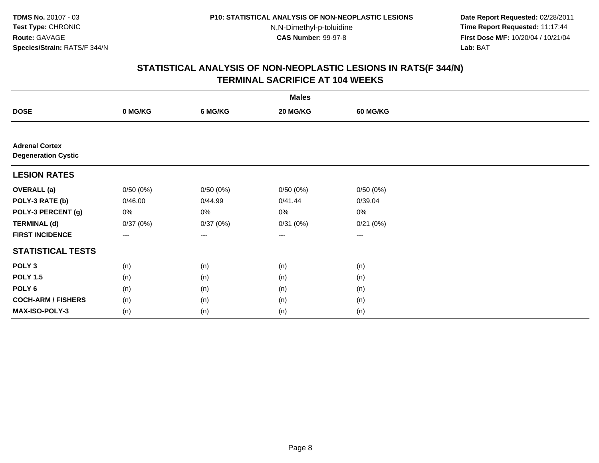N,N-Dimethyl-p-toluidine

 **Date Report Requested:** 02/28/2011 **Time Report Requested:** 11:17:44 **First Dose M/F:** 10/20/04 / 10/21/04<br>**Lab:** BAT **Lab:** BAT

|                                                     |          |          | <b>Males</b>      |                 |  |
|-----------------------------------------------------|----------|----------|-------------------|-----------------|--|
| <b>DOSE</b>                                         | 0 MG/KG  | 6 MG/KG  | 20 MG/KG          | <b>60 MG/KG</b> |  |
|                                                     |          |          |                   |                 |  |
| <b>Adrenal Cortex</b><br><b>Degeneration Cystic</b> |          |          |                   |                 |  |
| <b>LESION RATES</b>                                 |          |          |                   |                 |  |
| <b>OVERALL</b> (a)                                  | 0/50(0%) | 0/50(0%) | 0/50(0%)          | 0/50(0%)        |  |
| POLY-3 RATE (b)                                     | 0/46.00  | 0/44.99  | 0/41.44           | 0/39.04         |  |
| POLY-3 PERCENT (g)                                  | 0%       | 0%       | 0%                | 0%              |  |
| <b>TERMINAL (d)</b>                                 | 0/37(0%) | 0/37(0%) | 0/31(0%)          | 0/21(0%)        |  |
| <b>FIRST INCIDENCE</b>                              | $---$    | ---      | $\qquad \qquad -$ | ---             |  |
| <b>STATISTICAL TESTS</b>                            |          |          |                   |                 |  |
| POLY <sub>3</sub>                                   | (n)      | (n)      | (n)               | (n)             |  |
| <b>POLY 1.5</b>                                     | (n)      | (n)      | (n)               | (n)             |  |
| POLY <sub>6</sub>                                   | (n)      | (n)      | (n)               | (n)             |  |
| <b>COCH-ARM / FISHERS</b>                           | (n)      | (n)      | (n)               | (n)             |  |
| MAX-ISO-POLY-3                                      | (n)      | (n)      | (n)               | (n)             |  |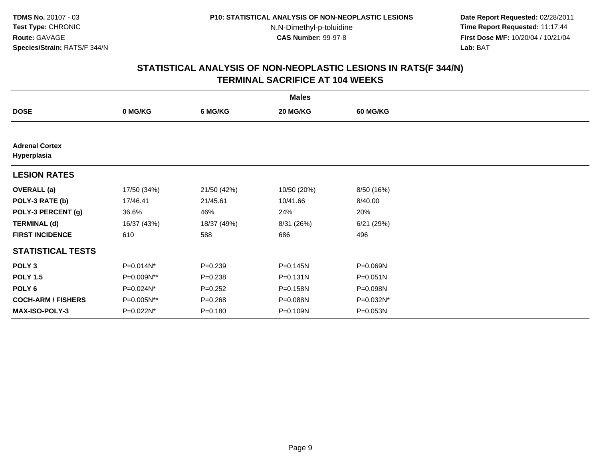N,N-Dimethyl-p-toluidine

 **Date Report Requested:** 02/28/2011 **Time Report Requested:** 11:17:44 **First Dose M/F:** 10/20/04 / 10/21/04<br>**Lab:** BAT **Lab:** BAT

| <b>Males</b>                         |             |             |              |              |  |  |
|--------------------------------------|-------------|-------------|--------------|--------------|--|--|
| <b>DOSE</b>                          | 0 MG/KG     | 6 MG/KG     | 20 MG/KG     | 60 MG/KG     |  |  |
|                                      |             |             |              |              |  |  |
| <b>Adrenal Cortex</b><br>Hyperplasia |             |             |              |              |  |  |
| <b>LESION RATES</b>                  |             |             |              |              |  |  |
| <b>OVERALL</b> (a)                   | 17/50 (34%) | 21/50 (42%) | 10/50 (20%)  | 8/50 (16%)   |  |  |
| POLY-3 RATE (b)                      | 17/46.41    | 21/45.61    | 10/41.66     | 8/40.00      |  |  |
| POLY-3 PERCENT (g)                   | 36.6%       | 46%         | 24%          | 20%          |  |  |
| <b>TERMINAL (d)</b>                  | 16/37 (43%) | 18/37 (49%) | 8/31 (26%)   | 6/21 (29%)   |  |  |
| <b>FIRST INCIDENCE</b>               | 610         | 588         | 686          | 496          |  |  |
| <b>STATISTICAL TESTS</b>             |             |             |              |              |  |  |
| POLY <sub>3</sub>                    | P=0.014N*   | $P = 0.239$ | $P = 0.145N$ | P=0.069N     |  |  |
| <b>POLY 1.5</b>                      | P=0.009N**  | $P = 0.238$ | $P = 0.131N$ | $P = 0.051N$ |  |  |
| POLY 6                               | P=0.024N*   | $P = 0.252$ | P=0.158N     | P=0.098N     |  |  |
| <b>COCH-ARM / FISHERS</b>            | P=0.005N**  | $P = 0.268$ | P=0.088N     | P=0.032N*    |  |  |
| <b>MAX-ISO-POLY-3</b>                | P=0.022N*   | $P = 0.180$ | P=0.109N     | $P = 0.053N$ |  |  |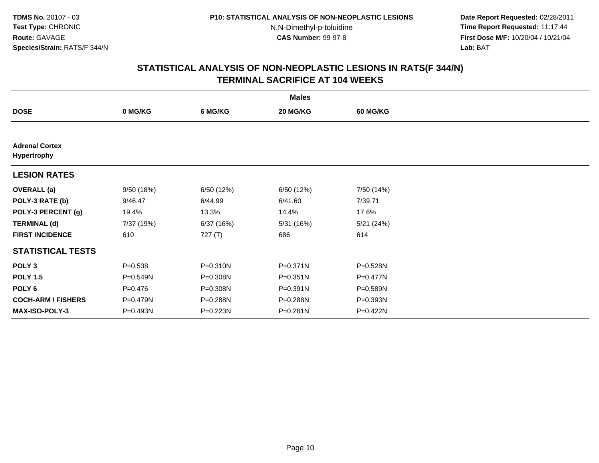N,N-Dimethyl-p-toluidine

 **Date Report Requested:** 02/28/2011 **Time Report Requested:** 11:17:44 **First Dose M/F:** 10/20/04 / 10/21/04<br>**Lab:** BAT **Lab:** BAT

| <b>Males</b>                         |             |            |              |                 |  |  |
|--------------------------------------|-------------|------------|--------------|-----------------|--|--|
| <b>DOSE</b>                          | 0 MG/KG     | 6 MG/KG    | 20 MG/KG     | <b>60 MG/KG</b> |  |  |
|                                      |             |            |              |                 |  |  |
| <b>Adrenal Cortex</b><br>Hypertrophy |             |            |              |                 |  |  |
| <b>LESION RATES</b>                  |             |            |              |                 |  |  |
| <b>OVERALL</b> (a)                   | 9/50 (18%)  | 6/50 (12%) | 6/50 (12%)   | 7/50 (14%)      |  |  |
| POLY-3 RATE (b)                      | 9/46.47     | 6/44.99    | 6/41.60      | 7/39.71         |  |  |
| POLY-3 PERCENT (g)                   | 19.4%       | 13.3%      | 14.4%        | 17.6%           |  |  |
| <b>TERMINAL (d)</b>                  | 7/37 (19%)  | 6/37(16%)  | 5/31 (16%)   | 5/21(24%)       |  |  |
| <b>FIRST INCIDENCE</b>               | 610         | 727 (T)    | 686          | 614             |  |  |
| <b>STATISTICAL TESTS</b>             |             |            |              |                 |  |  |
| POLY <sub>3</sub>                    | $P = 0.538$ | P=0.310N   | P=0.371N     | P=0.528N        |  |  |
| <b>POLY 1.5</b>                      | P=0.549N    | P=0.308N   | $P = 0.351N$ | P=0.477N        |  |  |
| POLY 6                               | $P = 0.476$ | P=0.308N   | $P = 0.391N$ | P=0.589N        |  |  |
| <b>COCH-ARM / FISHERS</b>            | P=0.479N    | P=0.288N   | P=0.288N     | P=0.393N        |  |  |
| <b>MAX-ISO-POLY-3</b>                | P=0.493N    | P=0.223N   | P=0.281N     | P=0.422N        |  |  |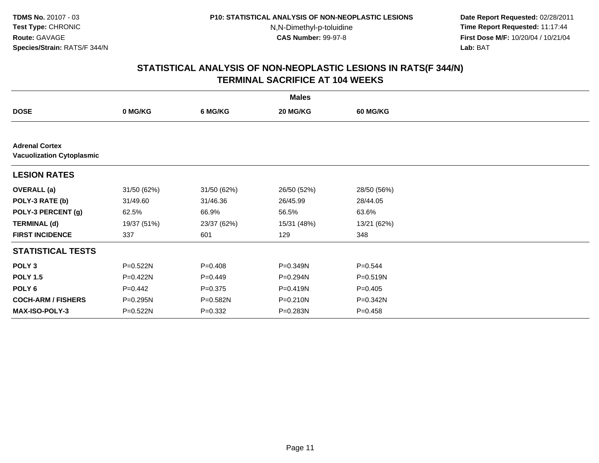N,N-Dimethyl-p-toluidine

 **Date Report Requested:** 02/28/2011 **Time Report Requested:** 11:17:44 **First Dose M/F:** 10/20/04 / 10/21/04<br>**Lab:** BAT **Lab:** BAT

| <b>Males</b>                                              |             |             |             |                 |  |  |
|-----------------------------------------------------------|-------------|-------------|-------------|-----------------|--|--|
| <b>DOSE</b>                                               | 0 MG/KG     | 6 MG/KG     | 20 MG/KG    | <b>60 MG/KG</b> |  |  |
|                                                           |             |             |             |                 |  |  |
| <b>Adrenal Cortex</b><br><b>Vacuolization Cytoplasmic</b> |             |             |             |                 |  |  |
| <b>LESION RATES</b>                                       |             |             |             |                 |  |  |
| <b>OVERALL</b> (a)                                        | 31/50 (62%) | 31/50 (62%) | 26/50 (52%) | 28/50 (56%)     |  |  |
| POLY-3 RATE (b)                                           | 31/49.60    | 31/46.36    | 26/45.99    | 28/44.05        |  |  |
| POLY-3 PERCENT (g)                                        | 62.5%       | 66.9%       | 56.5%       | 63.6%           |  |  |
| <b>TERMINAL (d)</b>                                       | 19/37 (51%) | 23/37 (62%) | 15/31 (48%) | 13/21 (62%)     |  |  |
| <b>FIRST INCIDENCE</b>                                    | 337         | 601         | 129         | 348             |  |  |
| <b>STATISTICAL TESTS</b>                                  |             |             |             |                 |  |  |
| POLY <sub>3</sub>                                         | P=0.522N    | $P = 0.408$ | P=0.349N    | $P = 0.544$     |  |  |
| <b>POLY 1.5</b>                                           | P=0.422N    | $P=0.449$   | P=0.294N    | P=0.519N        |  |  |
| POLY <sub>6</sub>                                         | $P=0.442$   | $P = 0.375$ | P=0.419N    | $P=0.405$       |  |  |
| <b>COCH-ARM / FISHERS</b>                                 | P=0.295N    | P=0.582N    | P=0.210N    | P=0.342N        |  |  |
| <b>MAX-ISO-POLY-3</b>                                     | P=0.522N    | $P = 0.332$ | P=0.283N    | $P = 0.458$     |  |  |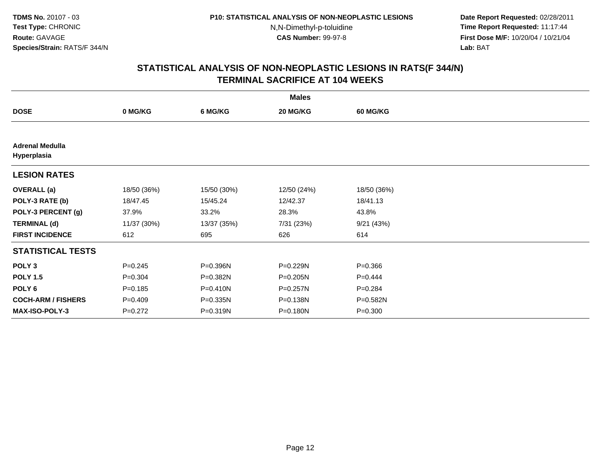N,N-Dimethyl-p-toluidine

 **Date Report Requested:** 02/28/2011 **Time Report Requested:** 11:17:44 **First Dose M/F:** 10/20/04 / 10/21/04<br>**Lab:** BAT **Lab:** BAT

| <b>Males</b>                          |             |             |             |                 |  |  |
|---------------------------------------|-------------|-------------|-------------|-----------------|--|--|
| <b>DOSE</b>                           | 0 MG/KG     | 6 MG/KG     | 20 MG/KG    | <b>60 MG/KG</b> |  |  |
|                                       |             |             |             |                 |  |  |
| <b>Adrenal Medulla</b><br>Hyperplasia |             |             |             |                 |  |  |
| <b>LESION RATES</b>                   |             |             |             |                 |  |  |
| <b>OVERALL</b> (a)                    | 18/50 (36%) | 15/50 (30%) | 12/50 (24%) | 18/50 (36%)     |  |  |
| POLY-3 RATE (b)                       | 18/47.45    | 15/45.24    | 12/42.37    | 18/41.13        |  |  |
| POLY-3 PERCENT (g)                    | 37.9%       | 33.2%       | 28.3%       | 43.8%           |  |  |
| <b>TERMINAL (d)</b>                   | 11/37 (30%) | 13/37 (35%) | 7/31 (23%)  | 9/21(43%)       |  |  |
| <b>FIRST INCIDENCE</b>                | 612         | 695         | 626         | 614             |  |  |
| <b>STATISTICAL TESTS</b>              |             |             |             |                 |  |  |
| POLY <sub>3</sub>                     | $P = 0.245$ | P=0.396N    | P=0.229N    | $P = 0.366$     |  |  |
| <b>POLY 1.5</b>                       | $P = 0.304$ | P=0.382N    | P=0.205N    | $P=0.444$       |  |  |
| POLY 6                                | $P = 0.185$ | P=0.410N    | P=0.257N    | $P = 0.284$     |  |  |
| <b>COCH-ARM / FISHERS</b>             | $P = 0.409$ | P=0.335N    | P=0.138N    | P=0.582N        |  |  |
| <b>MAX-ISO-POLY-3</b>                 | $P=0.272$   | P=0.319N    | P=0.180N    | $P = 0.300$     |  |  |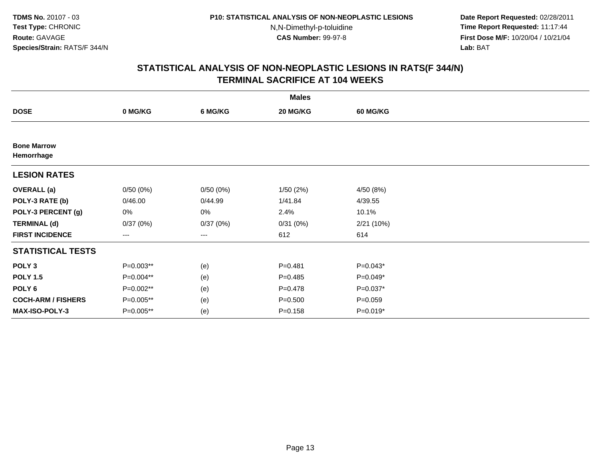N,N-Dimethyl-p-toluidine

 **Date Report Requested:** 02/28/2011 **Time Report Requested:** 11:17:44 **First Dose M/F:** 10/20/04 / 10/21/04<br>**Lab:** BAT **Lab:** BAT

| <b>Males</b>                     |           |          |             |                 |  |  |
|----------------------------------|-----------|----------|-------------|-----------------|--|--|
| <b>DOSE</b>                      | 0 MG/KG   | 6 MG/KG  | 20 MG/KG    | <b>60 MG/KG</b> |  |  |
|                                  |           |          |             |                 |  |  |
| <b>Bone Marrow</b><br>Hemorrhage |           |          |             |                 |  |  |
| <b>LESION RATES</b>              |           |          |             |                 |  |  |
| <b>OVERALL</b> (a)               | 0/50(0%)  | 0/50(0%) | 1/50(2%)    | 4/50 (8%)       |  |  |
| POLY-3 RATE (b)                  | 0/46.00   | 0/44.99  | 1/41.84     | 4/39.55         |  |  |
| POLY-3 PERCENT (g)               | 0%        | 0%       | 2.4%        | 10.1%           |  |  |
| <b>TERMINAL (d)</b>              | 0/37(0%)  | 0/37(0%) | 0/31(0%)    | 2/21(10%)       |  |  |
| <b>FIRST INCIDENCE</b>           | ---       | ---      | 612         | 614             |  |  |
| <b>STATISTICAL TESTS</b>         |           |          |             |                 |  |  |
| POLY <sub>3</sub>                | P=0.003** | (e)      | $P = 0.481$ | $P=0.043*$      |  |  |
| <b>POLY 1.5</b>                  | P=0.004** | (e)      | $P = 0.485$ | P=0.049*        |  |  |
| POLY <sub>6</sub>                | P=0.002** | (e)      | $P = 0.478$ | $P=0.037*$      |  |  |
| <b>COCH-ARM / FISHERS</b>        | P=0.005** | (e)      | $P = 0.500$ | $P = 0.059$     |  |  |
| MAX-ISO-POLY-3                   | P=0.005** | (e)      | $P = 0.158$ | P=0.019*        |  |  |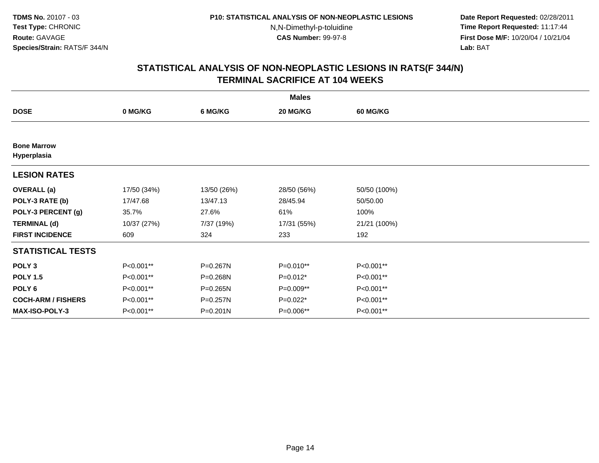N,N-Dimethyl-p-toluidine

 **Date Report Requested:** 02/28/2011 **Time Report Requested:** 11:17:44 **First Dose M/F:** 10/20/04 / 10/21/04<br>**Lab:** BAT **Lab:** BAT

| <b>Males</b>                      |             |             |             |              |  |  |
|-----------------------------------|-------------|-------------|-------------|--------------|--|--|
| <b>DOSE</b>                       | 0 MG/KG     | 6 MG/KG     | 20 MG/KG    | 60 MG/KG     |  |  |
|                                   |             |             |             |              |  |  |
| <b>Bone Marrow</b><br>Hyperplasia |             |             |             |              |  |  |
| <b>LESION RATES</b>               |             |             |             |              |  |  |
| <b>OVERALL</b> (a)                | 17/50 (34%) | 13/50 (26%) | 28/50 (56%) | 50/50 (100%) |  |  |
| POLY-3 RATE (b)                   | 17/47.68    | 13/47.13    | 28/45.94    | 50/50.00     |  |  |
| POLY-3 PERCENT (g)                | 35.7%       | 27.6%       | 61%         | 100%         |  |  |
| <b>TERMINAL (d)</b>               | 10/37 (27%) | 7/37 (19%)  | 17/31 (55%) | 21/21 (100%) |  |  |
| <b>FIRST INCIDENCE</b>            | 609         | 324         | 233         | 192          |  |  |
| <b>STATISTICAL TESTS</b>          |             |             |             |              |  |  |
| POLY <sub>3</sub>                 | P<0.001**   | P=0.267N    | P=0.010**   | P<0.001**    |  |  |
| <b>POLY 1.5</b>                   | P<0.001**   | P=0.268N    | $P=0.012*$  | P<0.001**    |  |  |
| POLY <sub>6</sub>                 | P<0.001**   | P=0.265N    | P=0.009**   | P<0.001**    |  |  |
| <b>COCH-ARM / FISHERS</b>         | P<0.001**   | P=0.257N    | $P=0.022*$  | P<0.001**    |  |  |
| <b>MAX-ISO-POLY-3</b>             | P<0.001**   | P=0.201N    | P=0.006**   | P<0.001**    |  |  |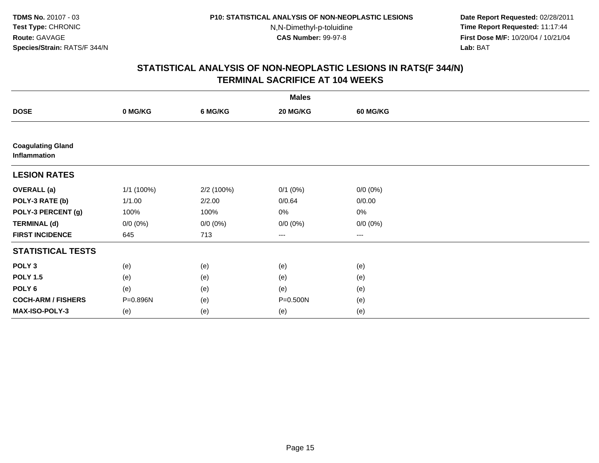N,N-Dimethyl-p-toluidine

 **Date Report Requested:** 02/28/2011 **Time Report Requested:** 11:17:44 **First Dose M/F:** 10/20/04 / 10/21/04<br>**Lab:** BAT **Lab:** BAT

| <b>Males</b>                             |             |             |                        |                 |  |  |
|------------------------------------------|-------------|-------------|------------------------|-----------------|--|--|
| <b>DOSE</b>                              | 0 MG/KG     | 6 MG/KG     | 20 MG/KG               | <b>60 MG/KG</b> |  |  |
|                                          |             |             |                        |                 |  |  |
| <b>Coagulating Gland</b><br>Inflammation |             |             |                        |                 |  |  |
| <b>LESION RATES</b>                      |             |             |                        |                 |  |  |
| <b>OVERALL (a)</b>                       | 1/1 (100%)  | 2/2 (100%)  | $0/1$ $(0%)$           | $0/0 (0\%)$     |  |  |
| POLY-3 RATE (b)                          | 1/1.00      | 2/2.00      | 0/0.64                 | 0/0.00          |  |  |
| POLY-3 PERCENT (g)                       | 100%        | 100%        | 0%                     | $0\%$           |  |  |
| <b>TERMINAL (d)</b>                      | $0/0 (0\%)$ | $0/0 (0\%)$ | $0/0 (0\%)$            | $0/0 (0\%)$     |  |  |
| <b>FIRST INCIDENCE</b>                   | 645         | 713         | $\qquad \qquad \cdots$ | $\cdots$        |  |  |
| <b>STATISTICAL TESTS</b>                 |             |             |                        |                 |  |  |
| POLY <sub>3</sub>                        | (e)         | (e)         | (e)                    | (e)             |  |  |
| <b>POLY 1.5</b>                          | (e)         | (e)         | (e)                    | (e)             |  |  |
| POLY <sub>6</sub>                        | (e)         | (e)         | (e)                    | (e)             |  |  |
| <b>COCH-ARM / FISHERS</b>                | P=0.896N    | (e)         | P=0.500N               | (e)             |  |  |
| MAX-ISO-POLY-3                           | (e)         | (e)         | (e)                    | (e)             |  |  |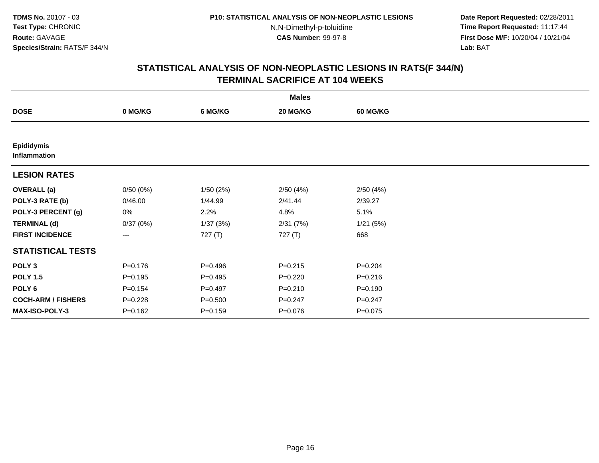N,N-Dimethyl-p-toluidine

 **Date Report Requested:** 02/28/2011 **Time Report Requested:** 11:17:44 **First Dose M/F:** 10/20/04 / 10/21/04<br>**Lab:** BAT **Lab:** BAT

| <b>Males</b>                             |             |             |             |                 |  |  |
|------------------------------------------|-------------|-------------|-------------|-----------------|--|--|
| <b>DOSE</b>                              | 0 MG/KG     | 6 MG/KG     | 20 MG/KG    | <b>60 MG/KG</b> |  |  |
|                                          |             |             |             |                 |  |  |
| <b>Epididymis</b><br><b>Inflammation</b> |             |             |             |                 |  |  |
| <b>LESION RATES</b>                      |             |             |             |                 |  |  |
| <b>OVERALL</b> (a)                       | 0/50(0%)    | 1/50(2%)    | 2/50(4%)    | 2/50(4%)        |  |  |
| POLY-3 RATE (b)                          | 0/46.00     | 1/44.99     | 2/41.44     | 2/39.27         |  |  |
| POLY-3 PERCENT (g)                       | 0%          | 2.2%        | 4.8%        | 5.1%            |  |  |
| <b>TERMINAL (d)</b>                      | 0/37(0%)    | 1/37(3%)    | 2/31(7%)    | 1/21(5%)        |  |  |
| <b>FIRST INCIDENCE</b>                   | ---         | 727 (T)     | 727 (T)     | 668             |  |  |
| <b>STATISTICAL TESTS</b>                 |             |             |             |                 |  |  |
| POLY <sub>3</sub>                        | $P = 0.176$ | $P=0.496$   | $P = 0.215$ | $P = 0.204$     |  |  |
| <b>POLY 1.5</b>                          | $P = 0.195$ | $P=0.495$   | $P = 0.220$ | $P = 0.216$     |  |  |
| POLY <sub>6</sub>                        | $P = 0.154$ | $P=0.497$   | $P = 0.210$ | $P = 0.190$     |  |  |
| <b>COCH-ARM / FISHERS</b>                | $P = 0.228$ | $P = 0.500$ | $P = 0.247$ | $P = 0.247$     |  |  |
| MAX-ISO-POLY-3                           | $P = 0.162$ | $P = 0.159$ | $P = 0.076$ | $P = 0.075$     |  |  |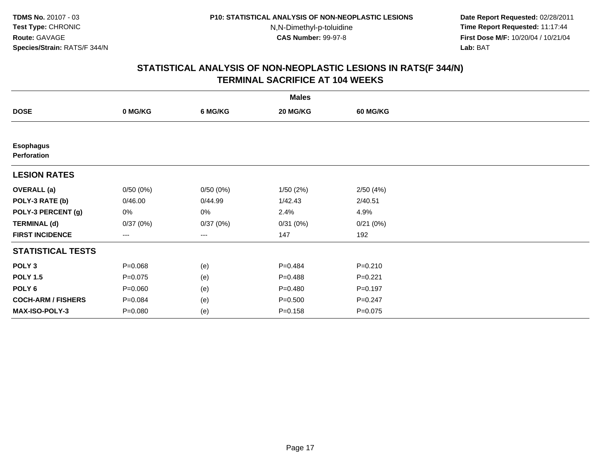N,N-Dimethyl-p-toluidine

 **Date Report Requested:** 02/28/2011 **Time Report Requested:** 11:17:44 **First Dose M/F:** 10/20/04 / 10/21/04<br>**Lab:** BAT **Lab:** BAT

|                                 |             |          | <b>Males</b> |                 |  |
|---------------------------------|-------------|----------|--------------|-----------------|--|
| <b>DOSE</b>                     | 0 MG/KG     | 6 MG/KG  | 20 MG/KG     | <b>60 MG/KG</b> |  |
|                                 |             |          |              |                 |  |
| <b>Esophagus</b><br>Perforation |             |          |              |                 |  |
| <b>LESION RATES</b>             |             |          |              |                 |  |
| <b>OVERALL</b> (a)              | 0/50(0%)    | 0/50(0%) | 1/50(2%)     | 2/50(4%)        |  |
| POLY-3 RATE (b)                 | 0/46.00     | 0/44.99  | 1/42.43      | 2/40.51         |  |
| POLY-3 PERCENT (g)              | 0%          | 0%       | 2.4%         | 4.9%            |  |
| <b>TERMINAL (d)</b>             | 0/37(0%)    | 0/37(0%) | 0/31(0%)     | 0/21(0%)        |  |
| <b>FIRST INCIDENCE</b>          | $---$       | ---      | 147          | 192             |  |
| <b>STATISTICAL TESTS</b>        |             |          |              |                 |  |
| POLY <sub>3</sub>               | $P = 0.068$ | (e)      | $P=0.484$    | $P = 0.210$     |  |
| <b>POLY 1.5</b>                 | $P=0.075$   | (e)      | $P=0.488$    | $P=0.221$       |  |
| POLY <sub>6</sub>               | $P = 0.060$ | (e)      | $P = 0.480$  | $P = 0.197$     |  |
| <b>COCH-ARM / FISHERS</b>       | $P = 0.084$ | (e)      | $P = 0.500$  | $P = 0.247$     |  |
| MAX-ISO-POLY-3                  | $P = 0.080$ | (e)      | $P = 0.158$  | $P = 0.075$     |  |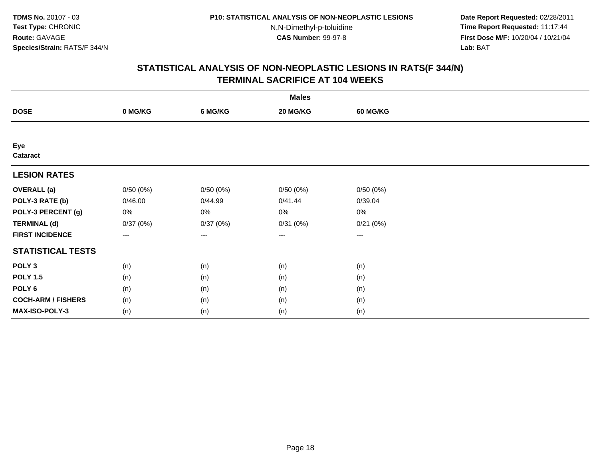N,N-Dimethyl-p-toluidine

 **Date Report Requested:** 02/28/2011 **Time Report Requested:** 11:17:44 **First Dose M/F:** 10/20/04 / 10/21/04<br>**Lab:** BAT **Lab:** BAT

|                           |          |          | <b>Males</b>           |                 |  |
|---------------------------|----------|----------|------------------------|-----------------|--|
| <b>DOSE</b>               | 0 MG/KG  | 6 MG/KG  | 20 MG/KG               | <b>60 MG/KG</b> |  |
|                           |          |          |                        |                 |  |
| Eye<br>Cataract           |          |          |                        |                 |  |
| <b>LESION RATES</b>       |          |          |                        |                 |  |
| <b>OVERALL (a)</b>        | 0/50(0%) | 0/50(0%) | 0/50(0%)               | 0/50(0%)        |  |
| POLY-3 RATE (b)           | 0/46.00  | 0/44.99  | 0/41.44                | 0/39.04         |  |
| POLY-3 PERCENT (g)        | 0%       | 0%       | 0%                     | $0\%$           |  |
| <b>TERMINAL (d)</b>       | 0/37(0%) | 0/37(0%) | 0/31(0%)               | 0/21(0%)        |  |
| <b>FIRST INCIDENCE</b>    | $--$     | ---      | $\qquad \qquad \cdots$ | ---             |  |
| <b>STATISTICAL TESTS</b>  |          |          |                        |                 |  |
| POLY <sub>3</sub>         | (n)      | (n)      | (n)                    | (n)             |  |
| <b>POLY 1.5</b>           | (n)      | (n)      | (n)                    | (n)             |  |
| POLY <sub>6</sub>         | (n)      | (n)      | (n)                    | (n)             |  |
| <b>COCH-ARM / FISHERS</b> | (n)      | (n)      | (n)                    | (n)             |  |
| MAX-ISO-POLY-3            | (n)      | (n)      | (n)                    | (n)             |  |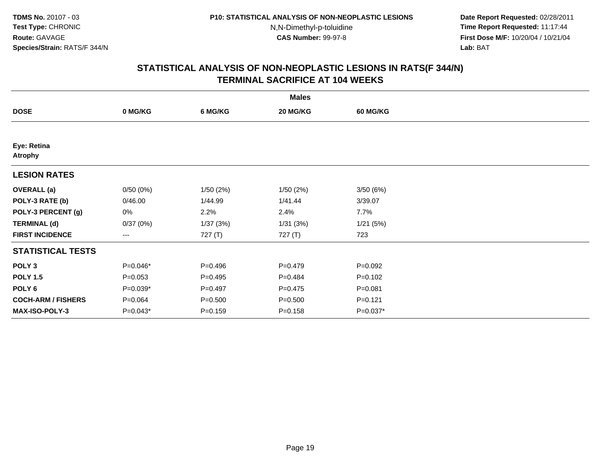N,N-Dimethyl-p-toluidine

 **Date Report Requested:** 02/28/2011 **Time Report Requested:** 11:17:44 **First Dose M/F:** 10/20/04 / 10/21/04<br>**Lab:** BAT **Lab:** BAT

|                               |             |             | <b>Males</b> |                 |  |
|-------------------------------|-------------|-------------|--------------|-----------------|--|
| <b>DOSE</b>                   | 0 MG/KG     | 6 MG/KG     | 20 MG/KG     | <b>60 MG/KG</b> |  |
|                               |             |             |              |                 |  |
| Eye: Retina<br><b>Atrophy</b> |             |             |              |                 |  |
| <b>LESION RATES</b>           |             |             |              |                 |  |
| <b>OVERALL</b> (a)            | 0/50(0%)    | 1/50(2%)    | 1/50(2%)     | 3/50(6%)        |  |
| POLY-3 RATE (b)               | 0/46.00     | 1/44.99     | 1/41.44      | 3/39.07         |  |
| POLY-3 PERCENT (g)            | 0%          | 2.2%        | 2.4%         | 7.7%            |  |
| <b>TERMINAL (d)</b>           | 0/37(0%)    | 1/37(3%)    | 1/31(3%)     | 1/21(5%)        |  |
| <b>FIRST INCIDENCE</b>        | ---         | 727 (T)     | 727 (T)      | 723             |  |
| <b>STATISTICAL TESTS</b>      |             |             |              |                 |  |
| POLY <sub>3</sub>             | P=0.046*    | $P = 0.496$ | $P = 0.479$  | $P=0.092$       |  |
| <b>POLY 1.5</b>               | $P = 0.053$ | $P = 0.495$ | $P=0.484$    | $P = 0.102$     |  |
| POLY <sub>6</sub>             | $P=0.039*$  | $P=0.497$   | $P=0.475$    | $P = 0.081$     |  |
| <b>COCH-ARM / FISHERS</b>     | $P = 0.064$ | $P = 0.500$ | $P = 0.500$  | $P = 0.121$     |  |
| MAX-ISO-POLY-3                | $P=0.043*$  | $P = 0.159$ | $P = 0.158$  | $P=0.037*$      |  |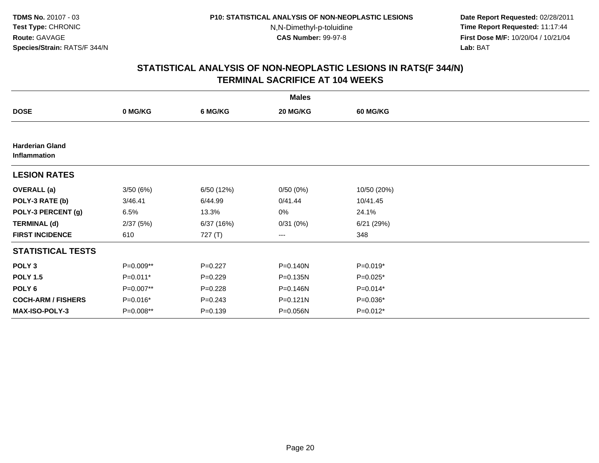N,N-Dimethyl-p-toluidine

 **Date Report Requested:** 02/28/2011 **Time Report Requested:** 11:17:44 **First Dose M/F:** 10/20/04 / 10/21/04<br>**Lab:** BAT **Lab:** BAT

|                                        |            |             | <b>Males</b> |             |  |
|----------------------------------------|------------|-------------|--------------|-------------|--|
| <b>DOSE</b>                            | 0 MG/KG    | 6 MG/KG     | 20 MG/KG     | 60 MG/KG    |  |
|                                        |            |             |              |             |  |
| <b>Harderian Gland</b><br>Inflammation |            |             |              |             |  |
| <b>LESION RATES</b>                    |            |             |              |             |  |
| <b>OVERALL (a)</b>                     | 3/50(6%)   | 6/50 (12%)  | 0/50(0%)     | 10/50 (20%) |  |
| POLY-3 RATE (b)                        | 3/46.41    | 6/44.99     | 0/41.44      | 10/41.45    |  |
| POLY-3 PERCENT (g)                     | 6.5%       | 13.3%       | 0%           | 24.1%       |  |
| <b>TERMINAL (d)</b>                    | 2/37(5%)   | 6/37 (16%)  | 0/31(0%)     | 6/21(29%)   |  |
| <b>FIRST INCIDENCE</b>                 | 610        | 727 (T)     | ---          | 348         |  |
| <b>STATISTICAL TESTS</b>               |            |             |              |             |  |
| POLY <sub>3</sub>                      | P=0.009**  | $P=0.227$   | $P = 0.140N$ | $P=0.019*$  |  |
| <b>POLY 1.5</b>                        | P=0.011*   | $P=0.229$   | $P = 0.135N$ | P=0.025*    |  |
| POLY 6                                 | P=0.007**  | $P = 0.228$ | P=0.146N     | $P=0.014*$  |  |
| <b>COCH-ARM / FISHERS</b>              | $P=0.016*$ | $P = 0.243$ | $P = 0.121N$ | P=0.036*    |  |
| MAX-ISO-POLY-3                         | P=0.008**  | $P = 0.139$ | P=0.056N     | P=0.012*    |  |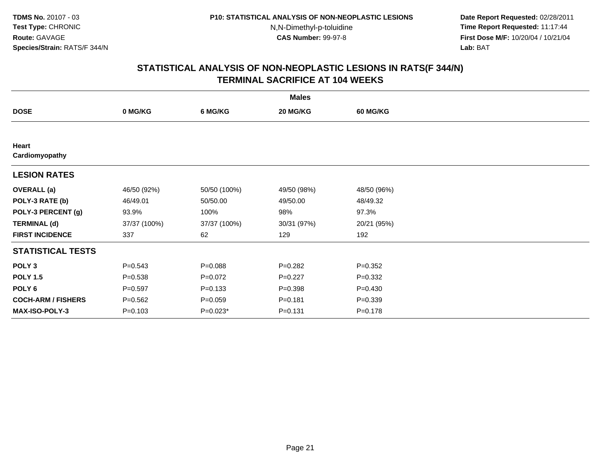N,N-Dimethyl-p-toluidine

 **Date Report Requested:** 02/28/2011 **Time Report Requested:** 11:17:44 **First Dose M/F:** 10/20/04 / 10/21/04<br>**Lab:** BAT **Lab:** BAT

|                           |              |              | <b>Males</b> |             |  |
|---------------------------|--------------|--------------|--------------|-------------|--|
| <b>DOSE</b>               | 0 MG/KG      | 6 MG/KG      | 20 MG/KG     | 60 MG/KG    |  |
|                           |              |              |              |             |  |
| Heart<br>Cardiomyopathy   |              |              |              |             |  |
| <b>LESION RATES</b>       |              |              |              |             |  |
| <b>OVERALL (a)</b>        | 46/50 (92%)  | 50/50 (100%) | 49/50 (98%)  | 48/50 (96%) |  |
| POLY-3 RATE (b)           | 46/49.01     | 50/50.00     | 49/50.00     | 48/49.32    |  |
| POLY-3 PERCENT (g)        | 93.9%        | 100%         | 98%          | 97.3%       |  |
| <b>TERMINAL (d)</b>       | 37/37 (100%) | 37/37 (100%) | 30/31 (97%)  | 20/21 (95%) |  |
| <b>FIRST INCIDENCE</b>    | 337          | 62           | 129          | 192         |  |
| <b>STATISTICAL TESTS</b>  |              |              |              |             |  |
| POLY <sub>3</sub>         | $P = 0.543$  | $P = 0.088$  | $P = 0.282$  | $P = 0.352$ |  |
| <b>POLY 1.5</b>           | $P = 0.538$  | $P=0.072$    | $P=0.227$    | $P = 0.332$ |  |
| POLY 6                    | $P = 0.597$  | $P = 0.133$  | $P = 0.398$  | $P = 0.430$ |  |
| <b>COCH-ARM / FISHERS</b> | $P = 0.562$  | $P = 0.059$  | $P = 0.181$  | $P = 0.339$ |  |
| MAX-ISO-POLY-3            | $P = 0.103$  | $P=0.023*$   | $P = 0.131$  | $P = 0.178$ |  |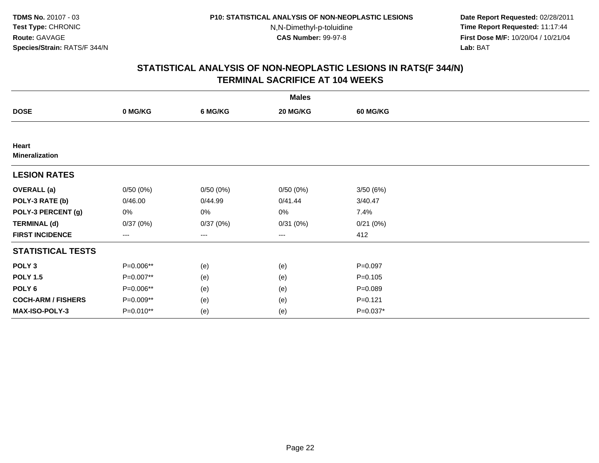N,N-Dimethyl-p-toluidine

 **Date Report Requested:** 02/28/2011 **Time Report Requested:** 11:17:44 **First Dose M/F:** 10/20/04 / 10/21/04<br>**Lab:** BAT **Lab:** BAT

|                                |           |          | <b>Males</b>      |                 |  |
|--------------------------------|-----------|----------|-------------------|-----------------|--|
| <b>DOSE</b>                    | 0 MG/KG   | 6 MG/KG  | 20 MG/KG          | <b>60 MG/KG</b> |  |
|                                |           |          |                   |                 |  |
| Heart<br><b>Mineralization</b> |           |          |                   |                 |  |
| <b>LESION RATES</b>            |           |          |                   |                 |  |
| <b>OVERALL</b> (a)             | 0/50(0%)  | 0/50(0%) | 0/50(0%)          | 3/50(6%)        |  |
| POLY-3 RATE (b)                | 0/46.00   | 0/44.99  | 0/41.44           | 3/40.47         |  |
| POLY-3 PERCENT (g)             | 0%        | 0%       | 0%                | 7.4%            |  |
| <b>TERMINAL (d)</b>            | 0/37(0%)  | 0/37(0%) | 0/31(0%)          | 0/21(0%)        |  |
| <b>FIRST INCIDENCE</b>         | $---$     | ---      | $\qquad \qquad -$ | 412             |  |
| <b>STATISTICAL TESTS</b>       |           |          |                   |                 |  |
| POLY <sub>3</sub>              | P=0.006** | (e)      | (e)               | $P = 0.097$     |  |
| <b>POLY 1.5</b>                | P=0.007** | (e)      | (e)               | $P = 0.105$     |  |
| POLY <sub>6</sub>              | P=0.006** | (e)      | (e)               | $P = 0.089$     |  |
| <b>COCH-ARM / FISHERS</b>      | P=0.009** | (e)      | (e)               | $P = 0.121$     |  |
| MAX-ISO-POLY-3                 | P=0.010** | (e)      | (e)               | $P=0.037*$      |  |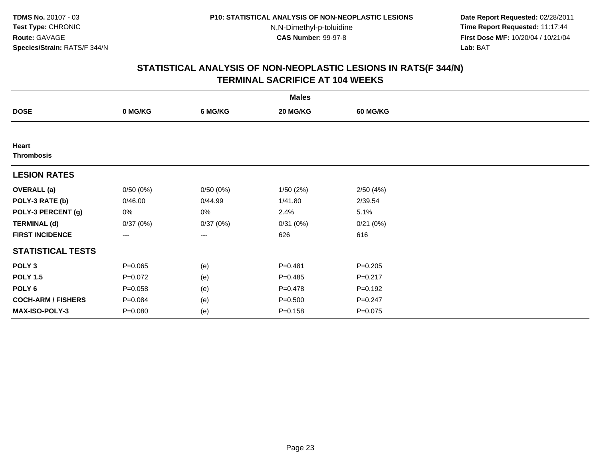N,N-Dimethyl-p-toluidine

 **Date Report Requested:** 02/28/2011 **Time Report Requested:** 11:17:44 **First Dose M/F:** 10/20/04 / 10/21/04<br>**Lab:** BAT **Lab:** BAT

|                            |             |          | <b>Males</b> |                 |  |
|----------------------------|-------------|----------|--------------|-----------------|--|
| <b>DOSE</b>                | 0 MG/KG     | 6 MG/KG  | 20 MG/KG     | <b>60 MG/KG</b> |  |
|                            |             |          |              |                 |  |
| Heart<br><b>Thrombosis</b> |             |          |              |                 |  |
| <b>LESION RATES</b>        |             |          |              |                 |  |
| <b>OVERALL (a)</b>         | 0/50(0%)    | 0/50(0%) | 1/50(2%)     | 2/50(4%)        |  |
| POLY-3 RATE (b)            | 0/46.00     | 0/44.99  | 1/41.80      | 2/39.54         |  |
| POLY-3 PERCENT (g)         | 0%          | 0%       | 2.4%         | 5.1%            |  |
| <b>TERMINAL (d)</b>        | 0/37(0%)    | 0/37(0%) | 0/31(0%)     | 0/21(0%)        |  |
| <b>FIRST INCIDENCE</b>     | $---$       | ---      | 626          | 616             |  |
| <b>STATISTICAL TESTS</b>   |             |          |              |                 |  |
| POLY <sub>3</sub>          | $P=0.065$   | (e)      | $P = 0.481$  | $P = 0.205$     |  |
| <b>POLY 1.5</b>            | $P=0.072$   | (e)      | $P = 0.485$  | $P = 0.217$     |  |
| POLY <sub>6</sub>          | $P = 0.058$ | (e)      | $P = 0.478$  | $P = 0.192$     |  |
| <b>COCH-ARM / FISHERS</b>  | $P = 0.084$ | (e)      | $P = 0.500$  | $P = 0.247$     |  |
| MAX-ISO-POLY-3             | $P = 0.080$ | (e)      | $P = 0.158$  | $P = 0.075$     |  |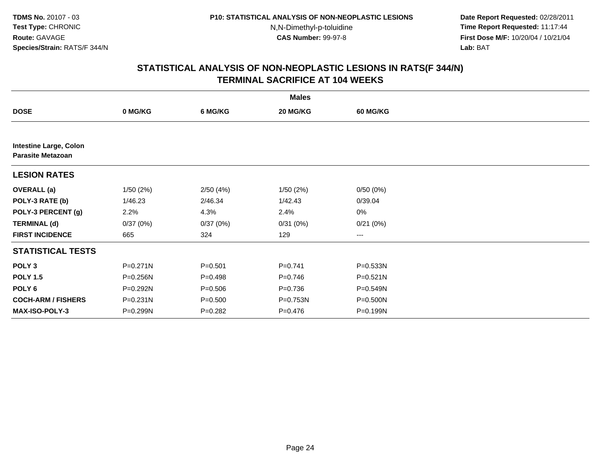N,N-Dimethyl-p-toluidine

 **Date Report Requested:** 02/28/2011 **Time Report Requested:** 11:17:44 **First Dose M/F:** 10/20/04 / 10/21/04<br>**Lab:** BAT **Lab:** BAT

|                                                           |          |             | <b>Males</b> |                 |  |
|-----------------------------------------------------------|----------|-------------|--------------|-----------------|--|
| <b>DOSE</b>                                               | 0 MG/KG  | 6 MG/KG     | 20 MG/KG     | <b>60 MG/KG</b> |  |
|                                                           |          |             |              |                 |  |
| <b>Intestine Large, Colon</b><br><b>Parasite Metazoan</b> |          |             |              |                 |  |
| <b>LESION RATES</b>                                       |          |             |              |                 |  |
| <b>OVERALL</b> (a)                                        | 1/50(2%) | 2/50(4%)    | 1/50(2%)     | 0/50(0%)        |  |
| POLY-3 RATE (b)                                           | 1/46.23  | 2/46.34     | 1/42.43      | 0/39.04         |  |
| POLY-3 PERCENT (g)                                        | 2.2%     | 4.3%        | 2.4%         | $0\%$           |  |
| <b>TERMINAL (d)</b>                                       | 0/37(0%) | 0/37(0%)    | 0/31(0%)     | 0/21(0%)        |  |
| <b>FIRST INCIDENCE</b>                                    | 665      | 324         | 129          | ---             |  |
| <b>STATISTICAL TESTS</b>                                  |          |             |              |                 |  |
| POLY <sub>3</sub>                                         | P=0.271N | $P = 0.501$ | $P = 0.741$  | P=0.533N        |  |
| <b>POLY 1.5</b>                                           | P=0.256N | $P = 0.498$ | $P = 0.746$  | P=0.521N        |  |
| POLY <sub>6</sub>                                         | P=0.292N | $P = 0.506$ | $P = 0.736$  | P=0.549N        |  |
| <b>COCH-ARM / FISHERS</b>                                 | P=0.231N | $P = 0.500$ | P=0.753N     | P=0.500N        |  |
| <b>MAX-ISO-POLY-3</b>                                     | P=0.299N | $P = 0.282$ | $P = 0.476$  | P=0.199N        |  |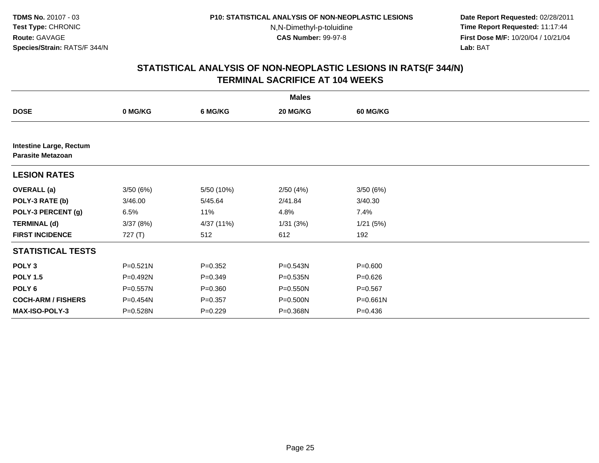N,N-Dimethyl-p-toluidine

 **Date Report Requested:** 02/28/2011 **Time Report Requested:** 11:17:44 **First Dose M/F:** 10/20/04 / 10/21/04<br>**Lab:** BAT **Lab:** BAT

|                                                            |              |             | <b>Males</b> |                 |  |
|------------------------------------------------------------|--------------|-------------|--------------|-----------------|--|
| <b>DOSE</b>                                                | 0 MG/KG      | 6 MG/KG     | 20 MG/KG     | <b>60 MG/KG</b> |  |
|                                                            |              |             |              |                 |  |
| <b>Intestine Large, Rectum</b><br><b>Parasite Metazoan</b> |              |             |              |                 |  |
| <b>LESION RATES</b>                                        |              |             |              |                 |  |
| <b>OVERALL</b> (a)                                         | 3/50(6%)     | 5/50 (10%)  | 2/50(4%)     | 3/50(6%)        |  |
| POLY-3 RATE (b)                                            | 3/46.00      | 5/45.64     | 2/41.84      | 3/40.30         |  |
| POLY-3 PERCENT (g)                                         | 6.5%         | 11%         | 4.8%         | 7.4%            |  |
| <b>TERMINAL (d)</b>                                        | 3/37(8%)     | 4/37 (11%)  | 1/31(3%)     | 1/21(5%)        |  |
| <b>FIRST INCIDENCE</b>                                     | 727(T)       | 512         | 612          | 192             |  |
| <b>STATISTICAL TESTS</b>                                   |              |             |              |                 |  |
| POLY <sub>3</sub>                                          | P=0.521N     | $P = 0.352$ | P=0.543N     | $P = 0.600$     |  |
| <b>POLY 1.5</b>                                            | P=0.492N     | $P = 0.349$ | P=0.535N     | $P = 0.626$     |  |
| POLY <sub>6</sub>                                          | $P = 0.557N$ | $P = 0.360$ | P=0.550N     | $P = 0.567$     |  |
| <b>COCH-ARM / FISHERS</b>                                  | P=0.454N     | $P = 0.357$ | P=0.500N     | $P = 0.661N$    |  |
| <b>MAX-ISO-POLY-3</b>                                      | P=0.528N     | $P=0.229$   | P=0.368N     | $P = 0.436$     |  |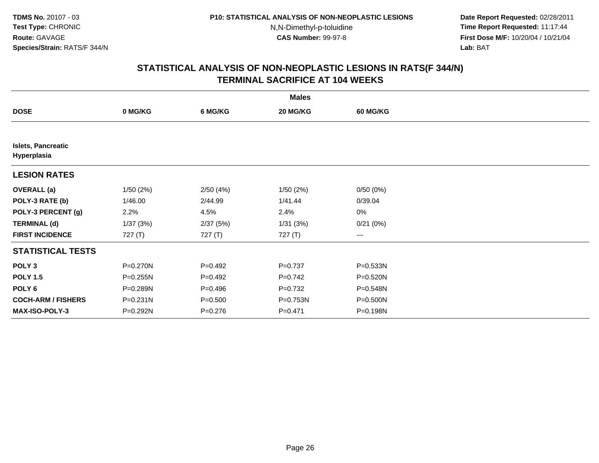N,N-Dimethyl-p-toluidine

 **Date Report Requested:** 02/28/2011 **Time Report Requested:** 11:17:44 **First Dose M/F:** 10/20/04 / 10/21/04<br>**Lab:** BAT **Lab:** BAT

|                                          |          |             | <b>Males</b> |                 |  |
|------------------------------------------|----------|-------------|--------------|-----------------|--|
| <b>DOSE</b>                              | 0 MG/KG  | 6 MG/KG     | 20 MG/KG     | <b>60 MG/KG</b> |  |
|                                          |          |             |              |                 |  |
| <b>Islets, Pancreatic</b><br>Hyperplasia |          |             |              |                 |  |
| <b>LESION RATES</b>                      |          |             |              |                 |  |
| <b>OVERALL</b> (a)                       | 1/50(2%) | 2/50(4%)    | 1/50(2%)     | 0/50(0%)        |  |
| POLY-3 RATE (b)                          | 1/46.00  | 2/44.99     | 1/41.44      | 0/39.04         |  |
| POLY-3 PERCENT (g)                       | 2.2%     | 4.5%        | 2.4%         | 0%              |  |
| <b>TERMINAL (d)</b>                      | 1/37(3%) | 2/37(5%)    | 1/31 (3%)    | 0/21(0%)        |  |
| <b>FIRST INCIDENCE</b>                   | 727 (T)  | 727 (T)     | 727 (T)      | ---             |  |
| <b>STATISTICAL TESTS</b>                 |          |             |              |                 |  |
| POLY <sub>3</sub>                        | P=0.270N | $P=0.492$   | $P = 0.737$  | P=0.533N        |  |
| <b>POLY 1.5</b>                          | P=0.255N | $P=0.492$   | $P=0.742$    | P=0.520N        |  |
| POLY <sub>6</sub>                        | P=0.289N | $P = 0.496$ | $P=0.732$    | P=0.548N        |  |
| <b>COCH-ARM / FISHERS</b>                | P=0.231N | $P = 0.500$ | P=0.753N     | $P = 0.500N$    |  |
| <b>MAX-ISO-POLY-3</b>                    | P=0.292N | $P = 0.276$ | $P = 0.471$  | P=0.198N        |  |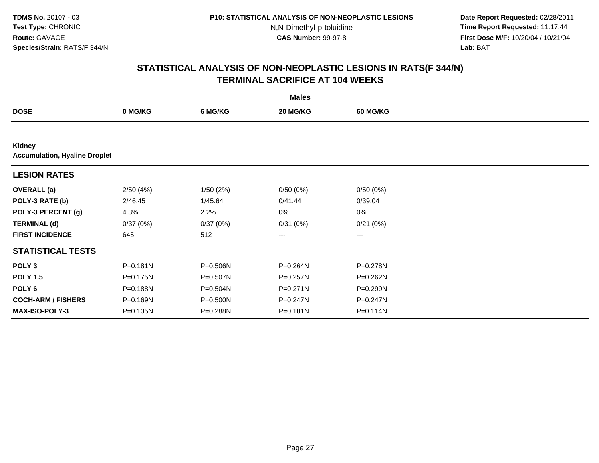N,N-Dimethyl-p-toluidine

 **Date Report Requested:** 02/28/2011 **Time Report Requested:** 11:17:44 **First Dose M/F:** 10/20/04 / 10/21/04<br>**Lab:** BAT **Lab:** BAT

|                                                |              |          | <b>Males</b> |                 |  |
|------------------------------------------------|--------------|----------|--------------|-----------------|--|
| <b>DOSE</b>                                    | 0 MG/KG      | 6 MG/KG  | 20 MG/KG     | <b>60 MG/KG</b> |  |
|                                                |              |          |              |                 |  |
| Kidney<br><b>Accumulation, Hyaline Droplet</b> |              |          |              |                 |  |
| <b>LESION RATES</b>                            |              |          |              |                 |  |
| <b>OVERALL</b> (a)                             | 2/50(4%)     | 1/50(2%) | 0/50(0%)     | 0/50(0%)        |  |
| POLY-3 RATE (b)                                | 2/46.45      | 1/45.64  | 0/41.44      | 0/39.04         |  |
| POLY-3 PERCENT (g)                             | 4.3%         | 2.2%     | 0%           | 0%              |  |
| <b>TERMINAL (d)</b>                            | 0/37(0%)     | 0/37(0%) | 0/31(0%)     | 0/21(0%)        |  |
| <b>FIRST INCIDENCE</b>                         | 645          | 512      | ---          | ---             |  |
| <b>STATISTICAL TESTS</b>                       |              |          |              |                 |  |
| POLY <sub>3</sub>                              | $P = 0.181N$ | P=0.506N | P=0.264N     | P=0.278N        |  |
| <b>POLY 1.5</b>                                | P=0.175N     | P=0.507N | $P = 0.257N$ | P=0.262N        |  |
| POLY 6                                         | P=0.188N     | P=0.504N | $P = 0.271N$ | P=0.299N        |  |
| <b>COCH-ARM / FISHERS</b>                      | P=0.169N     | P=0.500N | P=0.247N     | $P = 0.247N$    |  |
| <b>MAX-ISO-POLY-3</b>                          | P=0.135N     | P=0.288N | $P = 0.101N$ | P=0.114N        |  |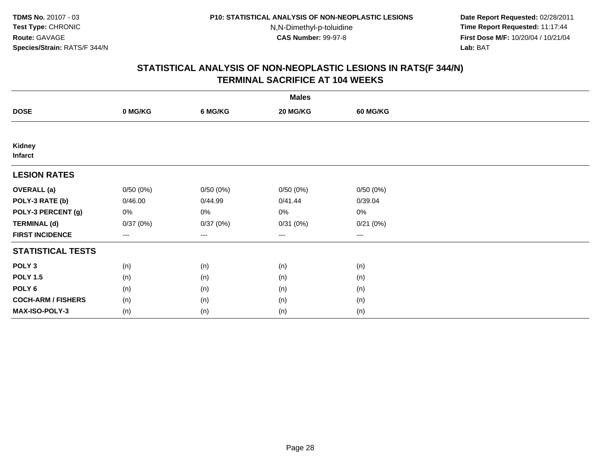N,N-Dimethyl-p-toluidine

 **Date Report Requested:** 02/28/2011 **Time Report Requested:** 11:17:44 **First Dose M/F:** 10/20/04 / 10/21/04<br>**Lab:** BAT **Lab:** BAT

|                           |          |          | <b>Males</b>           |                 |  |
|---------------------------|----------|----------|------------------------|-----------------|--|
| <b>DOSE</b>               | 0 MG/KG  | 6 MG/KG  | 20 MG/KG               | <b>60 MG/KG</b> |  |
|                           |          |          |                        |                 |  |
| Kidney<br><b>Infarct</b>  |          |          |                        |                 |  |
| <b>LESION RATES</b>       |          |          |                        |                 |  |
| <b>OVERALL (a)</b>        | 0/50(0%) | 0/50(0%) | 0/50(0%)               | 0/50(0%)        |  |
| POLY-3 RATE (b)           | 0/46.00  | 0/44.99  | 0/41.44                | 0/39.04         |  |
| POLY-3 PERCENT (g)        | 0%       | 0%       | 0%                     | $0\%$           |  |
| <b>TERMINAL (d)</b>       | 0/37(0%) | 0/37(0%) | 0/31(0%)               | 0/21(0%)        |  |
| <b>FIRST INCIDENCE</b>    | ---      | ---      | $\qquad \qquad \cdots$ | $--$            |  |
| <b>STATISTICAL TESTS</b>  |          |          |                        |                 |  |
| POLY <sub>3</sub>         | (n)      | (n)      | (n)                    | (n)             |  |
| <b>POLY 1.5</b>           | (n)      | (n)      | (n)                    | (n)             |  |
| POLY <sub>6</sub>         | (n)      | (n)      | (n)                    | (n)             |  |
| <b>COCH-ARM / FISHERS</b> | (n)      | (n)      | (n)                    | (n)             |  |
| <b>MAX-ISO-POLY-3</b>     | (n)      | (n)      | (n)                    | (n)             |  |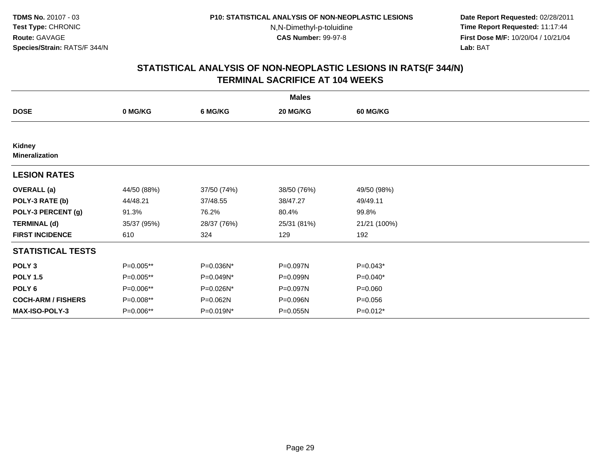N,N-Dimethyl-p-toluidine

 **Date Report Requested:** 02/28/2011 **Time Report Requested:** 11:17:44 **First Dose M/F:** 10/20/04 / 10/21/04<br>**Lab:** BAT **Lab:** BAT

|                                 |             |             | <b>Males</b> |                 |  |
|---------------------------------|-------------|-------------|--------------|-----------------|--|
| <b>DOSE</b>                     | 0 MG/KG     | 6 MG/KG     | 20 MG/KG     | <b>60 MG/KG</b> |  |
|                                 |             |             |              |                 |  |
| Kidney<br><b>Mineralization</b> |             |             |              |                 |  |
| <b>LESION RATES</b>             |             |             |              |                 |  |
| <b>OVERALL (a)</b>              | 44/50 (88%) | 37/50 (74%) | 38/50 (76%)  | 49/50 (98%)     |  |
| POLY-3 RATE (b)                 | 44/48.21    | 37/48.55    | 38/47.27     | 49/49.11        |  |
| POLY-3 PERCENT (g)              | 91.3%       | 76.2%       | 80.4%        | 99.8%           |  |
| <b>TERMINAL (d)</b>             | 35/37 (95%) | 28/37 (76%) | 25/31 (81%)  | 21/21 (100%)    |  |
| <b>FIRST INCIDENCE</b>          | 610         | 324         | 129          | 192             |  |
| <b>STATISTICAL TESTS</b>        |             |             |              |                 |  |
| POLY <sub>3</sub>               | P=0.005**   | P=0.036N*   | P=0.097N     | $P=0.043*$      |  |
| <b>POLY 1.5</b>                 | P=0.005**   | P=0.049N*   | P=0.099N     | $P=0.040*$      |  |
| POLY 6                          | P=0.006**   | P=0.026N*   | P=0.097N     | $P = 0.060$     |  |
| <b>COCH-ARM / FISHERS</b>       | P=0.008**   | P=0.062N    | P=0.096N     | $P = 0.056$     |  |
| MAX-ISO-POLY-3                  | $P=0.006**$ | P=0.019N*   | P=0.055N     | $P=0.012*$      |  |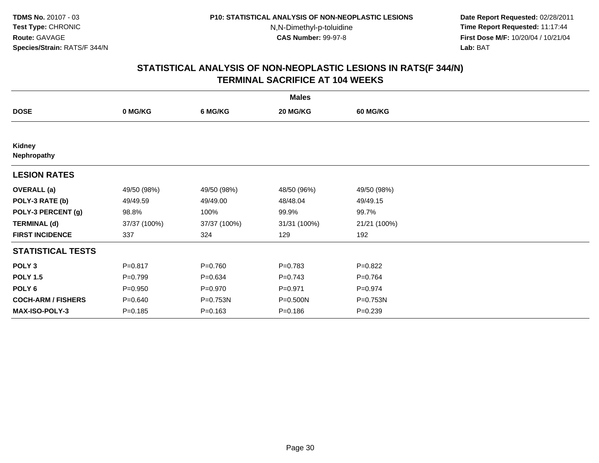N,N-Dimethyl-p-toluidine

 **Date Report Requested:** 02/28/2011 **Time Report Requested:** 11:17:44 **First Dose M/F:** 10/20/04 / 10/21/04<br>**Lab:** BAT **Lab:** BAT

|                           |              |              | <b>Males</b> |                 |
|---------------------------|--------------|--------------|--------------|-----------------|
| <b>DOSE</b>               | 0 MG/KG      | 6 MG/KG      | 20 MG/KG     | <b>60 MG/KG</b> |
|                           |              |              |              |                 |
| Kidney<br>Nephropathy     |              |              |              |                 |
| <b>LESION RATES</b>       |              |              |              |                 |
| <b>OVERALL (a)</b>        | 49/50 (98%)  | 49/50 (98%)  | 48/50 (96%)  | 49/50 (98%)     |
| POLY-3 RATE (b)           | 49/49.59     | 49/49.00     | 48/48.04     | 49/49.15        |
| POLY-3 PERCENT (g)        | 98.8%        | 100%         | 99.9%        | 99.7%           |
| <b>TERMINAL (d)</b>       | 37/37 (100%) | 37/37 (100%) | 31/31 (100%) | 21/21 (100%)    |
| <b>FIRST INCIDENCE</b>    | 337          | 324          | 129          | 192             |
| <b>STATISTICAL TESTS</b>  |              |              |              |                 |
| POLY <sub>3</sub>         | $P = 0.817$  | $P = 0.760$  | $P=0.783$    | $P = 0.822$     |
| <b>POLY 1.5</b>           | $P=0.799$    | $P = 0.634$  | $P=0.743$    | $P=0.764$       |
| POLY 6                    | $P = 0.950$  | $P = 0.970$  | $P = 0.971$  | $P = 0.974$     |
| <b>COCH-ARM / FISHERS</b> | $P = 0.640$  | $P = 0.753N$ | $P = 0.500N$ | P=0.753N        |
| MAX-ISO-POLY-3            | $P = 0.185$  | $P = 0.163$  | $P = 0.186$  | $P = 0.239$     |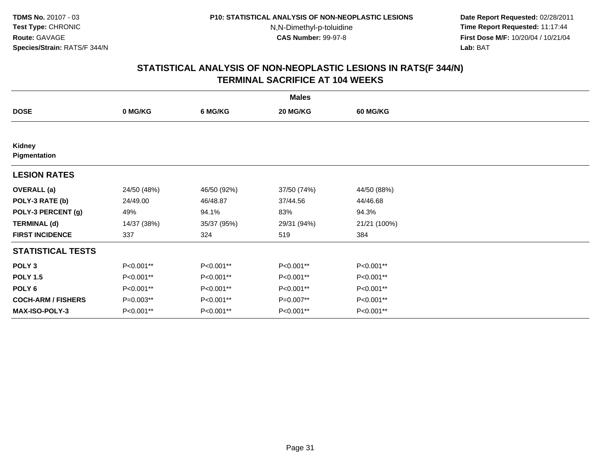N,N-Dimethyl-p-toluidine

 **Date Report Requested:** 02/28/2011 **Time Report Requested:** 11:17:44 **First Dose M/F:** 10/20/04 / 10/21/04<br>**Lab:** BAT **Lab:** BAT

|                           |             |             | <b>Males</b> |                 |  |
|---------------------------|-------------|-------------|--------------|-----------------|--|
| <b>DOSE</b>               | 0 MG/KG     | 6 MG/KG     | 20 MG/KG     | <b>60 MG/KG</b> |  |
|                           |             |             |              |                 |  |
| Kidney<br>Pigmentation    |             |             |              |                 |  |
| <b>LESION RATES</b>       |             |             |              |                 |  |
| <b>OVERALL</b> (a)        | 24/50 (48%) | 46/50 (92%) | 37/50 (74%)  | 44/50 (88%)     |  |
| POLY-3 RATE (b)           | 24/49.00    | 46/48.87    | 37/44.56     | 44/46.68        |  |
| POLY-3 PERCENT (g)        | 49%         | 94.1%       | 83%          | 94.3%           |  |
| <b>TERMINAL (d)</b>       | 14/37 (38%) | 35/37 (95%) | 29/31 (94%)  | 21/21 (100%)    |  |
| <b>FIRST INCIDENCE</b>    | 337         | 324         | 519          | 384             |  |
| <b>STATISTICAL TESTS</b>  |             |             |              |                 |  |
| POLY <sub>3</sub>         | P<0.001**   | P<0.001**   | P<0.001**    | P<0.001**       |  |
| <b>POLY 1.5</b>           | P<0.001**   | P<0.001**   | P<0.001**    | P<0.001**       |  |
| POLY 6                    | P<0.001**   | P<0.001**   | P<0.001**    | P<0.001**       |  |
| <b>COCH-ARM / FISHERS</b> | P=0.003**   | P<0.001**   | P=0.007**    | P<0.001**       |  |
| MAX-ISO-POLY-3            | P<0.001**   | P<0.001**   | P<0.001**    | P<0.001**       |  |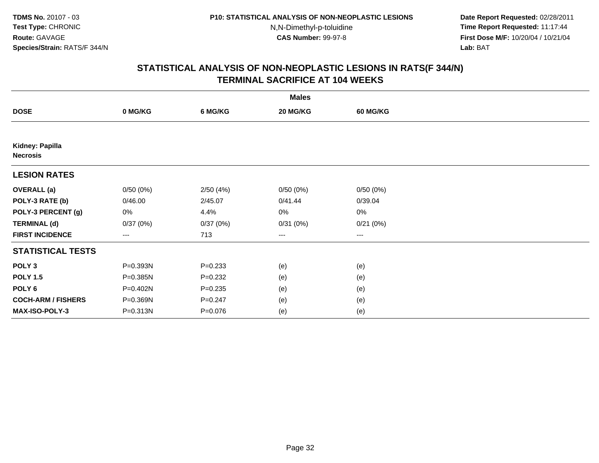N,N-Dimethyl-p-toluidine

 **Date Report Requested:** 02/28/2011 **Time Report Requested:** 11:17:44 **First Dose M/F:** 10/20/04 / 10/21/04<br>**Lab:** BAT **Lab:** BAT

|                                    |                   |             | <b>Males</b>      |          |  |
|------------------------------------|-------------------|-------------|-------------------|----------|--|
| <b>DOSE</b>                        | 0 MG/KG           | 6 MG/KG     | 20 MG/KG          | 60 MG/KG |  |
|                                    |                   |             |                   |          |  |
| Kidney: Papilla<br><b>Necrosis</b> |                   |             |                   |          |  |
| <b>LESION RATES</b>                |                   |             |                   |          |  |
| <b>OVERALL</b> (a)                 | 0/50(0%)          | 2/50(4%)    | 0/50(0%)          | 0/50(0%) |  |
| POLY-3 RATE (b)                    | 0/46.00           | 2/45.07     | 0/41.44           | 0/39.04  |  |
| POLY-3 PERCENT (g)                 | 0%                | 4.4%        | 0%                | $0\%$    |  |
| <b>TERMINAL (d)</b>                | 0/37(0%)          | 0/37(0%)    | 0/31(0%)          | 0/21(0%) |  |
| <b>FIRST INCIDENCE</b>             | $\qquad \qquad -$ | 713         | $\qquad \qquad -$ | $\cdots$ |  |
| <b>STATISTICAL TESTS</b>           |                   |             |                   |          |  |
| POLY <sub>3</sub>                  | P=0.393N          | $P = 0.233$ | (e)               | (e)      |  |
| <b>POLY 1.5</b>                    | P=0.385N          | $P = 0.232$ | (e)               | (e)      |  |
| POLY 6                             | P=0.402N          | $P = 0.235$ | (e)               | (e)      |  |
| <b>COCH-ARM / FISHERS</b>          | P=0.369N          | $P = 0.247$ | (e)               | (e)      |  |
| MAX-ISO-POLY-3                     | P=0.313N          | $P = 0.076$ | (e)               | (e)      |  |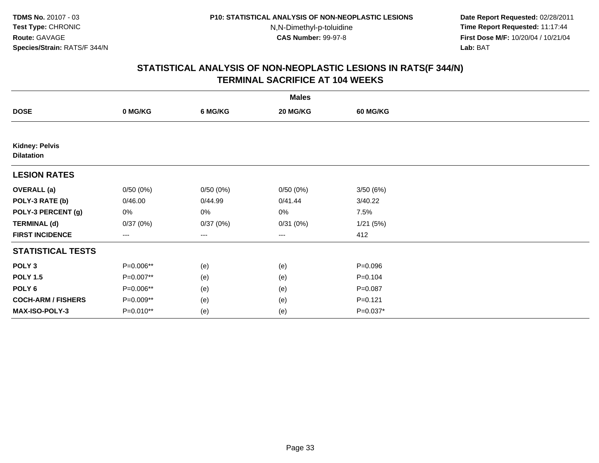N,N-Dimethyl-p-toluidine

 **Date Report Requested:** 02/28/2011 **Time Report Requested:** 11:17:44 **First Dose M/F:** 10/20/04 / 10/21/04<br>**Lab:** BAT **Lab:** BAT

|                                            |           |          | <b>Males</b> |             |  |
|--------------------------------------------|-----------|----------|--------------|-------------|--|
| <b>DOSE</b>                                | 0 MG/KG   | 6 MG/KG  | 20 MG/KG     | 60 MG/KG    |  |
|                                            |           |          |              |             |  |
| <b>Kidney: Pelvis</b><br><b>Dilatation</b> |           |          |              |             |  |
| <b>LESION RATES</b>                        |           |          |              |             |  |
| <b>OVERALL (a)</b>                         | 0/50(0%)  | 0/50(0%) | 0/50(0%)     | 3/50(6%)    |  |
| POLY-3 RATE (b)                            | 0/46.00   | 0/44.99  | 0/41.44      | 3/40.22     |  |
| POLY-3 PERCENT (g)                         | 0%        | 0%       | 0%           | 7.5%        |  |
| <b>TERMINAL (d)</b>                        | 0/37(0%)  | 0/37(0%) | 0/31(0%)     | 1/21(5%)    |  |
| <b>FIRST INCIDENCE</b>                     | $--$      | ---      | ---          | 412         |  |
| <b>STATISTICAL TESTS</b>                   |           |          |              |             |  |
| POLY <sub>3</sub>                          | P=0.006** | (e)      | (e)          | $P = 0.096$ |  |
| <b>POLY 1.5</b>                            | P=0.007** | (e)      | (e)          | $P = 0.104$ |  |
| POLY <sub>6</sub>                          | P=0.006** | (e)      | (e)          | $P = 0.087$ |  |
| <b>COCH-ARM / FISHERS</b>                  | P=0.009** | (e)      | (e)          | $P = 0.121$ |  |
| MAX-ISO-POLY-3                             | P=0.010** | (e)      | (e)          | P=0.037*    |  |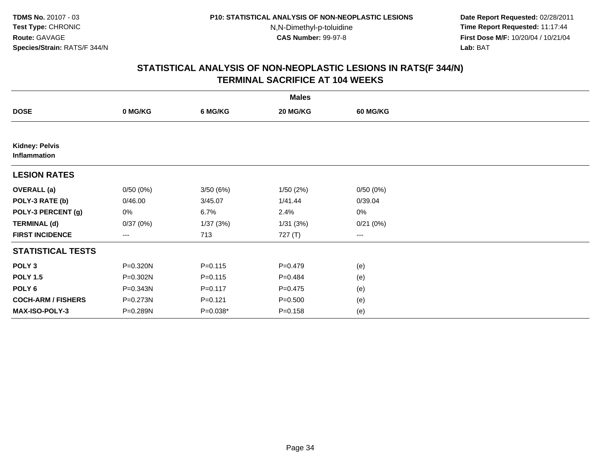N,N-Dimethyl-p-toluidine

 **Date Report Requested:** 02/28/2011 **Time Report Requested:** 11:17:44 **First Dose M/F:** 10/20/04 / 10/21/04<br>**Lab:** BAT **Lab:** BAT

|                                              |          |             | <b>Males</b> |                        |  |
|----------------------------------------------|----------|-------------|--------------|------------------------|--|
| <b>DOSE</b>                                  | 0 MG/KG  | 6 MG/KG     | 20 MG/KG     | <b>60 MG/KG</b>        |  |
|                                              |          |             |              |                        |  |
| <b>Kidney: Pelvis</b><br><b>Inflammation</b> |          |             |              |                        |  |
| <b>LESION RATES</b>                          |          |             |              |                        |  |
| <b>OVERALL</b> (a)                           | 0/50(0%) | 3/50(6%)    | 1/50(2%)     | 0/50(0%)               |  |
| POLY-3 RATE (b)                              | 0/46.00  | 3/45.07     | 1/41.44      | 0/39.04                |  |
| POLY-3 PERCENT (g)                           | 0%       | 6.7%        | 2.4%         | $0\%$                  |  |
| <b>TERMINAL (d)</b>                          | 0/37(0%) | 1/37(3%)    | 1/31(3%)     | 0/21(0%)               |  |
| <b>FIRST INCIDENCE</b>                       | ---      | 713         | 727 (T)      | $\qquad \qquad \cdots$ |  |
| <b>STATISTICAL TESTS</b>                     |          |             |              |                        |  |
| POLY <sub>3</sub>                            | P=0.320N | $P = 0.115$ | $P=0.479$    | (e)                    |  |
| <b>POLY 1.5</b>                              | P=0.302N | $P = 0.115$ | $P = 0.484$  | (e)                    |  |
| POLY <sub>6</sub>                            | P=0.343N | $P = 0.117$ | $P = 0.475$  | (e)                    |  |
| <b>COCH-ARM / FISHERS</b>                    | P=0.273N | $P = 0.121$ | $P = 0.500$  | (e)                    |  |
| MAX-ISO-POLY-3                               | P=0.289N | P=0.038*    | $P = 0.158$  | (e)                    |  |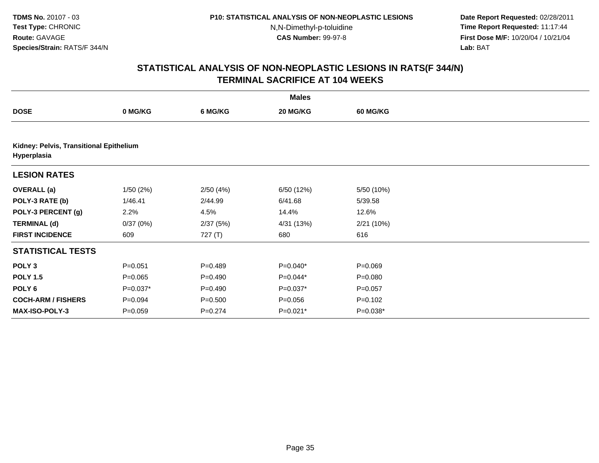N,N-Dimethyl-p-toluidine

 **Date Report Requested:** 02/28/2011 **Time Report Requested:** 11:17:44 **First Dose M/F:** 10/20/04 / 10/21/04<br>**Lab:** BAT **Lab:** BAT

|                           |                                         |             | <b>Males</b> |                 |  |  |  |
|---------------------------|-----------------------------------------|-------------|--------------|-----------------|--|--|--|
| <b>DOSE</b>               | 0 MG/KG                                 | 6 MG/KG     | 20 MG/KG     | <b>60 MG/KG</b> |  |  |  |
|                           |                                         |             |              |                 |  |  |  |
| Hyperplasia               | Kidney: Pelvis, Transitional Epithelium |             |              |                 |  |  |  |
| <b>LESION RATES</b>       |                                         |             |              |                 |  |  |  |
| <b>OVERALL (a)</b>        | 1/50(2%)                                | 2/50(4%)    | 6/50 (12%)   | 5/50 (10%)      |  |  |  |
| POLY-3 RATE (b)           | 1/46.41                                 | 2/44.99     | 6/41.68      | 5/39.58         |  |  |  |
| POLY-3 PERCENT (g)        | 2.2%                                    | 4.5%        | 14.4%        | 12.6%           |  |  |  |
| <b>TERMINAL (d)</b>       | 0/37(0%)                                | 2/37(5%)    | 4/31 (13%)   | 2/21(10%)       |  |  |  |
| <b>FIRST INCIDENCE</b>    | 609                                     | 727 (T)     | 680          | 616             |  |  |  |
| <b>STATISTICAL TESTS</b>  |                                         |             |              |                 |  |  |  |
| POLY <sub>3</sub>         | $P = 0.051$                             | $P=0.489$   | P=0.040*     | $P = 0.069$     |  |  |  |
| <b>POLY 1.5</b>           | $P=0.065$                               | $P = 0.490$ | P=0.044*     | $P = 0.080$     |  |  |  |
| POLY 6                    | $P=0.037*$                              | $P = 0.490$ | $P=0.037*$   | $P=0.057$       |  |  |  |
| <b>COCH-ARM / FISHERS</b> | $P = 0.094$                             | $P = 0.500$ | $P = 0.056$  | $P = 0.102$     |  |  |  |
| <b>MAX-ISO-POLY-3</b>     | $P = 0.059$                             | $P = 0.274$ | P=0.021*     | P=0.038*        |  |  |  |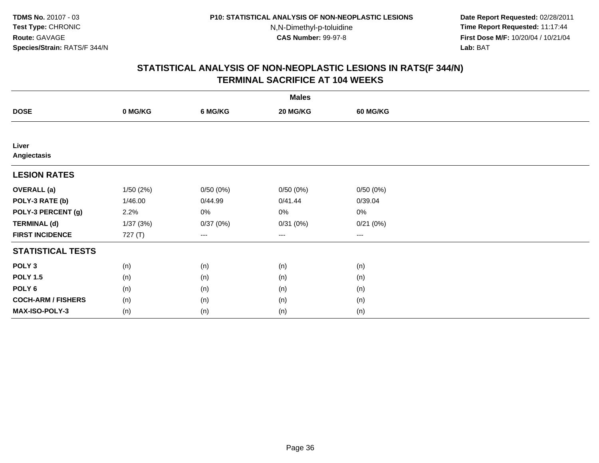N,N-Dimethyl-p-toluidine

 **Date Report Requested:** 02/28/2011 **Time Report Requested:** 11:17:44 **First Dose M/F:** 10/20/04 / 10/21/04<br>**Lab:** BAT **Lab:** BAT

|                           |          |          | <b>Males</b> |                 |  |
|---------------------------|----------|----------|--------------|-----------------|--|
| <b>DOSE</b>               | 0 MG/KG  | 6 MG/KG  | 20 MG/KG     | <b>60 MG/KG</b> |  |
|                           |          |          |              |                 |  |
| Liver<br>Angiectasis      |          |          |              |                 |  |
| <b>LESION RATES</b>       |          |          |              |                 |  |
| <b>OVERALL (a)</b>        | 1/50(2%) | 0/50(0%) | 0/50(0%)     | 0/50(0%)        |  |
| POLY-3 RATE (b)           | 1/46.00  | 0/44.99  | 0/41.44      | 0/39.04         |  |
| POLY-3 PERCENT (g)        | 2.2%     | 0%       | 0%           | $0\%$           |  |
| <b>TERMINAL (d)</b>       | 1/37(3%) | 0/37(0%) | 0/31(0%)     | 0/21(0%)        |  |
| <b>FIRST INCIDENCE</b>    | 727 (T)  | ---      | $---$        | ---             |  |
| <b>STATISTICAL TESTS</b>  |          |          |              |                 |  |
| POLY <sub>3</sub>         | (n)      | (n)      | (n)          | (n)             |  |
| <b>POLY 1.5</b>           | (n)      | (n)      | (n)          | (n)             |  |
| POLY <sub>6</sub>         | (n)      | (n)      | (n)          | (n)             |  |
| <b>COCH-ARM / FISHERS</b> | (n)      | (n)      | (n)          | (n)             |  |
| MAX-ISO-POLY-3            | (n)      | (n)      | (n)          | (n)             |  |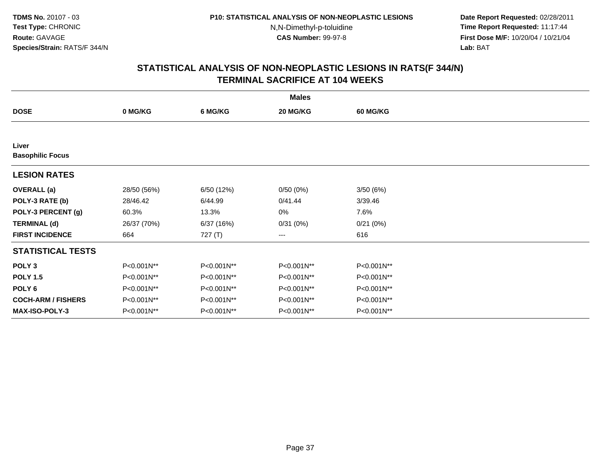N,N-Dimethyl-p-toluidine

 **Date Report Requested:** 02/28/2011 **Time Report Requested:** 11:17:44 **First Dose M/F:** 10/20/04 / 10/21/04<br>**Lab:** BAT **Lab:** BAT

| <b>Males</b>                     |             |            |            |                 |  |  |  |
|----------------------------------|-------------|------------|------------|-----------------|--|--|--|
| <b>DOSE</b>                      | 0 MG/KG     | 6 MG/KG    | 20 MG/KG   | <b>60 MG/KG</b> |  |  |  |
|                                  |             |            |            |                 |  |  |  |
| Liver<br><b>Basophilic Focus</b> |             |            |            |                 |  |  |  |
| <b>LESION RATES</b>              |             |            |            |                 |  |  |  |
| <b>OVERALL</b> (a)               | 28/50 (56%) | 6/50 (12%) | 0/50(0%)   | 3/50(6%)        |  |  |  |
| POLY-3 RATE (b)                  | 28/46.42    | 6/44.99    | 0/41.44    | 3/39.46         |  |  |  |
| POLY-3 PERCENT (g)               | 60.3%       | 13.3%      | 0%         | 7.6%            |  |  |  |
| <b>TERMINAL (d)</b>              | 26/37 (70%) | 6/37 (16%) | 0/31(0%)   | 0/21(0%)        |  |  |  |
| <b>FIRST INCIDENCE</b>           | 664         | 727 (T)    | $--$       | 616             |  |  |  |
| <b>STATISTICAL TESTS</b>         |             |            |            |                 |  |  |  |
| POLY <sub>3</sub>                | P<0.001N**  | P<0.001N** | P<0.001N** | P<0.001N**      |  |  |  |
| <b>POLY 1.5</b>                  | P<0.001N**  | P<0.001N** | P<0.001N** | P<0.001N**      |  |  |  |
| POLY <sub>6</sub>                | P<0.001N**  | P<0.001N** | P<0.001N** | P<0.001N**      |  |  |  |
| <b>COCH-ARM / FISHERS</b>        | P<0.001N**  | P<0.001N** | P<0.001N** | P<0.001N**      |  |  |  |
| <b>MAX-ISO-POLY-3</b>            | P<0.001N**  | P<0.001N** | P<0.001N** | P<0.001N**      |  |  |  |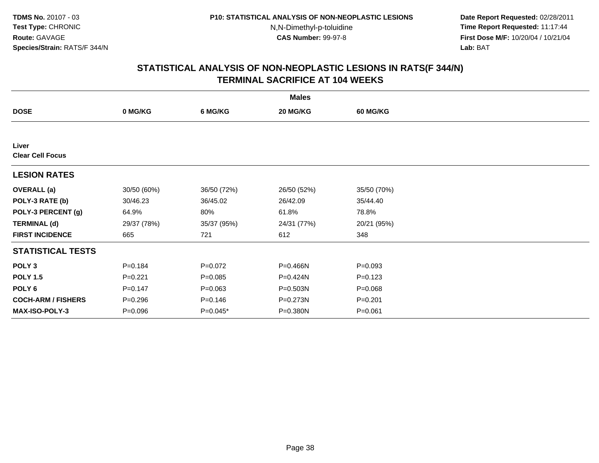N,N-Dimethyl-p-toluidine

 **Date Report Requested:** 02/28/2011 **Time Report Requested:** 11:17:44 **First Dose M/F:** 10/20/04 / 10/21/04<br>**Lab:** BAT **Lab:** BAT

| <b>Males</b>                     |             |             |             |                 |  |  |  |
|----------------------------------|-------------|-------------|-------------|-----------------|--|--|--|
| <b>DOSE</b>                      | 0 MG/KG     | 6 MG/KG     | 20 MG/KG    | <b>60 MG/KG</b> |  |  |  |
|                                  |             |             |             |                 |  |  |  |
| Liver<br><b>Clear Cell Focus</b> |             |             |             |                 |  |  |  |
| <b>LESION RATES</b>              |             |             |             |                 |  |  |  |
| <b>OVERALL</b> (a)               | 30/50 (60%) | 36/50 (72%) | 26/50 (52%) | 35/50 (70%)     |  |  |  |
| POLY-3 RATE (b)                  | 30/46.23    | 36/45.02    | 26/42.09    | 35/44.40        |  |  |  |
| POLY-3 PERCENT (g)               | 64.9%       | 80%         | 61.8%       | 78.8%           |  |  |  |
| <b>TERMINAL (d)</b>              | 29/37 (78%) | 35/37 (95%) | 24/31 (77%) | 20/21 (95%)     |  |  |  |
| <b>FIRST INCIDENCE</b>           | 665         | 721         | 612         | 348             |  |  |  |
| <b>STATISTICAL TESTS</b>         |             |             |             |                 |  |  |  |
| POLY <sub>3</sub>                | $P = 0.184$ | $P=0.072$   | P=0.466N    | $P = 0.093$     |  |  |  |
| <b>POLY 1.5</b>                  | $P = 0.221$ | $P = 0.085$ | P=0.424N    | $P = 0.123$     |  |  |  |
| POLY <sub>6</sub>                | $P = 0.147$ | $P = 0.063$ | P=0.503N    | $P = 0.068$     |  |  |  |
| <b>COCH-ARM / FISHERS</b>        | $P = 0.296$ | $P = 0.146$ | P=0.273N    | $P = 0.201$     |  |  |  |
| <b>MAX-ISO-POLY-3</b>            | $P = 0.096$ | $P=0.045*$  | P=0.380N    | $P = 0.061$     |  |  |  |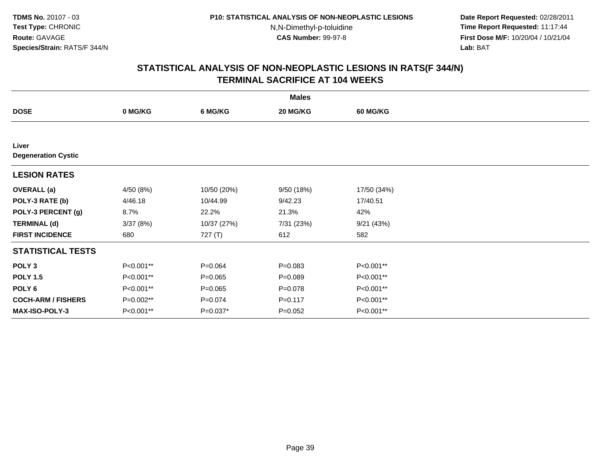N,N-Dimethyl-p-toluidine

 **Date Report Requested:** 02/28/2011 **Time Report Requested:** 11:17:44 **First Dose M/F:** 10/20/04 / 10/21/04<br>**Lab:** BAT **Lab:** BAT

| <b>Males</b>                        |           |             |             |                 |  |  |  |
|-------------------------------------|-----------|-------------|-------------|-----------------|--|--|--|
| <b>DOSE</b>                         | 0 MG/KG   | 6 MG/KG     | 20 MG/KG    | <b>60 MG/KG</b> |  |  |  |
|                                     |           |             |             |                 |  |  |  |
| Liver<br><b>Degeneration Cystic</b> |           |             |             |                 |  |  |  |
| <b>LESION RATES</b>                 |           |             |             |                 |  |  |  |
| <b>OVERALL</b> (a)                  | 4/50 (8%) | 10/50 (20%) | 9/50(18%)   | 17/50 (34%)     |  |  |  |
| POLY-3 RATE (b)                     | 4/46.18   | 10/44.99    | 9/42.23     | 17/40.51        |  |  |  |
| POLY-3 PERCENT (g)                  | 8.7%      | 22.2%       | 21.3%       | 42%             |  |  |  |
| <b>TERMINAL (d)</b>                 | 3/37(8%)  | 10/37 (27%) | 7/31 (23%)  | 9/21(43%)       |  |  |  |
| <b>FIRST INCIDENCE</b>              | 680       | 727 (T)     | 612         | 582             |  |  |  |
| <b>STATISTICAL TESTS</b>            |           |             |             |                 |  |  |  |
| POLY <sub>3</sub>                   | P<0.001** | $P=0.064$   | $P = 0.083$ | P<0.001**       |  |  |  |
| <b>POLY 1.5</b>                     | P<0.001** | $P=0.065$   | $P = 0.089$ | P<0.001**       |  |  |  |
| POLY <sub>6</sub>                   | P<0.001** | $P=0.065$   | $P = 0.078$ | P<0.001**       |  |  |  |
| <b>COCH-ARM / FISHERS</b>           | P=0.002** | $P = 0.074$ | $P = 0.117$ | P<0.001**       |  |  |  |
| <b>MAX-ISO-POLY-3</b>               | P<0.001** | $P=0.037*$  | $P=0.052$   | P<0.001**       |  |  |  |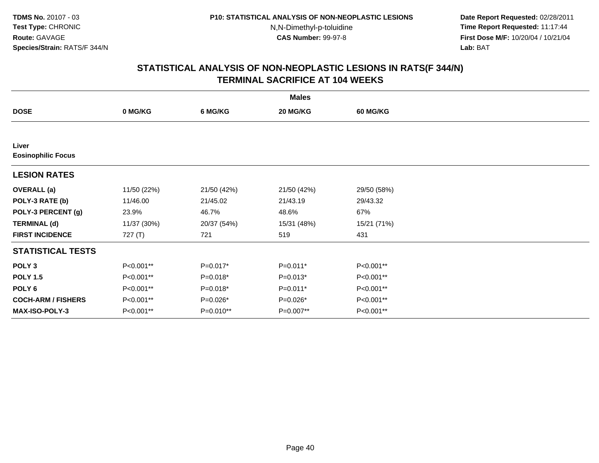N,N-Dimethyl-p-toluidine

 **Date Report Requested:** 02/28/2011 **Time Report Requested:** 11:17:44 **First Dose M/F:** 10/20/04 / 10/21/04<br>**Lab:** BAT **Lab:** BAT

| <b>Males</b>                       |             |             |             |                 |  |  |  |
|------------------------------------|-------------|-------------|-------------|-----------------|--|--|--|
| <b>DOSE</b>                        | 0 MG/KG     | 6 MG/KG     | 20 MG/KG    | <b>60 MG/KG</b> |  |  |  |
|                                    |             |             |             |                 |  |  |  |
| Liver<br><b>Eosinophilic Focus</b> |             |             |             |                 |  |  |  |
| <b>LESION RATES</b>                |             |             |             |                 |  |  |  |
| <b>OVERALL</b> (a)                 | 11/50 (22%) | 21/50 (42%) | 21/50 (42%) | 29/50 (58%)     |  |  |  |
| POLY-3 RATE (b)                    | 11/46.00    | 21/45.02    | 21/43.19    | 29/43.32        |  |  |  |
| POLY-3 PERCENT (g)                 | 23.9%       | 46.7%       | 48.6%       | 67%             |  |  |  |
| <b>TERMINAL (d)</b>                | 11/37 (30%) | 20/37 (54%) | 15/31 (48%) | 15/21 (71%)     |  |  |  |
| <b>FIRST INCIDENCE</b>             | 727(T)      | 721         | 519         | 431             |  |  |  |
| <b>STATISTICAL TESTS</b>           |             |             |             |                 |  |  |  |
| POLY <sub>3</sub>                  | P<0.001**   | $P=0.017*$  | $P=0.011*$  | P<0.001**       |  |  |  |
| <b>POLY 1.5</b>                    | P<0.001**   | $P=0.018*$  | $P=0.013*$  | P<0.001**       |  |  |  |
| POLY <sub>6</sub>                  | P<0.001**   | $P=0.018*$  | $P=0.011*$  | P<0.001**       |  |  |  |
| <b>COCH-ARM / FISHERS</b>          | P<0.001**   | P=0.026*    | P=0.026*    | P<0.001**       |  |  |  |
| MAX-ISO-POLY-3                     | P<0.001**   | P=0.010**   | P=0.007**   | P<0.001**       |  |  |  |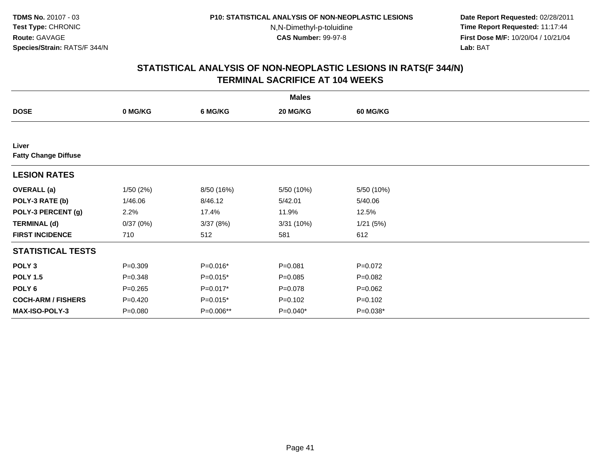N,N-Dimethyl-p-toluidine

 **Date Report Requested:** 02/28/2011 **Time Report Requested:** 11:17:44 **First Dose M/F:** 10/20/04 / 10/21/04<br>**Lab:** BAT **Lab:** BAT

| <b>Males</b>                         |             |            |             |                 |  |  |  |  |
|--------------------------------------|-------------|------------|-------------|-----------------|--|--|--|--|
| <b>DOSE</b>                          | 0 MG/KG     | 6 MG/KG    | 20 MG/KG    | <b>60 MG/KG</b> |  |  |  |  |
|                                      |             |            |             |                 |  |  |  |  |
| Liver<br><b>Fatty Change Diffuse</b> |             |            |             |                 |  |  |  |  |
| <b>LESION RATES</b>                  |             |            |             |                 |  |  |  |  |
| <b>OVERALL</b> (a)                   | 1/50(2%)    | 8/50 (16%) | 5/50 (10%)  | 5/50 (10%)      |  |  |  |  |
| POLY-3 RATE (b)                      | 1/46.06     | 8/46.12    | 5/42.01     | 5/40.06         |  |  |  |  |
| POLY-3 PERCENT (g)                   | 2.2%        | 17.4%      | 11.9%       | 12.5%           |  |  |  |  |
| <b>TERMINAL (d)</b>                  | 0/37(0%)    | 3/37(8%)   | 3/31(10%)   | 1/21(5%)        |  |  |  |  |
| <b>FIRST INCIDENCE</b>               | 710         | 512        | 581         | 612             |  |  |  |  |
| <b>STATISTICAL TESTS</b>             |             |            |             |                 |  |  |  |  |
| POLY <sub>3</sub>                    | $P = 0.309$ | P=0.016*   | $P = 0.081$ | $P = 0.072$     |  |  |  |  |
| <b>POLY 1.5</b>                      | $P = 0.348$ | $P=0.015*$ | $P = 0.085$ | $P = 0.082$     |  |  |  |  |
| POLY 6                               | $P = 0.265$ | P=0.017*   | $P = 0.078$ | $P=0.062$       |  |  |  |  |
| <b>COCH-ARM / FISHERS</b>            | $P=0.420$   | $P=0.015*$ | $P = 0.102$ | $P = 0.102$     |  |  |  |  |
| MAX-ISO-POLY-3                       | $P = 0.080$ | P=0.006**  | P=0.040*    | P=0.038*        |  |  |  |  |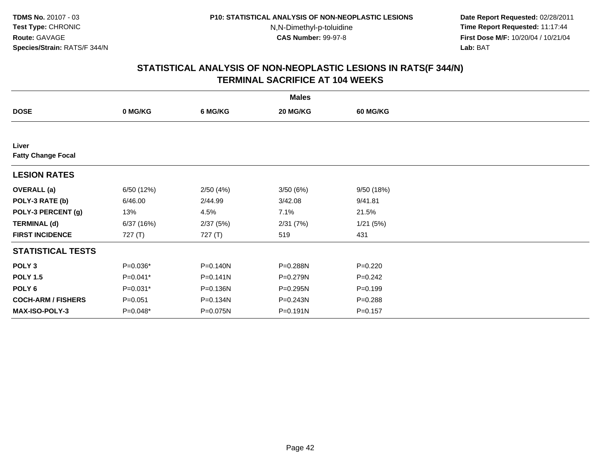N,N-Dimethyl-p-toluidine

 **Date Report Requested:** 02/28/2011 **Time Report Requested:** 11:17:44 **First Dose M/F:** 10/20/04 / 10/21/04<br>**Lab:** BAT **Lab:** BAT

| <b>Males</b>                       |             |          |          |                 |  |  |  |
|------------------------------------|-------------|----------|----------|-----------------|--|--|--|
| <b>DOSE</b>                        | 0 MG/KG     | 6 MG/KG  | 20 MG/KG | <b>60 MG/KG</b> |  |  |  |
|                                    |             |          |          |                 |  |  |  |
| Liver<br><b>Fatty Change Focal</b> |             |          |          |                 |  |  |  |
| <b>LESION RATES</b>                |             |          |          |                 |  |  |  |
| <b>OVERALL</b> (a)                 | 6/50 (12%)  | 2/50(4%) | 3/50(6%) | 9/50 (18%)      |  |  |  |
| POLY-3 RATE (b)                    | 6/46.00     | 2/44.99  | 3/42.08  | 9/41.81         |  |  |  |
| POLY-3 PERCENT (g)                 | 13%         | 4.5%     | 7.1%     | 21.5%           |  |  |  |
| <b>TERMINAL (d)</b>                | 6/37(16%)   | 2/37(5%) | 2/31(7%) | 1/21(5%)        |  |  |  |
| <b>FIRST INCIDENCE</b>             | 727(T)      | 727(T)   | 519      | 431             |  |  |  |
| <b>STATISTICAL TESTS</b>           |             |          |          |                 |  |  |  |
| POLY <sub>3</sub>                  | $P=0.036*$  | P=0.140N | P=0.288N | $P=0.220$       |  |  |  |
| <b>POLY 1.5</b>                    | P=0.041*    | P=0.141N | P=0.279N | $P = 0.242$     |  |  |  |
| POLY <sub>6</sub>                  | $P=0.031*$  | P=0.136N | P=0.295N | $P = 0.199$     |  |  |  |
| <b>COCH-ARM / FISHERS</b>          | $P = 0.051$ | P=0.134N | P=0.243N | $P = 0.288$     |  |  |  |
| <b>MAX-ISO-POLY-3</b>              | P=0.048*    | P=0.075N | P=0.191N | $P = 0.157$     |  |  |  |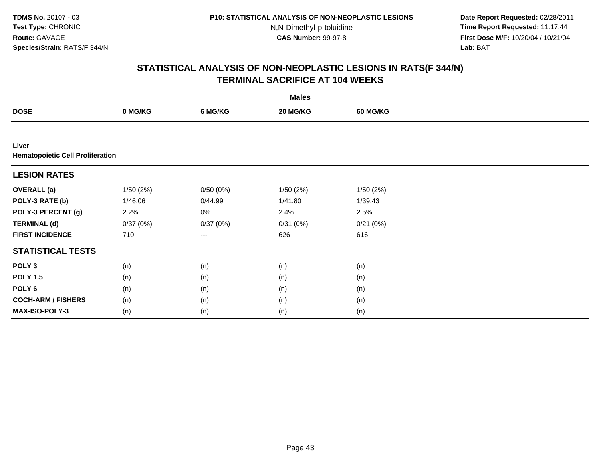N,N-Dimethyl-p-toluidine

 **Date Report Requested:** 02/28/2011 **Time Report Requested:** 11:17:44 **First Dose M/F:** 10/20/04 / 10/21/04<br>**Lab:** BAT **Lab:** BAT

| <b>Males</b>                                     |          |          |          |                 |  |  |  |
|--------------------------------------------------|----------|----------|----------|-----------------|--|--|--|
| <b>DOSE</b>                                      | 0 MG/KG  | 6 MG/KG  | 20 MG/KG | <b>60 MG/KG</b> |  |  |  |
|                                                  |          |          |          |                 |  |  |  |
| Liver<br><b>Hematopoietic Cell Proliferation</b> |          |          |          |                 |  |  |  |
| <b>LESION RATES</b>                              |          |          |          |                 |  |  |  |
| <b>OVERALL</b> (a)                               | 1/50(2%) | 0/50(0%) | 1/50(2%) | 1/50(2%)        |  |  |  |
| POLY-3 RATE (b)                                  | 1/46.06  | 0/44.99  | 1/41.80  | 1/39.43         |  |  |  |
| POLY-3 PERCENT (g)                               | 2.2%     | 0%       | 2.4%     | 2.5%            |  |  |  |
| <b>TERMINAL (d)</b>                              | 0/37(0%) | 0/37(0%) | 0/31(0%) | 0/21(0%)        |  |  |  |
| <b>FIRST INCIDENCE</b>                           | 710      | ---      | 626      | 616             |  |  |  |
| <b>STATISTICAL TESTS</b>                         |          |          |          |                 |  |  |  |
| POLY <sub>3</sub>                                | (n)      | (n)      | (n)      | (n)             |  |  |  |
| <b>POLY 1.5</b>                                  | (n)      | (n)      | (n)      | (n)             |  |  |  |
| POLY <sub>6</sub>                                | (n)      | (n)      | (n)      | (n)             |  |  |  |
| <b>COCH-ARM / FISHERS</b>                        | (n)      | (n)      | (n)      | (n)             |  |  |  |
| <b>MAX-ISO-POLY-3</b>                            | (n)      | (n)      | (n)      | (n)             |  |  |  |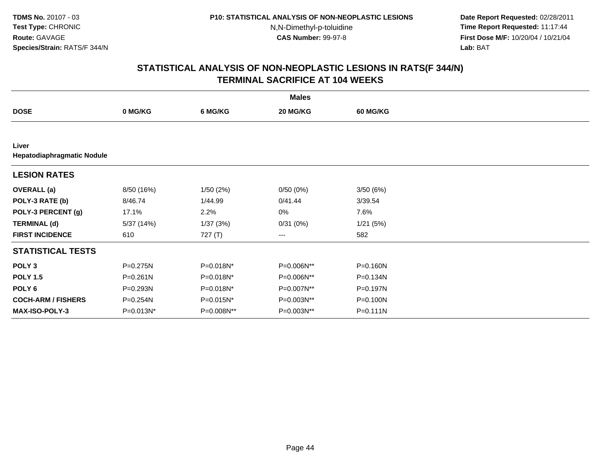N,N-Dimethyl-p-toluidine

 **Date Report Requested:** 02/28/2011 **Time Report Requested:** 11:17:44 **First Dose M/F:** 10/20/04 / 10/21/04<br>**Lab:** BAT **Lab:** BAT

| <b>Males</b>                        |                |            |            |                 |  |  |  |
|-------------------------------------|----------------|------------|------------|-----------------|--|--|--|
| <b>DOSE</b>                         | 0 MG/KG        | 6 MG/KG    | 20 MG/KG   | <b>60 MG/KG</b> |  |  |  |
|                                     |                |            |            |                 |  |  |  |
| Liver<br>Hepatodiaphragmatic Nodule |                |            |            |                 |  |  |  |
| <b>LESION RATES</b>                 |                |            |            |                 |  |  |  |
| <b>OVERALL</b> (a)                  | 8/50 (16%)     | 1/50(2%)   | 0/50(0%)   | 3/50(6%)        |  |  |  |
| POLY-3 RATE (b)                     | 8/46.74        | 1/44.99    | 0/41.44    | 3/39.54         |  |  |  |
| POLY-3 PERCENT (g)                  | 17.1%          | 2.2%       | 0%         | 7.6%            |  |  |  |
| <b>TERMINAL (d)</b>                 | 5/37 (14%)     | 1/37(3%)   | 0/31(0%)   | 1/21(5%)        |  |  |  |
| <b>FIRST INCIDENCE</b>              | 610            | 727 (T)    | $--$       | 582             |  |  |  |
| <b>STATISTICAL TESTS</b>            |                |            |            |                 |  |  |  |
| POLY <sub>3</sub>                   | P=0.275N       | P=0.018N*  | P=0.006N** | P=0.160N        |  |  |  |
| <b>POLY 1.5</b>                     | $P = 0.261N$   | P=0.018N*  | P=0.006N** | P=0.134N        |  |  |  |
| POLY <sub>6</sub>                   | P=0.293N       | P=0.018N*  | P=0.007N** | P=0.197N        |  |  |  |
| <b>COCH-ARM / FISHERS</b>           | P=0.254N       | P=0.015N*  | P=0.003N** | P=0.100N        |  |  |  |
| <b>MAX-ISO-POLY-3</b>               | $P = 0.013N^*$ | P=0.008N** | P=0.003N** | $P = 0.111N$    |  |  |  |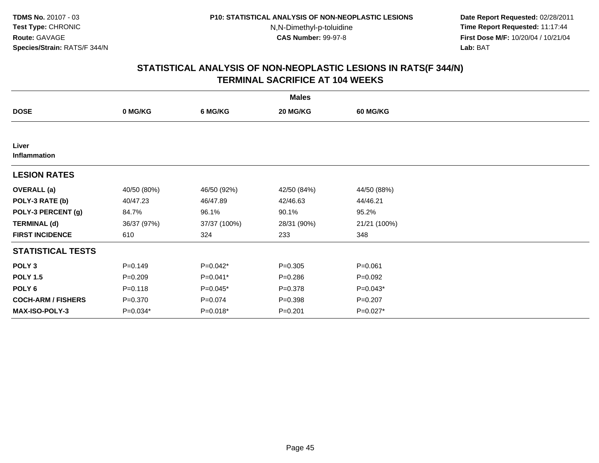N,N-Dimethyl-p-toluidine

 **Date Report Requested:** 02/28/2011 **Time Report Requested:** 11:17:44 **First Dose M/F:** 10/20/04 / 10/21/04<br>**Lab:** BAT **Lab:** BAT

| <b>Males</b>              |             |              |             |                 |  |  |  |
|---------------------------|-------------|--------------|-------------|-----------------|--|--|--|
| <b>DOSE</b>               | 0 MG/KG     | 6 MG/KG      | 20 MG/KG    | <b>60 MG/KG</b> |  |  |  |
|                           |             |              |             |                 |  |  |  |
| Liver<br>Inflammation     |             |              |             |                 |  |  |  |
| <b>LESION RATES</b>       |             |              |             |                 |  |  |  |
| <b>OVERALL</b> (a)        | 40/50 (80%) | 46/50 (92%)  | 42/50 (84%) | 44/50 (88%)     |  |  |  |
| POLY-3 RATE (b)           | 40/47.23    | 46/47.89     | 42/46.63    | 44/46.21        |  |  |  |
| POLY-3 PERCENT (g)        | 84.7%       | 96.1%        | 90.1%       | 95.2%           |  |  |  |
| <b>TERMINAL (d)</b>       | 36/37 (97%) | 37/37 (100%) | 28/31 (90%) | 21/21 (100%)    |  |  |  |
| <b>FIRST INCIDENCE</b>    | 610         | 324          | 233         | 348             |  |  |  |
| <b>STATISTICAL TESTS</b>  |             |              |             |                 |  |  |  |
| POLY <sub>3</sub>         | $P = 0.149$ | P=0.042*     | $P = 0.305$ | $P = 0.061$     |  |  |  |
| <b>POLY 1.5</b>           | $P = 0.209$ | $P=0.041*$   | $P = 0.286$ | $P = 0.092$     |  |  |  |
| POLY 6                    | $P = 0.118$ | P=0.045*     | $P = 0.378$ | $P=0.043*$      |  |  |  |
| <b>COCH-ARM / FISHERS</b> | $P = 0.370$ | $P = 0.074$  | $P = 0.398$ | $P = 0.207$     |  |  |  |
| MAX-ISO-POLY-3            | $P=0.034*$  | $P=0.018*$   | $P = 0.201$ | $P=0.027*$      |  |  |  |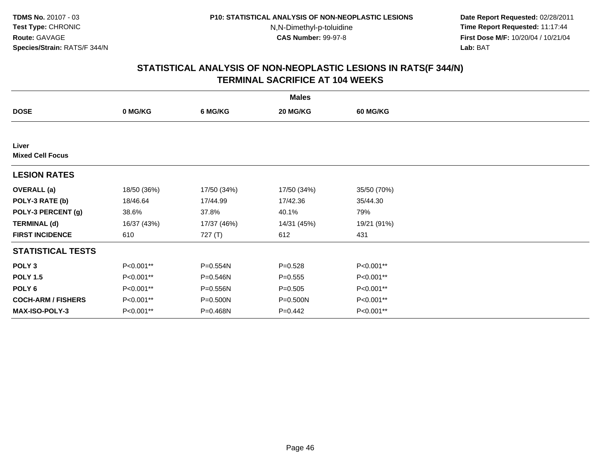N,N-Dimethyl-p-toluidine

 **Date Report Requested:** 02/28/2011 **Time Report Requested:** 11:17:44 **First Dose M/F:** 10/20/04 / 10/21/04<br>**Lab:** BAT **Lab:** BAT

| <b>Males</b>                     |             |             |             |                 |  |  |  |
|----------------------------------|-------------|-------------|-------------|-----------------|--|--|--|
| <b>DOSE</b>                      | 0 MG/KG     | 6 MG/KG     | 20 MG/KG    | <b>60 MG/KG</b> |  |  |  |
|                                  |             |             |             |                 |  |  |  |
| Liver<br><b>Mixed Cell Focus</b> |             |             |             |                 |  |  |  |
| <b>LESION RATES</b>              |             |             |             |                 |  |  |  |
| <b>OVERALL</b> (a)               | 18/50 (36%) | 17/50 (34%) | 17/50 (34%) | 35/50 (70%)     |  |  |  |
| POLY-3 RATE (b)                  | 18/46.64    | 17/44.99    | 17/42.36    | 35/44.30        |  |  |  |
| POLY-3 PERCENT (g)               | 38.6%       | 37.8%       | 40.1%       | 79%             |  |  |  |
| <b>TERMINAL (d)</b>              | 16/37 (43%) | 17/37 (46%) | 14/31 (45%) | 19/21 (91%)     |  |  |  |
| <b>FIRST INCIDENCE</b>           | 610         | 727 (T)     | 612         | 431             |  |  |  |
| <b>STATISTICAL TESTS</b>         |             |             |             |                 |  |  |  |
| POLY <sub>3</sub>                | P<0.001**   | P=0.554N    | $P = 0.528$ | P<0.001**       |  |  |  |
| <b>POLY 1.5</b>                  | P<0.001**   | P=0.546N    | $P = 0.555$ | P<0.001**       |  |  |  |
| POLY 6                           | P<0.001**   | P=0.556N    | $P = 0.505$ | P<0.001**       |  |  |  |
| <b>COCH-ARM / FISHERS</b>        | P<0.001**   | P=0.500N    | P=0.500N    | P<0.001**       |  |  |  |
| <b>MAX-ISO-POLY-3</b>            | P<0.001**   | P=0.468N    | $P = 0.442$ | P<0.001**       |  |  |  |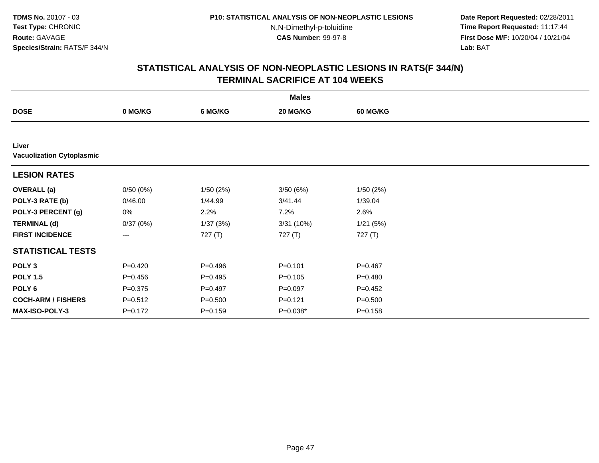N,N-Dimethyl-p-toluidine

 **Date Report Requested:** 02/28/2011 **Time Report Requested:** 11:17:44 **First Dose M/F:** 10/20/04 / 10/21/04<br>**Lab:** BAT **Lab:** BAT

| <b>Males</b>                              |             |             |             |                 |  |  |  |
|-------------------------------------------|-------------|-------------|-------------|-----------------|--|--|--|
| <b>DOSE</b>                               | 0 MG/KG     | 6 MG/KG     | 20 MG/KG    | <b>60 MG/KG</b> |  |  |  |
|                                           |             |             |             |                 |  |  |  |
| Liver<br><b>Vacuolization Cytoplasmic</b> |             |             |             |                 |  |  |  |
| <b>LESION RATES</b>                       |             |             |             |                 |  |  |  |
| <b>OVERALL</b> (a)                        | 0/50(0%)    | 1/50(2%)    | 3/50(6%)    | 1/50(2%)        |  |  |  |
| POLY-3 RATE (b)                           | 0/46.00     | 1/44.99     | 3/41.44     | 1/39.04         |  |  |  |
| POLY-3 PERCENT (g)                        | 0%          | 2.2%        | 7.2%        | 2.6%            |  |  |  |
| <b>TERMINAL (d)</b>                       | 0/37(0%)    | 1/37(3%)    | 3/31(10%)   | 1/21(5%)        |  |  |  |
| <b>FIRST INCIDENCE</b>                    | $---$       | 727 (T)     | 727 (T)     | 727 (T)         |  |  |  |
| <b>STATISTICAL TESTS</b>                  |             |             |             |                 |  |  |  |
| POLY <sub>3</sub>                         | $P = 0.420$ | $P = 0.496$ | $P = 0.101$ | $P = 0.467$     |  |  |  |
| <b>POLY 1.5</b>                           | $P = 0.456$ | $P = 0.495$ | $P = 0.105$ | $P = 0.480$     |  |  |  |
| POLY 6                                    | $P = 0.375$ | $P=0.497$   | $P=0.097$   | $P = 0.452$     |  |  |  |
| <b>COCH-ARM / FISHERS</b>                 | $P = 0.512$ | $P = 0.500$ | $P = 0.121$ | $P = 0.500$     |  |  |  |
| <b>MAX-ISO-POLY-3</b>                     | $P = 0.172$ | $P = 0.159$ | P=0.038*    | $P = 0.158$     |  |  |  |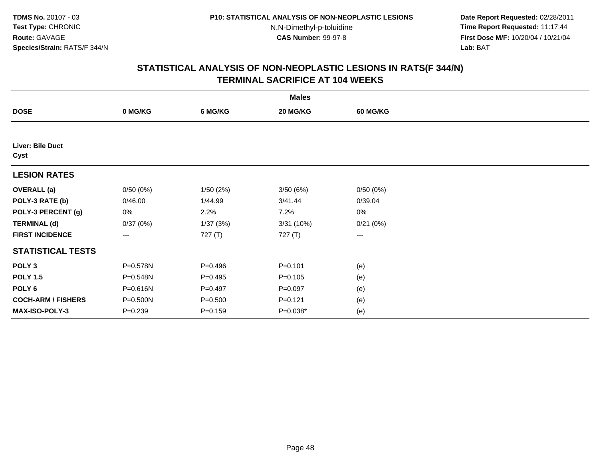N,N-Dimethyl-p-toluidine

 **Date Report Requested:** 02/28/2011 **Time Report Requested:** 11:17:44 **First Dose M/F:** 10/20/04 / 10/21/04<br>**Lab:** BAT **Lab:** BAT

| <b>Males</b>              |                   |             |             |                     |  |  |  |  |
|---------------------------|-------------------|-------------|-------------|---------------------|--|--|--|--|
| <b>DOSE</b>               | 0 MG/KG           | 6 MG/KG     | 20 MG/KG    | <b>60 MG/KG</b>     |  |  |  |  |
|                           |                   |             |             |                     |  |  |  |  |
| Liver: Bile Duct<br>Cyst  |                   |             |             |                     |  |  |  |  |
| <b>LESION RATES</b>       |                   |             |             |                     |  |  |  |  |
| <b>OVERALL</b> (a)        | 0/50(0%)          | 1/50(2%)    | 3/50(6%)    | 0/50(0%)            |  |  |  |  |
| POLY-3 RATE (b)           | 0/46.00           | 1/44.99     | 3/41.44     | 0/39.04             |  |  |  |  |
| POLY-3 PERCENT (g)        | 0%                | 2.2%        | 7.2%        | 0%                  |  |  |  |  |
| <b>TERMINAL (d)</b>       | 0/37(0%)          | 1/37(3%)    | 3/31(10%)   | 0/21(0%)            |  |  |  |  |
| <b>FIRST INCIDENCE</b>    | $\qquad \qquad -$ | 727 (T)     | 727 (T)     | $\qquad \qquad - -$ |  |  |  |  |
| <b>STATISTICAL TESTS</b>  |                   |             |             |                     |  |  |  |  |
| POLY <sub>3</sub>         | P=0.578N          | $P = 0.496$ | $P = 0.101$ | (e)                 |  |  |  |  |
| <b>POLY 1.5</b>           | P=0.548N          | $P = 0.495$ | $P = 0.105$ | (e)                 |  |  |  |  |
| POLY 6                    | P=0.616N          | $P=0.497$   | $P = 0.097$ | (e)                 |  |  |  |  |
| <b>COCH-ARM / FISHERS</b> | P=0.500N          | $P = 0.500$ | $P = 0.121$ | (e)                 |  |  |  |  |
| <b>MAX-ISO-POLY-3</b>     | $P = 0.239$       | $P = 0.159$ | $P=0.038*$  | (e)                 |  |  |  |  |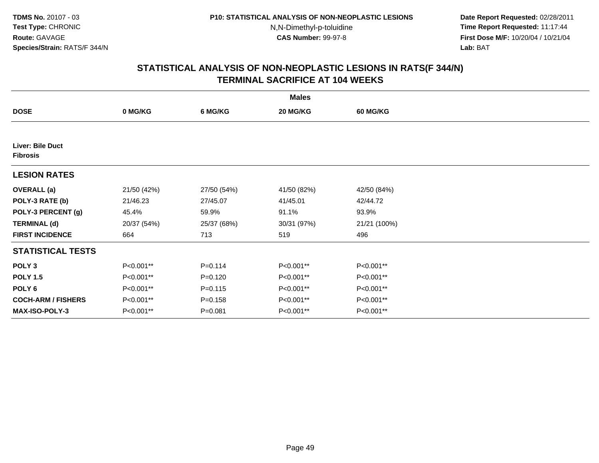N,N-Dimethyl-p-toluidine

 **Date Report Requested:** 02/28/2011 **Time Report Requested:** 11:17:44 **First Dose M/F:** 10/20/04 / 10/21/04<br>**Lab:** BAT **Lab:** BAT

|                                     |             |             | <b>Males</b> |              |  |
|-------------------------------------|-------------|-------------|--------------|--------------|--|
| <b>DOSE</b>                         | 0 MG/KG     | 6 MG/KG     | 20 MG/KG     | 60 MG/KG     |  |
|                                     |             |             |              |              |  |
| Liver: Bile Duct<br><b>Fibrosis</b> |             |             |              |              |  |
| <b>LESION RATES</b>                 |             |             |              |              |  |
| <b>OVERALL</b> (a)                  | 21/50 (42%) | 27/50 (54%) | 41/50 (82%)  | 42/50 (84%)  |  |
| POLY-3 RATE (b)                     | 21/46.23    | 27/45.07    | 41/45.01     | 42/44.72     |  |
| POLY-3 PERCENT (g)                  | 45.4%       | 59.9%       | 91.1%        | 93.9%        |  |
| <b>TERMINAL (d)</b>                 | 20/37 (54%) | 25/37 (68%) | 30/31 (97%)  | 21/21 (100%) |  |
| <b>FIRST INCIDENCE</b>              | 664         | 713         | 519          | 496          |  |
| <b>STATISTICAL TESTS</b>            |             |             |              |              |  |
| POLY <sub>3</sub>                   | P<0.001**   | $P = 0.114$ | P<0.001**    | P<0.001**    |  |
| <b>POLY 1.5</b>                     | P<0.001**   | $P = 0.120$ | P<0.001**    | P<0.001**    |  |
| POLY 6                              | P<0.001**   | $P = 0.115$ | P<0.001**    | P<0.001**    |  |
| <b>COCH-ARM / FISHERS</b>           | P<0.001**   | $P = 0.158$ | P<0.001**    | P<0.001**    |  |
| <b>MAX-ISO-POLY-3</b>               | P<0.001**   | $P = 0.081$ | P<0.001**    | P<0.001**    |  |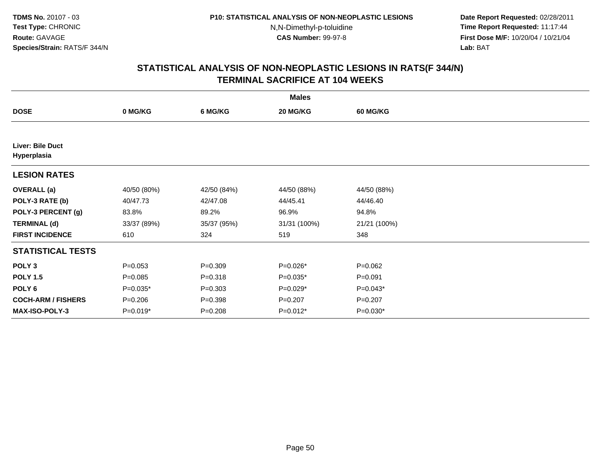N,N-Dimethyl-p-toluidine

 **Date Report Requested:** 02/28/2011 **Time Report Requested:** 11:17:44 **First Dose M/F:** 10/20/04 / 10/21/04<br>**Lab:** BAT **Lab:** BAT

|                                 |             |             | <b>Males</b> |                 |
|---------------------------------|-------------|-------------|--------------|-----------------|
| <b>DOSE</b>                     | 0 MG/KG     | 6 MG/KG     | 20 MG/KG     | <b>60 MG/KG</b> |
|                                 |             |             |              |                 |
| Liver: Bile Duct<br>Hyperplasia |             |             |              |                 |
| <b>LESION RATES</b>             |             |             |              |                 |
| <b>OVERALL</b> (a)              | 40/50 (80%) | 42/50 (84%) | 44/50 (88%)  | 44/50 (88%)     |
| POLY-3 RATE (b)                 | 40/47.73    | 42/47.08    | 44/45.41     | 44/46.40        |
| POLY-3 PERCENT (g)              | 83.8%       | 89.2%       | 96.9%        | 94.8%           |
| <b>TERMINAL (d)</b>             | 33/37 (89%) | 35/37 (95%) | 31/31 (100%) | 21/21 (100%)    |
| <b>FIRST INCIDENCE</b>          | 610         | 324         | 519          | 348             |
| <b>STATISTICAL TESTS</b>        |             |             |              |                 |
| POLY <sub>3</sub>               | $P = 0.053$ | $P = 0.309$ | P=0.026*     | $P = 0.062$     |
| <b>POLY 1.5</b>                 | $P = 0.085$ | $P = 0.318$ | $P=0.035*$   | $P=0.091$       |
| POLY 6                          | $P=0.035*$  | $P = 0.303$ | $P=0.029*$   | $P=0.043*$      |
| <b>COCH-ARM / FISHERS</b>       | $P = 0.206$ | $P = 0.398$ | $P = 0.207$  | $P = 0.207$     |
| <b>MAX-ISO-POLY-3</b>           | $P=0.019*$  | $P = 0.208$ | $P=0.012*$   | $P=0.030*$      |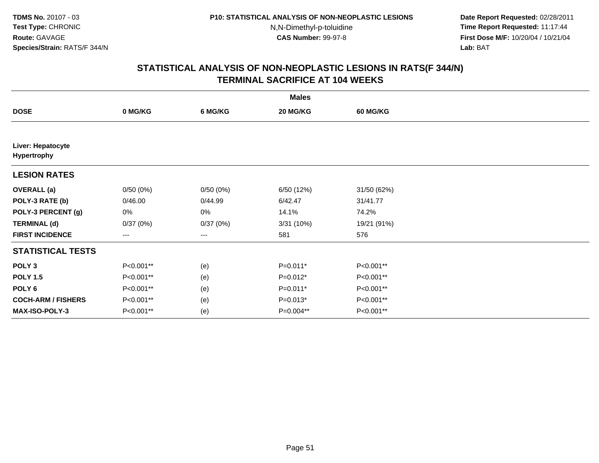N,N-Dimethyl-p-toluidine

 **Date Report Requested:** 02/28/2011 **Time Report Requested:** 11:17:44 **First Dose M/F:** 10/20/04 / 10/21/04<br>**Lab:** BAT **Lab:** BAT

|                                  |           |          | <b>Males</b> |                 |  |
|----------------------------------|-----------|----------|--------------|-----------------|--|
| <b>DOSE</b>                      | 0 MG/KG   | 6 MG/KG  | 20 MG/KG     | <b>60 MG/KG</b> |  |
|                                  |           |          |              |                 |  |
| Liver: Hepatocyte<br>Hypertrophy |           |          |              |                 |  |
| <b>LESION RATES</b>              |           |          |              |                 |  |
| <b>OVERALL</b> (a)               | 0/50(0%)  | 0/50(0%) | 6/50 (12%)   | 31/50 (62%)     |  |
| POLY-3 RATE (b)                  | 0/46.00   | 0/44.99  | 6/42.47      | 31/41.77        |  |
| POLY-3 PERCENT (g)               | 0%        | 0%       | 14.1%        | 74.2%           |  |
| <b>TERMINAL (d)</b>              | 0/37(0%)  | 0/37(0%) | 3/31(10%)    | 19/21 (91%)     |  |
| <b>FIRST INCIDENCE</b>           | ---       | ---      | 581          | 576             |  |
| <b>STATISTICAL TESTS</b>         |           |          |              |                 |  |
| POLY <sub>3</sub>                | P<0.001** | (e)      | $P=0.011*$   | P<0.001**       |  |
| <b>POLY 1.5</b>                  | P<0.001** | (e)      | $P=0.012*$   | P<0.001**       |  |
| POLY 6                           | P<0.001** | (e)      | $P=0.011*$   | P<0.001**       |  |
| <b>COCH-ARM / FISHERS</b>        | P<0.001** | (e)      | $P=0.013*$   | P<0.001**       |  |
| MAX-ISO-POLY-3                   | P<0.001** | (e)      | P=0.004**    | P<0.001**       |  |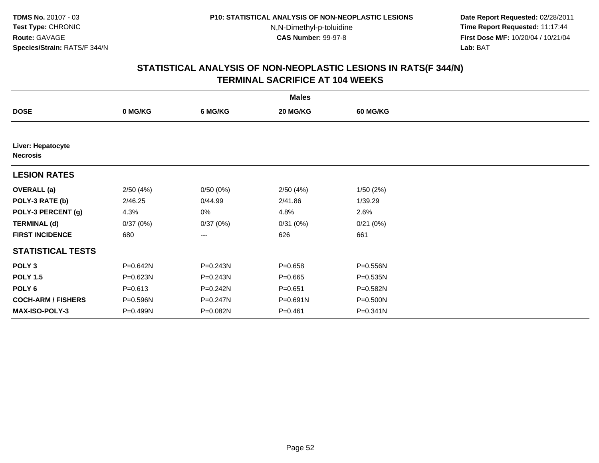N,N-Dimethyl-p-toluidine

 **Date Report Requested:** 02/28/2011 **Time Report Requested:** 11:17:44 **First Dose M/F:** 10/20/04 / 10/21/04<br>**Lab:** BAT **Lab:** BAT

|                                      |             |              | <b>Males</b> |                 |  |
|--------------------------------------|-------------|--------------|--------------|-----------------|--|
| <b>DOSE</b>                          | 0 MG/KG     | 6 MG/KG      | 20 MG/KG     | <b>60 MG/KG</b> |  |
|                                      |             |              |              |                 |  |
| Liver: Hepatocyte<br><b>Necrosis</b> |             |              |              |                 |  |
| <b>LESION RATES</b>                  |             |              |              |                 |  |
| <b>OVERALL</b> (a)                   | 2/50(4%)    | 0/50(0%)     | 2/50(4%)     | 1/50(2%)        |  |
| POLY-3 RATE (b)                      | 2/46.25     | 0/44.99      | 2/41.86      | 1/39.29         |  |
| POLY-3 PERCENT (g)                   | 4.3%        | 0%           | 4.8%         | 2.6%            |  |
| <b>TERMINAL (d)</b>                  | 0/37(0%)    | 0/37(0%)     | 0/31(0%)     | 0/21(0%)        |  |
| <b>FIRST INCIDENCE</b>               | 680         | ---          | 626          | 661             |  |
| <b>STATISTICAL TESTS</b>             |             |              |              |                 |  |
| POLY <sub>3</sub>                    | P=0.642N    | $P = 0.243N$ | $P = 0.658$  | P=0.556N        |  |
| <b>POLY 1.5</b>                      | P=0.623N    | P=0.243N     | $P = 0.665$  | P=0.535N        |  |
| POLY <sub>6</sub>                    | $P = 0.613$ | P=0.242N     | $P = 0.651$  | P=0.582N        |  |
| <b>COCH-ARM / FISHERS</b>            | P=0.596N    | P=0.247N     | P=0.691N     | P=0.500N        |  |
| <b>MAX-ISO-POLY-3</b>                | P=0.499N    | P=0.082N     | $P = 0.461$  | $P = 0.341N$    |  |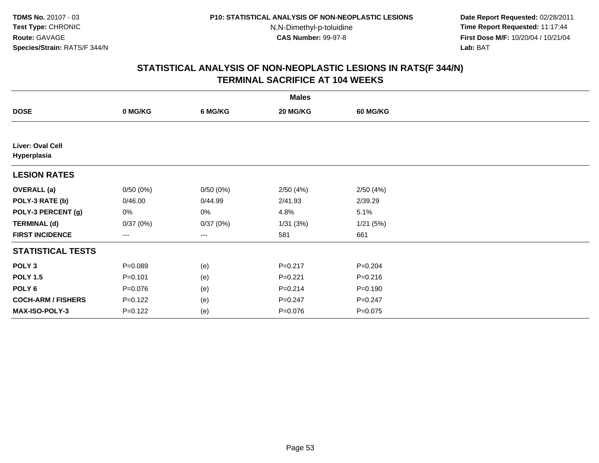N,N-Dimethyl-p-toluidine

 **Date Report Requested:** 02/28/2011 **Time Report Requested:** 11:17:44 **First Dose M/F:** 10/20/04 / 10/21/04<br>**Lab:** BAT **Lab:** BAT

|                                 |             |          | <b>Males</b> |                 |  |
|---------------------------------|-------------|----------|--------------|-----------------|--|
| <b>DOSE</b>                     | 0 MG/KG     | 6 MG/KG  | 20 MG/KG     | <b>60 MG/KG</b> |  |
|                                 |             |          |              |                 |  |
| Liver: Oval Cell<br>Hyperplasia |             |          |              |                 |  |
| <b>LESION RATES</b>             |             |          |              |                 |  |
| <b>OVERALL</b> (a)              | 0/50(0%)    | 0/50(0%) | 2/50(4%)     | 2/50(4%)        |  |
| POLY-3 RATE (b)                 | 0/46.00     | 0/44.99  | 2/41.93      | 2/39.29         |  |
| POLY-3 PERCENT (g)              | 0%          | 0%       | 4.8%         | 5.1%            |  |
| <b>TERMINAL (d)</b>             | 0/37(0%)    | 0/37(0%) | 1/31 (3%)    | 1/21(5%)        |  |
| <b>FIRST INCIDENCE</b>          | ---         | ---      | 581          | 661             |  |
| <b>STATISTICAL TESTS</b>        |             |          |              |                 |  |
| POLY <sub>3</sub>               | $P = 0.089$ | (e)      | $P = 0.217$  | $P = 0.204$     |  |
| <b>POLY 1.5</b>                 | $P = 0.101$ | (e)      | $P = 0.221$  | $P = 0.216$     |  |
| POLY 6                          | $P = 0.076$ | (e)      | $P = 0.214$  | $P = 0.190$     |  |
| <b>COCH-ARM / FISHERS</b>       | $P = 0.122$ | (e)      | $P = 0.247$  | $P = 0.247$     |  |
| MAX-ISO-POLY-3                  | $P = 0.122$ | (e)      | $P = 0.076$  | $P = 0.075$     |  |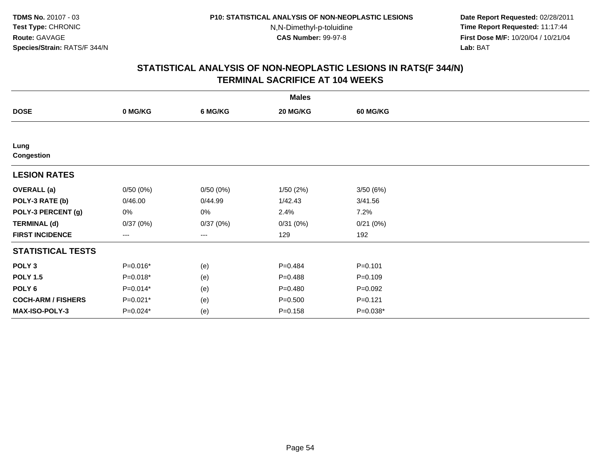N,N-Dimethyl-p-toluidine

 **Date Report Requested:** 02/28/2011 **Time Report Requested:** 11:17:44 **First Dose M/F:** 10/20/04 / 10/21/04<br>**Lab:** BAT **Lab:** BAT

|                           |            |          | <b>Males</b> |             |  |
|---------------------------|------------|----------|--------------|-------------|--|
| <b>DOSE</b>               | 0 MG/KG    | 6 MG/KG  | 20 MG/KG     | 60 MG/KG    |  |
|                           |            |          |              |             |  |
| Lung<br><b>Congestion</b> |            |          |              |             |  |
| <b>LESION RATES</b>       |            |          |              |             |  |
| <b>OVERALL</b> (a)        | 0/50(0%)   | 0/50(0%) | 1/50(2%)     | 3/50(6%)    |  |
| POLY-3 RATE (b)           | 0/46.00    | 0/44.99  | 1/42.43      | 3/41.56     |  |
| POLY-3 PERCENT (g)        | 0%         | 0%       | 2.4%         | 7.2%        |  |
| <b>TERMINAL (d)</b>       | 0/37(0%)   | 0/37(0%) | 0/31(0%)     | 0/21(0%)    |  |
| <b>FIRST INCIDENCE</b>    | ---        | ---      | 129          | 192         |  |
| <b>STATISTICAL TESTS</b>  |            |          |              |             |  |
| POLY <sub>3</sub>         | $P=0.016*$ | (e)      | $P = 0.484$  | $P = 0.101$ |  |
| <b>POLY 1.5</b>           | $P=0.018*$ | (e)      | $P = 0.488$  | $P = 0.109$ |  |
| POLY <sub>6</sub>         | $P=0.014*$ | (e)      | $P = 0.480$  | $P = 0.092$ |  |
| <b>COCH-ARM / FISHERS</b> | $P=0.021*$ | (e)      | $P = 0.500$  | $P = 0.121$ |  |
| MAX-ISO-POLY-3            | $P=0.024*$ | (e)      | $P = 0.158$  | P=0.038*    |  |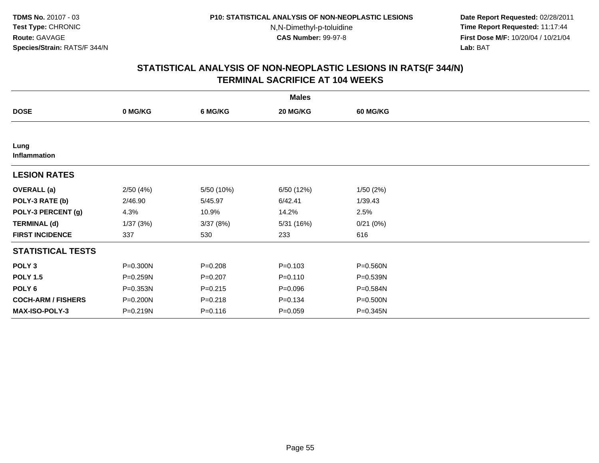N,N-Dimethyl-p-toluidine

 **Date Report Requested:** 02/28/2011 **Time Report Requested:** 11:17:44 **First Dose M/F:** 10/20/04 / 10/21/04<br>**Lab:** BAT **Lab:** BAT

|                           |          |             | <b>Males</b> |                 |  |
|---------------------------|----------|-------------|--------------|-----------------|--|
| <b>DOSE</b>               | 0 MG/KG  | 6 MG/KG     | 20 MG/KG     | <b>60 MG/KG</b> |  |
|                           |          |             |              |                 |  |
| Lung<br>Inflammation      |          |             |              |                 |  |
| <b>LESION RATES</b>       |          |             |              |                 |  |
| <b>OVERALL</b> (a)        | 2/50(4%) | 5/50 (10%)  | 6/50 (12%)   | 1/50(2%)        |  |
| POLY-3 RATE (b)           | 2/46.90  | 5/45.97     | 6/42.41      | 1/39.43         |  |
| POLY-3 PERCENT (g)        | 4.3%     | 10.9%       | 14.2%        | 2.5%            |  |
| <b>TERMINAL (d)</b>       | 1/37(3%) | 3/37(8%)    | 5/31(16%)    | 0/21(0%)        |  |
| <b>FIRST INCIDENCE</b>    | 337      | 530         | 233          | 616             |  |
| <b>STATISTICAL TESTS</b>  |          |             |              |                 |  |
| POLY <sub>3</sub>         | P=0.300N | $P = 0.208$ | $P = 0.103$  | P=0.560N        |  |
| <b>POLY 1.5</b>           | P=0.259N | $P = 0.207$ | $P = 0.110$  | P=0.539N        |  |
| POLY 6                    | P=0.353N | $P = 0.215$ | $P = 0.096$  | P=0.584N        |  |
| <b>COCH-ARM / FISHERS</b> | P=0.200N | $P = 0.218$ | $P = 0.134$  | P=0.500N        |  |
| MAX-ISO-POLY-3            | P=0.219N | $P = 0.116$ | $P = 0.059$  | P=0.345N        |  |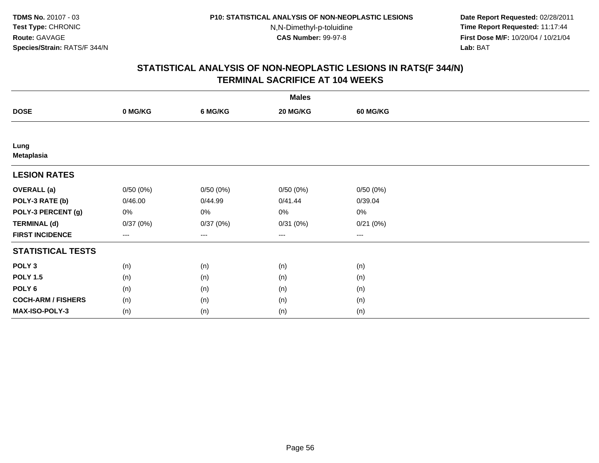N,N-Dimethyl-p-toluidine

 **Date Report Requested:** 02/28/2011 **Time Report Requested:** 11:17:44 **First Dose M/F:** 10/20/04 / 10/21/04<br>**Lab:** BAT **Lab:** BAT

|                           |          |          | <b>Males</b>           |                 |  |
|---------------------------|----------|----------|------------------------|-----------------|--|
| <b>DOSE</b>               | 0 MG/KG  | 6 MG/KG  | 20 MG/KG               | <b>60 MG/KG</b> |  |
|                           |          |          |                        |                 |  |
| Lung<br><b>Metaplasia</b> |          |          |                        |                 |  |
| <b>LESION RATES</b>       |          |          |                        |                 |  |
| <b>OVERALL (a)</b>        | 0/50(0%) | 0/50(0%) | 0/50(0%)               | 0/50(0%)        |  |
| POLY-3 RATE (b)           | 0/46.00  | 0/44.99  | 0/41.44                | 0/39.04         |  |
| POLY-3 PERCENT (g)        | 0%       | 0%       | 0%                     | $0\%$           |  |
| <b>TERMINAL (d)</b>       | 0/37(0%) | 0/37(0%) | 0/31(0%)               | 0/21(0%)        |  |
| <b>FIRST INCIDENCE</b>    | ---      | ---      | $\qquad \qquad \cdots$ | $--$            |  |
| <b>STATISTICAL TESTS</b>  |          |          |                        |                 |  |
| POLY <sub>3</sub>         | (n)      | (n)      | (n)                    | (n)             |  |
| <b>POLY 1.5</b>           | (n)      | (n)      | (n)                    | (n)             |  |
| POLY <sub>6</sub>         | (n)      | (n)      | (n)                    | (n)             |  |
| <b>COCH-ARM / FISHERS</b> | (n)      | (n)      | (n)                    | (n)             |  |
| MAX-ISO-POLY-3            | (n)      | (n)      | (n)                    | (n)             |  |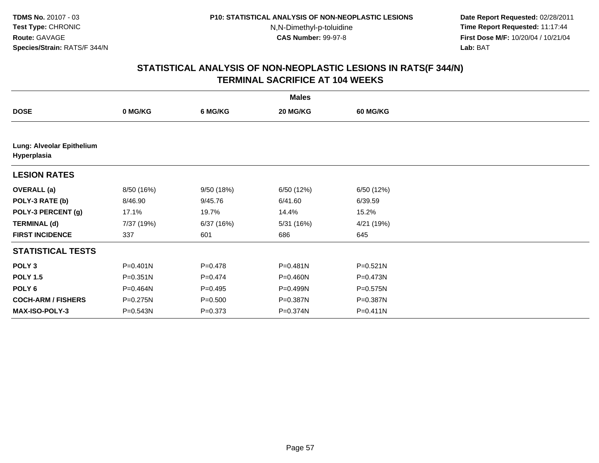N,N-Dimethyl-p-toluidine

 **Date Report Requested:** 02/28/2011 **Time Report Requested:** 11:17:44 **First Dose M/F:** 10/20/04 / 10/21/04<br>**Lab:** BAT **Lab:** BAT

|                                          |              |             | <b>Males</b> |                 |  |
|------------------------------------------|--------------|-------------|--------------|-----------------|--|
| <b>DOSE</b>                              | 0 MG/KG      | 6 MG/KG     | 20 MG/KG     | <b>60 MG/KG</b> |  |
|                                          |              |             |              |                 |  |
| Lung: Alveolar Epithelium<br>Hyperplasia |              |             |              |                 |  |
| <b>LESION RATES</b>                      |              |             |              |                 |  |
| <b>OVERALL</b> (a)                       | 8/50 (16%)   | 9/50 (18%)  | 6/50 (12%)   | 6/50 (12%)      |  |
| POLY-3 RATE (b)                          | 8/46.90      | 9/45.76     | 6/41.60      | 6/39.59         |  |
| POLY-3 PERCENT (g)                       | 17.1%        | 19.7%       | 14.4%        | 15.2%           |  |
| <b>TERMINAL (d)</b>                      | 7/37 (19%)   | 6/37(16%)   | 5/31 (16%)   | 4/21 (19%)      |  |
| <b>FIRST INCIDENCE</b>                   | 337          | 601         | 686          | 645             |  |
| <b>STATISTICAL TESTS</b>                 |              |             |              |                 |  |
| POLY <sub>3</sub>                        | $P = 0.401N$ | $P = 0.478$ | $P = 0.481N$ | $P = 0.521N$    |  |
| <b>POLY 1.5</b>                          | $P = 0.351N$ | $P=0.474$   | P=0.460N     | P=0.473N        |  |
| POLY <sub>6</sub>                        | P=0.464N     | $P=0.495$   | P=0.499N     | $P = 0.575N$    |  |
| <b>COCH-ARM / FISHERS</b>                | P=0.275N     | $P = 0.500$ | P=0.387N     | P=0.387N        |  |
| <b>MAX-ISO-POLY-3</b>                    | P=0.543N     | $P = 0.373$ | P=0.374N     | $P = 0.411N$    |  |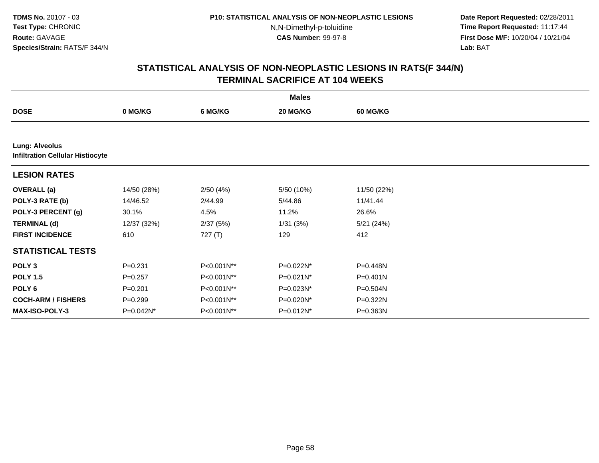N,N-Dimethyl-p-toluidine

 **Date Report Requested:** 02/28/2011 **Time Report Requested:** 11:17:44 **First Dose M/F:** 10/20/04 / 10/21/04<br>**Lab:** BAT **Lab:** BAT

|                                                                  |             |            | <b>Males</b> |                 |  |  |  |  |
|------------------------------------------------------------------|-------------|------------|--------------|-----------------|--|--|--|--|
| <b>DOSE</b>                                                      | 0 MG/KG     | 6 MG/KG    | 20 MG/KG     | <b>60 MG/KG</b> |  |  |  |  |
|                                                                  |             |            |              |                 |  |  |  |  |
| <b>Lung: Alveolus</b><br><b>Infiltration Cellular Histiocyte</b> |             |            |              |                 |  |  |  |  |
| <b>LESION RATES</b>                                              |             |            |              |                 |  |  |  |  |
| <b>OVERALL</b> (a)                                               | 14/50 (28%) | 2/50(4%)   | 5/50 (10%)   | 11/50 (22%)     |  |  |  |  |
| POLY-3 RATE (b)                                                  | 14/46.52    | 2/44.99    | 5/44.86      | 11/41.44        |  |  |  |  |
| POLY-3 PERCENT (g)                                               | 30.1%       | 4.5%       | 11.2%        | 26.6%           |  |  |  |  |
| <b>TERMINAL (d)</b>                                              | 12/37 (32%) | 2/37(5%)   | 1/31(3%)     | 5/21(24%)       |  |  |  |  |
| <b>FIRST INCIDENCE</b>                                           | 610         | 727(T)     | 129          | 412             |  |  |  |  |
| <b>STATISTICAL TESTS</b>                                         |             |            |              |                 |  |  |  |  |
| POLY <sub>3</sub>                                                | $P = 0.231$ | P<0.001N** | P=0.022N*    | P=0.448N        |  |  |  |  |
| <b>POLY 1.5</b>                                                  | $P=0.257$   | P<0.001N** | P=0.021N*    | $P = 0.401N$    |  |  |  |  |
| POLY <sub>6</sub>                                                | $P = 0.201$ | P<0.001N** | P=0.023N*    | P=0.504N        |  |  |  |  |
| <b>COCH-ARM / FISHERS</b>                                        | $P = 0.299$ | P<0.001N** | P=0.020N*    | P=0.322N        |  |  |  |  |
| <b>MAX-ISO-POLY-3</b>                                            | P=0.042N*   | P<0.001N** | P=0.012N*    | P=0.363N        |  |  |  |  |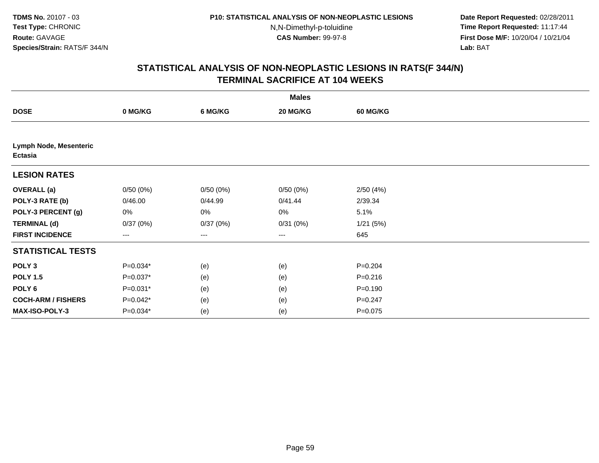N,N-Dimethyl-p-toluidine

 **Date Report Requested:** 02/28/2011 **Time Report Requested:** 11:17:44 **First Dose M/F:** 10/20/04 / 10/21/04<br>**Lab:** BAT **Lab:** BAT

|                                          |            |          | <b>Males</b> |             |  |
|------------------------------------------|------------|----------|--------------|-------------|--|
| <b>DOSE</b>                              | 0 MG/KG    | 6 MG/KG  | 20 MG/KG     | 60 MG/KG    |  |
|                                          |            |          |              |             |  |
| <b>Lymph Node, Mesenteric</b><br>Ectasia |            |          |              |             |  |
| <b>LESION RATES</b>                      |            |          |              |             |  |
| <b>OVERALL</b> (a)                       | 0/50(0%)   | 0/50(0%) | 0/50(0%)     | 2/50(4%)    |  |
| POLY-3 RATE (b)                          | 0/46.00    | 0/44.99  | 0/41.44      | 2/39.34     |  |
| POLY-3 PERCENT (g)                       | 0%         | 0%       | 0%           | 5.1%        |  |
| <b>TERMINAL (d)</b>                      | 0/37(0%)   | 0/37(0%) | 0/31(0%)     | 1/21(5%)    |  |
| <b>FIRST INCIDENCE</b>                   | ---        | $--$     | ---          | 645         |  |
| <b>STATISTICAL TESTS</b>                 |            |          |              |             |  |
| POLY <sub>3</sub>                        | P=0.034*   | (e)      | (e)          | $P = 0.204$ |  |
| <b>POLY 1.5</b>                          | P=0.037*   | (e)      | (e)          | $P = 0.216$ |  |
| POLY <sub>6</sub>                        | $P=0.031*$ | (e)      | (e)          | $P = 0.190$ |  |
| <b>COCH-ARM / FISHERS</b>                | P=0.042*   | (e)      | (e)          | $P = 0.247$ |  |
| MAX-ISO-POLY-3                           | P=0.034*   | (e)      | (e)          | $P = 0.075$ |  |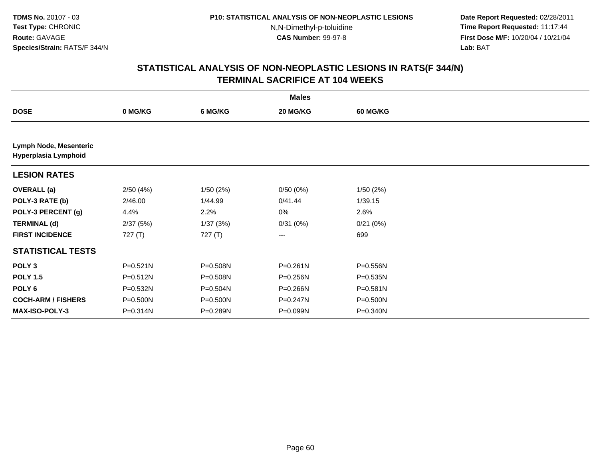N,N-Dimethyl-p-toluidine

 **Date Report Requested:** 02/28/2011 **Time Report Requested:** 11:17:44 **First Dose M/F:** 10/20/04 / 10/21/04<br>**Lab:** BAT **Lab:** BAT

|                                                |              |              | <b>Males</b> |                 |  |  |  |  |
|------------------------------------------------|--------------|--------------|--------------|-----------------|--|--|--|--|
| <b>DOSE</b>                                    | 0 MG/KG      | 6 MG/KG      | 20 MG/KG     | <b>60 MG/KG</b> |  |  |  |  |
|                                                |              |              |              |                 |  |  |  |  |
| Lymph Node, Mesenteric<br>Hyperplasia Lymphoid |              |              |              |                 |  |  |  |  |
| <b>LESION RATES</b>                            |              |              |              |                 |  |  |  |  |
| <b>OVERALL (a)</b>                             | 2/50(4%)     | 1/50(2%)     | 0/50(0%)     | 1/50(2%)        |  |  |  |  |
| POLY-3 RATE (b)                                | 2/46.00      | 1/44.99      | 0/41.44      | 1/39.15         |  |  |  |  |
| POLY-3 PERCENT (g)                             | 4.4%         | 2.2%         | 0%           | 2.6%            |  |  |  |  |
| <b>TERMINAL (d)</b>                            | 2/37(5%)     | 1/37(3%)     | 0/31(0%)     | 0/21(0%)        |  |  |  |  |
| <b>FIRST INCIDENCE</b>                         | 727 (T)      | 727 (T)      | ---          | 699             |  |  |  |  |
| <b>STATISTICAL TESTS</b>                       |              |              |              |                 |  |  |  |  |
| POLY <sub>3</sub>                              | $P = 0.521N$ | P=0.508N     | $P = 0.261N$ | P=0.556N        |  |  |  |  |
| <b>POLY 1.5</b>                                | P=0.512N     | P=0.508N     | P=0.256N     | P=0.535N        |  |  |  |  |
| POLY <sub>6</sub>                              | $P = 0.532N$ | $P = 0.504N$ | P=0.266N     | $P = 0.581N$    |  |  |  |  |
| <b>COCH-ARM / FISHERS</b>                      | P=0.500N     | P=0.500N     | P=0.247N     | P=0.500N        |  |  |  |  |
| <b>MAX-ISO-POLY-3</b>                          | P=0.314N     | P=0.289N     | P=0.099N     | P=0.340N        |  |  |  |  |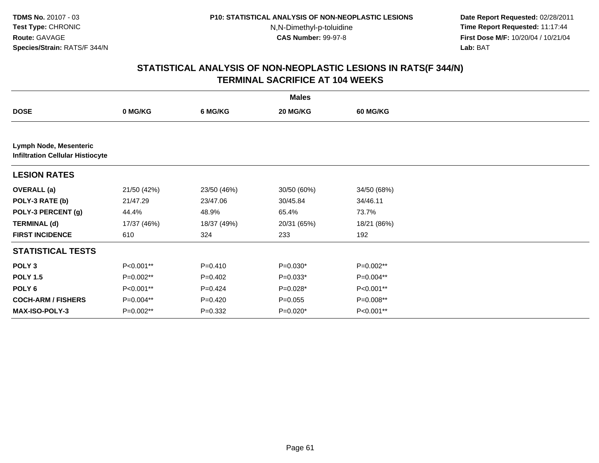N,N-Dimethyl-p-toluidine

 **Date Report Requested:** 02/28/2011 **Time Report Requested:** 11:17:44 **First Dose M/F:** 10/20/04 / 10/21/04<br>**Lab:** BAT **Lab:** BAT

| <b>Males</b>                                                      |             |             |             |                 |  |  |  |
|-------------------------------------------------------------------|-------------|-------------|-------------|-----------------|--|--|--|
| <b>DOSE</b>                                                       | 0 MG/KG     | 6 MG/KG     | 20 MG/KG    | <b>60 MG/KG</b> |  |  |  |
|                                                                   |             |             |             |                 |  |  |  |
| Lymph Node, Mesenteric<br><b>Infiltration Cellular Histiocyte</b> |             |             |             |                 |  |  |  |
| <b>LESION RATES</b>                                               |             |             |             |                 |  |  |  |
| <b>OVERALL</b> (a)                                                | 21/50 (42%) | 23/50 (46%) | 30/50 (60%) | 34/50 (68%)     |  |  |  |
| POLY-3 RATE (b)                                                   | 21/47.29    | 23/47.06    | 30/45.84    | 34/46.11        |  |  |  |
| POLY-3 PERCENT (g)                                                | 44.4%       | 48.9%       | 65.4%       | 73.7%           |  |  |  |
| <b>TERMINAL (d)</b>                                               | 17/37 (46%) | 18/37 (49%) | 20/31 (65%) | 18/21 (86%)     |  |  |  |
| <b>FIRST INCIDENCE</b>                                            | 610         | 324         | 233         | 192             |  |  |  |
| <b>STATISTICAL TESTS</b>                                          |             |             |             |                 |  |  |  |
| POLY <sub>3</sub>                                                 | P<0.001**   | $P=0.410$   | $P=0.030*$  | P=0.002**       |  |  |  |
| <b>POLY 1.5</b>                                                   | P=0.002**   | $P=0.402$   | P=0.033*    | P=0.004**       |  |  |  |
| POLY <sub>6</sub>                                                 | P<0.001**   | $P=0.424$   | P=0.028*    | P<0.001**       |  |  |  |
| <b>COCH-ARM / FISHERS</b>                                         | P=0.004**   | $P=0.420$   | $P = 0.055$ | P=0.008**       |  |  |  |
| <b>MAX-ISO-POLY-3</b>                                             | $P=0.002**$ | $P = 0.332$ | $P=0.020*$  | P<0.001**       |  |  |  |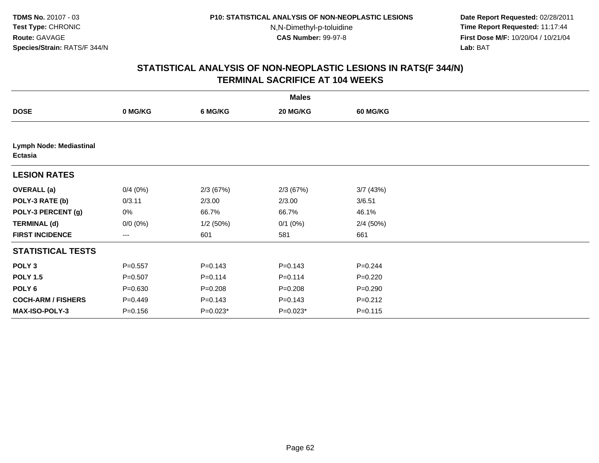N,N-Dimethyl-p-toluidine

 **Date Report Requested:** 02/28/2011 **Time Report Requested:** 11:17:44 **First Dose M/F:** 10/20/04 / 10/21/04<br>**Lab:** BAT **Lab:** BAT

| <b>Males</b>                                     |             |             |              |                 |  |  |  |  |
|--------------------------------------------------|-------------|-------------|--------------|-----------------|--|--|--|--|
| <b>DOSE</b>                                      | 0 MG/KG     | 6 MG/KG     | 20 MG/KG     | <b>60 MG/KG</b> |  |  |  |  |
|                                                  |             |             |              |                 |  |  |  |  |
| <b>Lymph Node: Mediastinal</b><br><b>Ectasia</b> |             |             |              |                 |  |  |  |  |
| <b>LESION RATES</b>                              |             |             |              |                 |  |  |  |  |
| <b>OVERALL</b> (a)                               | 0/4(0%)     | 2/3(67%)    | 2/3(67%)     | 3/7(43%)        |  |  |  |  |
| POLY-3 RATE (b)                                  | 0/3.11      | 2/3.00      | 2/3.00       | 3/6.51          |  |  |  |  |
| POLY-3 PERCENT (g)                               | 0%          | 66.7%       | 66.7%        | 46.1%           |  |  |  |  |
| <b>TERMINAL (d)</b>                              | $0/0 (0\%)$ | $1/2$ (50%) | $0/1$ $(0%)$ | 2/4(50%)        |  |  |  |  |
| <b>FIRST INCIDENCE</b>                           | ---         | 601         | 581          | 661             |  |  |  |  |
| <b>STATISTICAL TESTS</b>                         |             |             |              |                 |  |  |  |  |
| POLY <sub>3</sub>                                | $P = 0.557$ | $P = 0.143$ | $P = 0.143$  | $P = 0.244$     |  |  |  |  |
| <b>POLY 1.5</b>                                  | $P = 0.507$ | $P = 0.114$ | $P = 0.114$  | $P=0.220$       |  |  |  |  |
| POLY <sub>6</sub>                                | $P = 0.630$ | $P = 0.208$ | $P = 0.208$  | $P = 0.290$     |  |  |  |  |
| <b>COCH-ARM / FISHERS</b>                        | $P=0.449$   | $P = 0.143$ | $P = 0.143$  | $P = 0.212$     |  |  |  |  |
| MAX-ISO-POLY-3                                   | $P = 0.156$ | $P=0.023*$  | $P=0.023*$   | $P = 0.115$     |  |  |  |  |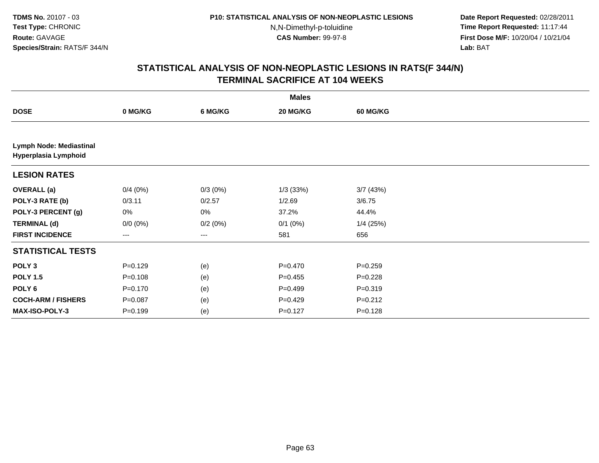N,N-Dimethyl-p-toluidine

 **Date Report Requested:** 02/28/2011 **Time Report Requested:** 11:17:44 **First Dose M/F:** 10/20/04 / 10/21/04<br>**Lab:** BAT **Lab:** BAT

| <b>Males</b>                                           |             |            |              |             |  |  |  |
|--------------------------------------------------------|-------------|------------|--------------|-------------|--|--|--|
| <b>DOSE</b>                                            | 0 MG/KG     | 6 MG/KG    | 20 MG/KG     | 60 MG/KG    |  |  |  |
|                                                        |             |            |              |             |  |  |  |
| <b>Lymph Node: Mediastinal</b><br>Hyperplasia Lymphoid |             |            |              |             |  |  |  |
| <b>LESION RATES</b>                                    |             |            |              |             |  |  |  |
| <b>OVERALL</b> (a)                                     | 0/4(0%)     | $0/3(0\%)$ | 1/3(33%)     | 3/7(43%)    |  |  |  |
| POLY-3 RATE (b)                                        | 0/3.11      | 0/2.57     | 1/2.69       | 3/6.75      |  |  |  |
| POLY-3 PERCENT (g)                                     | 0%          | 0%         | 37.2%        | 44.4%       |  |  |  |
| <b>TERMINAL (d)</b>                                    | $0/0 (0\%)$ | 0/2(0%)    | $0/1$ $(0%)$ | $1/4$ (25%) |  |  |  |
| <b>FIRST INCIDENCE</b>                                 | $--$        | $\cdots$   | 581          | 656         |  |  |  |
| <b>STATISTICAL TESTS</b>                               |             |            |              |             |  |  |  |
| POLY <sub>3</sub>                                      | $P=0.129$   | (e)        | $P = 0.470$  | $P = 0.259$ |  |  |  |
| <b>POLY 1.5</b>                                        | $P = 0.108$ | (e)        | $P=0.455$    | $P=0.228$   |  |  |  |
| POLY 6                                                 | $P = 0.170$ | (e)        | $P = 0.499$  | $P = 0.319$ |  |  |  |
| <b>COCH-ARM / FISHERS</b>                              | $P = 0.087$ | (e)        | $P=0.429$    | $P = 0.212$ |  |  |  |
| MAX-ISO-POLY-3                                         | $P = 0.199$ | (e)        | $P = 0.127$  | $P = 0.128$ |  |  |  |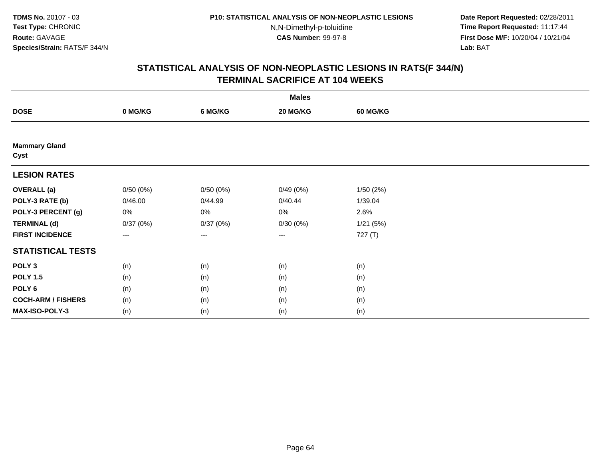N,N-Dimethyl-p-toluidine

 **Date Report Requested:** 02/28/2011 **Time Report Requested:** 11:17:44 **First Dose M/F:** 10/20/04 / 10/21/04<br>**Lab:** BAT **Lab:** BAT

| <b>Males</b>                 |          |          |                        |                 |  |  |  |
|------------------------------|----------|----------|------------------------|-----------------|--|--|--|
| <b>DOSE</b>                  | 0 MG/KG  | 6 MG/KG  | 20 MG/KG               | <b>60 MG/KG</b> |  |  |  |
|                              |          |          |                        |                 |  |  |  |
| <b>Mammary Gland</b><br>Cyst |          |          |                        |                 |  |  |  |
| <b>LESION RATES</b>          |          |          |                        |                 |  |  |  |
| <b>OVERALL</b> (a)           | 0/50(0%) | 0/50(0%) | 0/49(0%)               | 1/50(2%)        |  |  |  |
| POLY-3 RATE (b)              | 0/46.00  | 0/44.99  | 0/40.44                | 1/39.04         |  |  |  |
| POLY-3 PERCENT (g)           | 0%       | $0\%$    | 0%                     | 2.6%            |  |  |  |
| <b>TERMINAL (d)</b>          | 0/37(0%) | 0/37(0%) | 0/30(0%)               | 1/21(5%)        |  |  |  |
| <b>FIRST INCIDENCE</b>       | $--$     | $--$     | $\qquad \qquad \cdots$ | 727 (T)         |  |  |  |
| <b>STATISTICAL TESTS</b>     |          |          |                        |                 |  |  |  |
| POLY <sub>3</sub>            | (n)      | (n)      | (n)                    | (n)             |  |  |  |
| <b>POLY 1.5</b>              | (n)      | (n)      | (n)                    | (n)             |  |  |  |
| POLY <sub>6</sub>            | (n)      | (n)      | (n)                    | (n)             |  |  |  |
| <b>COCH-ARM / FISHERS</b>    | (n)      | (n)      | (n)                    | (n)             |  |  |  |
| MAX-ISO-POLY-3               | (n)      | (n)      | (n)                    | (n)             |  |  |  |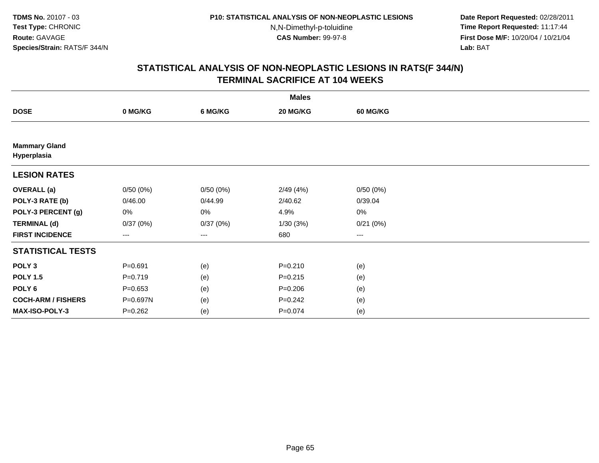N,N-Dimethyl-p-toluidine

 **Date Report Requested:** 02/28/2011 **Time Report Requested:** 11:17:44 **First Dose M/F:** 10/20/04 / 10/21/04<br>**Lab:** BAT **Lab:** BAT

| <b>Males</b>                        |             |          |             |                        |  |  |  |
|-------------------------------------|-------------|----------|-------------|------------------------|--|--|--|
| <b>DOSE</b>                         | 0 MG/KG     | 6 MG/KG  | 20 MG/KG    | <b>60 MG/KG</b>        |  |  |  |
|                                     |             |          |             |                        |  |  |  |
| <b>Mammary Gland</b><br>Hyperplasia |             |          |             |                        |  |  |  |
| <b>LESION RATES</b>                 |             |          |             |                        |  |  |  |
| <b>OVERALL</b> (a)                  | 0/50(0%)    | 0/50(0%) | 2/49(4%)    | 0/50(0%)               |  |  |  |
| POLY-3 RATE (b)                     | 0/46.00     | 0/44.99  | 2/40.62     | 0/39.04                |  |  |  |
| POLY-3 PERCENT (g)                  | 0%          | 0%       | 4.9%        | $0\%$                  |  |  |  |
| <b>TERMINAL (d)</b>                 | 0/37(0%)    | 0/37(0%) | 1/30(3%)    | 0/21(0%)               |  |  |  |
| <b>FIRST INCIDENCE</b>              | ---         | ---      | 680         | $\qquad \qquad \cdots$ |  |  |  |
| <b>STATISTICAL TESTS</b>            |             |          |             |                        |  |  |  |
| POLY <sub>3</sub>                   | $P = 0.691$ | (e)      | $P = 0.210$ | (e)                    |  |  |  |
| <b>POLY 1.5</b>                     | $P = 0.719$ | (e)      | $P = 0.215$ | (e)                    |  |  |  |
| POLY <sub>6</sub>                   | $P = 0.653$ | (e)      | $P = 0.206$ | (e)                    |  |  |  |
| <b>COCH-ARM / FISHERS</b>           | P=0.697N    | (e)      | $P = 0.242$ | (e)                    |  |  |  |
| MAX-ISO-POLY-3                      | $P = 0.262$ | (e)      | $P = 0.074$ | (e)                    |  |  |  |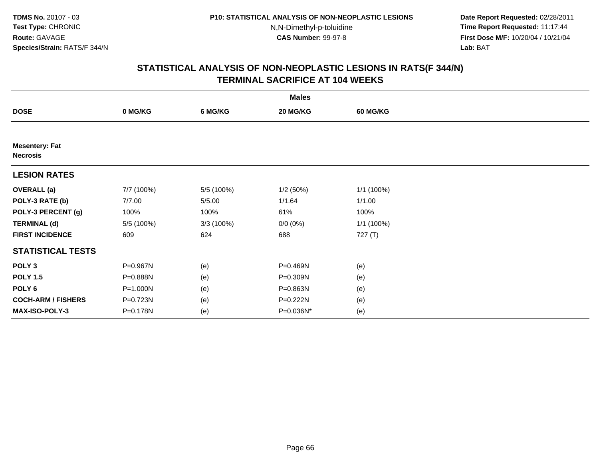N,N-Dimethyl-p-toluidine

 **Date Report Requested:** 02/28/2011 **Time Report Requested:** 11:17:44 **First Dose M/F:** 10/20/04 / 10/21/04<br>**Lab:** BAT **Lab:** BAT

| <b>Males</b>                             |            |            |             |            |  |  |  |  |
|------------------------------------------|------------|------------|-------------|------------|--|--|--|--|
| <b>DOSE</b>                              | 0 MG/KG    | 6 MG/KG    | 20 MG/KG    | 60 MG/KG   |  |  |  |  |
|                                          |            |            |             |            |  |  |  |  |
| <b>Mesentery: Fat</b><br><b>Necrosis</b> |            |            |             |            |  |  |  |  |
| <b>LESION RATES</b>                      |            |            |             |            |  |  |  |  |
| <b>OVERALL</b> (a)                       | 7/7 (100%) | 5/5 (100%) | 1/2(50%)    | 1/1 (100%) |  |  |  |  |
| POLY-3 RATE (b)                          | 7/7.00     | 5/5.00     | 1/1.64      | 1/1.00     |  |  |  |  |
| POLY-3 PERCENT (g)                       | 100%       | 100%       | 61%         | 100%       |  |  |  |  |
| <b>TERMINAL (d)</b>                      | 5/5 (100%) | 3/3 (100%) | $0/0 (0\%)$ | 1/1 (100%) |  |  |  |  |
| <b>FIRST INCIDENCE</b>                   | 609        | 624        | 688         | 727 (T)    |  |  |  |  |
| <b>STATISTICAL TESTS</b>                 |            |            |             |            |  |  |  |  |
| POLY <sub>3</sub>                        | P=0.967N   | (e)        | P=0.469N    | (e)        |  |  |  |  |
| <b>POLY 1.5</b>                          | P=0.888N   | (e)        | P=0.309N    | (e)        |  |  |  |  |
| POLY 6                                   | P=1.000N   | (e)        | P=0.863N    | (e)        |  |  |  |  |
| <b>COCH-ARM / FISHERS</b>                | P=0.723N   | (e)        | P=0.222N    | (e)        |  |  |  |  |
| MAX-ISO-POLY-3                           | P=0.178N   | (e)        | P=0.036N*   | (e)        |  |  |  |  |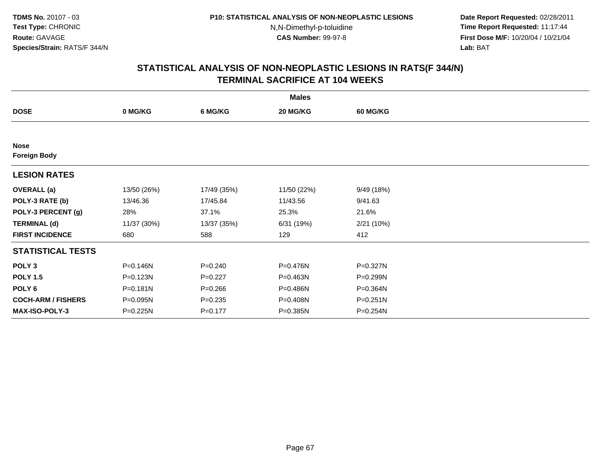N,N-Dimethyl-p-toluidine

 **Date Report Requested:** 02/28/2011 **Time Report Requested:** 11:17:44 **First Dose M/F:** 10/20/04 / 10/21/04<br>**Lab:** BAT **Lab:** BAT

| <b>Males</b>                       |              |             |             |                 |  |  |  |
|------------------------------------|--------------|-------------|-------------|-----------------|--|--|--|
| <b>DOSE</b>                        | 0 MG/KG      | 6 MG/KG     | 20 MG/KG    | <b>60 MG/KG</b> |  |  |  |
|                                    |              |             |             |                 |  |  |  |
| <b>Nose</b><br><b>Foreign Body</b> |              |             |             |                 |  |  |  |
| <b>LESION RATES</b>                |              |             |             |                 |  |  |  |
| <b>OVERALL</b> (a)                 | 13/50 (26%)  | 17/49 (35%) | 11/50 (22%) | 9/49 (18%)      |  |  |  |
| POLY-3 RATE (b)                    | 13/46.36     | 17/45.84    | 11/43.56    | 9/41.63         |  |  |  |
| POLY-3 PERCENT (g)                 | 28%          | 37.1%       | 25.3%       | 21.6%           |  |  |  |
| <b>TERMINAL (d)</b>                | 11/37 (30%)  | 13/37 (35%) | 6/31(19%)   | 2/21(10%)       |  |  |  |
| <b>FIRST INCIDENCE</b>             | 680          | 588         | 129         | 412             |  |  |  |
| <b>STATISTICAL TESTS</b>           |              |             |             |                 |  |  |  |
| POLY <sub>3</sub>                  | P=0.146N     | $P = 0.240$ | P=0.476N    | P=0.327N        |  |  |  |
| <b>POLY 1.5</b>                    | P=0.123N     | $P=0.227$   | P=0.463N    | P=0.299N        |  |  |  |
| POLY <sub>6</sub>                  | $P = 0.181N$ | $P = 0.266$ | P=0.486N    | P=0.364N        |  |  |  |
| <b>COCH-ARM / FISHERS</b>          | P=0.095N     | $P = 0.235$ | P=0.408N    | $P = 0.251N$    |  |  |  |
| <b>MAX-ISO-POLY-3</b>              | P=0.225N     | $P = 0.177$ | P=0.385N    | P=0.254N        |  |  |  |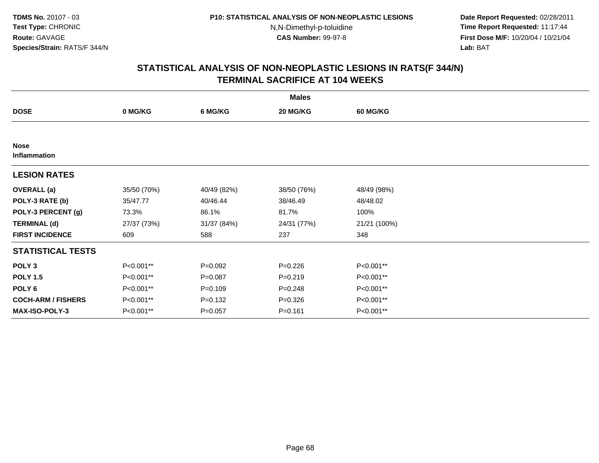N,N-Dimethyl-p-toluidine

 **Date Report Requested:** 02/28/2011 **Time Report Requested:** 11:17:44 **First Dose M/F:** 10/20/04 / 10/21/04<br>**Lab:** BAT **Lab:** BAT

| <b>Males</b>                |             |             |             |                 |  |  |  |
|-----------------------------|-------------|-------------|-------------|-----------------|--|--|--|
| <b>DOSE</b>                 | 0 MG/KG     | 6 MG/KG     | 20 MG/KG    | <b>60 MG/KG</b> |  |  |  |
|                             |             |             |             |                 |  |  |  |
| <b>Nose</b><br>Inflammation |             |             |             |                 |  |  |  |
| <b>LESION RATES</b>         |             |             |             |                 |  |  |  |
| <b>OVERALL</b> (a)          | 35/50 (70%) | 40/49 (82%) | 38/50 (76%) | 48/49 (98%)     |  |  |  |
| POLY-3 RATE (b)             | 35/47.77    | 40/46.44    | 38/46.49    | 48/48.02        |  |  |  |
| POLY-3 PERCENT (g)          | 73.3%       | 86.1%       | 81.7%       | 100%            |  |  |  |
| <b>TERMINAL (d)</b>         | 27/37 (73%) | 31/37 (84%) | 24/31 (77%) | 21/21 (100%)    |  |  |  |
| <b>FIRST INCIDENCE</b>      | 609         | 588         | 237         | 348             |  |  |  |
| <b>STATISTICAL TESTS</b>    |             |             |             |                 |  |  |  |
| POLY <sub>3</sub>           | P<0.001**   | $P=0.092$   | $P=0.226$   | P<0.001**       |  |  |  |
| <b>POLY 1.5</b>             | P<0.001**   | $P=0.087$   | $P = 0.219$ | P<0.001**       |  |  |  |
| POLY <sub>6</sub>           | P<0.001**   | $P=0.109$   | $P = 0.248$ | P<0.001**       |  |  |  |
| <b>COCH-ARM / FISHERS</b>   | P<0.001**   | $P = 0.132$ | $P = 0.326$ | P<0.001**       |  |  |  |
| MAX-ISO-POLY-3              | P<0.001**   | $P=0.057$   | $P = 0.161$ | P<0.001**       |  |  |  |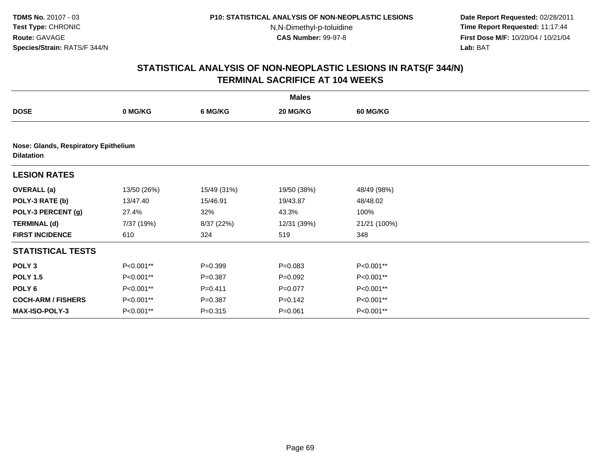N,N-Dimethyl-p-toluidine

 **Date Report Requested:** 02/28/2011 **Time Report Requested:** 11:17:44 **First Dose M/F:** 10/20/04 / 10/21/04<br>**Lab:** BAT **Lab:** BAT

| <b>Males</b>                                              |             |             |             |                 |  |  |  |  |
|-----------------------------------------------------------|-------------|-------------|-------------|-----------------|--|--|--|--|
| <b>DOSE</b>                                               | 0 MG/KG     | 6 MG/KG     | 20 MG/KG    | <b>60 MG/KG</b> |  |  |  |  |
|                                                           |             |             |             |                 |  |  |  |  |
| Nose: Glands, Respiratory Epithelium<br><b>Dilatation</b> |             |             |             |                 |  |  |  |  |
| <b>LESION RATES</b>                                       |             |             |             |                 |  |  |  |  |
| <b>OVERALL</b> (a)                                        | 13/50 (26%) | 15/49 (31%) | 19/50 (38%) | 48/49 (98%)     |  |  |  |  |
| POLY-3 RATE (b)                                           | 13/47.40    | 15/46.91    | 19/43.87    | 48/48.02        |  |  |  |  |
| POLY-3 PERCENT (g)                                        | 27.4%       | 32%         | 43.3%       | 100%            |  |  |  |  |
| <b>TERMINAL (d)</b>                                       | 7/37 (19%)  | 8/37 (22%)  | 12/31 (39%) | 21/21 (100%)    |  |  |  |  |
| <b>FIRST INCIDENCE</b>                                    | 610         | 324         | 519         | 348             |  |  |  |  |
| <b>STATISTICAL TESTS</b>                                  |             |             |             |                 |  |  |  |  |
| POLY <sub>3</sub>                                         | P<0.001**   | $P = 0.399$ | $P=0.083$   | P<0.001**       |  |  |  |  |
| <b>POLY 1.5</b>                                           | P<0.001**   | $P = 0.387$ | $P=0.092$   | P<0.001**       |  |  |  |  |
| POLY 6                                                    | P<0.001**   | $P = 0.411$ | $P=0.077$   | P<0.001**       |  |  |  |  |
| <b>COCH-ARM / FISHERS</b>                                 | P<0.001**   | $P = 0.387$ | $P = 0.142$ | P<0.001**       |  |  |  |  |
| <b>MAX-ISO-POLY-3</b>                                     | P<0.001**   | $P = 0.315$ | $P = 0.061$ | P<0.001**       |  |  |  |  |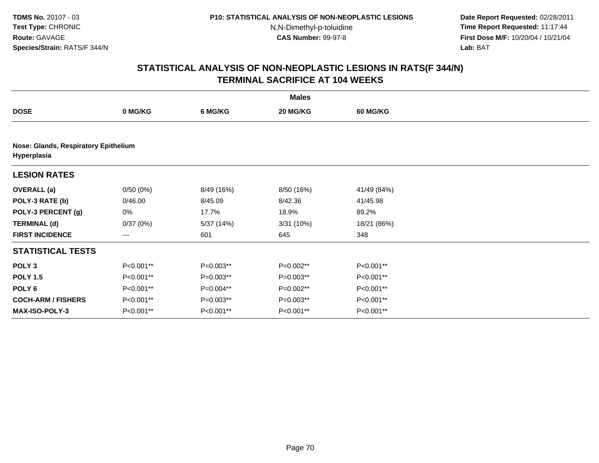N,N-Dimethyl-p-toluidine

 **Date Report Requested:** 02/28/2011 **Time Report Requested:** 11:17:44 **First Dose M/F:** 10/20/04 / 10/21/04<br>**Lab:** BAT **Lab:** BAT

| <b>Males</b>              |                                      |            |             |                 |  |  |  |  |  |
|---------------------------|--------------------------------------|------------|-------------|-----------------|--|--|--|--|--|
| <b>DOSE</b>               | 0 MG/KG                              | 6 MG/KG    | 20 MG/KG    | <b>60 MG/KG</b> |  |  |  |  |  |
|                           |                                      |            |             |                 |  |  |  |  |  |
| Hyperplasia               | Nose: Glands, Respiratory Epithelium |            |             |                 |  |  |  |  |  |
| <b>LESION RATES</b>       |                                      |            |             |                 |  |  |  |  |  |
| <b>OVERALL</b> (a)        | 0/50(0%)                             | 8/49 (16%) | 8/50 (16%)  | 41/49 (84%)     |  |  |  |  |  |
| POLY-3 RATE (b)           | 0/46.00                              | 8/45.09    | 8/42.36     | 41/45.98        |  |  |  |  |  |
| POLY-3 PERCENT (g)        | $0\%$                                | 17.7%      | 18.9%       | 89.2%           |  |  |  |  |  |
| <b>TERMINAL (d)</b>       | 0/37(0%)                             | 5/37 (14%) | 3/31(10%)   | 18/21 (86%)     |  |  |  |  |  |
| <b>FIRST INCIDENCE</b>    | ---                                  | 601        | 645         | 348             |  |  |  |  |  |
| <b>STATISTICAL TESTS</b>  |                                      |            |             |                 |  |  |  |  |  |
| POLY <sub>3</sub>         | P<0.001**                            | P=0.003**  | P=0.002**   | P<0.001**       |  |  |  |  |  |
| <b>POLY 1.5</b>           | P<0.001**                            | P=0.003**  | P=0.003**   | P<0.001**       |  |  |  |  |  |
| POLY 6                    | P<0.001**                            | P=0.004**  | P=0.002**   | P<0.001**       |  |  |  |  |  |
| <b>COCH-ARM / FISHERS</b> | P<0.001**                            | P=0.003**  | $P=0.003**$ | P<0.001**       |  |  |  |  |  |
| <b>MAX-ISO-POLY-3</b>     | P<0.001**                            | P<0.001**  | P<0.001**   | P<0.001**       |  |  |  |  |  |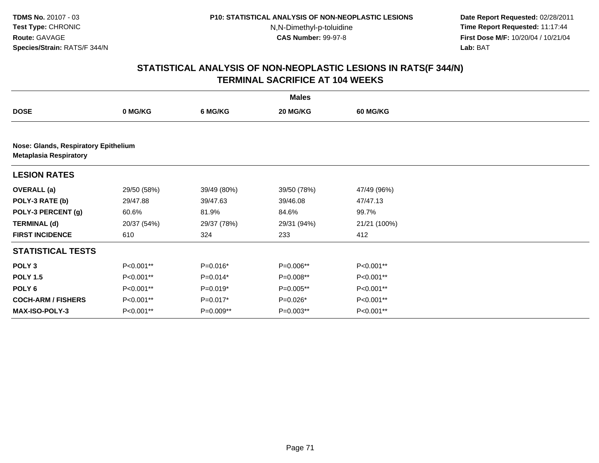N,N-Dimethyl-p-toluidine

 **Date Report Requested:** 02/28/2011 **Time Report Requested:** 11:17:44 **First Dose M/F:** 10/20/04 / 10/21/04<br>**Lab:** BAT **Lab:** BAT

| <b>Males</b>                  |                                      |             |             |                 |  |  |  |  |  |
|-------------------------------|--------------------------------------|-------------|-------------|-----------------|--|--|--|--|--|
| <b>DOSE</b>                   | 0 MG/KG                              | 6 MG/KG     | 20 MG/KG    | <b>60 MG/KG</b> |  |  |  |  |  |
|                               |                                      |             |             |                 |  |  |  |  |  |
| <b>Metaplasia Respiratory</b> | Nose: Glands, Respiratory Epithelium |             |             |                 |  |  |  |  |  |
| <b>LESION RATES</b>           |                                      |             |             |                 |  |  |  |  |  |
| <b>OVERALL</b> (a)            | 29/50 (58%)                          | 39/49 (80%) | 39/50 (78%) | 47/49 (96%)     |  |  |  |  |  |
| POLY-3 RATE (b)               | 29/47.88                             | 39/47.63    | 39/46.08    | 47/47.13        |  |  |  |  |  |
| POLY-3 PERCENT (g)            | 60.6%                                | 81.9%       | 84.6%       | 99.7%           |  |  |  |  |  |
| <b>TERMINAL (d)</b>           | 20/37 (54%)                          | 29/37 (78%) | 29/31 (94%) | 21/21 (100%)    |  |  |  |  |  |
| <b>FIRST INCIDENCE</b>        | 610                                  | 324         | 233         | 412             |  |  |  |  |  |
| <b>STATISTICAL TESTS</b>      |                                      |             |             |                 |  |  |  |  |  |
| POLY <sub>3</sub>             | P<0.001**                            | $P=0.016*$  | P=0.006**   | P<0.001**       |  |  |  |  |  |
| <b>POLY 1.5</b>               | P<0.001**                            | $P=0.014*$  | P=0.008**   | P<0.001**       |  |  |  |  |  |
| POLY <sub>6</sub>             | P<0.001**                            | $P=0.019*$  | $P=0.005**$ | P<0.001**       |  |  |  |  |  |
| <b>COCH-ARM / FISHERS</b>     | P<0.001**                            | $P=0.017*$  | $P=0.026*$  | P<0.001**       |  |  |  |  |  |
| <b>MAX-ISO-POLY-3</b>         | P<0.001**                            | P=0.009**   | P=0.003**   | P<0.001**       |  |  |  |  |  |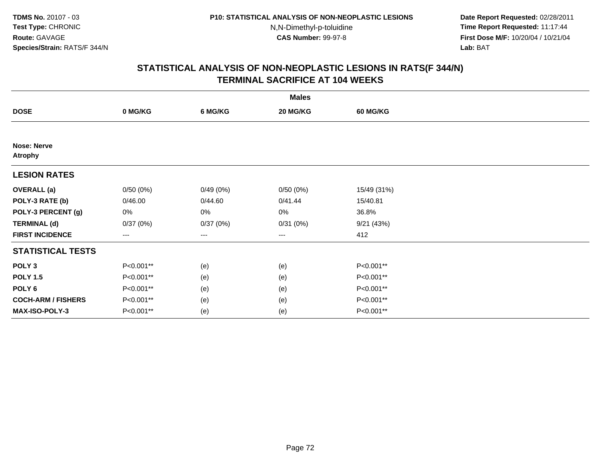N,N-Dimethyl-p-toluidine

 **Date Report Requested:** 02/28/2011 **Time Report Requested:** 11:17:44 **First Dose M/F:** 10/20/04 / 10/21/04<br>**Lab:** BAT **Lab:** BAT

|                                      | <b>Males</b> |          |          |             |  |  |  |  |
|--------------------------------------|--------------|----------|----------|-------------|--|--|--|--|
| <b>DOSE</b>                          | 0 MG/KG      | 6 MG/KG  | 20 MG/KG | 60 MG/KG    |  |  |  |  |
|                                      |              |          |          |             |  |  |  |  |
| <b>Nose: Nerve</b><br><b>Atrophy</b> |              |          |          |             |  |  |  |  |
| <b>LESION RATES</b>                  |              |          |          |             |  |  |  |  |
| <b>OVERALL</b> (a)                   | 0/50(0%)     | 0/49(0%) | 0/50(0%) | 15/49 (31%) |  |  |  |  |
| POLY-3 RATE (b)                      | 0/46.00      | 0/44.60  | 0/41.44  | 15/40.81    |  |  |  |  |
| POLY-3 PERCENT (g)                   | 0%           | 0%       | 0%       | 36.8%       |  |  |  |  |
| <b>TERMINAL (d)</b>                  | 0/37(0%)     | 0/37(0%) | 0/31(0%) | 9/21(43%)   |  |  |  |  |
| <b>FIRST INCIDENCE</b>               | ---          | ---      | $---$    | 412         |  |  |  |  |
| <b>STATISTICAL TESTS</b>             |              |          |          |             |  |  |  |  |
| POLY <sub>3</sub>                    | P<0.001**    | (e)      | (e)      | P<0.001**   |  |  |  |  |
| <b>POLY 1.5</b>                      | P<0.001**    | (e)      | (e)      | P<0.001**   |  |  |  |  |
| POLY <sub>6</sub>                    | P<0.001**    | (e)      | (e)      | P<0.001**   |  |  |  |  |
| <b>COCH-ARM / FISHERS</b>            | P<0.001**    | (e)      | (e)      | P<0.001**   |  |  |  |  |
| <b>MAX-ISO-POLY-3</b>                | P<0.001**    | (e)      | (e)      | P<0.001**   |  |  |  |  |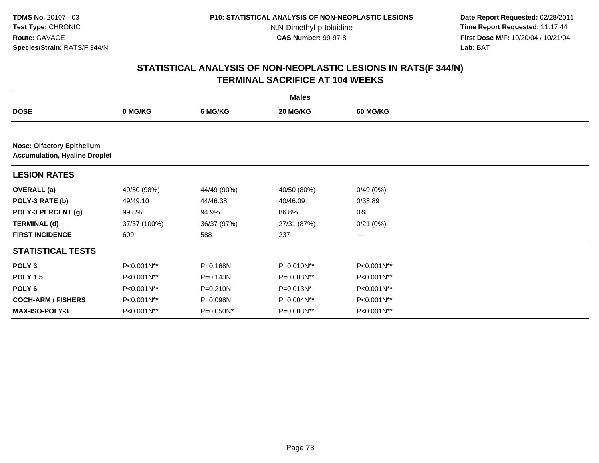N,N-Dimethyl-p-toluidine

 **Date Report Requested:** 02/28/2011 **Time Report Requested:** 11:17:44 **First Dose M/F:** 10/20/04 / 10/21/04<br>**Lab:** BAT **Lab:** BAT

|                                                                           |              |             | <b>Males</b> |                 |  |
|---------------------------------------------------------------------------|--------------|-------------|--------------|-----------------|--|
| <b>DOSE</b>                                                               | 0 MG/KG      | 6 MG/KG     | 20 MG/KG     | <b>60 MG/KG</b> |  |
|                                                                           |              |             |              |                 |  |
| <b>Nose: Olfactory Epithelium</b><br><b>Accumulation, Hyaline Droplet</b> |              |             |              |                 |  |
| <b>LESION RATES</b>                                                       |              |             |              |                 |  |
| <b>OVERALL</b> (a)                                                        | 49/50 (98%)  | 44/49 (90%) | 40/50 (80%)  | 0/49(0%)        |  |
| POLY-3 RATE (b)                                                           | 49/49.10     | 44/46.38    | 40/46.09     | 0/38.89         |  |
| POLY-3 PERCENT (g)                                                        | 99.8%        | 94.9%       | 86.8%        | 0%              |  |
| <b>TERMINAL (d)</b>                                                       | 37/37 (100%) | 36/37 (97%) | 27/31 (87%)  | 0/21(0%)        |  |
| <b>FIRST INCIDENCE</b>                                                    | 609          | 588         | 237          | $--$            |  |
| <b>STATISTICAL TESTS</b>                                                  |              |             |              |                 |  |
| POLY <sub>3</sub>                                                         | P<0.001N**   | P=0.168N    | P=0.010N**   | P<0.001N**      |  |
| <b>POLY 1.5</b>                                                           | P<0.001N**   | P=0.143N    | P=0.008N**   | P<0.001N**      |  |
| POLY <sub>6</sub>                                                         | P<0.001N**   | P=0.210N    | $P=0.013N^*$ | P<0.001N**      |  |
| <b>COCH-ARM / FISHERS</b>                                                 | P<0.001N**   | P=0.098N    | P=0.004N**   | P<0.001N**      |  |
| <b>MAX-ISO-POLY-3</b>                                                     | P<0.001N**   | P=0.050N*   | P=0.003N**   | P<0.001N**      |  |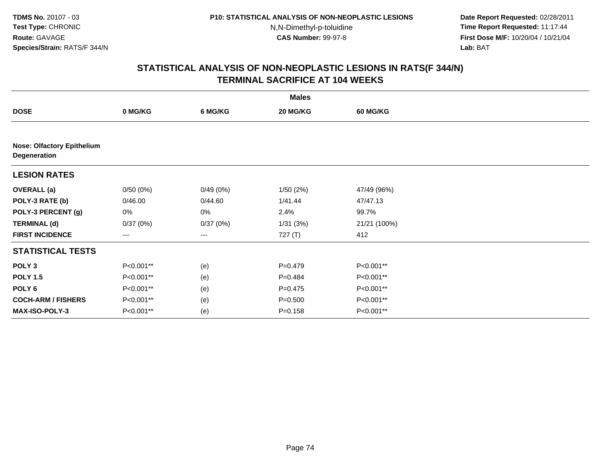**Date Report Requested:** 02/28/2011 **Time Report Requested:** 11:17:44 **First Dose M/F:** 10/20/04 / 10/21/04<br>**Lab:** BAT **Lab:** BAT

|                                                   |           |          | <b>Males</b> |              |  |
|---------------------------------------------------|-----------|----------|--------------|--------------|--|
| <b>DOSE</b>                                       | 0 MG/KG   | 6 MG/KG  | 20 MG/KG     | 60 MG/KG     |  |
|                                                   |           |          |              |              |  |
| <b>Nose: Olfactory Epithelium</b><br>Degeneration |           |          |              |              |  |
| <b>LESION RATES</b>                               |           |          |              |              |  |
| <b>OVERALL</b> (a)                                | 0/50(0%)  | 0/49(0%) | 1/50(2%)     | 47/49 (96%)  |  |
| POLY-3 RATE (b)                                   | 0/46.00   | 0/44.60  | 1/41.44      | 47/47.13     |  |
| POLY-3 PERCENT (g)                                | 0%        | 0%       | 2.4%         | 99.7%        |  |
| <b>TERMINAL (d)</b>                               | 0/37(0%)  | 0/37(0%) | 1/31(3%)     | 21/21 (100%) |  |
| <b>FIRST INCIDENCE</b>                            | $---$     | $--$     | 727 (T)      | 412          |  |
| <b>STATISTICAL TESTS</b>                          |           |          |              |              |  |
| POLY <sub>3</sub>                                 | P<0.001** | (e)      | $P=0.479$    | P<0.001**    |  |
| <b>POLY 1.5</b>                                   | P<0.001** | (e)      | $P=0.484$    | P<0.001**    |  |
| POLY <sub>6</sub>                                 | P<0.001** | (e)      | $P=0.475$    | P<0.001**    |  |
| <b>COCH-ARM / FISHERS</b>                         | P<0.001** | (e)      | $P = 0.500$  | P<0.001**    |  |
| <b>MAX-ISO-POLY-3</b>                             | P<0.001** | (e)      | $P = 0.158$  | P<0.001**    |  |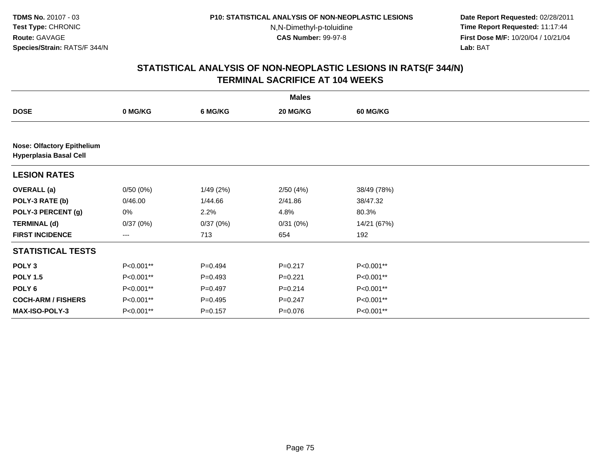N,N-Dimethyl-p-toluidine

 **Date Report Requested:** 02/28/2011 **Time Report Requested:** 11:17:44 **First Dose M/F:** 10/20/04 / 10/21/04<br>**Lab:** BAT **Lab:** BAT

|                                                                    |           |             | <b>Males</b> |                 |  |
|--------------------------------------------------------------------|-----------|-------------|--------------|-----------------|--|
| <b>DOSE</b>                                                        | 0 MG/KG   | 6 MG/KG     | 20 MG/KG     | <b>60 MG/KG</b> |  |
|                                                                    |           |             |              |                 |  |
| <b>Nose: Olfactory Epithelium</b><br><b>Hyperplasia Basal Cell</b> |           |             |              |                 |  |
| <b>LESION RATES</b>                                                |           |             |              |                 |  |
| <b>OVERALL (a)</b>                                                 | 0/50(0%)  | 1/49(2%)    | 2/50(4%)     | 38/49 (78%)     |  |
| POLY-3 RATE (b)                                                    | 0/46.00   | 1/44.66     | 2/41.86      | 38/47.32        |  |
| POLY-3 PERCENT (g)                                                 | 0%        | 2.2%        | 4.8%         | 80.3%           |  |
| <b>TERMINAL (d)</b>                                                | 0/37(0%)  | 0/37(0%)    | 0/31(0%)     | 14/21 (67%)     |  |
| <b>FIRST INCIDENCE</b>                                             | $---$     | 713         | 654          | 192             |  |
| <b>STATISTICAL TESTS</b>                                           |           |             |              |                 |  |
| POLY <sub>3</sub>                                                  | P<0.001** | $P=0.494$   | $P = 0.217$  | P<0.001**       |  |
| <b>POLY 1.5</b>                                                    | P<0.001** | $P=0.493$   | $P=0.221$    | P<0.001**       |  |
| POLY <sub>6</sub>                                                  | P<0.001** | $P=0.497$   | $P = 0.214$  | P<0.001**       |  |
| <b>COCH-ARM / FISHERS</b>                                          | P<0.001** | $P = 0.495$ | $P=0.247$    | P<0.001**       |  |
| <b>MAX-ISO-POLY-3</b>                                              | P<0.001** | $P = 0.157$ | $P = 0.076$  | P<0.001**       |  |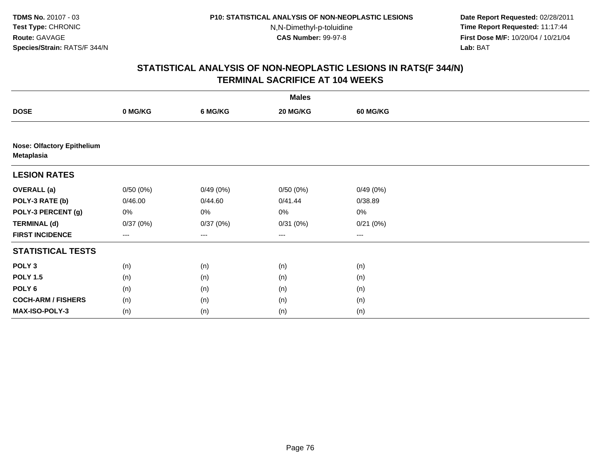**Date Report Requested:** 02/28/2011 **Time Report Requested:** 11:17:44 **First Dose M/F:** 10/20/04 / 10/21/04<br>**Lab:** BAT **Lab:** BAT

|                                                 |          |          | <b>Males</b> |          |  |
|-------------------------------------------------|----------|----------|--------------|----------|--|
| <b>DOSE</b>                                     | 0 MG/KG  | 6 MG/KG  | 20 MG/KG     | 60 MG/KG |  |
|                                                 |          |          |              |          |  |
| <b>Nose: Olfactory Epithelium</b><br>Metaplasia |          |          |              |          |  |
| <b>LESION RATES</b>                             |          |          |              |          |  |
| <b>OVERALL</b> (a)                              | 0/50(0%) | 0/49(0%) | 0/50(0%)     | 0/49(0%) |  |
| POLY-3 RATE (b)                                 | 0/46.00  | 0/44.60  | 0/41.44      | 0/38.89  |  |
| POLY-3 PERCENT (g)                              | 0%       | 0%       | 0%           | 0%       |  |
| <b>TERMINAL (d)</b>                             | 0/37(0%) | 0/37(0%) | 0/31(0%)     | 0/21(0%) |  |
| <b>FIRST INCIDENCE</b>                          | ---      | $--$     | $\cdots$     | $\cdots$ |  |
| <b>STATISTICAL TESTS</b>                        |          |          |              |          |  |
| POLY <sub>3</sub>                               | (n)      | (n)      | (n)          | (n)      |  |
| <b>POLY 1.5</b>                                 | (n)      | (n)      | (n)          | (n)      |  |
| POLY <sub>6</sub>                               | (n)      | (n)      | (n)          | (n)      |  |
| <b>COCH-ARM / FISHERS</b>                       | (n)      | (n)      | (n)          | (n)      |  |
| MAX-ISO-POLY-3                                  | (n)      | (n)      | (n)          | (n)      |  |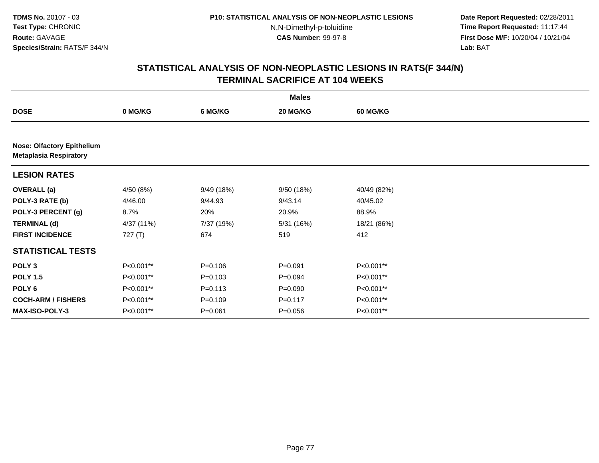N,N-Dimethyl-p-toluidine

 **Date Report Requested:** 02/28/2011 **Time Report Requested:** 11:17:44 **First Dose M/F:** 10/20/04 / 10/21/04<br>**Lab:** BAT **Lab:** BAT

|                                                                    |            |             | <b>Males</b> |             |  |
|--------------------------------------------------------------------|------------|-------------|--------------|-------------|--|
| <b>DOSE</b>                                                        | 0 MG/KG    | 6 MG/KG     | 20 MG/KG     | 60 MG/KG    |  |
|                                                                    |            |             |              |             |  |
| <b>Nose: Olfactory Epithelium</b><br><b>Metaplasia Respiratory</b> |            |             |              |             |  |
| <b>LESION RATES</b>                                                |            |             |              |             |  |
| <b>OVERALL (a)</b>                                                 | 4/50 (8%)  | 9/49 (18%)  | 9/50(18%)    | 40/49 (82%) |  |
| POLY-3 RATE (b)                                                    | 4/46.00    | 9/44.93     | 9/43.14      | 40/45.02    |  |
| POLY-3 PERCENT (g)                                                 | 8.7%       | 20%         | 20.9%        | 88.9%       |  |
| <b>TERMINAL (d)</b>                                                | 4/37 (11%) | 7/37 (19%)  | 5/31 (16%)   | 18/21 (86%) |  |
| <b>FIRST INCIDENCE</b>                                             | 727 $(T)$  | 674         | 519          | 412         |  |
| <b>STATISTICAL TESTS</b>                                           |            |             |              |             |  |
| POLY <sub>3</sub>                                                  | P<0.001**  | $P = 0.106$ | $P = 0.091$  | P<0.001**   |  |
| <b>POLY 1.5</b>                                                    | P<0.001**  | $P = 0.103$ | $P=0.094$    | P<0.001**   |  |
| POLY <sub>6</sub>                                                  | P<0.001**  | $P = 0.113$ | $P = 0.090$  | P<0.001**   |  |
| <b>COCH-ARM / FISHERS</b>                                          | P<0.001**  | $P = 0.109$ | $P = 0.117$  | P<0.001**   |  |
| <b>MAX-ISO-POLY-3</b>                                              | P<0.001**  | $P = 0.061$ | $P = 0.056$  | P<0.001**   |  |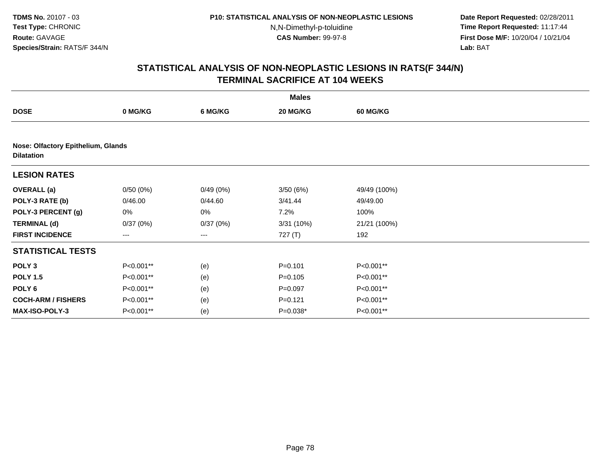N,N-Dimethyl-p-toluidine

 **Date Report Requested:** 02/28/2011 **Time Report Requested:** 11:17:44 **First Dose M/F:** 10/20/04 / 10/21/04<br>**Lab:** BAT **Lab:** BAT

|                                                         |           |          | <b>Males</b> |              |  |
|---------------------------------------------------------|-----------|----------|--------------|--------------|--|
| <b>DOSE</b>                                             | 0 MG/KG   | 6 MG/KG  | 20 MG/KG     | 60 MG/KG     |  |
|                                                         |           |          |              |              |  |
| Nose: Olfactory Epithelium, Glands<br><b>Dilatation</b> |           |          |              |              |  |
| <b>LESION RATES</b>                                     |           |          |              |              |  |
| <b>OVERALL</b> (a)                                      | 0/50(0%)  | 0/49(0%) | 3/50(6%)     | 49/49 (100%) |  |
| POLY-3 RATE (b)                                         | 0/46.00   | 0/44.60  | 3/41.44      | 49/49.00     |  |
| POLY-3 PERCENT (g)                                      | 0%        | 0%       | 7.2%         | 100%         |  |
| <b>TERMINAL (d)</b>                                     | 0/37(0%)  | 0/37(0%) | 3/31(10%)    | 21/21 (100%) |  |
| <b>FIRST INCIDENCE</b>                                  | ---       | $--$     | 727 (T)      | 192          |  |
| <b>STATISTICAL TESTS</b>                                |           |          |              |              |  |
| POLY <sub>3</sub>                                       | P<0.001** | (e)      | $P = 0.101$  | P<0.001**    |  |
| <b>POLY 1.5</b>                                         | P<0.001** | (e)      | $P = 0.105$  | P<0.001**    |  |
| POLY <sub>6</sub>                                       | P<0.001** | (e)      | $P = 0.097$  | P<0.001**    |  |
| <b>COCH-ARM / FISHERS</b>                               | P<0.001** | (e)      | $P = 0.121$  | P<0.001**    |  |
| MAX-ISO-POLY-3                                          | P<0.001** | (e)      | $P=0.038*$   | P<0.001**    |  |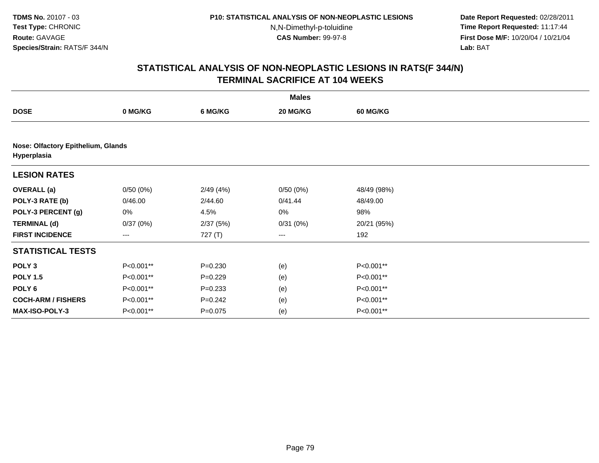N,N-Dimethyl-p-toluidine

 **Date Report Requested:** 02/28/2011 **Time Report Requested:** 11:17:44 **First Dose M/F:** 10/20/04 / 10/21/04<br>**Lab:** BAT **Lab:** BAT

|                                                   |           |             | <b>Males</b> |                 |  |
|---------------------------------------------------|-----------|-------------|--------------|-----------------|--|
| <b>DOSE</b>                                       | 0 MG/KG   | 6 MG/KG     | 20 MG/KG     | <b>60 MG/KG</b> |  |
|                                                   |           |             |              |                 |  |
| Nose: Olfactory Epithelium, Glands<br>Hyperplasia |           |             |              |                 |  |
| <b>LESION RATES</b>                               |           |             |              |                 |  |
| <b>OVERALL</b> (a)                                | 0/50(0%)  | 2/49(4%)    | 0/50(0%)     | 48/49 (98%)     |  |
| POLY-3 RATE (b)                                   | 0/46.00   | 2/44.60     | 0/41.44      | 48/49.00        |  |
| POLY-3 PERCENT (g)                                | 0%        | 4.5%        | 0%           | 98%             |  |
| <b>TERMINAL (d)</b>                               | 0/37(0%)  | 2/37(5%)    | 0/31(0%)     | 20/21 (95%)     |  |
| <b>FIRST INCIDENCE</b>                            | ---       | 727 (T)     | $\cdots$     | 192             |  |
| <b>STATISTICAL TESTS</b>                          |           |             |              |                 |  |
| POLY <sub>3</sub>                                 | P<0.001** | $P = 0.230$ | (e)          | P<0.001**       |  |
| <b>POLY 1.5</b>                                   | P<0.001** | $P=0.229$   | (e)          | P<0.001**       |  |
| POLY <sub>6</sub>                                 | P<0.001** | $P = 0.233$ | (e)          | P<0.001**       |  |
| <b>COCH-ARM / FISHERS</b>                         | P<0.001** | $P = 0.242$ | (e)          | P<0.001**       |  |
| MAX-ISO-POLY-3                                    | P<0.001** | $P = 0.075$ | (e)          | P<0.001**       |  |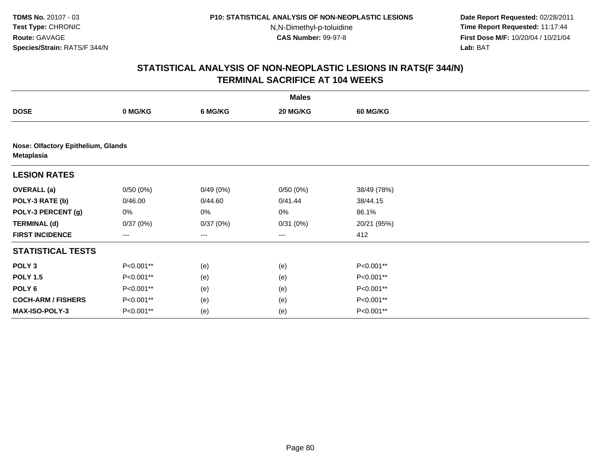N,N-Dimethyl-p-toluidine

 **Date Report Requested:** 02/28/2011 **Time Report Requested:** 11:17:44 **First Dose M/F:** 10/20/04 / 10/21/04<br>**Lab:** BAT **Lab:** BAT

|                                                  |           |                        | <b>Males</b> |                 |  |
|--------------------------------------------------|-----------|------------------------|--------------|-----------------|--|
| <b>DOSE</b>                                      | 0 MG/KG   | 6 MG/KG                | 20 MG/KG     | <b>60 MG/KG</b> |  |
|                                                  |           |                        |              |                 |  |
| Nose: Olfactory Epithelium, Glands<br>Metaplasia |           |                        |              |                 |  |
| <b>LESION RATES</b>                              |           |                        |              |                 |  |
| <b>OVERALL (a)</b>                               | 0/50(0%)  | 0/49(0%)               | 0/50(0%)     | 38/49 (78%)     |  |
| POLY-3 RATE (b)                                  | 0/46.00   | 0/44.60                | 0/41.44      | 38/44.15        |  |
| POLY-3 PERCENT (g)                               | 0%        | 0%                     | $0\%$        | 86.1%           |  |
| <b>TERMINAL (d)</b>                              | 0/37(0%)  | 0/37(0%)               | 0/31(0%)     | 20/21 (95%)     |  |
| <b>FIRST INCIDENCE</b>                           | ---       | $\qquad \qquad \cdots$ | ---          | 412             |  |
| <b>STATISTICAL TESTS</b>                         |           |                        |              |                 |  |
| POLY <sub>3</sub>                                | P<0.001** | (e)                    | (e)          | P<0.001**       |  |
| <b>POLY 1.5</b>                                  | P<0.001** | (e)                    | (e)          | P<0.001**       |  |
| POLY <sub>6</sub>                                | P<0.001** | (e)                    | (e)          | P<0.001**       |  |
| <b>COCH-ARM / FISHERS</b>                        | P<0.001** | (e)                    | (e)          | P<0.001**       |  |
| MAX-ISO-POLY-3                                   | P<0.001** | (e)                    | (e)          | P<0.001**       |  |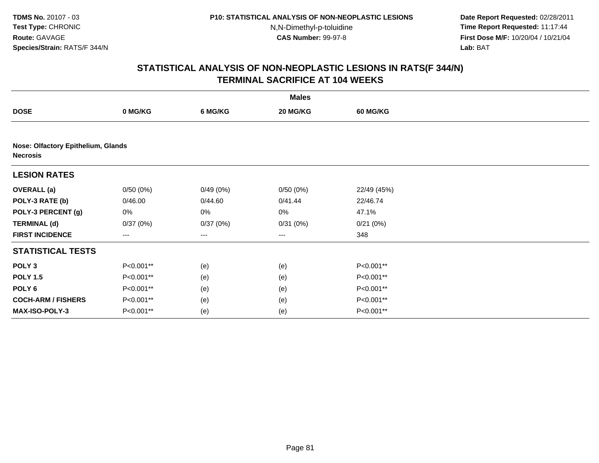N,N-Dimethyl-p-toluidine

 **Date Report Requested:** 02/28/2011 **Time Report Requested:** 11:17:44 **First Dose M/F:** 10/20/04 / 10/21/04<br>**Lab:** BAT **Lab:** BAT

|                                                       |           |                        | <b>Males</b> |                 |  |
|-------------------------------------------------------|-----------|------------------------|--------------|-----------------|--|
| <b>DOSE</b>                                           | 0 MG/KG   | 6 MG/KG                | 20 MG/KG     | <b>60 MG/KG</b> |  |
|                                                       |           |                        |              |                 |  |
| Nose: Olfactory Epithelium, Glands<br><b>Necrosis</b> |           |                        |              |                 |  |
| <b>LESION RATES</b>                                   |           |                        |              |                 |  |
| <b>OVERALL (a)</b>                                    | 0/50(0%)  | 0/49(0%)               | 0/50(0%)     | 22/49 (45%)     |  |
| POLY-3 RATE (b)                                       | 0/46.00   | 0/44.60                | 0/41.44      | 22/46.74        |  |
| POLY-3 PERCENT (g)                                    | 0%        | 0%                     | $0\%$        | 47.1%           |  |
| <b>TERMINAL (d)</b>                                   | 0/37(0%)  | 0/37(0%)               | 0/31(0%)     | 0/21(0%)        |  |
| <b>FIRST INCIDENCE</b>                                | ---       | $\qquad \qquad \cdots$ | $--$         | 348             |  |
| <b>STATISTICAL TESTS</b>                              |           |                        |              |                 |  |
| POLY <sub>3</sub>                                     | P<0.001** | (e)                    | (e)          | P<0.001**       |  |
| <b>POLY 1.5</b>                                       | P<0.001** | (e)                    | (e)          | P<0.001**       |  |
| POLY <sub>6</sub>                                     | P<0.001** | (e)                    | (e)          | P<0.001**       |  |
| <b>COCH-ARM / FISHERS</b>                             | P<0.001** | (e)                    | (e)          | P<0.001**       |  |
| MAX-ISO-POLY-3                                        | P<0.001** | (e)                    | (e)          | P<0.001**       |  |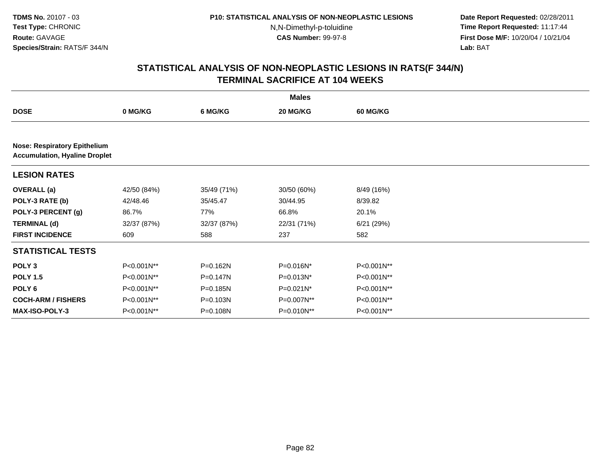N,N-Dimethyl-p-toluidine

 **Date Report Requested:** 02/28/2011 **Time Report Requested:** 11:17:44 **First Dose M/F:** 10/20/04 / 10/21/04<br>**Lab:** BAT **Lab:** BAT

|                                                                             | <b>Males</b> |              |              |                 |  |  |  |
|-----------------------------------------------------------------------------|--------------|--------------|--------------|-----------------|--|--|--|
| <b>DOSE</b>                                                                 | 0 MG/KG      | 6 MG/KG      | 20 MG/KG     | <b>60 MG/KG</b> |  |  |  |
|                                                                             |              |              |              |                 |  |  |  |
| <b>Nose: Respiratory Epithelium</b><br><b>Accumulation, Hyaline Droplet</b> |              |              |              |                 |  |  |  |
| <b>LESION RATES</b>                                                         |              |              |              |                 |  |  |  |
| <b>OVERALL</b> (a)                                                          | 42/50 (84%)  | 35/49 (71%)  | 30/50 (60%)  | 8/49 (16%)      |  |  |  |
| POLY-3 RATE (b)                                                             | 42/48.46     | 35/45.47     | 30/44.95     | 8/39.82         |  |  |  |
| POLY-3 PERCENT (g)                                                          | 86.7%        | 77%          | 66.8%        | 20.1%           |  |  |  |
| <b>TERMINAL (d)</b>                                                         | 32/37 (87%)  | 32/37 (87%)  | 22/31 (71%)  | 6/21(29%)       |  |  |  |
| <b>FIRST INCIDENCE</b>                                                      | 609          | 588          | 237          | 582             |  |  |  |
| <b>STATISTICAL TESTS</b>                                                    |              |              |              |                 |  |  |  |
| POLY <sub>3</sub>                                                           | P<0.001N**   | P=0.162N     | P=0.016N*    | P<0.001N**      |  |  |  |
| <b>POLY 1.5</b>                                                             | P<0.001N**   | P=0.147N     | $P=0.013N^*$ | P<0.001N**      |  |  |  |
| POLY <sub>6</sub>                                                           | P<0.001N**   | $P = 0.185N$ | $P=0.021N^*$ | P<0.001N**      |  |  |  |
| <b>COCH-ARM / FISHERS</b>                                                   | P<0.001N**   | P=0.103N     | P=0.007N**   | P<0.001N**      |  |  |  |
| <b>MAX-ISO-POLY-3</b>                                                       | P<0.001N**   | P=0.108N     | P=0.010N**   | P<0.001N**      |  |  |  |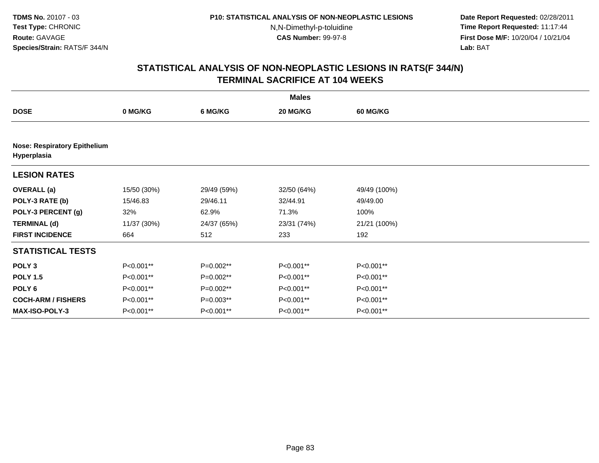N,N-Dimethyl-p-toluidine

 **Date Report Requested:** 02/28/2011 **Time Report Requested:** 11:17:44 **First Dose M/F:** 10/20/04 / 10/21/04<br>**Lab:** BAT **Lab:** BAT

|                                                    | <b>Males</b> |             |             |                 |  |  |  |
|----------------------------------------------------|--------------|-------------|-------------|-----------------|--|--|--|
| <b>DOSE</b>                                        | 0 MG/KG      | 6 MG/KG     | 20 MG/KG    | <b>60 MG/KG</b> |  |  |  |
|                                                    |              |             |             |                 |  |  |  |
| <b>Nose: Respiratory Epithelium</b><br>Hyperplasia |              |             |             |                 |  |  |  |
| <b>LESION RATES</b>                                |              |             |             |                 |  |  |  |
| <b>OVERALL</b> (a)                                 | 15/50 (30%)  | 29/49 (59%) | 32/50 (64%) | 49/49 (100%)    |  |  |  |
| POLY-3 RATE (b)                                    | 15/46.83     | 29/46.11    | 32/44.91    | 49/49.00        |  |  |  |
| POLY-3 PERCENT (g)                                 | 32%          | 62.9%       | 71.3%       | 100%            |  |  |  |
| <b>TERMINAL (d)</b>                                | 11/37 (30%)  | 24/37 (65%) | 23/31 (74%) | 21/21 (100%)    |  |  |  |
| <b>FIRST INCIDENCE</b>                             | 664          | 512         | 233         | 192             |  |  |  |
| <b>STATISTICAL TESTS</b>                           |              |             |             |                 |  |  |  |
| POLY <sub>3</sub>                                  | P<0.001**    | P=0.002**   | P<0.001**   | P<0.001**       |  |  |  |
| <b>POLY 1.5</b>                                    | P<0.001**    | P=0.002**   | P<0.001**   | P<0.001**       |  |  |  |
| POLY <sub>6</sub>                                  | P<0.001**    | P=0.002**   | P<0.001**   | P<0.001**       |  |  |  |
| <b>COCH-ARM / FISHERS</b>                          | P<0.001**    | P=0.003**   | P<0.001**   | P<0.001**       |  |  |  |
| <b>MAX-ISO-POLY-3</b>                              | P<0.001**    | P<0.001**   | P<0.001**   | P<0.001**       |  |  |  |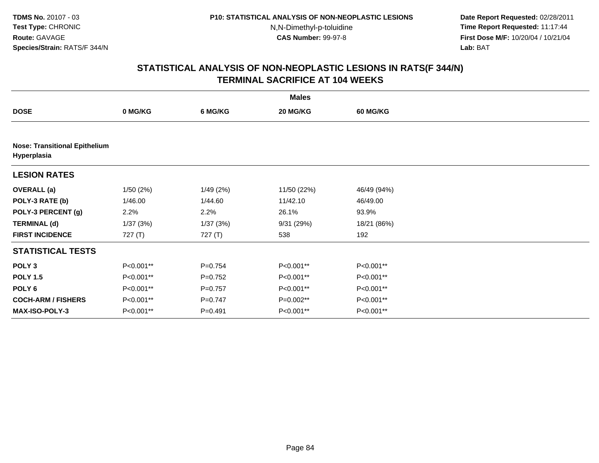N,N-Dimethyl-p-toluidine

 **Date Report Requested:** 02/28/2011 **Time Report Requested:** 11:17:44 **First Dose M/F:** 10/20/04 / 10/21/04<br>**Lab:** BAT **Lab:** BAT

|                                                     |           |             | <b>Males</b> |                 |  |
|-----------------------------------------------------|-----------|-------------|--------------|-----------------|--|
| <b>DOSE</b>                                         | 0 MG/KG   | 6 MG/KG     | 20 MG/KG     | <b>60 MG/KG</b> |  |
|                                                     |           |             |              |                 |  |
| <b>Nose: Transitional Epithelium</b><br>Hyperplasia |           |             |              |                 |  |
| <b>LESION RATES</b>                                 |           |             |              |                 |  |
| <b>OVERALL (a)</b>                                  | 1/50(2%)  | 1/49(2%)    | 11/50 (22%)  | 46/49 (94%)     |  |
| POLY-3 RATE (b)                                     | 1/46.00   | 1/44.60     | 11/42.10     | 46/49.00        |  |
| POLY-3 PERCENT (g)                                  | 2.2%      | 2.2%        | 26.1%        | 93.9%           |  |
| <b>TERMINAL (d)</b>                                 | 1/37(3%)  | 1/37(3%)    | 9/31(29%)    | 18/21 (86%)     |  |
| <b>FIRST INCIDENCE</b>                              | 727 (T)   | 727(T)      | 538          | 192             |  |
| <b>STATISTICAL TESTS</b>                            |           |             |              |                 |  |
| POLY <sub>3</sub>                                   | P<0.001** | $P=0.754$   | P<0.001**    | P<0.001**       |  |
| <b>POLY 1.5</b>                                     | P<0.001** | $P=0.752$   | P<0.001**    | P<0.001**       |  |
| POLY <sub>6</sub>                                   | P<0.001** | $P=0.757$   | P<0.001**    | P<0.001**       |  |
| <b>COCH-ARM / FISHERS</b>                           | P<0.001** | $P = 0.747$ | P=0.002**    | P<0.001**       |  |
| <b>MAX-ISO-POLY-3</b>                               | P<0.001** | $P = 0.491$ | P<0.001**    | P<0.001**       |  |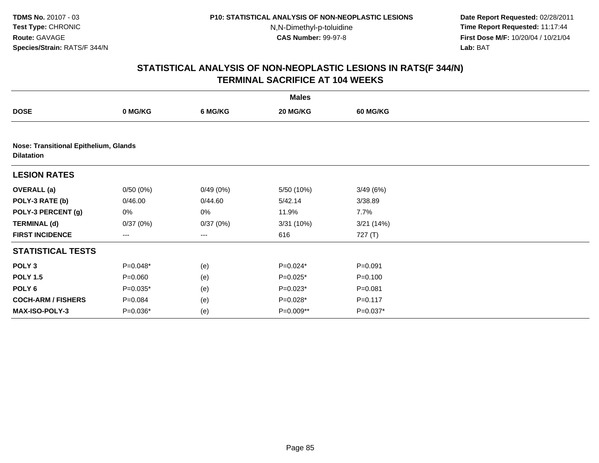**Date Report Requested:** 02/28/2011 **Time Report Requested:** 11:17:44 **First Dose M/F:** 10/20/04 / 10/21/04<br>**Lab:** BAT **Lab:** BAT

|                                                            |             |          | <b>Males</b> |                 |  |
|------------------------------------------------------------|-------------|----------|--------------|-----------------|--|
| <b>DOSE</b>                                                | 0 MG/KG     | 6 MG/KG  | 20 MG/KG     | <b>60 MG/KG</b> |  |
|                                                            |             |          |              |                 |  |
| Nose: Transitional Epithelium, Glands<br><b>Dilatation</b> |             |          |              |                 |  |
| <b>LESION RATES</b>                                        |             |          |              |                 |  |
| <b>OVERALL</b> (a)                                         | 0/50(0%)    | 0/49(0%) | 5/50 (10%)   | 3/49(6%)        |  |
| POLY-3 RATE (b)                                            | 0/46.00     | 0/44.60  | 5/42.14      | 3/38.89         |  |
| POLY-3 PERCENT (g)                                         | 0%          | 0%       | 11.9%        | 7.7%            |  |
| <b>TERMINAL (d)</b>                                        | 0/37(0%)    | 0/37(0%) | 3/31(10%)    | 3/21(14%)       |  |
| <b>FIRST INCIDENCE</b>                                     | $---$       | ---      | 616          | 727 (T)         |  |
| <b>STATISTICAL TESTS</b>                                   |             |          |              |                 |  |
| POLY <sub>3</sub>                                          | $P=0.048*$  | (e)      | $P=0.024*$   | $P = 0.091$     |  |
| <b>POLY 1.5</b>                                            | $P = 0.060$ | (e)      | $P=0.025*$   | $P = 0.100$     |  |
| POLY 6                                                     | $P=0.035*$  | (e)      | $P=0.023*$   | $P = 0.081$     |  |
| <b>COCH-ARM / FISHERS</b>                                  | $P = 0.084$ | (e)      | P=0.028*     | $P = 0.117$     |  |
| <b>MAX-ISO-POLY-3</b>                                      | $P=0.036*$  | (e)      | P=0.009**    | $P=0.037*$      |  |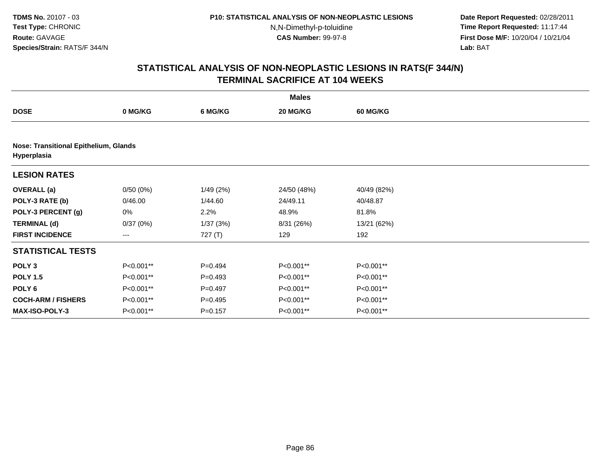N,N-Dimethyl-p-toluidine

 **Date Report Requested:** 02/28/2011 **Time Report Requested:** 11:17:44 **First Dose M/F:** 10/20/04 / 10/21/04<br>**Lab:** BAT **Lab:** BAT

|                                                      | <b>Males</b> |             |             |                 |  |  |  |  |
|------------------------------------------------------|--------------|-------------|-------------|-----------------|--|--|--|--|
| <b>DOSE</b>                                          | 0 MG/KG      | 6 MG/KG     | 20 MG/KG    | <b>60 MG/KG</b> |  |  |  |  |
|                                                      |              |             |             |                 |  |  |  |  |
| Nose: Transitional Epithelium, Glands<br>Hyperplasia |              |             |             |                 |  |  |  |  |
| <b>LESION RATES</b>                                  |              |             |             |                 |  |  |  |  |
| <b>OVERALL</b> (a)                                   | 0/50(0%)     | 1/49 (2%)   | 24/50 (48%) | 40/49 (82%)     |  |  |  |  |
| POLY-3 RATE (b)                                      | 0/46.00      | 1/44.60     | 24/49.11    | 40/48.87        |  |  |  |  |
| POLY-3 PERCENT (g)                                   | 0%           | 2.2%        | 48.9%       | 81.8%           |  |  |  |  |
| <b>TERMINAL (d)</b>                                  | 0/37(0%)     | 1/37(3%)    | 8/31 (26%)  | 13/21 (62%)     |  |  |  |  |
| <b>FIRST INCIDENCE</b>                               | ---          | 727 (T)     | 129         | 192             |  |  |  |  |
| <b>STATISTICAL TESTS</b>                             |              |             |             |                 |  |  |  |  |
| POLY <sub>3</sub>                                    | P<0.001**    | $P=0.494$   | P<0.001**   | P<0.001**       |  |  |  |  |
| <b>POLY 1.5</b>                                      | P<0.001**    | $P=0.493$   | P<0.001**   | P<0.001**       |  |  |  |  |
| POLY <sub>6</sub>                                    | P<0.001**    | $P=0.497$   | P<0.001**   | P<0.001**       |  |  |  |  |
| <b>COCH-ARM / FISHERS</b>                            | P<0.001**    | $P=0.495$   | P<0.001**   | P<0.001**       |  |  |  |  |
| <b>MAX-ISO-POLY-3</b>                                | P<0.001**    | $P = 0.157$ | P<0.001**   | P<0.001**       |  |  |  |  |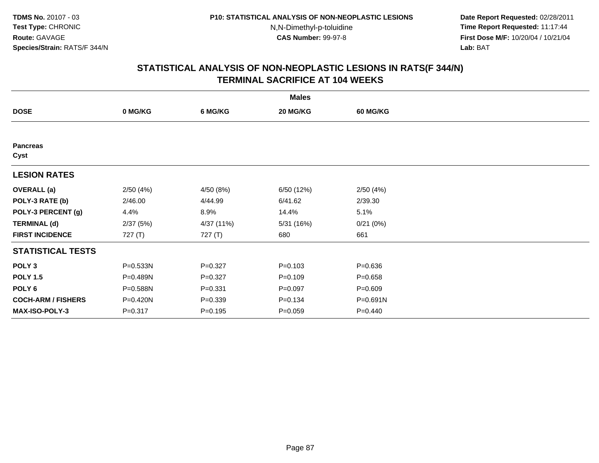N,N-Dimethyl-p-toluidine

 **Date Report Requested:** 02/28/2011 **Time Report Requested:** 11:17:44 **First Dose M/F:** 10/20/04 / 10/21/04<br>**Lab:** BAT **Lab:** BAT

| <b>Males</b>              |             |             |             |             |  |  |  |
|---------------------------|-------------|-------------|-------------|-------------|--|--|--|
| <b>DOSE</b>               | 0 MG/KG     | 6 MG/KG     | 20 MG/KG    | 60 MG/KG    |  |  |  |
|                           |             |             |             |             |  |  |  |
| <b>Pancreas</b><br>Cyst   |             |             |             |             |  |  |  |
| <b>LESION RATES</b>       |             |             |             |             |  |  |  |
| <b>OVERALL (a)</b>        | 2/50(4%)    | 4/50 (8%)   | 6/50 (12%)  | 2/50(4%)    |  |  |  |
| POLY-3 RATE (b)           | 2/46.00     | 4/44.99     | 6/41.62     | 2/39.30     |  |  |  |
| POLY-3 PERCENT (g)        | 4.4%        | 8.9%        | 14.4%       | 5.1%        |  |  |  |
| <b>TERMINAL (d)</b>       | 2/37(5%)    | 4/37 (11%)  | 5/31(16%)   | 0/21(0%)    |  |  |  |
| <b>FIRST INCIDENCE</b>    | 727 (T)     | 727 (T)     | 680         | 661         |  |  |  |
| <b>STATISTICAL TESTS</b>  |             |             |             |             |  |  |  |
| POLY <sub>3</sub>         | P=0.533N    | $P = 0.327$ | $P = 0.103$ | $P = 0.636$ |  |  |  |
| <b>POLY 1.5</b>           | P=0.489N    | $P = 0.327$ | $P = 0.109$ | $P = 0.658$ |  |  |  |
| POLY <sub>6</sub>         | P=0.588N    | $P = 0.331$ | $P=0.097$   | $P = 0.609$ |  |  |  |
| <b>COCH-ARM / FISHERS</b> | P=0.420N    | $P = 0.339$ | $P = 0.134$ | P=0.691N    |  |  |  |
| <b>MAX-ISO-POLY-3</b>     | $P = 0.317$ | $P = 0.195$ | $P=0.059$   | $P = 0.440$ |  |  |  |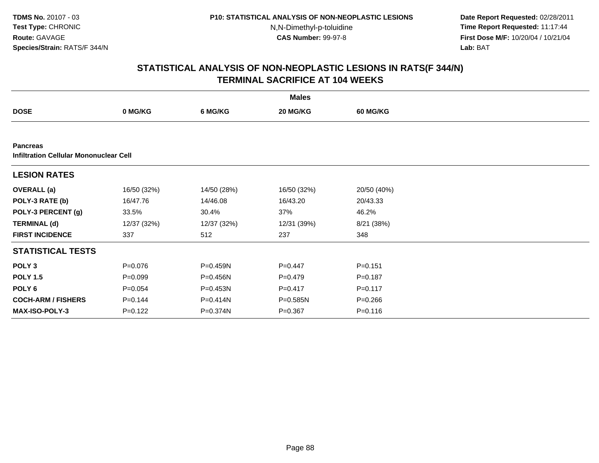N,N-Dimethyl-p-toluidine

 **Date Report Requested:** 02/28/2011 **Time Report Requested:** 11:17:44 **First Dose M/F:** 10/20/04 / 10/21/04<br>**Lab:** BAT **Lab:** BAT

| <b>Males</b>                                                     |             |              |              |                 |  |  |  |  |
|------------------------------------------------------------------|-------------|--------------|--------------|-----------------|--|--|--|--|
| <b>DOSE</b>                                                      | 0 MG/KG     | 6 MG/KG      | 20 MG/KG     | <b>60 MG/KG</b> |  |  |  |  |
|                                                                  |             |              |              |                 |  |  |  |  |
| <b>Pancreas</b><br><b>Infiltration Cellular Mononuclear Cell</b> |             |              |              |                 |  |  |  |  |
| <b>LESION RATES</b>                                              |             |              |              |                 |  |  |  |  |
| <b>OVERALL</b> (a)                                               | 16/50 (32%) | 14/50 (28%)  | 16/50 (32%)  | 20/50 (40%)     |  |  |  |  |
| POLY-3 RATE (b)                                                  | 16/47.76    | 14/46.08     | 16/43.20     | 20/43.33        |  |  |  |  |
| POLY-3 PERCENT (g)                                               | 33.5%       | 30.4%        | 37%          | 46.2%           |  |  |  |  |
| <b>TERMINAL (d)</b>                                              | 12/37 (32%) | 12/37 (32%)  | 12/31 (39%)  | 8/21 (38%)      |  |  |  |  |
| <b>FIRST INCIDENCE</b>                                           | 337         | 512          | 237          | 348             |  |  |  |  |
| <b>STATISTICAL TESTS</b>                                         |             |              |              |                 |  |  |  |  |
| POLY <sub>3</sub>                                                | $P = 0.076$ | P=0.459N     | $P=0.447$    | $P = 0.151$     |  |  |  |  |
| <b>POLY 1.5</b>                                                  | $P = 0.099$ | $P = 0.456N$ | $P=0.479$    | $P = 0.187$     |  |  |  |  |
| POLY 6                                                           | $P = 0.054$ | $P = 0.453N$ | $P=0.417$    | $P = 0.117$     |  |  |  |  |
| <b>COCH-ARM / FISHERS</b>                                        | $P = 0.144$ | P=0.414N     | $P = 0.585N$ | $P = 0.266$     |  |  |  |  |
| <b>MAX-ISO-POLY-3</b>                                            | $P = 0.122$ | P=0.374N     | $P = 0.367$  | $P = 0.116$     |  |  |  |  |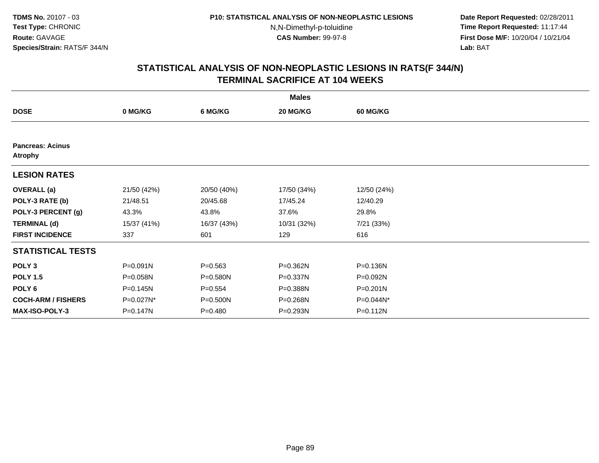N,N-Dimethyl-p-toluidine

 **Date Report Requested:** 02/28/2011 **Time Report Requested:** 11:17:44 **First Dose M/F:** 10/20/04 / 10/21/04<br>**Lab:** BAT **Lab:** BAT

|                                           | <b>Males</b> |             |             |                 |  |  |  |  |
|-------------------------------------------|--------------|-------------|-------------|-----------------|--|--|--|--|
| <b>DOSE</b>                               | 0 MG/KG      | 6 MG/KG     | 20 MG/KG    | <b>60 MG/KG</b> |  |  |  |  |
|                                           |              |             |             |                 |  |  |  |  |
| <b>Pancreas: Acinus</b><br><b>Atrophy</b> |              |             |             |                 |  |  |  |  |
| <b>LESION RATES</b>                       |              |             |             |                 |  |  |  |  |
| <b>OVERALL</b> (a)                        | 21/50 (42%)  | 20/50 (40%) | 17/50 (34%) | 12/50 (24%)     |  |  |  |  |
| POLY-3 RATE (b)                           | 21/48.51     | 20/45.68    | 17/45.24    | 12/40.29        |  |  |  |  |
| POLY-3 PERCENT (g)                        | 43.3%        | 43.8%       | 37.6%       | 29.8%           |  |  |  |  |
| <b>TERMINAL (d)</b>                       | 15/37 (41%)  | 16/37 (43%) | 10/31 (32%) | 7/21 (33%)      |  |  |  |  |
| <b>FIRST INCIDENCE</b>                    | 337          | 601         | 129         | 616             |  |  |  |  |
| <b>STATISTICAL TESTS</b>                  |              |             |             |                 |  |  |  |  |
| POLY <sub>3</sub>                         | P=0.091N     | $P = 0.563$ | P=0.362N    | P=0.136N        |  |  |  |  |
| <b>POLY 1.5</b>                           | P=0.058N     | P=0.580N    | P=0.337N    | P=0.092N        |  |  |  |  |
| POLY 6                                    | P=0.145N     | $P = 0.554$ | P=0.388N    | $P = 0.201N$    |  |  |  |  |
| <b>COCH-ARM / FISHERS</b>                 | P=0.027N*    | P=0.500N    | P=0.268N    | P=0.044N*       |  |  |  |  |
| <b>MAX-ISO-POLY-3</b>                     | P=0.147N     | $P = 0.480$ | P=0.293N    | P=0.112N        |  |  |  |  |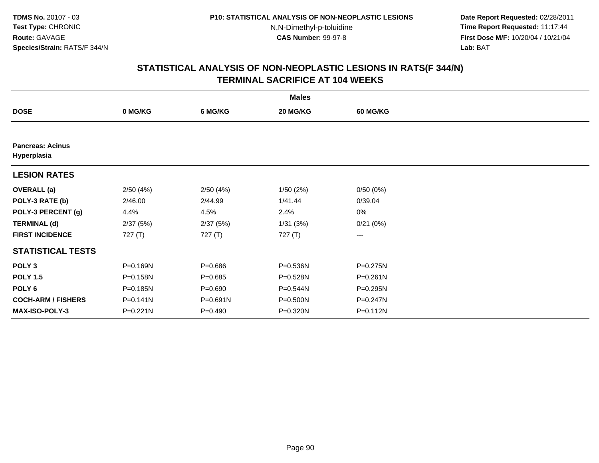N,N-Dimethyl-p-toluidine

 **Date Report Requested:** 02/28/2011 **Time Report Requested:** 11:17:44 **First Dose M/F:** 10/20/04 / 10/21/04<br>**Lab:** BAT **Lab:** BAT

|                                        |              |             | <b>Males</b> |                 |  |
|----------------------------------------|--------------|-------------|--------------|-----------------|--|
| <b>DOSE</b>                            | 0 MG/KG      | 6 MG/KG     | 20 MG/KG     | <b>60 MG/KG</b> |  |
|                                        |              |             |              |                 |  |
| <b>Pancreas: Acinus</b><br>Hyperplasia |              |             |              |                 |  |
| <b>LESION RATES</b>                    |              |             |              |                 |  |
| <b>OVERALL</b> (a)                     | 2/50(4%)     | 2/50(4%)    | 1/50(2%)     | 0/50(0%)        |  |
| POLY-3 RATE (b)                        | 2/46.00      | 2/44.99     | 1/41.44      | 0/39.04         |  |
| POLY-3 PERCENT (g)                     | 4.4%         | 4.5%        | 2.4%         | 0%              |  |
| <b>TERMINAL (d)</b>                    | 2/37(5%)     | 2/37(5%)    | 1/31(3%)     | 0/21(0%)        |  |
| <b>FIRST INCIDENCE</b>                 | 727 $(T)$    | 727 (T)     | 727(T)       | ---             |  |
| <b>STATISTICAL TESTS</b>               |              |             |              |                 |  |
| POLY <sub>3</sub>                      | P=0.169N     | $P = 0.686$ | P=0.536N     | P=0.275N        |  |
| <b>POLY 1.5</b>                        | P=0.158N     | $P = 0.685$ | P=0.528N     | P=0.261N        |  |
| POLY 6                                 | P=0.185N     | $P = 0.690$ | P=0.544N     | P=0.295N        |  |
| <b>COCH-ARM / FISHERS</b>              | $P = 0.141N$ | P=0.691N    | P=0.500N     | P=0.247N        |  |
| <b>MAX-ISO-POLY-3</b>                  | P=0.221N     | $P = 0.490$ | P=0.320N     | P=0.112N        |  |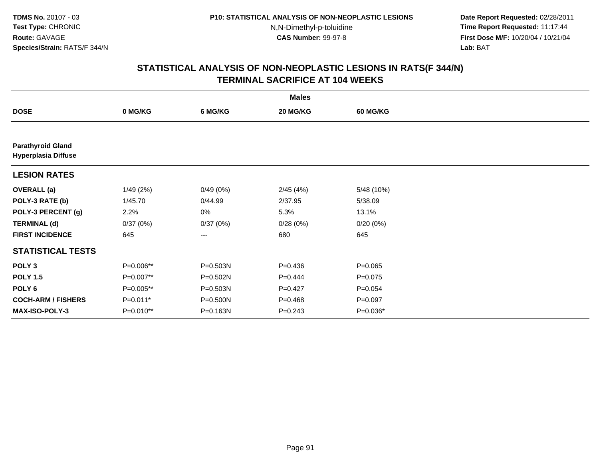N,N-Dimethyl-p-toluidine

 **Date Report Requested:** 02/28/2011 **Time Report Requested:** 11:17:44 **First Dose M/F:** 10/20/04 / 10/21/04<br>**Lab:** BAT **Lab:** BAT

|                                                        |           |              | <b>Males</b> |             |  |
|--------------------------------------------------------|-----------|--------------|--------------|-------------|--|
| <b>DOSE</b>                                            | 0 MG/KG   | 6 MG/KG      | 20 MG/KG     | 60 MG/KG    |  |
|                                                        |           |              |              |             |  |
| <b>Parathyroid Gland</b><br><b>Hyperplasia Diffuse</b> |           |              |              |             |  |
| <b>LESION RATES</b>                                    |           |              |              |             |  |
| <b>OVERALL</b> (a)                                     | 1/49(2%)  | 0/49(0%)     | 2/45(4%)     | 5/48 (10%)  |  |
| POLY-3 RATE (b)                                        | 1/45.70   | 0/44.99      | 2/37.95      | 5/38.09     |  |
| POLY-3 PERCENT (g)                                     | 2.2%      | 0%           | 5.3%         | 13.1%       |  |
| <b>TERMINAL (d)</b>                                    | 0/37(0%)  | 0/37(0%)     | 0/28(0%)     | $0/20(0\%)$ |  |
| <b>FIRST INCIDENCE</b>                                 | 645       | ---          | 680          | 645         |  |
| <b>STATISTICAL TESTS</b>                               |           |              |              |             |  |
| POLY <sub>3</sub>                                      | P=0.006** | P=0.503N     | $P = 0.436$  | $P = 0.065$ |  |
| <b>POLY 1.5</b>                                        | P=0.007** | P=0.502N     | $P=0.444$    | $P = 0.075$ |  |
| POLY 6                                                 | P=0.005** | $P = 0.503N$ | $P=0.427$    | $P=0.054$   |  |
| <b>COCH-ARM / FISHERS</b>                              | P=0.011*  | P=0.500N     | $P = 0.468$  | $P = 0.097$ |  |
| <b>MAX-ISO-POLY-3</b>                                  | P=0.010** | P=0.163N     | $P = 0.243$  | P=0.036*    |  |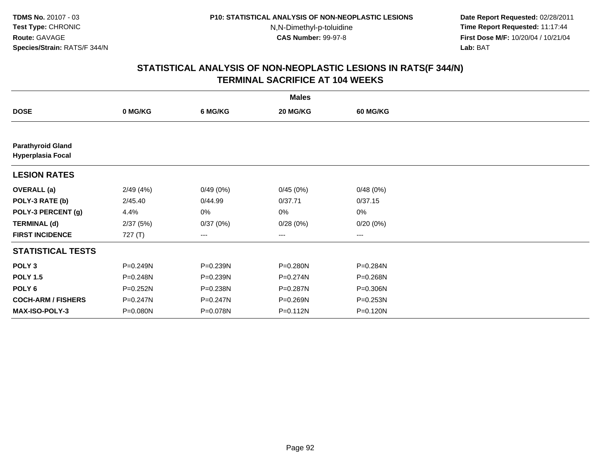N,N-Dimethyl-p-toluidine

 **Date Report Requested:** 02/28/2011 **Time Report Requested:** 11:17:44 **First Dose M/F:** 10/20/04 / 10/21/04<br>**Lab:** BAT **Lab:** BAT

|                                                      |              |          | <b>Males</b> |             |  |
|------------------------------------------------------|--------------|----------|--------------|-------------|--|
| <b>DOSE</b>                                          | 0 MG/KG      | 6 MG/KG  | 20 MG/KG     | 60 MG/KG    |  |
|                                                      |              |          |              |             |  |
| <b>Parathyroid Gland</b><br><b>Hyperplasia Focal</b> |              |          |              |             |  |
| <b>LESION RATES</b>                                  |              |          |              |             |  |
| <b>OVERALL</b> (a)                                   | 2/49(4%)     | 0/49(0%) | 0/45(0%)     | 0/48(0%)    |  |
| POLY-3 RATE (b)                                      | 2/45.40      | 0/44.99  | 0/37.71      | 0/37.15     |  |
| POLY-3 PERCENT (g)                                   | 4.4%         | 0%       | 0%           | 0%          |  |
| <b>TERMINAL (d)</b>                                  | 2/37(5%)     | 0/37(0%) | 0/28(0%)     | $0/20(0\%)$ |  |
| <b>FIRST INCIDENCE</b>                               | 727(T)       | ---      | ---          | ---         |  |
| <b>STATISTICAL TESTS</b>                             |              |          |              |             |  |
| POLY <sub>3</sub>                                    | P=0.249N     | P=0.239N | P=0.280N     | P=0.284N    |  |
| <b>POLY 1.5</b>                                      | P=0.248N     | P=0.239N | P=0.274N     | P=0.268N    |  |
| POLY 6                                               | $P = 0.252N$ | P=0.238N | P=0.287N     | P=0.306N    |  |
| <b>COCH-ARM / FISHERS</b>                            | P=0.247N     | P=0.247N | P=0.269N     | P=0.253N    |  |
| <b>MAX-ISO-POLY-3</b>                                | P=0.080N     | P=0.078N | P=0.112N     | P=0.120N    |  |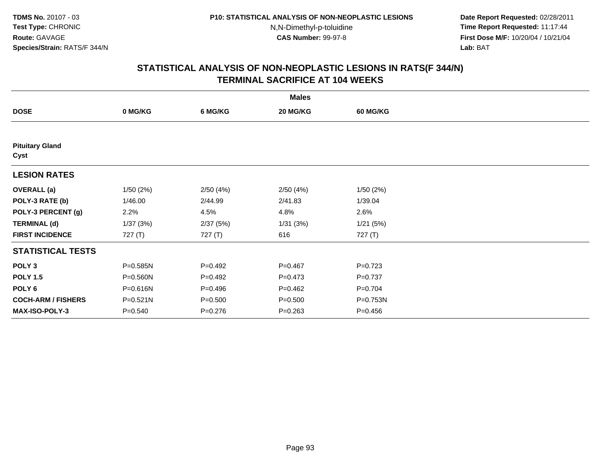N,N-Dimethyl-p-toluidine

 **Date Report Requested:** 02/28/2011 **Time Report Requested:** 11:17:44 **First Dose M/F:** 10/20/04 / 10/21/04<br>**Lab:** BAT **Lab:** BAT

|                                |             |             | <b>Males</b> |                 |  |
|--------------------------------|-------------|-------------|--------------|-----------------|--|
| <b>DOSE</b>                    | 0 MG/KG     | 6 MG/KG     | 20 MG/KG     | <b>60 MG/KG</b> |  |
|                                |             |             |              |                 |  |
| <b>Pituitary Gland</b><br>Cyst |             |             |              |                 |  |
| <b>LESION RATES</b>            |             |             |              |                 |  |
| <b>OVERALL</b> (a)             | 1/50(2%)    | 2/50(4%)    | 2/50(4%)     | 1/50(2%)        |  |
| POLY-3 RATE (b)                | 1/46.00     | 2/44.99     | 2/41.83      | 1/39.04         |  |
| POLY-3 PERCENT (g)             | 2.2%        | 4.5%        | 4.8%         | 2.6%            |  |
| <b>TERMINAL (d)</b>            | 1/37(3%)    | 2/37(5%)    | 1/31(3%)     | 1/21(5%)        |  |
| <b>FIRST INCIDENCE</b>         | 727(T)      | 727 $(T)$   | 616          | 727(T)          |  |
| <b>STATISTICAL TESTS</b>       |             |             |              |                 |  |
| POLY <sub>3</sub>              | P=0.585N    | $P=0.492$   | $P = 0.467$  | $P=0.723$       |  |
| <b>POLY 1.5</b>                | P=0.560N    | $P=0.492$   | $P = 0.473$  | $P = 0.737$     |  |
| POLY <sub>6</sub>              | P=0.616N    | $P=0.496$   | $P=0.462$    | $P=0.704$       |  |
| <b>COCH-ARM / FISHERS</b>      | P=0.521N    | $P = 0.500$ | $P = 0.500$  | P=0.753N        |  |
| <b>MAX-ISO-POLY-3</b>          | $P = 0.540$ | $P = 0.276$ | $P = 0.263$  | $P = 0.456$     |  |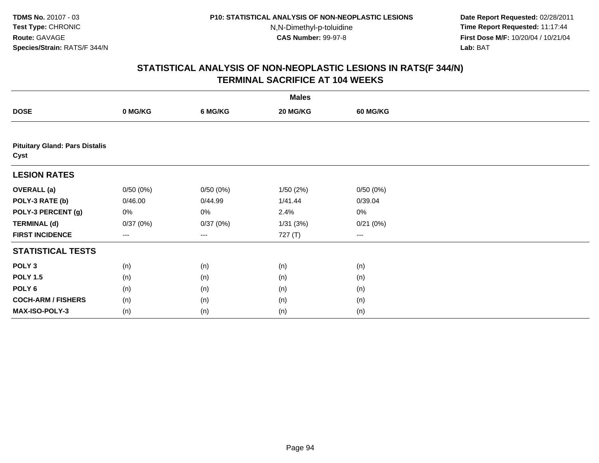**Date Report Requested:** 02/28/2011 **Time Report Requested:** 11:17:44 **First Dose M/F:** 10/20/04 / 10/21/04<br>**Lab:** BAT **Lab:** BAT

|                                               | <b>Males</b> |          |           |                        |  |  |  |  |
|-----------------------------------------------|--------------|----------|-----------|------------------------|--|--|--|--|
| <b>DOSE</b>                                   | 0 MG/KG      | 6 MG/KG  | 20 MG/KG  | <b>60 MG/KG</b>        |  |  |  |  |
|                                               |              |          |           |                        |  |  |  |  |
| <b>Pituitary Gland: Pars Distalis</b><br>Cyst |              |          |           |                        |  |  |  |  |
| <b>LESION RATES</b>                           |              |          |           |                        |  |  |  |  |
| <b>OVERALL</b> (a)                            | 0/50(0%)     | 0/50(0%) | 1/50 (2%) | 0/50(0%)               |  |  |  |  |
| POLY-3 RATE (b)                               | 0/46.00      | 0/44.99  | 1/41.44   | 0/39.04                |  |  |  |  |
| POLY-3 PERCENT (g)                            | 0%           | 0%       | 2.4%      | $0\%$                  |  |  |  |  |
| <b>TERMINAL (d)</b>                           | 0/37(0%)     | 0/37(0%) | 1/31(3%)  | 0/21(0%)               |  |  |  |  |
| <b>FIRST INCIDENCE</b>                        | ---          | ---      | 727 (T)   | $\qquad \qquad \cdots$ |  |  |  |  |
| <b>STATISTICAL TESTS</b>                      |              |          |           |                        |  |  |  |  |
| POLY <sub>3</sub>                             | (n)          | (n)      | (n)       | (n)                    |  |  |  |  |
| <b>POLY 1.5</b>                               | (n)          | (n)      | (n)       | (n)                    |  |  |  |  |
| POLY <sub>6</sub>                             | (n)          | (n)      | (n)       | (n)                    |  |  |  |  |
| <b>COCH-ARM / FISHERS</b>                     | (n)          | (n)      | (n)       | (n)                    |  |  |  |  |
| MAX-ISO-POLY-3                                | (n)          | (n)      | (n)       | (n)                    |  |  |  |  |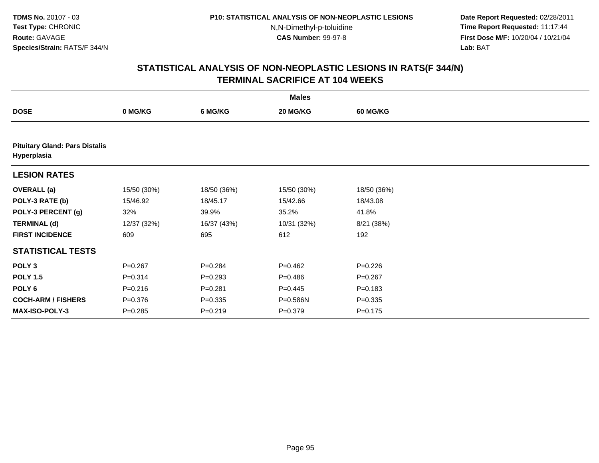**Date Report Requested:** 02/28/2011 **Time Report Requested:** 11:17:44 **First Dose M/F:** 10/20/04 / 10/21/04<br>**Lab:** BAT **Lab:** BAT

| <b>Males</b>                                         |             |             |             |                 |  |  |  |
|------------------------------------------------------|-------------|-------------|-------------|-----------------|--|--|--|
| <b>DOSE</b>                                          | 0 MG/KG     | 6 MG/KG     | 20 MG/KG    | <b>60 MG/KG</b> |  |  |  |
|                                                      |             |             |             |                 |  |  |  |
| <b>Pituitary Gland: Pars Distalis</b><br>Hyperplasia |             |             |             |                 |  |  |  |
| <b>LESION RATES</b>                                  |             |             |             |                 |  |  |  |
| <b>OVERALL</b> (a)                                   | 15/50 (30%) | 18/50 (36%) | 15/50 (30%) | 18/50 (36%)     |  |  |  |
| POLY-3 RATE (b)                                      | 15/46.92    | 18/45.17    | 15/42.66    | 18/43.08        |  |  |  |
| POLY-3 PERCENT (g)                                   | 32%         | 39.9%       | 35.2%       | 41.8%           |  |  |  |
| <b>TERMINAL (d)</b>                                  | 12/37 (32%) | 16/37 (43%) | 10/31 (32%) | 8/21 (38%)      |  |  |  |
| <b>FIRST INCIDENCE</b>                               | 609         | 695         | 612         | 192             |  |  |  |
| <b>STATISTICAL TESTS</b>                             |             |             |             |                 |  |  |  |
| POLY <sub>3</sub>                                    | $P = 0.267$ | $P = 0.284$ | $P=0.462$   | $P = 0.226$     |  |  |  |
| <b>POLY 1.5</b>                                      | $P = 0.314$ | $P = 0.293$ | $P = 0.486$ | $P = 0.267$     |  |  |  |
| POLY 6                                               | $P = 0.216$ | $P = 0.281$ | $P=0.445$   | $P = 0.183$     |  |  |  |
| <b>COCH-ARM / FISHERS</b>                            | $P = 0.376$ | $P = 0.335$ | P=0.586N    | $P = 0.335$     |  |  |  |
| MAX-ISO-POLY-3                                       | $P = 0.285$ | $P = 0.219$ | $P = 0.379$ | P=0.175         |  |  |  |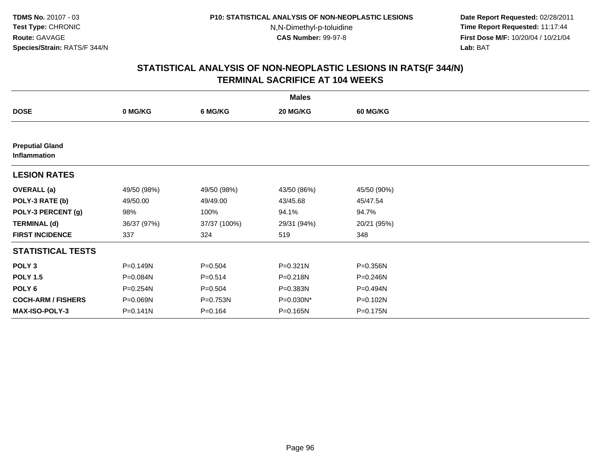N,N-Dimethyl-p-toluidine

 **Date Report Requested:** 02/28/2011 **Time Report Requested:** 11:17:44 **First Dose M/F:** 10/20/04 / 10/21/04<br>**Lab:** BAT **Lab:** BAT

| <b>Males</b>                           |              |              |              |                 |  |  |  |
|----------------------------------------|--------------|--------------|--------------|-----------------|--|--|--|
| <b>DOSE</b>                            | 0 MG/KG      | 6 MG/KG      | 20 MG/KG     | <b>60 MG/KG</b> |  |  |  |
|                                        |              |              |              |                 |  |  |  |
| <b>Preputial Gland</b><br>Inflammation |              |              |              |                 |  |  |  |
| <b>LESION RATES</b>                    |              |              |              |                 |  |  |  |
| <b>OVERALL (a)</b>                     | 49/50 (98%)  | 49/50 (98%)  | 43/50 (86%)  | 45/50 (90%)     |  |  |  |
| POLY-3 RATE (b)                        | 49/50.00     | 49/49.00     | 43/45.68     | 45/47.54        |  |  |  |
| POLY-3 PERCENT (g)                     | 98%          | 100%         | 94.1%        | 94.7%           |  |  |  |
| <b>TERMINAL (d)</b>                    | 36/37 (97%)  | 37/37 (100%) | 29/31 (94%)  | 20/21 (95%)     |  |  |  |
| <b>FIRST INCIDENCE</b>                 | 337          | 324          | 519          | 348             |  |  |  |
| <b>STATISTICAL TESTS</b>               |              |              |              |                 |  |  |  |
| POLY <sub>3</sub>                      | P=0.149N     | $P = 0.504$  | P=0.321N     | P=0.356N        |  |  |  |
| <b>POLY 1.5</b>                        | P=0.084N     | $P = 0.514$  | P=0.218N     | P=0.246N        |  |  |  |
| POLY 6                                 | P=0.254N     | $P = 0.504$  | P=0.383N     | P=0.494N        |  |  |  |
| <b>COCH-ARM / FISHERS</b>              | P=0.069N     | P=0.753N     | P=0.030N*    | P=0.102N        |  |  |  |
| <b>MAX-ISO-POLY-3</b>                  | $P = 0.141N$ | $P = 0.164$  | $P = 0.165N$ | P=0.175N        |  |  |  |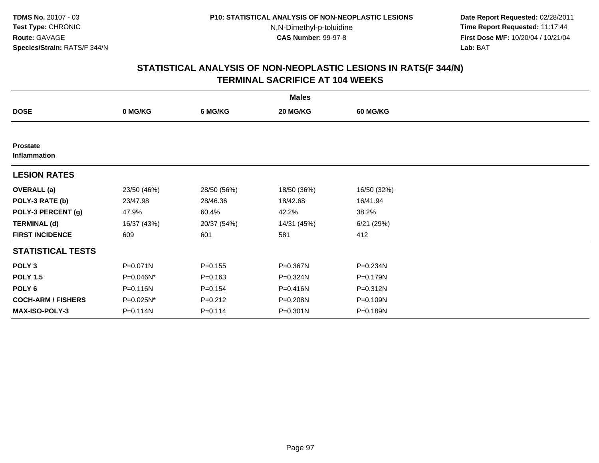N,N-Dimethyl-p-toluidine

 **Date Report Requested:** 02/28/2011 **Time Report Requested:** 11:17:44 **First Dose M/F:** 10/20/04 / 10/21/04<br>**Lab:** BAT **Lab:** BAT

| <b>Males</b>                    |             |             |              |                 |  |  |  |
|---------------------------------|-------------|-------------|--------------|-----------------|--|--|--|
| <b>DOSE</b>                     | 0 MG/KG     | 6 MG/KG     | 20 MG/KG     | <b>60 MG/KG</b> |  |  |  |
|                                 |             |             |              |                 |  |  |  |
| <b>Prostate</b><br>Inflammation |             |             |              |                 |  |  |  |
| <b>LESION RATES</b>             |             |             |              |                 |  |  |  |
| <b>OVERALL (a)</b>              | 23/50 (46%) | 28/50 (56%) | 18/50 (36%)  | 16/50 (32%)     |  |  |  |
| POLY-3 RATE (b)                 | 23/47.98    | 28/46.36    | 18/42.68     | 16/41.94        |  |  |  |
| POLY-3 PERCENT (g)              | 47.9%       | 60.4%       | 42.2%        | 38.2%           |  |  |  |
| <b>TERMINAL (d)</b>             | 16/37 (43%) | 20/37 (54%) | 14/31 (45%)  | 6/21(29%)       |  |  |  |
| <b>FIRST INCIDENCE</b>          | 609         | 601         | 581          | 412             |  |  |  |
| <b>STATISTICAL TESTS</b>        |             |             |              |                 |  |  |  |
| POLY <sub>3</sub>               | P=0.071N    | $P = 0.155$ | P=0.367N     | P=0.234N        |  |  |  |
| <b>POLY 1.5</b>                 | P=0.046N*   | $P = 0.163$ | P=0.324N     | P=0.179N        |  |  |  |
| POLY 6                          | P=0.116N    | $P = 0.154$ | P=0.416N     | P=0.312N        |  |  |  |
| <b>COCH-ARM / FISHERS</b>       | P=0.025N*   | $P = 0.212$ | P=0.208N     | P=0.109N        |  |  |  |
| MAX-ISO-POLY-3                  | P=0.114N    | $P = 0.114$ | $P = 0.301N$ | P=0.189N        |  |  |  |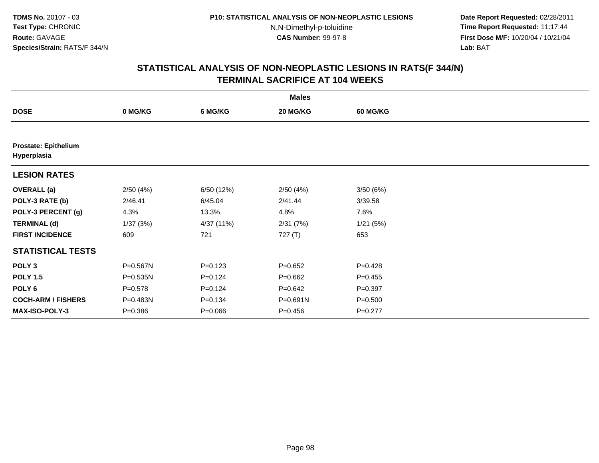N,N-Dimethyl-p-toluidine

 **Date Report Requested:** 02/28/2011 **Time Report Requested:** 11:17:44 **First Dose M/F:** 10/20/04 / 10/21/04<br>**Lab:** BAT **Lab:** BAT

| <b>Males</b>                               |             |             |             |             |  |  |  |
|--------------------------------------------|-------------|-------------|-------------|-------------|--|--|--|
| <b>DOSE</b>                                | 0 MG/KG     | 6 MG/KG     | 20 MG/KG    | 60 MG/KG    |  |  |  |
|                                            |             |             |             |             |  |  |  |
| <b>Prostate: Epithelium</b><br>Hyperplasia |             |             |             |             |  |  |  |
| <b>LESION RATES</b>                        |             |             |             |             |  |  |  |
| <b>OVERALL</b> (a)                         | 2/50(4%)    | 6/50 (12%)  | 2/50(4%)    | 3/50(6%)    |  |  |  |
| POLY-3 RATE (b)                            | 2/46.41     | 6/45.04     | 2/41.44     | 3/39.58     |  |  |  |
| POLY-3 PERCENT (g)                         | 4.3%        | 13.3%       | 4.8%        | 7.6%        |  |  |  |
| <b>TERMINAL (d)</b>                        | 1/37(3%)    | 4/37 (11%)  | 2/31(7%)    | 1/21(5%)    |  |  |  |
| <b>FIRST INCIDENCE</b>                     | 609         | 721         | 727(T)      | 653         |  |  |  |
| <b>STATISTICAL TESTS</b>                   |             |             |             |             |  |  |  |
| POLY <sub>3</sub>                          | P=0.567N    | $P = 0.123$ | $P=0.652$   | $P = 0.428$ |  |  |  |
| <b>POLY 1.5</b>                            | P=0.535N    | $P=0.124$   | $P=0.662$   | $P = 0.455$ |  |  |  |
| POLY 6                                     | $P = 0.578$ | $P=0.124$   | $P = 0.642$ | $P=0.397$   |  |  |  |
| <b>COCH-ARM / FISHERS</b>                  | P=0.483N    | $P = 0.134$ | P=0.691N    | $P = 0.500$ |  |  |  |
| <b>MAX-ISO-POLY-3</b>                      | $P = 0.386$ | $P = 0.066$ | $P = 0.456$ | $P=0.277$   |  |  |  |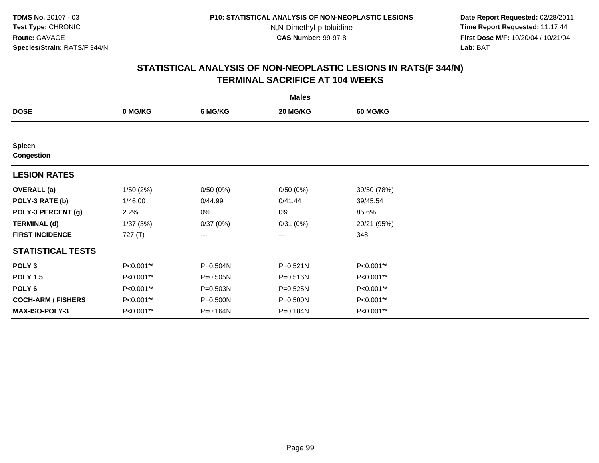N,N-Dimethyl-p-toluidine

 **Date Report Requested:** 02/28/2011 **Time Report Requested:** 11:17:44 **First Dose M/F:** 10/20/04 / 10/21/04<br>**Lab:** BAT **Lab:** BAT

| <b>Males</b>                       |           |              |              |                 |  |  |  |
|------------------------------------|-----------|--------------|--------------|-----------------|--|--|--|
| <b>DOSE</b>                        | 0 MG/KG   | 6 MG/KG      | 20 MG/KG     | <b>60 MG/KG</b> |  |  |  |
|                                    |           |              |              |                 |  |  |  |
| <b>Spleen</b><br><b>Congestion</b> |           |              |              |                 |  |  |  |
| <b>LESION RATES</b>                |           |              |              |                 |  |  |  |
| <b>OVERALL</b> (a)                 | 1/50(2%)  | 0/50(0%)     | 0/50(0%)     | 39/50 (78%)     |  |  |  |
| POLY-3 RATE (b)                    | 1/46.00   | 0/44.99      | 0/41.44      | 39/45.54        |  |  |  |
| POLY-3 PERCENT (g)                 | 2.2%      | 0%           | 0%           | 85.6%           |  |  |  |
| <b>TERMINAL (d)</b>                | 1/37(3%)  | 0/37(0%)     | 0/31(0%)     | 20/21 (95%)     |  |  |  |
| <b>FIRST INCIDENCE</b>             | 727 (T)   | ---          | $\cdots$     | 348             |  |  |  |
| <b>STATISTICAL TESTS</b>           |           |              |              |                 |  |  |  |
| POLY <sub>3</sub>                  | P<0.001** | P=0.504N     | $P = 0.521N$ | P<0.001**       |  |  |  |
| <b>POLY 1.5</b>                    | P<0.001** | $P = 0.505N$ | $P = 0.516N$ | P<0.001**       |  |  |  |
| POLY 6                             | P<0.001** | P=0.503N     | $P = 0.525N$ | P<0.001**       |  |  |  |
| <b>COCH-ARM / FISHERS</b>          | P<0.001** | P=0.500N     | P=0.500N     | P<0.001**       |  |  |  |
| MAX-ISO-POLY-3                     | P<0.001** | P=0.164N     | P=0.184N     | P<0.001**       |  |  |  |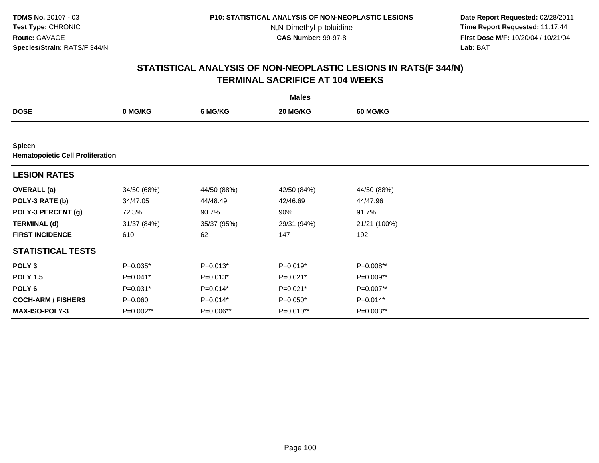N,N-Dimethyl-p-toluidine

 **Date Report Requested:** 02/28/2011 **Time Report Requested:** 11:17:44 **First Dose M/F:** 10/20/04 / 10/21/04<br>**Lab:** BAT **Lab:** BAT

| <b>Males</b>                                             |             |             |             |                 |  |  |  |
|----------------------------------------------------------|-------------|-------------|-------------|-----------------|--|--|--|
| <b>DOSE</b>                                              | 0 MG/KG     | 6 MG/KG     | 20 MG/KG    | <b>60 MG/KG</b> |  |  |  |
|                                                          |             |             |             |                 |  |  |  |
| <b>Spleen</b><br><b>Hematopoietic Cell Proliferation</b> |             |             |             |                 |  |  |  |
| <b>LESION RATES</b>                                      |             |             |             |                 |  |  |  |
| <b>OVERALL</b> (a)                                       | 34/50 (68%) | 44/50 (88%) | 42/50 (84%) | 44/50 (88%)     |  |  |  |
| POLY-3 RATE (b)                                          | 34/47.05    | 44/48.49    | 42/46.69    | 44/47.96        |  |  |  |
| POLY-3 PERCENT (g)                                       | 72.3%       | 90.7%       | 90%         | 91.7%           |  |  |  |
| <b>TERMINAL (d)</b>                                      | 31/37 (84%) | 35/37 (95%) | 29/31 (94%) | 21/21 (100%)    |  |  |  |
| <b>FIRST INCIDENCE</b>                                   | 610         | 62          | 147         | 192             |  |  |  |
| <b>STATISTICAL TESTS</b>                                 |             |             |             |                 |  |  |  |
| POLY <sub>3</sub>                                        | $P=0.035*$  | $P=0.013*$  | $P=0.019*$  | P=0.008**       |  |  |  |
| <b>POLY 1.5</b>                                          | P=0.041*    | $P=0.013*$  | $P=0.021*$  | P=0.009**       |  |  |  |
| POLY <sub>6</sub>                                        | $P=0.031*$  | $P=0.014*$  | $P=0.021*$  | P=0.007**       |  |  |  |
| <b>COCH-ARM / FISHERS</b>                                | $P = 0.060$ | $P=0.014*$  | $P=0.050*$  | $P=0.014*$      |  |  |  |
| <b>MAX-ISO-POLY-3</b>                                    | $P=0.002**$ | P=0.006**   | $P=0.010**$ | $P=0.003**$     |  |  |  |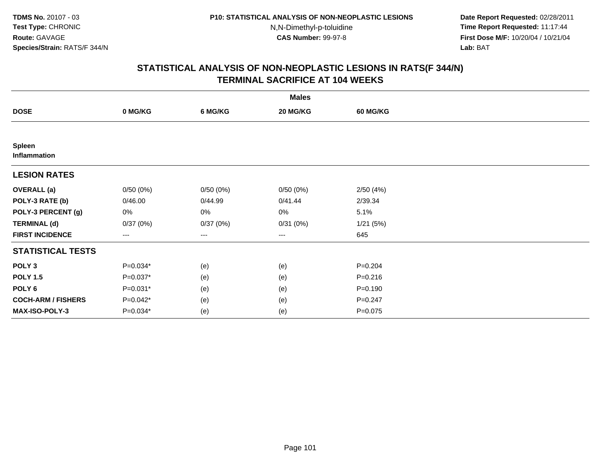N,N-Dimethyl-p-toluidine

 **Date Report Requested:** 02/28/2011 **Time Report Requested:** 11:17:44 **First Dose M/F:** 10/20/04 / 10/21/04<br>**Lab:** BAT **Lab:** BAT

|                               |            |          | <b>Males</b> |             |  |
|-------------------------------|------------|----------|--------------|-------------|--|
| <b>DOSE</b>                   | 0 MG/KG    | 6 MG/KG  | 20 MG/KG     | 60 MG/KG    |  |
|                               |            |          |              |             |  |
| <b>Spleen</b><br>Inflammation |            |          |              |             |  |
| <b>LESION RATES</b>           |            |          |              |             |  |
| <b>OVERALL (a)</b>            | 0/50(0%)   | 0/50(0%) | 0/50(0%)     | 2/50(4%)    |  |
| POLY-3 RATE (b)               | 0/46.00    | 0/44.99  | 0/41.44      | 2/39.34     |  |
| POLY-3 PERCENT (g)            | 0%         | 0%       | 0%           | 5.1%        |  |
| <b>TERMINAL (d)</b>           | 0/37(0%)   | 0/37(0%) | 0/31(0%)     | 1/21(5%)    |  |
| <b>FIRST INCIDENCE</b>        | $--$       | ---      | $---$        | 645         |  |
| <b>STATISTICAL TESTS</b>      |            |          |              |             |  |
| POLY <sub>3</sub>             | $P=0.034*$ | (e)      | (e)          | $P = 0.204$ |  |
| <b>POLY 1.5</b>               | $P=0.037*$ | (e)      | (e)          | $P = 0.216$ |  |
| POLY <sub>6</sub>             | $P=0.031*$ | (e)      | (e)          | $P = 0.190$ |  |
| <b>COCH-ARM / FISHERS</b>     | $P=0.042*$ | (e)      | (e)          | $P = 0.247$ |  |
| MAX-ISO-POLY-3                | $P=0.034*$ | (e)      | (e)          | $P = 0.075$ |  |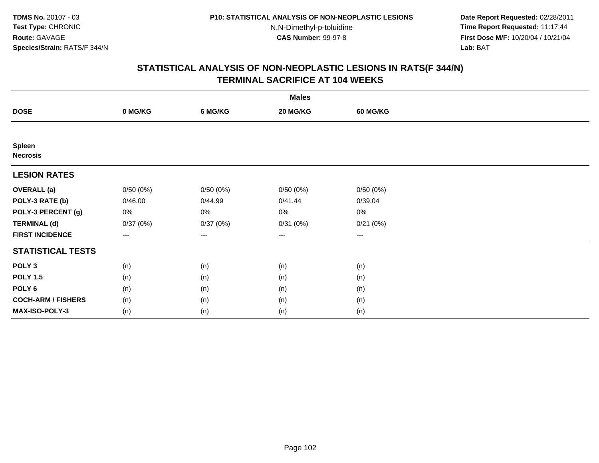N,N-Dimethyl-p-toluidine

 **Date Report Requested:** 02/28/2011 **Time Report Requested:** 11:17:44 **First Dose M/F:** 10/20/04 / 10/21/04<br>**Lab:** BAT **Lab:** BAT

| <b>Males</b>                     |                        |          |          |          |  |  |  |
|----------------------------------|------------------------|----------|----------|----------|--|--|--|
| <b>DOSE</b>                      | 0 MG/KG                | 6 MG/KG  | 20 MG/KG | 60 MG/KG |  |  |  |
|                                  |                        |          |          |          |  |  |  |
| <b>Spleen</b><br><b>Necrosis</b> |                        |          |          |          |  |  |  |
| <b>LESION RATES</b>              |                        |          |          |          |  |  |  |
| <b>OVERALL (a)</b>               | 0/50(0%)               | 0/50(0%) | 0/50(0%) | 0/50(0%) |  |  |  |
| POLY-3 RATE (b)                  | 0/46.00                | 0/44.99  | 0/41.44  | 0/39.04  |  |  |  |
| POLY-3 PERCENT (g)               | 0%                     | 0%       | 0%       | $0\%$    |  |  |  |
| <b>TERMINAL (d)</b>              | 0/37(0%)               | 0/37(0%) | 0/31(0%) | 0/21(0%) |  |  |  |
| <b>FIRST INCIDENCE</b>           | $\qquad \qquad \cdots$ | ---      | $---$    | ---      |  |  |  |
| <b>STATISTICAL TESTS</b>         |                        |          |          |          |  |  |  |
| POLY <sub>3</sub>                | (n)                    | (n)      | (n)      | (n)      |  |  |  |
| <b>POLY 1.5</b>                  | (n)                    | (n)      | (n)      | (n)      |  |  |  |
| POLY <sub>6</sub>                | (n)                    | (n)      | (n)      | (n)      |  |  |  |
| <b>COCH-ARM / FISHERS</b>        | (n)                    | (n)      | (n)      | (n)      |  |  |  |
| MAX-ISO-POLY-3                   | (n)                    | (n)      | (n)      | (n)      |  |  |  |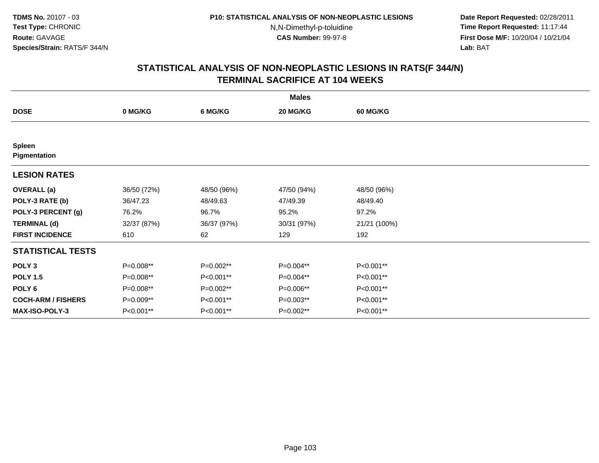N,N-Dimethyl-p-toluidine

 **Date Report Requested:** 02/28/2011 **Time Report Requested:** 11:17:44 **First Dose M/F:** 10/20/04 / 10/21/04<br>**Lab:** BAT **Lab:** BAT

| <b>Males</b>                  |             |             |             |                 |  |  |  |
|-------------------------------|-------------|-------------|-------------|-----------------|--|--|--|
| <b>DOSE</b>                   | 0 MG/KG     | 6 MG/KG     | 20 MG/KG    | <b>60 MG/KG</b> |  |  |  |
|                               |             |             |             |                 |  |  |  |
| <b>Spleen</b><br>Pigmentation |             |             |             |                 |  |  |  |
| <b>LESION RATES</b>           |             |             |             |                 |  |  |  |
| <b>OVERALL</b> (a)            | 36/50 (72%) | 48/50 (96%) | 47/50 (94%) | 48/50 (96%)     |  |  |  |
| POLY-3 RATE (b)               | 36/47.23    | 48/49.63    | 47/49.39    | 48/49.40        |  |  |  |
| POLY-3 PERCENT (g)            | 76.2%       | 96.7%       | 95.2%       | 97.2%           |  |  |  |
| <b>TERMINAL (d)</b>           | 32/37 (87%) | 36/37 (97%) | 30/31 (97%) | 21/21 (100%)    |  |  |  |
| <b>FIRST INCIDENCE</b>        | 610         | 62          | 129         | 192             |  |  |  |
| <b>STATISTICAL TESTS</b>      |             |             |             |                 |  |  |  |
| POLY <sub>3</sub>             | P=0.008**   | P=0.002**   | P=0.004**   | P<0.001**       |  |  |  |
| <b>POLY 1.5</b>               | P=0.008**   | P<0.001**   | P=0.004**   | P<0.001**       |  |  |  |
| POLY <sub>6</sub>             | P=0.008**   | P=0.002**   | P=0.006**   | P<0.001**       |  |  |  |
| <b>COCH-ARM / FISHERS</b>     | P=0.009**   | P<0.001**   | P=0.003**   | P<0.001**       |  |  |  |
| MAX-ISO-POLY-3                | P<0.001**   | P<0.001**   | P=0.002**   | P<0.001**       |  |  |  |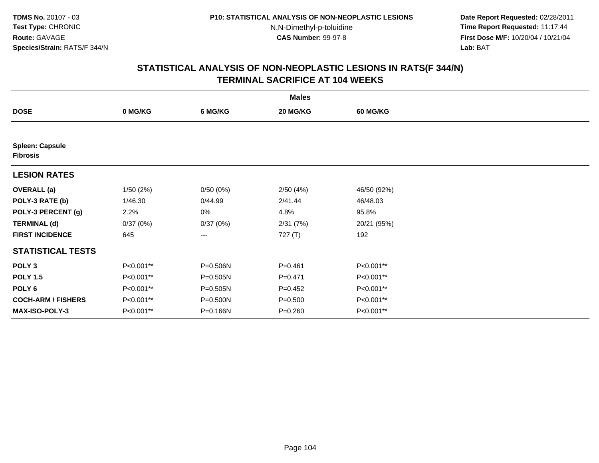**Date Report Requested:** 02/28/2011 **Time Report Requested:** 11:17:44 **First Dose M/F:** 10/20/04 / 10/21/04<br>**Lab:** BAT **Lab:** BAT

|                                           | <b>Males</b> |          |             |                 |  |  |  |  |
|-------------------------------------------|--------------|----------|-------------|-----------------|--|--|--|--|
| <b>DOSE</b>                               | 0 MG/KG      | 6 MG/KG  | 20 MG/KG    | <b>60 MG/KG</b> |  |  |  |  |
|                                           |              |          |             |                 |  |  |  |  |
| <b>Spleen: Capsule</b><br><b>Fibrosis</b> |              |          |             |                 |  |  |  |  |
| <b>LESION RATES</b>                       |              |          |             |                 |  |  |  |  |
| <b>OVERALL</b> (a)                        | 1/50(2%)     | 0/50(0%) | 2/50(4%)    | 46/50 (92%)     |  |  |  |  |
| POLY-3 RATE (b)                           | 1/46.30      | 0/44.99  | 2/41.44     | 46/48.03        |  |  |  |  |
| POLY-3 PERCENT (g)                        | 2.2%         | 0%       | 4.8%        | 95.8%           |  |  |  |  |
| <b>TERMINAL (d)</b>                       | 0/37(0%)     | 0/37(0%) | 2/31(7%)    | 20/21 (95%)     |  |  |  |  |
| <b>FIRST INCIDENCE</b>                    | 645          | ---      | 727 (T)     | 192             |  |  |  |  |
| <b>STATISTICAL TESTS</b>                  |              |          |             |                 |  |  |  |  |
| POLY <sub>3</sub>                         | P<0.001**    | P=0.506N | $P = 0.461$ | P<0.001**       |  |  |  |  |
| <b>POLY 1.5</b>                           | P<0.001**    | P=0.505N | $P = 0.471$ | P<0.001**       |  |  |  |  |
| POLY <sub>6</sub>                         | P<0.001**    | P=0.505N | $P=0.452$   | P<0.001**       |  |  |  |  |
| <b>COCH-ARM / FISHERS</b>                 | P<0.001**    | P=0.500N | $P = 0.500$ | P<0.001**       |  |  |  |  |
| <b>MAX-ISO-POLY-3</b>                     | P<0.001**    | P=0.166N | $P = 0.260$ | P<0.001**       |  |  |  |  |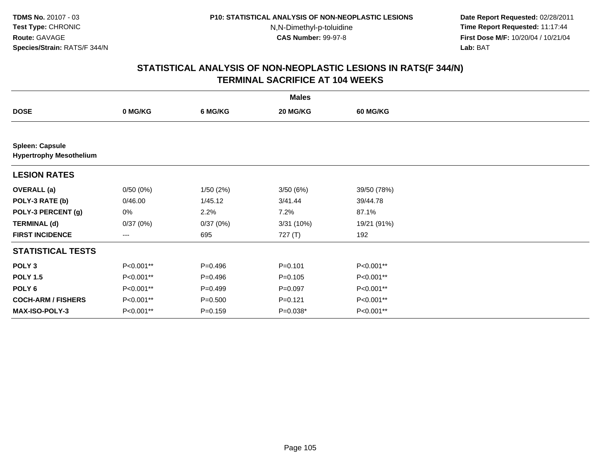N,N-Dimethyl-p-toluidine

 **Date Report Requested:** 02/28/2011 **Time Report Requested:** 11:17:44 **First Dose M/F:** 10/20/04 / 10/21/04<br>**Lab:** BAT **Lab:** BAT

| <b>Males</b>                                             |           |             |             |                 |  |  |  |
|----------------------------------------------------------|-----------|-------------|-------------|-----------------|--|--|--|
| <b>DOSE</b>                                              | 0 MG/KG   | 6 MG/KG     | 20 MG/KG    | <b>60 MG/KG</b> |  |  |  |
|                                                          |           |             |             |                 |  |  |  |
| <b>Spleen: Capsule</b><br><b>Hypertrophy Mesothelium</b> |           |             |             |                 |  |  |  |
| <b>LESION RATES</b>                                      |           |             |             |                 |  |  |  |
| <b>OVERALL</b> (a)                                       | 0/50(0%)  | 1/50 (2%)   | 3/50(6%)    | 39/50 (78%)     |  |  |  |
| POLY-3 RATE (b)                                          | 0/46.00   | 1/45.12     | 3/41.44     | 39/44.78        |  |  |  |
| POLY-3 PERCENT (g)                                       | 0%        | 2.2%        | 7.2%        | 87.1%           |  |  |  |
| <b>TERMINAL (d)</b>                                      | 0/37(0%)  | 0/37(0%)    | 3/31(10%)   | 19/21 (91%)     |  |  |  |
| <b>FIRST INCIDENCE</b>                                   | ---       | 695         | 727 (T)     | 192             |  |  |  |
| <b>STATISTICAL TESTS</b>                                 |           |             |             |                 |  |  |  |
| POLY <sub>3</sub>                                        | P<0.001** | $P = 0.496$ | $P = 0.101$ | P<0.001**       |  |  |  |
| <b>POLY 1.5</b>                                          | P<0.001** | $P = 0.496$ | $P = 0.105$ | P<0.001**       |  |  |  |
| POLY <sub>6</sub>                                        | P<0.001** | $P = 0.499$ | $P = 0.097$ | P<0.001**       |  |  |  |
| <b>COCH-ARM / FISHERS</b>                                | P<0.001** | $P = 0.500$ | $P = 0.121$ | P<0.001**       |  |  |  |
| MAX-ISO-POLY-3                                           | P<0.001** | $P = 0.159$ | P=0.038*    | P<0.001**       |  |  |  |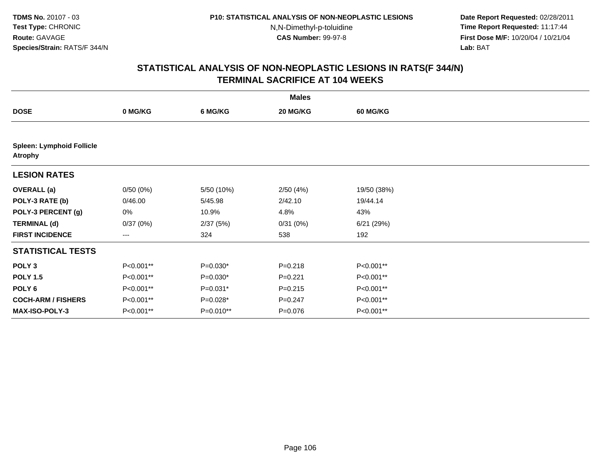**Date Report Requested:** 02/28/2011 **Time Report Requested:** 11:17:44 **First Dose M/F:** 10/20/04 / 10/21/04<br>**Lab:** BAT **Lab:** BAT

| <b>Males</b>                                       |           |            |             |             |  |  |  |
|----------------------------------------------------|-----------|------------|-------------|-------------|--|--|--|
| <b>DOSE</b>                                        | 0 MG/KG   | 6 MG/KG    | 20 MG/KG    | 60 MG/KG    |  |  |  |
|                                                    |           |            |             |             |  |  |  |
| <b>Spleen: Lymphoid Follicle</b><br><b>Atrophy</b> |           |            |             |             |  |  |  |
| <b>LESION RATES</b>                                |           |            |             |             |  |  |  |
| <b>OVERALL (a)</b>                                 | 0/50(0%)  | 5/50 (10%) | 2/50(4%)    | 19/50 (38%) |  |  |  |
| POLY-3 RATE (b)                                    | 0/46.00   | 5/45.98    | 2/42.10     | 19/44.14    |  |  |  |
| POLY-3 PERCENT (g)                                 | 0%        | 10.9%      | 4.8%        | 43%         |  |  |  |
| <b>TERMINAL (d)</b>                                | 0/37(0%)  | 2/37(5%)   | 0/31(0%)    | 6/21(29%)   |  |  |  |
| <b>FIRST INCIDENCE</b>                             | ---       | 324        | 538         | 192         |  |  |  |
| <b>STATISTICAL TESTS</b>                           |           |            |             |             |  |  |  |
| POLY <sub>3</sub>                                  | P<0.001** | $P=0.030*$ | $P = 0.218$ | P<0.001**   |  |  |  |
| <b>POLY 1.5</b>                                    | P<0.001** | $P=0.030*$ | $P=0.221$   | P<0.001**   |  |  |  |
| POLY 6                                             | P<0.001** | $P=0.031*$ | $P = 0.215$ | P<0.001**   |  |  |  |
| <b>COCH-ARM / FISHERS</b>                          | P<0.001** | P=0.028*   | $P = 0.247$ | P<0.001**   |  |  |  |
| MAX-ISO-POLY-3                                     | P<0.001** | P=0.010**  | $P = 0.076$ | P<0.001**   |  |  |  |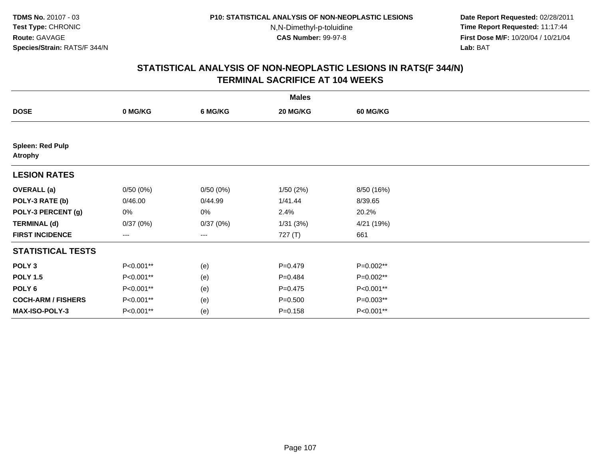**Date Report Requested:** 02/28/2011 **Time Report Requested:** 11:17:44 **First Dose M/F:** 10/20/04 / 10/21/04<br>**Lab:** BAT **Lab:** BAT

|                                           | <b>Males</b> |          |             |                 |  |  |  |  |
|-------------------------------------------|--------------|----------|-------------|-----------------|--|--|--|--|
| <b>DOSE</b>                               | 0 MG/KG      | 6 MG/KG  | 20 MG/KG    | <b>60 MG/KG</b> |  |  |  |  |
|                                           |              |          |             |                 |  |  |  |  |
| <b>Spleen: Red Pulp</b><br><b>Atrophy</b> |              |          |             |                 |  |  |  |  |
| <b>LESION RATES</b>                       |              |          |             |                 |  |  |  |  |
| <b>OVERALL</b> (a)                        | 0/50(0%)     | 0/50(0%) | 1/50(2%)    | 8/50 (16%)      |  |  |  |  |
| POLY-3 RATE (b)                           | 0/46.00      | 0/44.99  | 1/41.44     | 8/39.65         |  |  |  |  |
| POLY-3 PERCENT (g)                        | 0%           | 0%       | 2.4%        | 20.2%           |  |  |  |  |
| <b>TERMINAL (d)</b>                       | 0/37(0%)     | 0/37(0%) | 1/31(3%)    | 4/21 (19%)      |  |  |  |  |
| <b>FIRST INCIDENCE</b>                    | $---$        | ---      | 727 (T)     | 661             |  |  |  |  |
| <b>STATISTICAL TESTS</b>                  |              |          |             |                 |  |  |  |  |
| POLY <sub>3</sub>                         | P<0.001**    | (e)      | $P = 0.479$ | P=0.002**       |  |  |  |  |
| <b>POLY 1.5</b>                           | P<0.001**    | (e)      | $P=0.484$   | P=0.002**       |  |  |  |  |
| POLY 6                                    | P<0.001**    | (e)      | $P=0.475$   | P<0.001**       |  |  |  |  |
| <b>COCH-ARM / FISHERS</b>                 | P<0.001**    | (e)      | $P = 0.500$ | P=0.003**       |  |  |  |  |
| <b>MAX-ISO-POLY-3</b>                     | P<0.001**    | (e)      | $P = 0.158$ | P<0.001**       |  |  |  |  |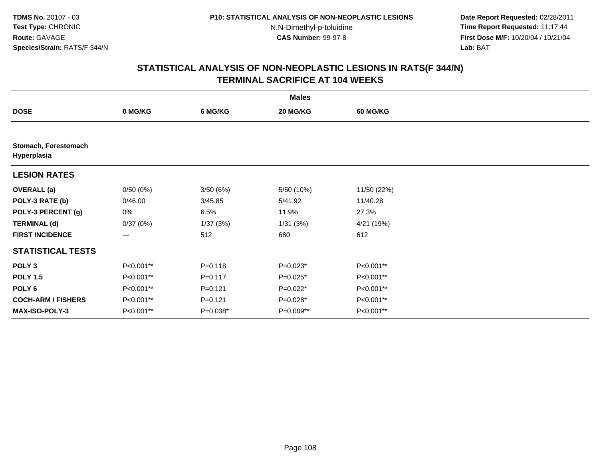**Date Report Requested:** 02/28/2011 **Time Report Requested:** 11:17:44 **First Dose M/F:** 10/20/04 / 10/21/04<br>**Lab:** BAT **Lab:** BAT

|                                     |           |             | <b>Males</b> |             |  |
|-------------------------------------|-----------|-------------|--------------|-------------|--|
| <b>DOSE</b>                         | 0 MG/KG   | 6 MG/KG     | 20 MG/KG     | 60 MG/KG    |  |
|                                     |           |             |              |             |  |
| Stomach, Forestomach<br>Hyperplasia |           |             |              |             |  |
| <b>LESION RATES</b>                 |           |             |              |             |  |
| <b>OVERALL (a)</b>                  | 0/50(0%)  | 3/50(6%)    | 5/50 (10%)   | 11/50 (22%) |  |
| POLY-3 RATE (b)                     | 0/46.00   | 3/45.85     | 5/41.92      | 11/40.28    |  |
| POLY-3 PERCENT (g)                  | 0%        | 6.5%        | 11.9%        | 27.3%       |  |
| <b>TERMINAL (d)</b>                 | 0/37(0%)  | 1/37(3%)    | 1/31(3%)     | 4/21 (19%)  |  |
| <b>FIRST INCIDENCE</b>              | ---       | 512         | 680          | 612         |  |
| <b>STATISTICAL TESTS</b>            |           |             |              |             |  |
| POLY <sub>3</sub>                   | P<0.001** | $P = 0.118$ | $P=0.023*$   | P<0.001**   |  |
| <b>POLY 1.5</b>                     | P<0.001** | $P = 0.117$ | $P=0.025*$   | P<0.001**   |  |
| POLY 6                              | P<0.001** | $P = 0.121$ | $P=0.022*$   | P<0.001**   |  |
| <b>COCH-ARM / FISHERS</b>           | P<0.001** | $P = 0.121$ | $P=0.028*$   | P<0.001**   |  |
| MAX-ISO-POLY-3                      | P<0.001** | P=0.038*    | P=0.009**    | P<0.001**   |  |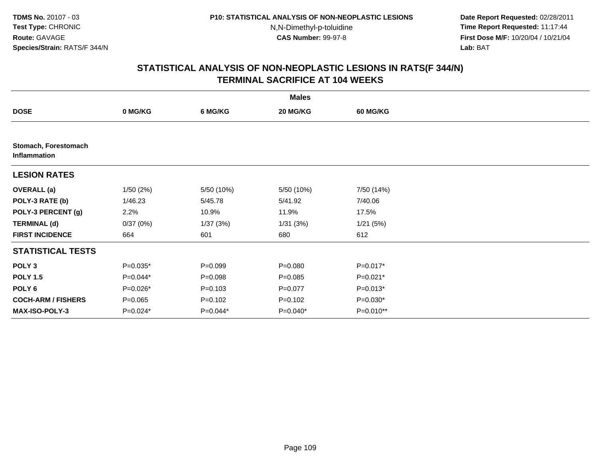**Date Report Requested:** 02/28/2011 **Time Report Requested:** 11:17:44 **First Dose M/F:** 10/20/04 / 10/21/04<br>**Lab:** BAT **Lab:** BAT

|                                      |             |             | <b>Males</b> |            |  |
|--------------------------------------|-------------|-------------|--------------|------------|--|
| <b>DOSE</b>                          | 0 MG/KG     | 6 MG/KG     | 20 MG/KG     | 60 MG/KG   |  |
|                                      |             |             |              |            |  |
| Stomach, Forestomach<br>Inflammation |             |             |              |            |  |
| <b>LESION RATES</b>                  |             |             |              |            |  |
| <b>OVERALL</b> (a)                   | 1/50(2%)    | 5/50 (10%)  | 5/50 (10%)   | 7/50 (14%) |  |
| POLY-3 RATE (b)                      | 1/46.23     | 5/45.78     | 5/41.92      | 7/40.06    |  |
| POLY-3 PERCENT (g)                   | 2.2%        | 10.9%       | 11.9%        | 17.5%      |  |
| <b>TERMINAL (d)</b>                  | 0/37(0%)    | 1/37(3%)    | 1/31(3%)     | 1/21(5%)   |  |
| <b>FIRST INCIDENCE</b>               | 664         | 601         | 680          | 612        |  |
| <b>STATISTICAL TESTS</b>             |             |             |              |            |  |
| POLY <sub>3</sub>                    | $P=0.035*$  | $P = 0.099$ | $P = 0.080$  | P=0.017*   |  |
| <b>POLY 1.5</b>                      | $P=0.044*$  | $P = 0.098$ | $P = 0.085$  | P=0.021*   |  |
| POLY 6                               | $P=0.026*$  | $P = 0.103$ | $P=0.077$    | $P=0.013*$ |  |
| <b>COCH-ARM / FISHERS</b>            | $P = 0.065$ | $P = 0.102$ | $P = 0.102$  | P=0.030*   |  |
| MAX-ISO-POLY-3                       | P=0.024*    | P=0.044*    | P=0.040*     | P=0.010**  |  |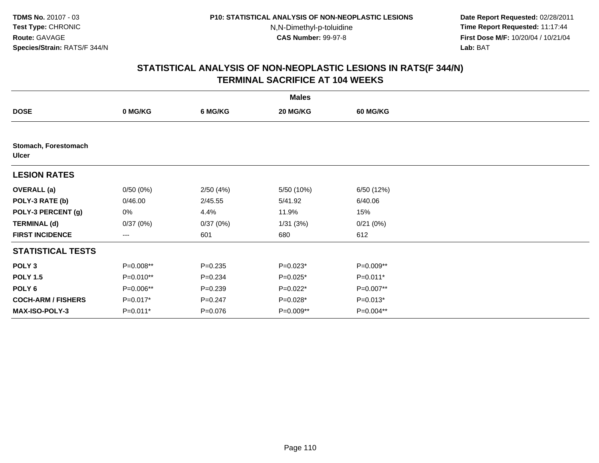**Date Report Requested:** 02/28/2011 **Time Report Requested:** 11:17:44 **First Dose M/F:** 10/20/04 / 10/21/04<br>**Lab:** BAT **Lab:** BAT

|                                      |            |             | <b>Males</b> |            |  |
|--------------------------------------|------------|-------------|--------------|------------|--|
| <b>DOSE</b>                          | 0 MG/KG    | 6 MG/KG     | 20 MG/KG     | 60 MG/KG   |  |
|                                      |            |             |              |            |  |
| Stomach, Forestomach<br><b>Ulcer</b> |            |             |              |            |  |
| <b>LESION RATES</b>                  |            |             |              |            |  |
| <b>OVERALL</b> (a)                   | 0/50(0%)   | 2/50(4%)    | 5/50 (10%)   | 6/50 (12%) |  |
| POLY-3 RATE (b)                      | 0/46.00    | 2/45.55     | 5/41.92      | 6/40.06    |  |
| POLY-3 PERCENT (g)                   | 0%         | 4.4%        | 11.9%        | 15%        |  |
| <b>TERMINAL (d)</b>                  | 0/37(0%)   | 0/37(0%)    | 1/31(3%)     | 0/21(0%)   |  |
| <b>FIRST INCIDENCE</b>               | $--$       | 601         | 680          | 612        |  |
| <b>STATISTICAL TESTS</b>             |            |             |              |            |  |
| POLY <sub>3</sub>                    | P=0.008**  | $P = 0.235$ | $P=0.023*$   | P=0.009**  |  |
| <b>POLY 1.5</b>                      | P=0.010**  | $P = 0.234$ | $P=0.025*$   | P=0.011*   |  |
| POLY 6                               | P=0.006**  | $P = 0.239$ | $P=0.022*$   | P=0.007**  |  |
| <b>COCH-ARM / FISHERS</b>            | $P=0.017*$ | $P = 0.247$ | P=0.028*     | $P=0.013*$ |  |
| <b>MAX-ISO-POLY-3</b>                | P=0.011*   | $P = 0.076$ | P=0.009**    | P=0.004**  |  |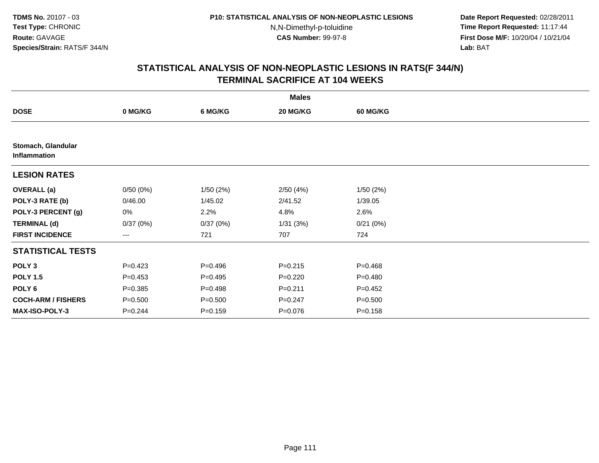**Date Report Requested:** 02/28/2011 **Time Report Requested:** 11:17:44 **First Dose M/F:** 10/20/04 / 10/21/04<br>**Lab:** BAT **Lab:** BAT

| <b>Males</b>                       |             |             |             |                 |  |  |  |
|------------------------------------|-------------|-------------|-------------|-----------------|--|--|--|
| <b>DOSE</b>                        | 0 MG/KG     | 6 MG/KG     | 20 MG/KG    | <b>60 MG/KG</b> |  |  |  |
|                                    |             |             |             |                 |  |  |  |
| Stomach, Glandular<br>Inflammation |             |             |             |                 |  |  |  |
| <b>LESION RATES</b>                |             |             |             |                 |  |  |  |
| <b>OVERALL</b> (a)                 | 0/50(0%)    | 1/50(2%)    | 2/50(4%)    | 1/50(2%)        |  |  |  |
| POLY-3 RATE (b)                    | 0/46.00     | 1/45.02     | 2/41.52     | 1/39.05         |  |  |  |
| POLY-3 PERCENT (g)                 | 0%          | 2.2%        | 4.8%        | 2.6%            |  |  |  |
| <b>TERMINAL (d)</b>                | 0/37(0%)    | 0/37(0%)    | 1/31(3%)    | 0/21(0%)        |  |  |  |
| <b>FIRST INCIDENCE</b>             | ---         | 721         | 707         | 724             |  |  |  |
| <b>STATISTICAL TESTS</b>           |             |             |             |                 |  |  |  |
| POLY <sub>3</sub>                  | $P = 0.423$ | $P = 0.496$ | $P = 0.215$ | $P = 0.468$     |  |  |  |
| <b>POLY 1.5</b>                    | $P = 0.453$ | $P = 0.495$ | $P = 0.220$ | $P = 0.480$     |  |  |  |
| POLY 6                             | $P = 0.385$ | $P = 0.498$ | $P = 0.211$ | $P = 0.452$     |  |  |  |
| <b>COCH-ARM / FISHERS</b>          | $P = 0.500$ | $P = 0.500$ | $P = 0.247$ | $P = 0.500$     |  |  |  |
| <b>MAX-ISO-POLY-3</b>              | $P = 0.244$ | $P = 0.159$ | $P = 0.076$ | $P = 0.158$     |  |  |  |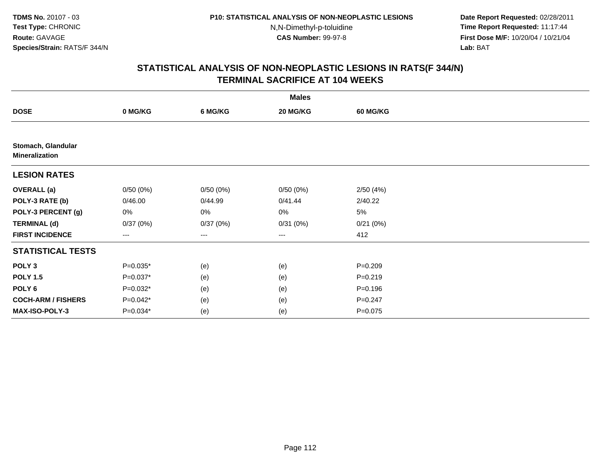**Date Report Requested:** 02/28/2011 **Time Report Requested:** 11:17:44 **First Dose M/F:** 10/20/04 / 10/21/04<br>**Lab:** BAT **Lab:** BAT

|                                             |            |          | <b>Males</b> |             |  |
|---------------------------------------------|------------|----------|--------------|-------------|--|
| <b>DOSE</b>                                 | 0 MG/KG    | 6 MG/KG  | 20 MG/KG     | 60 MG/KG    |  |
|                                             |            |          |              |             |  |
| Stomach, Glandular<br><b>Mineralization</b> |            |          |              |             |  |
| <b>LESION RATES</b>                         |            |          |              |             |  |
| <b>OVERALL</b> (a)                          | 0/50(0%)   | 0/50(0%) | 0/50(0%)     | 2/50(4%)    |  |
| POLY-3 RATE (b)                             | 0/46.00    | 0/44.99  | 0/41.44      | 2/40.22     |  |
| POLY-3 PERCENT (g)                          | 0%         | 0%       | 0%           | 5%          |  |
| <b>TERMINAL (d)</b>                         | 0/37(0%)   | 0/37(0%) | 0/31(0%)     | 0/21(0%)    |  |
| <b>FIRST INCIDENCE</b>                      | $---$      | ---      | ---          | 412         |  |
| <b>STATISTICAL TESTS</b>                    |            |          |              |             |  |
| POLY <sub>3</sub>                           | $P=0.035*$ | (e)      | (e)          | $P=0.209$   |  |
| <b>POLY 1.5</b>                             | $P=0.037*$ | (e)      | (e)          | $P = 0.219$ |  |
| POLY 6                                      | $P=0.032*$ | (e)      | (e)          | $P = 0.196$ |  |
| <b>COCH-ARM / FISHERS</b>                   | $P=0.042*$ | (e)      | (e)          | $P = 0.247$ |  |
| MAX-ISO-POLY-3                              | $P=0.034*$ | (e)      | (e)          | $P = 0.075$ |  |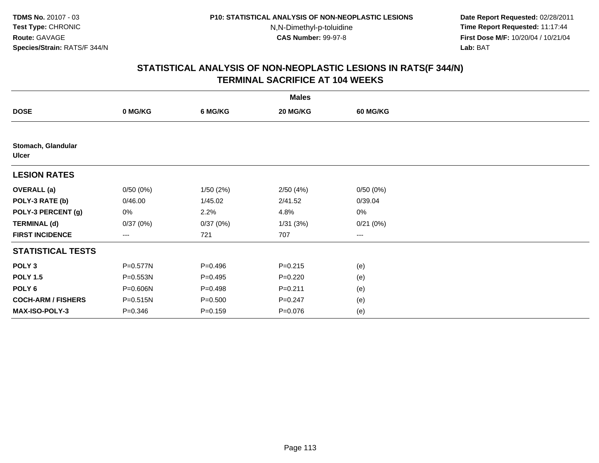**Date Report Requested:** 02/28/2011 **Time Report Requested:** 11:17:44 **First Dose M/F:** 10/20/04 / 10/21/04<br>**Lab:** BAT **Lab:** BAT

|                                    |             |             | <b>Males</b> |                 |  |
|------------------------------------|-------------|-------------|--------------|-----------------|--|
| <b>DOSE</b>                        | 0 MG/KG     | 6 MG/KG     | 20 MG/KG     | <b>60 MG/KG</b> |  |
|                                    |             |             |              |                 |  |
| Stomach, Glandular<br><b>Ulcer</b> |             |             |              |                 |  |
| <b>LESION RATES</b>                |             |             |              |                 |  |
| <b>OVERALL</b> (a)                 | 0/50(0%)    | 1/50(2%)    | 2/50(4%)     | 0/50(0%)        |  |
| POLY-3 RATE (b)                    | 0/46.00     | 1/45.02     | 2/41.52      | 0/39.04         |  |
| POLY-3 PERCENT (g)                 | 0%          | 2.2%        | 4.8%         | 0%              |  |
| <b>TERMINAL (d)</b>                | 0/37(0%)    | 0/37(0%)    | 1/31(3%)     | 0/21(0%)        |  |
| <b>FIRST INCIDENCE</b>             | ---         | 721         | 707          | ---             |  |
| <b>STATISTICAL TESTS</b>           |             |             |              |                 |  |
| POLY <sub>3</sub>                  | P=0.577N    | $P = 0.496$ | $P = 0.215$  | (e)             |  |
| <b>POLY 1.5</b>                    | P=0.553N    | $P = 0.495$ | $P = 0.220$  | (e)             |  |
| POLY <sub>6</sub>                  | P=0.606N    | $P = 0.498$ | $P = 0.211$  | (e)             |  |
| <b>COCH-ARM / FISHERS</b>          | P=0.515N    | $P = 0.500$ | $P = 0.247$  | (e)             |  |
| MAX-ISO-POLY-3                     | $P = 0.346$ | $P = 0.159$ | $P = 0.076$  | (e)             |  |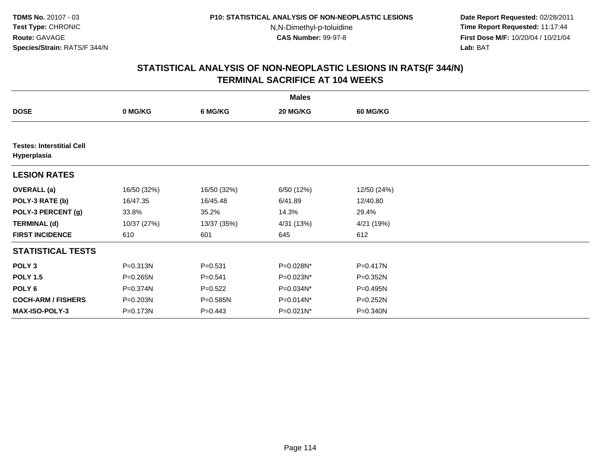**Date Report Requested:** 02/28/2011 **Time Report Requested:** 11:17:44 **First Dose M/F:** 10/20/04 / 10/21/04<br>**Lab:** BAT **Lab:** BAT

|                                                 | <b>Males</b> |             |            |                 |  |  |  |  |
|-------------------------------------------------|--------------|-------------|------------|-----------------|--|--|--|--|
| <b>DOSE</b>                                     | 0 MG/KG      | 6 MG/KG     | 20 MG/KG   | <b>60 MG/KG</b> |  |  |  |  |
|                                                 |              |             |            |                 |  |  |  |  |
| <b>Testes: Interstitial Cell</b><br>Hyperplasia |              |             |            |                 |  |  |  |  |
| <b>LESION RATES</b>                             |              |             |            |                 |  |  |  |  |
| <b>OVERALL</b> (a)                              | 16/50 (32%)  | 16/50 (32%) | 6/50 (12%) | 12/50 (24%)     |  |  |  |  |
| POLY-3 RATE (b)                                 | 16/47.35     | 16/45.48    | 6/41.89    | 12/40.80        |  |  |  |  |
| POLY-3 PERCENT (g)                              | 33.8%        | 35.2%       | 14.3%      | 29.4%           |  |  |  |  |
| <b>TERMINAL (d)</b>                             | 10/37 (27%)  | 13/37 (35%) | 4/31 (13%) | 4/21 (19%)      |  |  |  |  |
| <b>FIRST INCIDENCE</b>                          | 610          | 601         | 645        | 612             |  |  |  |  |
| <b>STATISTICAL TESTS</b>                        |              |             |            |                 |  |  |  |  |
| POLY <sub>3</sub>                               | P=0.313N     | $P = 0.531$ | P=0.028N*  | P=0.417N        |  |  |  |  |
| <b>POLY 1.5</b>                                 | P=0.265N     | $P = 0.541$ | P=0.023N*  | P=0.352N        |  |  |  |  |
| POLY <sub>6</sub>                               | P=0.374N     | $P=0.522$   | P=0.034N*  | P=0.495N        |  |  |  |  |
| <b>COCH-ARM / FISHERS</b>                       | P=0.203N     | P=0.585N    | P=0.014N*  | P=0.252N        |  |  |  |  |
| <b>MAX-ISO-POLY-3</b>                           | P=0.173N     | $P = 0.443$ | P=0.021N*  | P=0.340N        |  |  |  |  |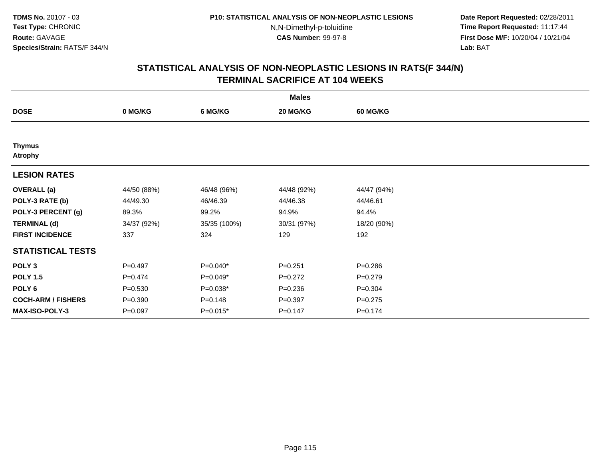**Date Report Requested:** 02/28/2011 **Time Report Requested:** 11:17:44 **First Dose M/F:** 10/20/04 / 10/21/04<br>**Lab:** BAT **Lab:** BAT

|                                 | <b>Males</b> |              |             |                 |  |  |  |  |
|---------------------------------|--------------|--------------|-------------|-----------------|--|--|--|--|
| <b>DOSE</b>                     | 0 MG/KG      | 6 MG/KG      | 20 MG/KG    | <b>60 MG/KG</b> |  |  |  |  |
|                                 |              |              |             |                 |  |  |  |  |
| <b>Thymus</b><br><b>Atrophy</b> |              |              |             |                 |  |  |  |  |
| <b>LESION RATES</b>             |              |              |             |                 |  |  |  |  |
| <b>OVERALL</b> (a)              | 44/50 (88%)  | 46/48 (96%)  | 44/48 (92%) | 44/47 (94%)     |  |  |  |  |
| POLY-3 RATE (b)                 | 44/49.30     | 46/46.39     | 44/46.38    | 44/46.61        |  |  |  |  |
| POLY-3 PERCENT (g)              | 89.3%        | 99.2%        | 94.9%       | 94.4%           |  |  |  |  |
| <b>TERMINAL (d)</b>             | 34/37 (92%)  | 35/35 (100%) | 30/31 (97%) | 18/20 (90%)     |  |  |  |  |
| <b>FIRST INCIDENCE</b>          | 337          | 324          | 129         | 192             |  |  |  |  |
| <b>STATISTICAL TESTS</b>        |              |              |             |                 |  |  |  |  |
| POLY <sub>3</sub>               | $P=0.497$    | P=0.040*     | $P = 0.251$ | $P = 0.286$     |  |  |  |  |
| <b>POLY 1.5</b>                 | $P=0.474$    | P=0.049*     | $P=0.272$   | $P = 0.279$     |  |  |  |  |
| POLY 6                          | $P = 0.530$  | P=0.038*     | $P = 0.236$ | $P = 0.304$     |  |  |  |  |
| <b>COCH-ARM / FISHERS</b>       | $P = 0.390$  | $P = 0.148$  | $P = 0.397$ | $P=0.275$       |  |  |  |  |
| MAX-ISO-POLY-3                  | $P = 0.097$  | $P=0.015*$   | $P = 0.147$ | $P = 0.174$     |  |  |  |  |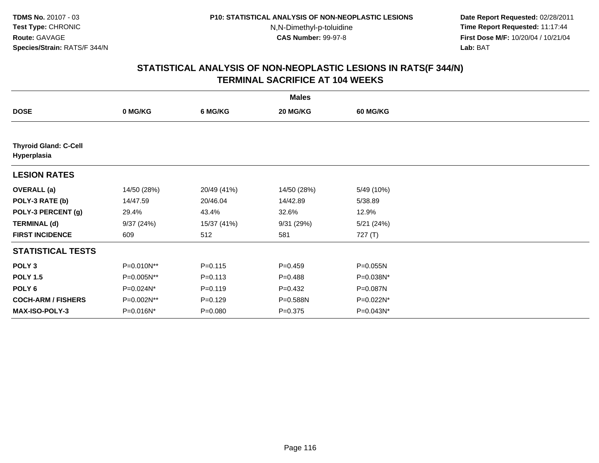**Date Report Requested:** 02/28/2011 **Time Report Requested:** 11:17:44 **First Dose M/F:** 10/20/04 / 10/21/04<br>**Lab:** BAT **Lab:** BAT

| <b>Males</b>                                |             |             |             |            |  |  |  |
|---------------------------------------------|-------------|-------------|-------------|------------|--|--|--|
| <b>DOSE</b>                                 | 0 MG/KG     | 6 MG/KG     | 20 MG/KG    | 60 MG/KG   |  |  |  |
|                                             |             |             |             |            |  |  |  |
| <b>Thyroid Gland: C-Cell</b><br>Hyperplasia |             |             |             |            |  |  |  |
| <b>LESION RATES</b>                         |             |             |             |            |  |  |  |
| <b>OVERALL</b> (a)                          | 14/50 (28%) | 20/49 (41%) | 14/50 (28%) | 5/49 (10%) |  |  |  |
| POLY-3 RATE (b)                             | 14/47.59    | 20/46.04    | 14/42.89    | 5/38.89    |  |  |  |
| POLY-3 PERCENT (g)                          | 29.4%       | 43.4%       | 32.6%       | 12.9%      |  |  |  |
| <b>TERMINAL (d)</b>                         | 9/37(24%)   | 15/37 (41%) | 9/31(29%)   | 5/21(24%)  |  |  |  |
| <b>FIRST INCIDENCE</b>                      | 609         | 512         | 581         | 727 (T)    |  |  |  |
| <b>STATISTICAL TESTS</b>                    |             |             |             |            |  |  |  |
| POLY <sub>3</sub>                           | P=0.010N**  | $P = 0.115$ | $P=0.459$   | P=0.055N   |  |  |  |
| <b>POLY 1.5</b>                             | P=0.005N**  | $P = 0.113$ | $P = 0.488$ | P=0.038N*  |  |  |  |
| POLY 6                                      | P=0.024N*   | $P=0.119$   | $P=0.432$   | P=0.087N   |  |  |  |
| <b>COCH-ARM / FISHERS</b>                   | P=0.002N**  | $P=0.129$   | P=0.588N    | P=0.022N*  |  |  |  |
| MAX-ISO-POLY-3                              | P=0.016N*   | $P = 0.080$ | $P = 0.375$ | P=0.043N*  |  |  |  |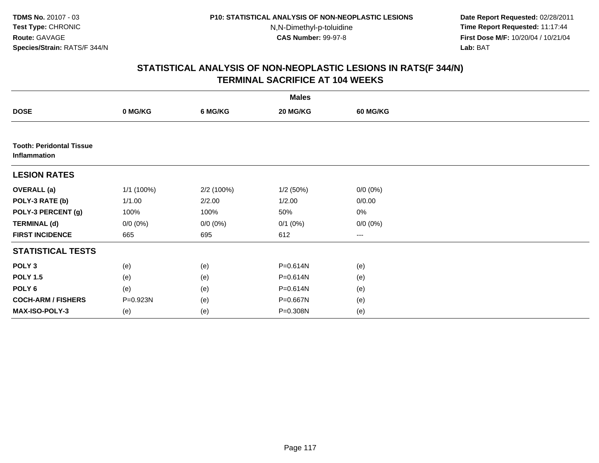**Date Report Requested:** 02/28/2011 **Time Report Requested:** 11:17:44 **First Dose M/F:** 10/20/04 / 10/21/04<br>**Lab:** BAT **Lab:** BAT

| <b>Males</b>                                    |             |             |              |                 |  |  |  |
|-------------------------------------------------|-------------|-------------|--------------|-----------------|--|--|--|
| <b>DOSE</b>                                     | 0 MG/KG     | 6 MG/KG     | 20 MG/KG     | <b>60 MG/KG</b> |  |  |  |
|                                                 |             |             |              |                 |  |  |  |
| <b>Tooth: Peridontal Tissue</b><br>Inflammation |             |             |              |                 |  |  |  |
| <b>LESION RATES</b>                             |             |             |              |                 |  |  |  |
| <b>OVERALL</b> (a)                              | 1/1 (100%)  | 2/2 (100%)  | 1/2(50%)     | $0/0 (0\%)$     |  |  |  |
| POLY-3 RATE (b)                                 | 1/1.00      | 2/2.00      | 1/2.00       | 0/0.00          |  |  |  |
| POLY-3 PERCENT (g)                              | 100%        | 100%        | 50%          | 0%              |  |  |  |
| <b>TERMINAL (d)</b>                             | $0/0 (0\%)$ | $0/0 (0\%)$ | $0/1$ $(0%)$ | $0/0 (0\%)$     |  |  |  |
| <b>FIRST INCIDENCE</b>                          | 665         | 695         | 612          | $--$            |  |  |  |
| <b>STATISTICAL TESTS</b>                        |             |             |              |                 |  |  |  |
| POLY <sub>3</sub>                               | (e)         | (e)         | P=0.614N     | (e)             |  |  |  |
| <b>POLY 1.5</b>                                 | (e)         | (e)         | P=0.614N     | (e)             |  |  |  |
| POLY 6                                          | (e)         | (e)         | P=0.614N     | (e)             |  |  |  |
| <b>COCH-ARM / FISHERS</b>                       | P=0.923N    | (e)         | P=0.667N     | (e)             |  |  |  |
| MAX-ISO-POLY-3                                  | (e)         | (e)         | P=0.308N     | (e)             |  |  |  |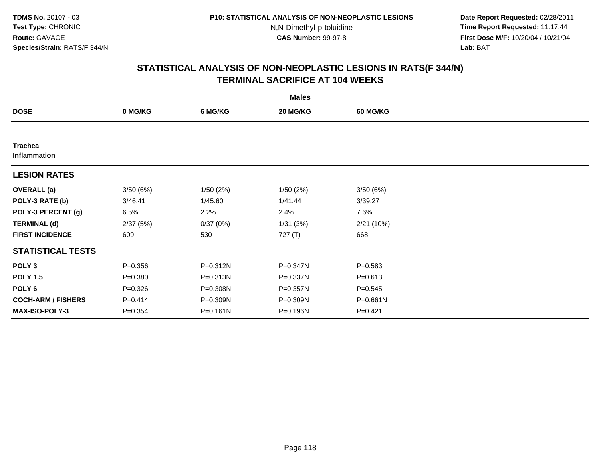**TDMS No.** 20107 - 03**Test Type:** CHRONIC**Route:** GAVAGE**Species/Strain:** RATS/F 344/N

N,N-Dimethyl-p-toluidine

 **Date Report Requested:** 02/28/2011 **Time Report Requested:** 11:17:44 **First Dose M/F:** 10/20/04 / 10/21/04<br>**Lab:** BAT **Lab:** BAT

|                                |             |              | <b>Males</b> |                 |  |
|--------------------------------|-------------|--------------|--------------|-----------------|--|
| <b>DOSE</b>                    | 0 MG/KG     | 6 MG/KG      | 20 MG/KG     | <b>60 MG/KG</b> |  |
|                                |             |              |              |                 |  |
| <b>Trachea</b><br>Inflammation |             |              |              |                 |  |
| <b>LESION RATES</b>            |             |              |              |                 |  |
| <b>OVERALL</b> (a)             | 3/50(6%)    | 1/50(2%)     | 1/50(2%)     | 3/50(6%)        |  |
| POLY-3 RATE (b)                | 3/46.41     | 1/45.60      | 1/41.44      | 3/39.27         |  |
| POLY-3 PERCENT (g)             | 6.5%        | 2.2%         | 2.4%         | 7.6%            |  |
| <b>TERMINAL (d)</b>            | 2/37(5%)    | 0/37(0%)     | 1/31(3%)     | 2/21(10%)       |  |
| <b>FIRST INCIDENCE</b>         | 609         | 530          | 727 (T)      | 668             |  |
| <b>STATISTICAL TESTS</b>       |             |              |              |                 |  |
| POLY <sub>3</sub>              | $P = 0.356$ | P=0.312N     | P=0.347N     | $P = 0.583$     |  |
| <b>POLY 1.5</b>                | $P = 0.380$ | P=0.313N     | P=0.337N     | $P = 0.613$     |  |
| POLY <sub>6</sub>              | $P = 0.326$ | P=0.308N     | P=0.357N     | $P = 0.545$     |  |
| <b>COCH-ARM / FISHERS</b>      | $P = 0.414$ | P=0.309N     | P=0.309N     | $P = 0.661N$    |  |
| <b>MAX-ISO-POLY-3</b>          | $P = 0.354$ | $P = 0.161N$ | P=0.196N     | $P = 0.421$     |  |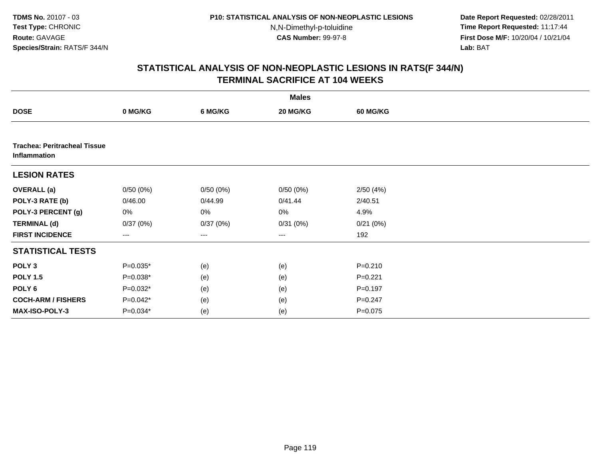**Date Report Requested:** 02/28/2011 **Time Report Requested:** 11:17:44 **First Dose M/F:** 10/20/04 / 10/21/04<br>**Lab:** BAT **Lab:** BAT

|                                                     |          |          | <b>Males</b> |             |  |  |  |  |
|-----------------------------------------------------|----------|----------|--------------|-------------|--|--|--|--|
| <b>DOSE</b>                                         | 0 MG/KG  | 6 MG/KG  | 20 MG/KG     | 60 MG/KG    |  |  |  |  |
|                                                     |          |          |              |             |  |  |  |  |
| <b>Trachea: Peritracheal Tissue</b><br>Inflammation |          |          |              |             |  |  |  |  |
| <b>LESION RATES</b>                                 |          |          |              |             |  |  |  |  |
| <b>OVERALL</b> (a)                                  | 0/50(0%) | 0/50(0%) | 0/50(0%)     | 2/50(4%)    |  |  |  |  |
| POLY-3 RATE (b)                                     | 0/46.00  | 0/44.99  | 0/41.44      | 2/40.51     |  |  |  |  |
| POLY-3 PERCENT (g)                                  | 0%       | 0%       | 0%           | 4.9%        |  |  |  |  |
| <b>TERMINAL (d)</b>                                 | 0/37(0%) | 0/37(0%) | 0/31(0%)     | 0/21(0%)    |  |  |  |  |
| <b>FIRST INCIDENCE</b>                              | ---      | $--$     | $\cdots$     | 192         |  |  |  |  |
| <b>STATISTICAL TESTS</b>                            |          |          |              |             |  |  |  |  |
| POLY <sub>3</sub>                                   | P=0.035* | (e)      | (e)          | $P = 0.210$ |  |  |  |  |
| <b>POLY 1.5</b>                                     | P=0.038* | (e)      | (e)          | $P = 0.221$ |  |  |  |  |
| POLY <sub>6</sub>                                   | P=0.032* | (e)      | (e)          | $P = 0.197$ |  |  |  |  |
| <b>COCH-ARM / FISHERS</b>                           | P=0.042* | (e)      | (e)          | $P = 0.247$ |  |  |  |  |
| MAX-ISO-POLY-3                                      | P=0.034* | (e)      | (e)          | $P = 0.075$ |  |  |  |  |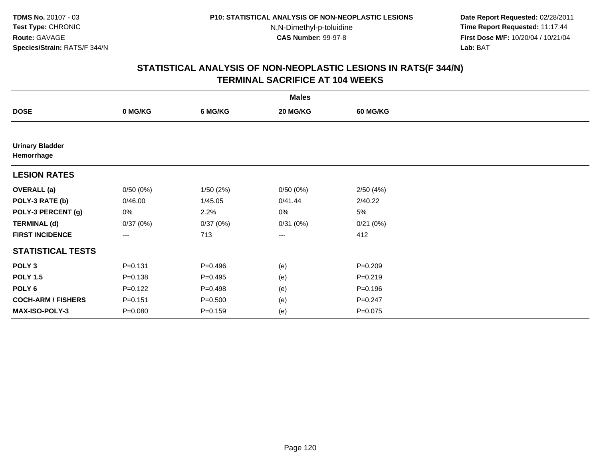**TDMS No.** 20107 - 03**Test Type:** CHRONIC**Route:** GAVAGE**Species/Strain:** RATS/F 344/N

N,N-Dimethyl-p-toluidine

 **Date Report Requested:** 02/28/2011 **Time Report Requested:** 11:17:44 **First Dose M/F:** 10/20/04 / 10/21/04<br>**Lab:** BAT **Lab:** BAT

|                                      |             |             | <b>Males</b> |             |  |
|--------------------------------------|-------------|-------------|--------------|-------------|--|
| <b>DOSE</b>                          | 0 MG/KG     | 6 MG/KG     | 20 MG/KG     | 60 MG/KG    |  |
|                                      |             |             |              |             |  |
| <b>Urinary Bladder</b><br>Hemorrhage |             |             |              |             |  |
| <b>LESION RATES</b>                  |             |             |              |             |  |
| <b>OVERALL</b> (a)                   | 0/50(0%)    | 1/50(2%)    | 0/50(0%)     | 2/50(4%)    |  |
| POLY-3 RATE (b)                      | 0/46.00     | 1/45.05     | 0/41.44      | 2/40.22     |  |
| POLY-3 PERCENT (g)                   | 0%          | 2.2%        | 0%           | 5%          |  |
| <b>TERMINAL (d)</b>                  | 0/37(0%)    | 0/37(0%)    | 0/31(0%)     | 0/21(0%)    |  |
| <b>FIRST INCIDENCE</b>               | ---         | 713         | ---          | 412         |  |
| <b>STATISTICAL TESTS</b>             |             |             |              |             |  |
| POLY <sub>3</sub>                    | $P = 0.131$ | $P = 0.496$ | (e)          | $P = 0.209$ |  |
| <b>POLY 1.5</b>                      | $P = 0.138$ | $P = 0.495$ | (e)          | $P = 0.219$ |  |
| POLY <sub>6</sub>                    | $P=0.122$   | $P=0.498$   | (e)          | $P = 0.196$ |  |
| <b>COCH-ARM / FISHERS</b>            | $P = 0.151$ | $P = 0.500$ | (e)          | $P = 0.247$ |  |
| MAX-ISO-POLY-3                       | $P = 0.080$ | $P = 0.159$ | (e)          | $P = 0.075$ |  |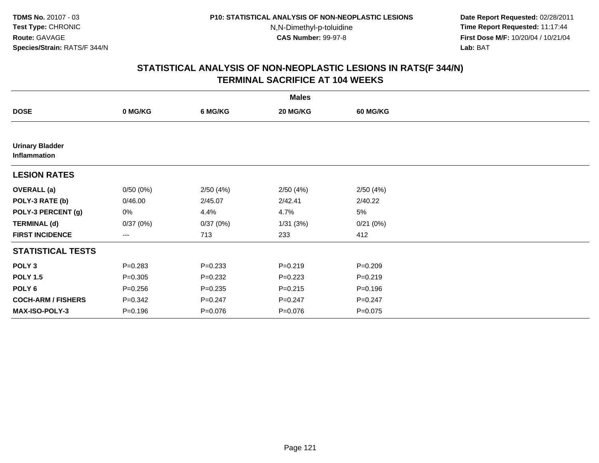**TDMS No.** 20107 - 03**Test Type:** CHRONIC**Route:** GAVAGE**Species/Strain:** RATS/F 344/N

N,N-Dimethyl-p-toluidine

 **Date Report Requested:** 02/28/2011 **Time Report Requested:** 11:17:44 **First Dose M/F:** 10/20/04 / 10/21/04<br>**Lab:** BAT **Lab:** BAT

| <b>Males</b>                           |             |             |             |                 |  |  |  |
|----------------------------------------|-------------|-------------|-------------|-----------------|--|--|--|
| <b>DOSE</b>                            | 0 MG/KG     | 6 MG/KG     | 20 MG/KG    | <b>60 MG/KG</b> |  |  |  |
|                                        |             |             |             |                 |  |  |  |
| <b>Urinary Bladder</b><br>Inflammation |             |             |             |                 |  |  |  |
| <b>LESION RATES</b>                    |             |             |             |                 |  |  |  |
| <b>OVERALL</b> (a)                     | 0/50(0%)    | 2/50(4%)    | 2/50(4%)    | 2/50(4%)        |  |  |  |
| POLY-3 RATE (b)                        | 0/46.00     | 2/45.07     | 2/42.41     | 2/40.22         |  |  |  |
| POLY-3 PERCENT (g)                     | 0%          | 4.4%        | 4.7%        | 5%              |  |  |  |
| <b>TERMINAL (d)</b>                    | 0/37(0%)    | 0/37(0%)    | 1/31(3%)    | 0/21(0%)        |  |  |  |
| <b>FIRST INCIDENCE</b>                 | ---         | 713         | 233         | 412             |  |  |  |
| <b>STATISTICAL TESTS</b>               |             |             |             |                 |  |  |  |
| POLY <sub>3</sub>                      | $P = 0.283$ | $P = 0.233$ | $P = 0.219$ | $P = 0.209$     |  |  |  |
| <b>POLY 1.5</b>                        | $P = 0.305$ | $P=0.232$   | $P=0.223$   | $P = 0.219$     |  |  |  |
| POLY <sub>6</sub>                      | $P = 0.256$ | $P = 0.235$ | $P = 0.215$ | $P = 0.196$     |  |  |  |
| <b>COCH-ARM / FISHERS</b>              | $P = 0.342$ | $P = 0.247$ | $P = 0.247$ | $P = 0.247$     |  |  |  |
| MAX-ISO-POLY-3                         | $P = 0.196$ | $P = 0.076$ | $P = 0.076$ | $P = 0.075$     |  |  |  |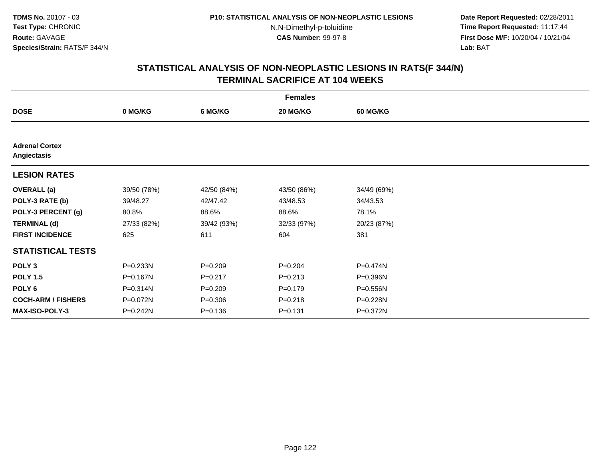**Date Report Requested:** 02/28/2011 **Time Report Requested:** 11:17:44 **First Dose M/F:** 10/20/04 / 10/21/04<br>**Lab:** BAT **Lab:** BAT

| <b>Females</b>                       |             |             |             |                 |  |  |  |
|--------------------------------------|-------------|-------------|-------------|-----------------|--|--|--|
| <b>DOSE</b>                          | 0 MG/KG     | 6 MG/KG     | 20 MG/KG    | <b>60 MG/KG</b> |  |  |  |
|                                      |             |             |             |                 |  |  |  |
| <b>Adrenal Cortex</b><br>Angiectasis |             |             |             |                 |  |  |  |
| <b>LESION RATES</b>                  |             |             |             |                 |  |  |  |
| <b>OVERALL</b> (a)                   | 39/50 (78%) | 42/50 (84%) | 43/50 (86%) | 34/49 (69%)     |  |  |  |
| POLY-3 RATE (b)                      | 39/48.27    | 42/47.42    | 43/48.53    | 34/43.53        |  |  |  |
| POLY-3 PERCENT (g)                   | 80.8%       | 88.6%       | 88.6%       | 78.1%           |  |  |  |
| <b>TERMINAL (d)</b>                  | 27/33 (82%) | 39/42 (93%) | 32/33 (97%) | 20/23 (87%)     |  |  |  |
| <b>FIRST INCIDENCE</b>               | 625         | 611         | 604         | 381             |  |  |  |
| <b>STATISTICAL TESTS</b>             |             |             |             |                 |  |  |  |
| POLY <sub>3</sub>                    | P=0.233N    | $P = 0.209$ | $P = 0.204$ | P=0.474N        |  |  |  |
| <b>POLY 1.5</b>                      | P=0.167N    | $P=0.217$   | $P = 0.213$ | P=0.396N        |  |  |  |
| POLY 6                               | P=0.314N    | $P = 0.209$ | $P = 0.179$ | $P = 0.556N$    |  |  |  |
| <b>COCH-ARM / FISHERS</b>            | P=0.072N    | $P = 0.306$ | $P = 0.218$ | P=0.228N        |  |  |  |
| <b>MAX-ISO-POLY-3</b>                | P=0.242N    | $P = 0.136$ | $P = 0.131$ | P=0.372N        |  |  |  |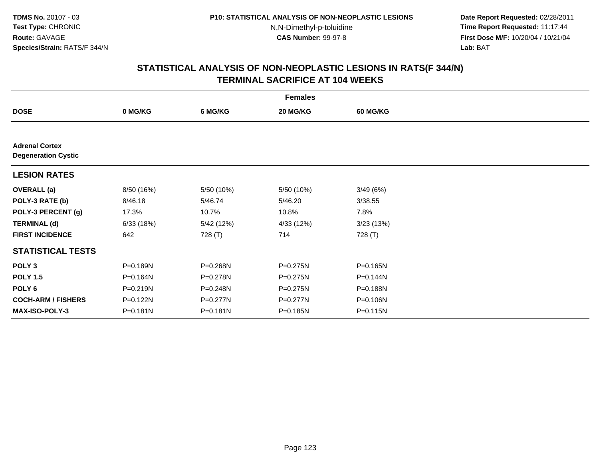**Date Report Requested:** 02/28/2011 **Time Report Requested:** 11:17:44 **First Dose M/F:** 10/20/04 / 10/21/04<br>**Lab:** BAT **Lab:** BAT

| <b>Females</b>                                      |            |            |              |           |  |  |  |
|-----------------------------------------------------|------------|------------|--------------|-----------|--|--|--|
| <b>DOSE</b>                                         | 0 MG/KG    | 6 MG/KG    | 20 MG/KG     | 60 MG/KG  |  |  |  |
|                                                     |            |            |              |           |  |  |  |
| <b>Adrenal Cortex</b><br><b>Degeneration Cystic</b> |            |            |              |           |  |  |  |
| <b>LESION RATES</b>                                 |            |            |              |           |  |  |  |
| <b>OVERALL</b> (a)                                  | 8/50 (16%) | 5/50 (10%) | 5/50 (10%)   | 3/49(6%)  |  |  |  |
| POLY-3 RATE (b)                                     | 8/46.18    | 5/46.74    | 5/46.20      | 3/38.55   |  |  |  |
| POLY-3 PERCENT (g)                                  | 17.3%      | 10.7%      | 10.8%        | 7.8%      |  |  |  |
| <b>TERMINAL (d)</b>                                 | 6/33(18%)  | 5/42 (12%) | 4/33 (12%)   | 3/23(13%) |  |  |  |
| <b>FIRST INCIDENCE</b>                              | 642        | 728 (T)    | 714          | 728 (T)   |  |  |  |
| <b>STATISTICAL TESTS</b>                            |            |            |              |           |  |  |  |
| POLY <sub>3</sub>                                   | P=0.189N   | P=0.268N   | P=0.275N     | P=0.165N  |  |  |  |
| <b>POLY 1.5</b>                                     | P=0.164N   | P=0.278N   | P=0.275N     | P=0.144N  |  |  |  |
| POLY 6                                              | P=0.219N   | P=0.248N   | $P = 0.275N$ | P=0.188N  |  |  |  |
| <b>COCH-ARM / FISHERS</b>                           | P=0.122N   | P=0.277N   | P=0.277N     | P=0.106N  |  |  |  |
| MAX-ISO-POLY-3                                      | P=0.181N   | P=0.181N   | P=0.185N     | P=0.115N  |  |  |  |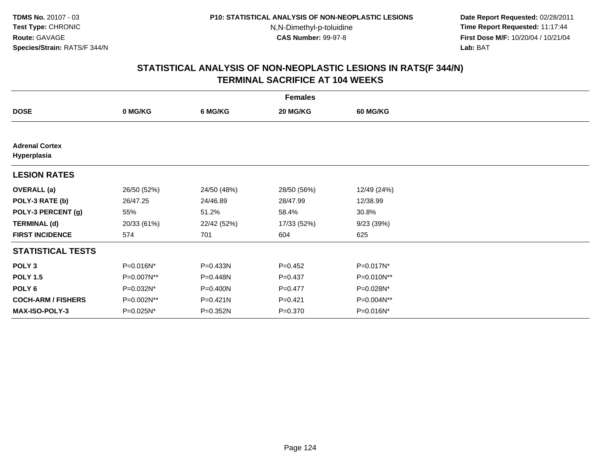**Date Report Requested:** 02/28/2011 **Time Report Requested:** 11:17:44 **First Dose M/F:** 10/20/04 / 10/21/04<br>**Lab:** BAT **Lab:** BAT

|                                      | <b>Females</b> |              |             |              |  |  |  |  |
|--------------------------------------|----------------|--------------|-------------|--------------|--|--|--|--|
| <b>DOSE</b>                          | 0 MG/KG        | 6 MG/KG      | 20 MG/KG    | 60 MG/KG     |  |  |  |  |
|                                      |                |              |             |              |  |  |  |  |
| <b>Adrenal Cortex</b><br>Hyperplasia |                |              |             |              |  |  |  |  |
| <b>LESION RATES</b>                  |                |              |             |              |  |  |  |  |
| <b>OVERALL</b> (a)                   | 26/50 (52%)    | 24/50 (48%)  | 28/50 (56%) | 12/49 (24%)  |  |  |  |  |
| POLY-3 RATE (b)                      | 26/47.25       | 24/46.89     | 28/47.99    | 12/38.99     |  |  |  |  |
| POLY-3 PERCENT (g)                   | 55%            | 51.2%        | 58.4%       | 30.8%        |  |  |  |  |
| <b>TERMINAL (d)</b>                  | 20/33 (61%)    | 22/42 (52%)  | 17/33 (52%) | 9/23 (39%)   |  |  |  |  |
| <b>FIRST INCIDENCE</b>               | 574            | 701          | 604         | 625          |  |  |  |  |
| <b>STATISTICAL TESTS</b>             |                |              |             |              |  |  |  |  |
| POLY <sub>3</sub>                    | P=0.016N*      | P=0.433N     | $P=0.452$   | $P=0.017N^*$ |  |  |  |  |
| <b>POLY 1.5</b>                      | P=0.007N**     | $P = 0.448N$ | $P = 0.437$ | P=0.010N**   |  |  |  |  |
| POLY <sub>6</sub>                    | P=0.032N*      | P=0.400N     | $P=0.477$   | P=0.028N*    |  |  |  |  |
| <b>COCH-ARM / FISHERS</b>            | P=0.002N**     | $P = 0.421N$ | $P = 0.421$ | P=0.004N**   |  |  |  |  |
| <b>MAX-ISO-POLY-3</b>                | P=0.025N*      | P=0.352N     | $P = 0.370$ | P=0.016N*    |  |  |  |  |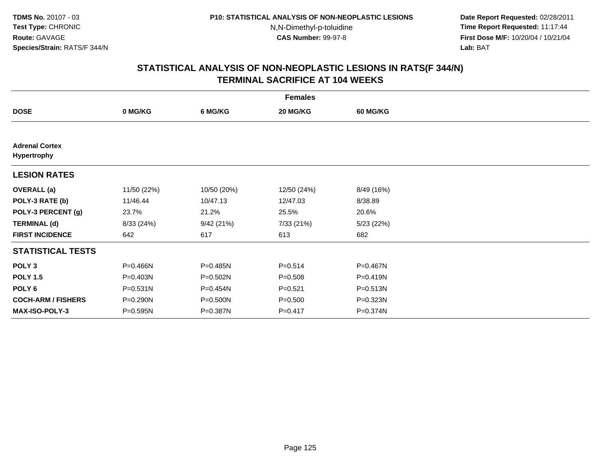**Date Report Requested:** 02/28/2011 **Time Report Requested:** 11:17:44 **First Dose M/F:** 10/20/04 / 10/21/04<br>**Lab:** BAT **Lab:** BAT

| <b>Females</b>                       |              |             |             |                 |  |  |  |  |
|--------------------------------------|--------------|-------------|-------------|-----------------|--|--|--|--|
| <b>DOSE</b>                          | 0 MG/KG      | 6 MG/KG     | 20 MG/KG    | <b>60 MG/KG</b> |  |  |  |  |
|                                      |              |             |             |                 |  |  |  |  |
| <b>Adrenal Cortex</b><br>Hypertrophy |              |             |             |                 |  |  |  |  |
| <b>LESION RATES</b>                  |              |             |             |                 |  |  |  |  |
| <b>OVERALL</b> (a)                   | 11/50 (22%)  | 10/50 (20%) | 12/50 (24%) | 8/49 (16%)      |  |  |  |  |
| POLY-3 RATE (b)                      | 11/46.44     | 10/47.13    | 12/47.03    | 8/38.89         |  |  |  |  |
| POLY-3 PERCENT (g)                   | 23.7%        | 21.2%       | 25.5%       | 20.6%           |  |  |  |  |
| <b>TERMINAL (d)</b>                  | 8/33(24%)    | 9/42(21%)   | 7/33 (21%)  | 5/23(22%)       |  |  |  |  |
| <b>FIRST INCIDENCE</b>               | 642          | 617         | 613         | 682             |  |  |  |  |
| <b>STATISTICAL TESTS</b>             |              |             |             |                 |  |  |  |  |
| POLY <sub>3</sub>                    | P=0.466N     | P=0.485N    | $P = 0.514$ | P=0.467N        |  |  |  |  |
| <b>POLY 1.5</b>                      | P=0.403N     | P=0.502N    | $P = 0.508$ | P=0.419N        |  |  |  |  |
| POLY 6                               | $P = 0.531N$ | P=0.454N    | $P = 0.521$ | P=0.513N        |  |  |  |  |
| <b>COCH-ARM / FISHERS</b>            | P=0.290N     | P=0.500N    | $P = 0.500$ | P=0.323N        |  |  |  |  |
| <b>MAX-ISO-POLY-3</b>                | P=0.595N     | P=0.387N    | $P = 0.417$ | P=0.374N        |  |  |  |  |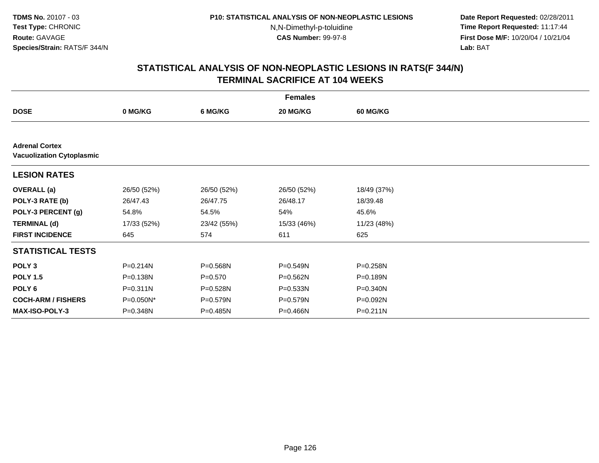**TDMS No.** 20107 - 03**Test Type:** CHRONIC**Route:** GAVAGE**Species/Strain:** RATS/F 344/N

N,N-Dimethyl-p-toluidine

 **Date Report Requested:** 02/28/2011 **Time Report Requested:** 11:17:44 **First Dose M/F:** 10/20/04 / 10/21/04<br>**Lab:** BAT **Lab:** BAT

| <b>Females</b>                                            |              |             |              |                 |  |  |  |
|-----------------------------------------------------------|--------------|-------------|--------------|-----------------|--|--|--|
| <b>DOSE</b>                                               | 0 MG/KG      | 6 MG/KG     | 20 MG/KG     | <b>60 MG/KG</b> |  |  |  |
|                                                           |              |             |              |                 |  |  |  |
| <b>Adrenal Cortex</b><br><b>Vacuolization Cytoplasmic</b> |              |             |              |                 |  |  |  |
| <b>LESION RATES</b>                                       |              |             |              |                 |  |  |  |
| <b>OVERALL</b> (a)                                        | 26/50 (52%)  | 26/50 (52%) | 26/50 (52%)  | 18/49 (37%)     |  |  |  |
| POLY-3 RATE (b)                                           | 26/47.43     | 26/47.75    | 26/48.17     | 18/39.48        |  |  |  |
| POLY-3 PERCENT (g)                                        | 54.8%        | 54.5%       | 54%          | 45.6%           |  |  |  |
| <b>TERMINAL (d)</b>                                       | 17/33 (52%)  | 23/42 (55%) | 15/33 (46%)  | 11/23 (48%)     |  |  |  |
| <b>FIRST INCIDENCE</b>                                    | 645          | 574         | 611          | 625             |  |  |  |
| <b>STATISTICAL TESTS</b>                                  |              |             |              |                 |  |  |  |
| POLY <sub>3</sub>                                         | P=0.214N     | P=0.568N    | P=0.549N     | P=0.258N        |  |  |  |
| <b>POLY 1.5</b>                                           | P=0.138N     | $P = 0.570$ | $P = 0.562N$ | $P = 0.189N$    |  |  |  |
| POLY 6                                                    | $P = 0.311N$ | P=0.528N    | $P = 0.533N$ | P=0.340N        |  |  |  |
| <b>COCH-ARM / FISHERS</b>                                 | P=0.050N*    | P=0.579N    | P=0.579N     | P=0.092N        |  |  |  |
| <b>MAX-ISO-POLY-3</b>                                     | P=0.348N     | P=0.485N    | P=0.466N     | P=0.211N        |  |  |  |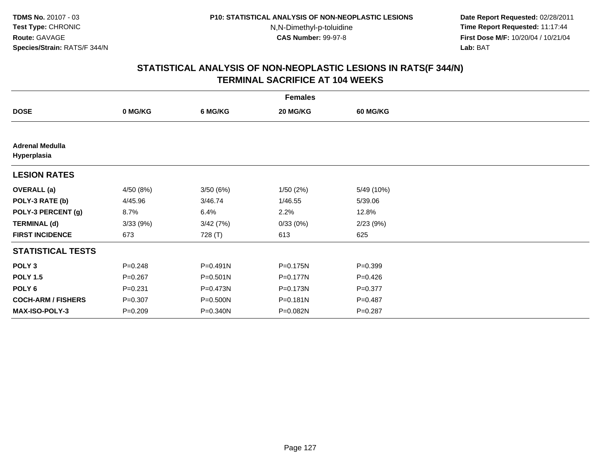**Date Report Requested:** 02/28/2011 **Time Report Requested:** 11:17:44 **First Dose M/F:** 10/20/04 / 10/21/04<br>**Lab:** BAT **Lab:** BAT

|                                       | <b>Females</b> |           |          |                 |  |  |  |  |
|---------------------------------------|----------------|-----------|----------|-----------------|--|--|--|--|
| <b>DOSE</b>                           | 0 MG/KG        | 6 MG/KG   | 20 MG/KG | <b>60 MG/KG</b> |  |  |  |  |
|                                       |                |           |          |                 |  |  |  |  |
| <b>Adrenal Medulla</b><br>Hyperplasia |                |           |          |                 |  |  |  |  |
| <b>LESION RATES</b>                   |                |           |          |                 |  |  |  |  |
| <b>OVERALL</b> (a)                    | 4/50 (8%)      | 3/50 (6%) | 1/50(2%) | 5/49 (10%)      |  |  |  |  |
| POLY-3 RATE (b)                       | 4/45.96        | 3/46.74   | 1/46.55  | 5/39.06         |  |  |  |  |
| POLY-3 PERCENT (g)                    | 8.7%           | 6.4%      | 2.2%     | 12.8%           |  |  |  |  |
| <b>TERMINAL (d)</b>                   | 3/33(9%)       | 3/42(7%)  | 0/33(0%) | 2/23(9%)        |  |  |  |  |
| <b>FIRST INCIDENCE</b>                | 673            | 728 (T)   | 613      | 625             |  |  |  |  |
| <b>STATISTICAL TESTS</b>              |                |           |          |                 |  |  |  |  |
| POLY <sub>3</sub>                     | $P = 0.248$    | P=0.491N  | P=0.175N | $P = 0.399$     |  |  |  |  |
| <b>POLY 1.5</b>                       | $P = 0.267$    | P=0.501N  | P=0.177N | $P=0.426$       |  |  |  |  |
| POLY 6                                | $P = 0.231$    | P=0.473N  | P=0.173N | $P = 0.377$     |  |  |  |  |
| <b>COCH-ARM / FISHERS</b>             | $P = 0.307$    | P=0.500N  | P=0.181N | $P=0.487$       |  |  |  |  |
| <b>MAX-ISO-POLY-3</b>                 | $P = 0.209$    | P=0.340N  | P=0.082N | $P = 0.287$     |  |  |  |  |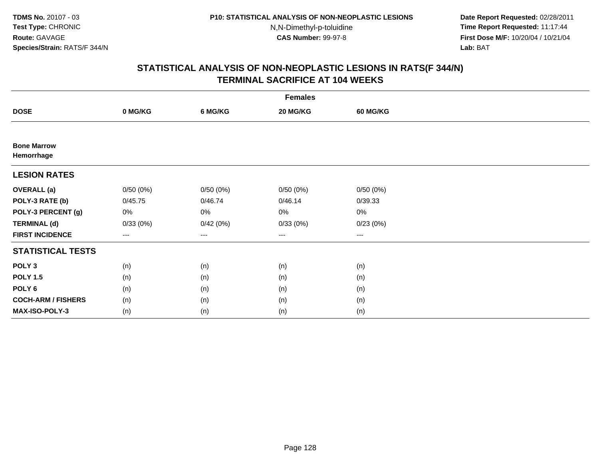**TDMS No.** 20107 - 03**Test Type:** CHRONIC**Route:** GAVAGE**Species/Strain:** RATS/F 344/N

N,N-Dimethyl-p-toluidine

 **Date Report Requested:** 02/28/2011 **Time Report Requested:** 11:17:44 **First Dose M/F:** 10/20/04 / 10/21/04<br>**Lab:** BAT **Lab:** BAT

| <b>Females</b>                   |          |          |                   |          |  |  |  |
|----------------------------------|----------|----------|-------------------|----------|--|--|--|
| <b>DOSE</b>                      | 0 MG/KG  | 6 MG/KG  | 20 MG/KG          | 60 MG/KG |  |  |  |
|                                  |          |          |                   |          |  |  |  |
| <b>Bone Marrow</b><br>Hemorrhage |          |          |                   |          |  |  |  |
| <b>LESION RATES</b>              |          |          |                   |          |  |  |  |
| <b>OVERALL</b> (a)               | 0/50(0%) | 0/50(0%) | 0/50(0%)          | 0/50(0%) |  |  |  |
| POLY-3 RATE (b)                  | 0/45.75  | 0/46.74  | 0/46.14           | 0/39.33  |  |  |  |
| POLY-3 PERCENT (g)               | 0%       | 0%       | 0%                | 0%       |  |  |  |
| <b>TERMINAL (d)</b>              | 0/33(0%) | 0/42(0%) | 0/33(0%)          | 0/23(0%) |  |  |  |
| <b>FIRST INCIDENCE</b>           | ---      | ---      | $\qquad \qquad -$ | $---$    |  |  |  |
| <b>STATISTICAL TESTS</b>         |          |          |                   |          |  |  |  |
| POLY <sub>3</sub>                | (n)      | (n)      | (n)               | (n)      |  |  |  |
| <b>POLY 1.5</b>                  | (n)      | (n)      | (n)               | (n)      |  |  |  |
| POLY <sub>6</sub>                | (n)      | (n)      | (n)               | (n)      |  |  |  |
| <b>COCH-ARM / FISHERS</b>        | (n)      | (n)      | (n)               | (n)      |  |  |  |
| MAX-ISO-POLY-3                   | (n)      | (n)      | (n)               | (n)      |  |  |  |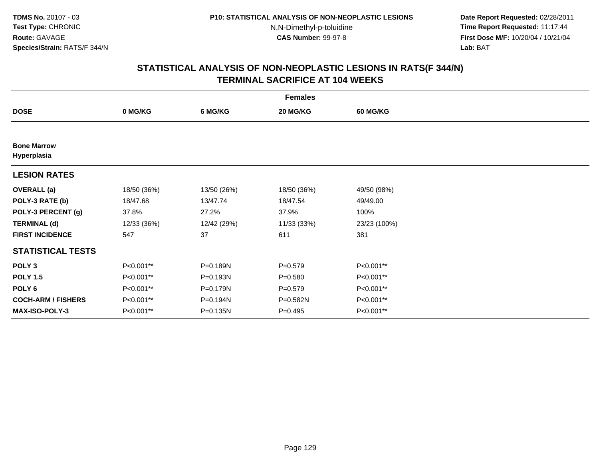**Date Report Requested:** 02/28/2011 **Time Report Requested:** 11:17:44 **First Dose M/F:** 10/20/04 / 10/21/04<br>**Lab:** BAT **Lab:** BAT

| <b>Females</b>                    |             |             |             |                 |  |  |  |
|-----------------------------------|-------------|-------------|-------------|-----------------|--|--|--|
| <b>DOSE</b>                       | 0 MG/KG     | 6 MG/KG     | 20 MG/KG    | <b>60 MG/KG</b> |  |  |  |
|                                   |             |             |             |                 |  |  |  |
| <b>Bone Marrow</b><br>Hyperplasia |             |             |             |                 |  |  |  |
| <b>LESION RATES</b>               |             |             |             |                 |  |  |  |
| <b>OVERALL</b> (a)                | 18/50 (36%) | 13/50 (26%) | 18/50 (36%) | 49/50 (98%)     |  |  |  |
| POLY-3 RATE (b)                   | 18/47.68    | 13/47.74    | 18/47.54    | 49/49.00        |  |  |  |
| POLY-3 PERCENT (g)                | 37.8%       | 27.2%       | 37.9%       | 100%            |  |  |  |
| <b>TERMINAL (d)</b>               | 12/33 (36%) | 12/42 (29%) | 11/33 (33%) | 23/23 (100%)    |  |  |  |
| <b>FIRST INCIDENCE</b>            | 547         | 37          | 611         | 381             |  |  |  |
| <b>STATISTICAL TESTS</b>          |             |             |             |                 |  |  |  |
| POLY <sub>3</sub>                 | P<0.001**   | P=0.189N    | $P = 0.579$ | P<0.001**       |  |  |  |
| <b>POLY 1.5</b>                   | P<0.001**   | P=0.193N    | $P = 0.580$ | P<0.001**       |  |  |  |
| POLY <sub>6</sub>                 | P<0.001**   | P=0.179N    | $P = 0.579$ | P<0.001**       |  |  |  |
| <b>COCH-ARM / FISHERS</b>         | P<0.001**   | P=0.194N    | P=0.582N    | P<0.001**       |  |  |  |
| <b>MAX-ISO-POLY-3</b>             | P<0.001**   | P=0.135N    | $P = 0.495$ | P<0.001**       |  |  |  |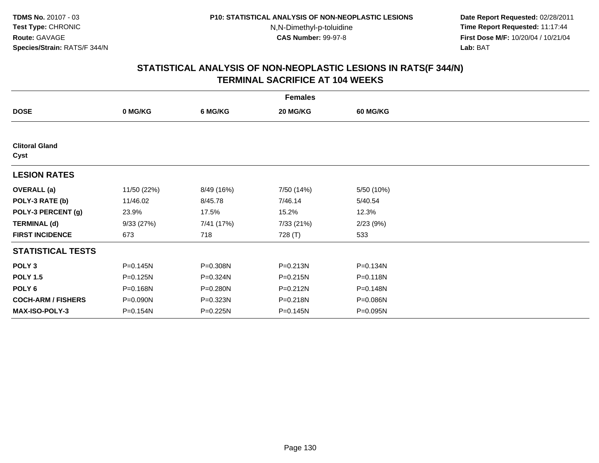**Date Report Requested:** 02/28/2011 **Time Report Requested:** 11:17:44 **First Dose M/F:** 10/20/04 / 10/21/04<br>**Lab:** BAT **Lab:** BAT

| <b>Females</b>                |              |              |              |                 |  |  |  |
|-------------------------------|--------------|--------------|--------------|-----------------|--|--|--|
| <b>DOSE</b>                   | 0 MG/KG      | 6 MG/KG      | 20 MG/KG     | <b>60 MG/KG</b> |  |  |  |
|                               |              |              |              |                 |  |  |  |
| <b>Clitoral Gland</b><br>Cyst |              |              |              |                 |  |  |  |
| <b>LESION RATES</b>           |              |              |              |                 |  |  |  |
| <b>OVERALL</b> (a)            | 11/50 (22%)  | 8/49 (16%)   | 7/50 (14%)   | 5/50 (10%)      |  |  |  |
| POLY-3 RATE (b)               | 11/46.02     | 8/45.78      | 7/46.14      | 5/40.54         |  |  |  |
| POLY-3 PERCENT (g)            | 23.9%        | 17.5%        | 15.2%        | 12.3%           |  |  |  |
| <b>TERMINAL (d)</b>           | 9/33(27%)    | 7/41 (17%)   | 7/33 (21%)   | 2/23(9%)        |  |  |  |
| <b>FIRST INCIDENCE</b>        | 673          | 718          | 728 (T)      | 533             |  |  |  |
| <b>STATISTICAL TESTS</b>      |              |              |              |                 |  |  |  |
| POLY <sub>3</sub>             | $P = 0.145N$ | P=0.308N     | P=0.213N     | P=0.134N        |  |  |  |
| <b>POLY 1.5</b>               | $P = 0.125N$ | P=0.324N     | $P = 0.215N$ | P=0.118N        |  |  |  |
| POLY 6                        | P=0.168N     | P=0.280N     | P=0.212N     | P=0.148N        |  |  |  |
| <b>COCH-ARM / FISHERS</b>     | P=0.090N     | P=0.323N     | P=0.218N     | P=0.086N        |  |  |  |
| MAX-ISO-POLY-3                | $P = 0.154N$ | $P = 0.225N$ | $P = 0.145N$ | P=0.095N        |  |  |  |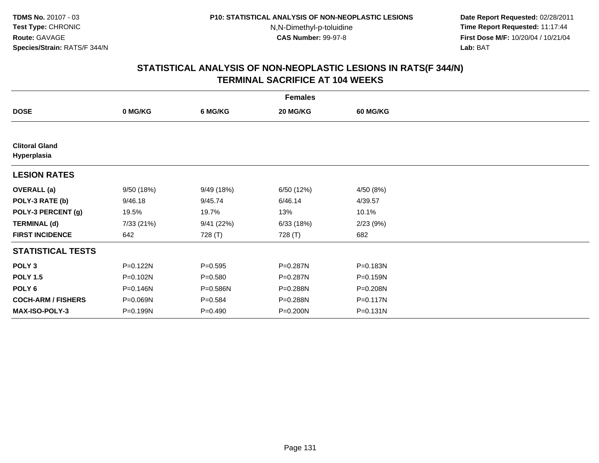**Date Report Requested:** 02/28/2011 **Time Report Requested:** 11:17:44 **First Dose M/F:** 10/20/04 / 10/21/04<br>**Lab:** BAT **Lab:** BAT

| <b>Females</b>                       |              |             |            |                 |  |  |  |
|--------------------------------------|--------------|-------------|------------|-----------------|--|--|--|
| <b>DOSE</b>                          | 0 MG/KG      | 6 MG/KG     | 20 MG/KG   | <b>60 MG/KG</b> |  |  |  |
|                                      |              |             |            |                 |  |  |  |
| <b>Clitoral Gland</b><br>Hyperplasia |              |             |            |                 |  |  |  |
| <b>LESION RATES</b>                  |              |             |            |                 |  |  |  |
| <b>OVERALL</b> (a)                   | 9/50 (18%)   | 9/49 (18%)  | 6/50 (12%) | 4/50 (8%)       |  |  |  |
| POLY-3 RATE (b)                      | 9/46.18      | 9/45.74     | 6/46.14    | 4/39.57         |  |  |  |
| POLY-3 PERCENT (g)                   | 19.5%        | 19.7%       | 13%        | 10.1%           |  |  |  |
| <b>TERMINAL (d)</b>                  | 7/33 (21%)   | 9/41(22%)   | 6/33(18%)  | 2/23(9%)        |  |  |  |
| <b>FIRST INCIDENCE</b>               | 642          | 728 (T)     | 728 (T)    | 682             |  |  |  |
| <b>STATISTICAL TESTS</b>             |              |             |            |                 |  |  |  |
| POLY <sub>3</sub>                    | $P = 0.122N$ | $P = 0.595$ | P=0.287N   | $P = 0.183N$    |  |  |  |
| <b>POLY 1.5</b>                      | P=0.102N     | $P = 0.580$ | P=0.287N   | P=0.159N        |  |  |  |
| POLY 6                               | $P = 0.146N$ | P=0.586N    | P=0.288N   | P=0.208N        |  |  |  |
| <b>COCH-ARM / FISHERS</b>            | P=0.069N     | $P = 0.584$ | P=0.288N   | P=0.117N        |  |  |  |
| <b>MAX-ISO-POLY-3</b>                | P=0.199N     | $P=0.490$   | P=0.200N   | P=0.131N        |  |  |  |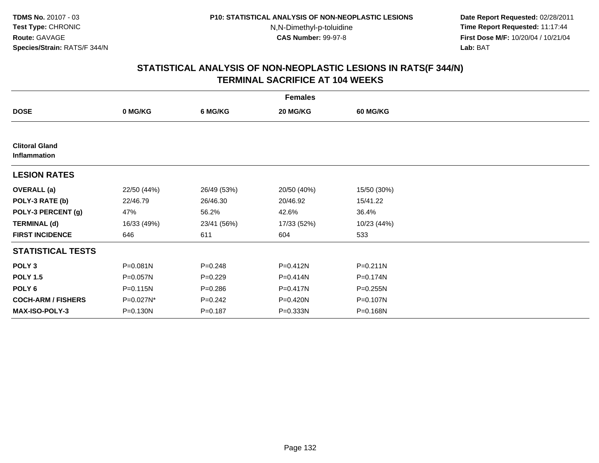**Date Report Requested:** 02/28/2011 **Time Report Requested:** 11:17:44 **First Dose M/F:** 10/20/04 / 10/21/04<br>**Lab:** BAT **Lab:** BAT

| <b>Females</b>                        |             |             |              |              |  |  |  |
|---------------------------------------|-------------|-------------|--------------|--------------|--|--|--|
| <b>DOSE</b>                           | 0 MG/KG     | 6 MG/KG     | 20 MG/KG     | 60 MG/KG     |  |  |  |
|                                       |             |             |              |              |  |  |  |
| <b>Clitoral Gland</b><br>Inflammation |             |             |              |              |  |  |  |
| <b>LESION RATES</b>                   |             |             |              |              |  |  |  |
| <b>OVERALL</b> (a)                    | 22/50 (44%) | 26/49 (53%) | 20/50 (40%)  | 15/50 (30%)  |  |  |  |
| POLY-3 RATE (b)                       | 22/46.79    | 26/46.30    | 20/46.92     | 15/41.22     |  |  |  |
| POLY-3 PERCENT (g)                    | 47%         | 56.2%       | 42.6%        | 36.4%        |  |  |  |
| <b>TERMINAL (d)</b>                   | 16/33 (49%) | 23/41 (56%) | 17/33 (52%)  | 10/23 (44%)  |  |  |  |
| <b>FIRST INCIDENCE</b>                | 646         | 611         | 604          | 533          |  |  |  |
| <b>STATISTICAL TESTS</b>              |             |             |              |              |  |  |  |
| POLY <sub>3</sub>                     | P=0.081N    | $P = 0.248$ | P=0.412N     | $P = 0.211N$ |  |  |  |
| <b>POLY 1.5</b>                       | P=0.057N    | $P=0.229$   | $P=0.414N$   | $P = 0.174N$ |  |  |  |
| POLY 6                                | P=0.115N    | $P = 0.286$ | P=0.417N     | P=0.255N     |  |  |  |
| <b>COCH-ARM / FISHERS</b>             | P=0.027N*   | $P = 0.242$ | P=0.420N     | $P = 0.107N$ |  |  |  |
| MAX-ISO-POLY-3                        | P=0.130N    | $P = 0.187$ | $P = 0.333N$ | P=0.168N     |  |  |  |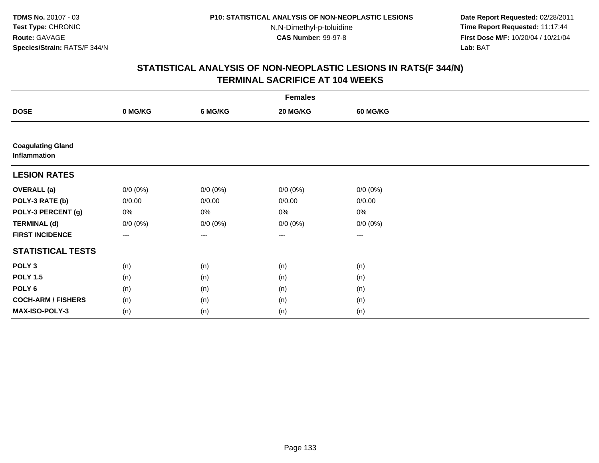**Date Report Requested:** 02/28/2011 **Time Report Requested:** 11:17:44 **First Dose M/F:** 10/20/04 / 10/21/04<br>**Lab:** BAT **Lab:** BAT

|                                                 | <b>Females</b> |             |             |             |  |  |  |  |
|-------------------------------------------------|----------------|-------------|-------------|-------------|--|--|--|--|
| <b>DOSE</b>                                     | 0 MG/KG        | 6 MG/KG     | 20 MG/KG    | 60 MG/KG    |  |  |  |  |
|                                                 |                |             |             |             |  |  |  |  |
| <b>Coagulating Gland</b><br><b>Inflammation</b> |                |             |             |             |  |  |  |  |
| <b>LESION RATES</b>                             |                |             |             |             |  |  |  |  |
| <b>OVERALL</b> (a)                              | $0/0 (0\%)$    | $0/0 (0\%)$ | $0/0 (0\%)$ | $0/0 (0\%)$ |  |  |  |  |
| POLY-3 RATE (b)                                 | 0/0.00         | 0/0.00      | 0/0.00      | 0/0.00      |  |  |  |  |
| POLY-3 PERCENT (g)                              | 0%             | 0%          | 0%          | $0\%$       |  |  |  |  |
| <b>TERMINAL (d)</b>                             | $0/0 (0\%)$    | $0/0 (0\%)$ | $0/0 (0\%)$ | $0/0 (0\%)$ |  |  |  |  |
| <b>FIRST INCIDENCE</b>                          | ---            | ---         | $---$       | ---         |  |  |  |  |
| <b>STATISTICAL TESTS</b>                        |                |             |             |             |  |  |  |  |
| POLY <sub>3</sub>                               | (n)            | (n)         | (n)         | (n)         |  |  |  |  |
| <b>POLY 1.5</b>                                 | (n)            | (n)         | (n)         | (n)         |  |  |  |  |
| POLY <sub>6</sub>                               | (n)            | (n)         | (n)         | (n)         |  |  |  |  |
| <b>COCH-ARM / FISHERS</b>                       | (n)            | (n)         | (n)         | (n)         |  |  |  |  |
| MAX-ISO-POLY-3                                  | (n)            | (n)         | (n)         | (n)         |  |  |  |  |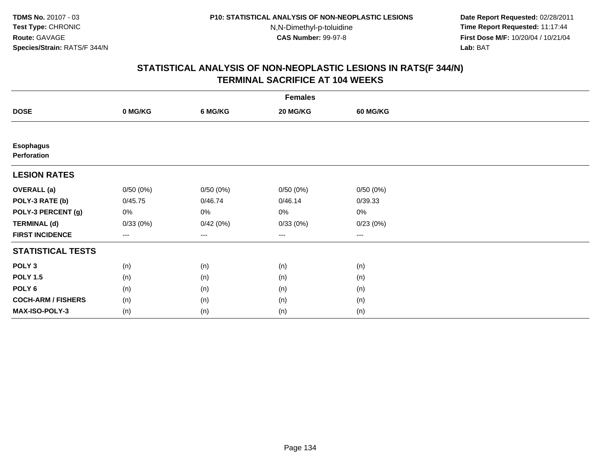**Date Report Requested:** 02/28/2011 **Time Report Requested:** 11:17:44 **First Dose M/F:** 10/20/04 / 10/21/04<br>**Lab:** BAT **Lab:** BAT

| <b>Females</b>                  |          |          |                   |                 |  |  |
|---------------------------------|----------|----------|-------------------|-----------------|--|--|
| <b>DOSE</b>                     | 0 MG/KG  | 6 MG/KG  | 20 MG/KG          | <b>60 MG/KG</b> |  |  |
|                                 |          |          |                   |                 |  |  |
| <b>Esophagus</b><br>Perforation |          |          |                   |                 |  |  |
| <b>LESION RATES</b>             |          |          |                   |                 |  |  |
| <b>OVERALL</b> (a)              | 0/50(0%) | 0/50(0%) | 0/50(0%)          | 0/50(0%)        |  |  |
| POLY-3 RATE (b)                 | 0/45.75  | 0/46.74  | 0/46.14           | 0/39.33         |  |  |
| POLY-3 PERCENT (g)              | 0%       | 0%       | 0%                | $0\%$           |  |  |
| <b>TERMINAL (d)</b>             | 0/33(0%) | 0/42(0%) | 0/33(0%)          | 0/23(0%)        |  |  |
| <b>FIRST INCIDENCE</b>          | ---      | ---      | $\qquad \qquad -$ | $---$           |  |  |
| <b>STATISTICAL TESTS</b>        |          |          |                   |                 |  |  |
| POLY <sub>3</sub>               | (n)      | (n)      | (n)               | (n)             |  |  |
| <b>POLY 1.5</b>                 | (n)      | (n)      | (n)               | (n)             |  |  |
| POLY <sub>6</sub>               | (n)      | (n)      | (n)               | (n)             |  |  |
| <b>COCH-ARM / FISHERS</b>       | (n)      | (n)      | (n)               | (n)             |  |  |
| MAX-ISO-POLY-3                  | (n)      | (n)      | (n)               | (n)             |  |  |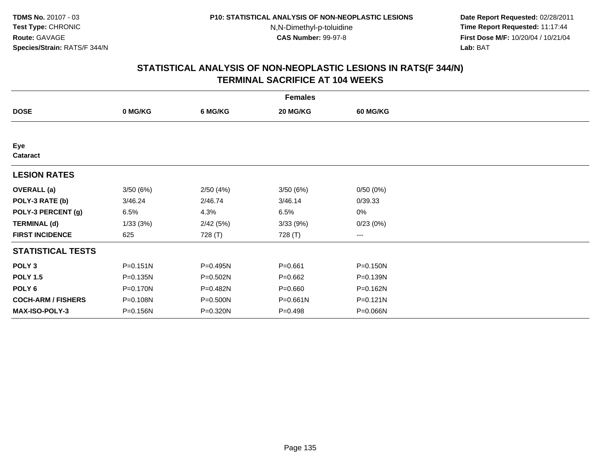**Date Report Requested:** 02/28/2011 **Time Report Requested:** 11:17:44 **First Dose M/F:** 10/20/04 / 10/21/04<br>**Lab:** BAT **Lab:** BAT

|                           |              |          | <b>Females</b> |                 |  |
|---------------------------|--------------|----------|----------------|-----------------|--|
| <b>DOSE</b>               | 0 MG/KG      | 6 MG/KG  | 20 MG/KG       | <b>60 MG/KG</b> |  |
|                           |              |          |                |                 |  |
| Eye<br>Cataract           |              |          |                |                 |  |
| <b>LESION RATES</b>       |              |          |                |                 |  |
| <b>OVERALL</b> (a)        | 3/50(6%)     | 2/50(4%) | 3/50(6%)       | 0/50(0%)        |  |
| POLY-3 RATE (b)           | 3/46.24      | 2/46.74  | 3/46.14        | 0/39.33         |  |
| POLY-3 PERCENT (g)        | 6.5%         | 4.3%     | 6.5%           | 0%              |  |
| <b>TERMINAL (d)</b>       | 1/33(3%)     | 2/42(5%) | 3/33(9%)       | 0/23(0%)        |  |
| <b>FIRST INCIDENCE</b>    | 625          | 728 (T)  | 728 (T)        | ---             |  |
| <b>STATISTICAL TESTS</b>  |              |          |                |                 |  |
| POLY <sub>3</sub>         | $P = 0.151N$ | P=0.495N | $P = 0.661$    | P=0.150N        |  |
| <b>POLY 1.5</b>           | P=0.135N     | P=0.502N | $P = 0.662$    | P=0.139N        |  |
| POLY 6                    | P=0.170N     | P=0.482N | $P = 0.660$    | P=0.162N        |  |
| <b>COCH-ARM / FISHERS</b> | P=0.108N     | P=0.500N | P=0.661N       | P=0.121N        |  |
| MAX-ISO-POLY-3            | P=0.156N     | P=0.320N | $P = 0.498$    | P=0.066N        |  |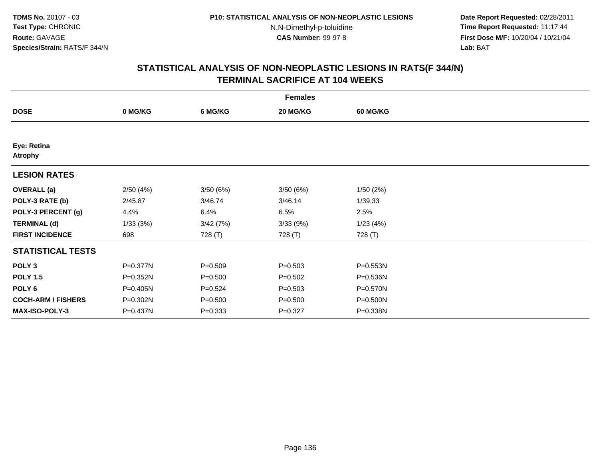**Date Report Requested:** 02/28/2011 **Time Report Requested:** 11:17:44 **First Dose M/F:** 10/20/04 / 10/21/04<br>**Lab:** BAT **Lab:** BAT

|                               |          |             | <b>Females</b> |          |  |
|-------------------------------|----------|-------------|----------------|----------|--|
| <b>DOSE</b>                   | 0 MG/KG  | 6 MG/KG     | 20 MG/KG       | 60 MG/KG |  |
|                               |          |             |                |          |  |
| Eye: Retina<br><b>Atrophy</b> |          |             |                |          |  |
| <b>LESION RATES</b>           |          |             |                |          |  |
| <b>OVERALL</b> (a)            | 2/50(4%) | 3/50 (6%)   | 3/50(6%)       | 1/50(2%) |  |
| POLY-3 RATE (b)               | 2/45.87  | 3/46.74     | 3/46.14        | 1/39.33  |  |
| POLY-3 PERCENT (g)            | 4.4%     | 6.4%        | 6.5%           | 2.5%     |  |
| <b>TERMINAL (d)</b>           | 1/33(3%) | 3/42(7%)    | 3/33(9%)       | 1/23(4%) |  |
| <b>FIRST INCIDENCE</b>        | 698      | 728 (T)     | 728 (T)        | 728 (T)  |  |
| <b>STATISTICAL TESTS</b>      |          |             |                |          |  |
| POLY <sub>3</sub>             | P=0.377N | $P = 0.509$ | $P = 0.503$    | P=0.553N |  |
| <b>POLY 1.5</b>               | P=0.352N | $P = 0.500$ | $P = 0.502$    | P=0.536N |  |
| POLY <sub>6</sub>             | P=0.405N | $P = 0.524$ | $P = 0.503$    | P=0.570N |  |
| <b>COCH-ARM / FISHERS</b>     | P=0.302N | $P = 0.500$ | $P = 0.500$    | P=0.500N |  |
| <b>MAX-ISO-POLY-3</b>         | P=0.437N | $P = 0.333$ | $P=0.327$      | P=0.338N |  |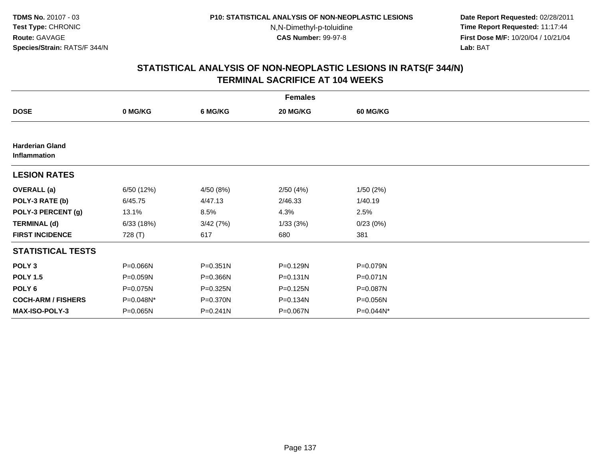**Date Report Requested:** 02/28/2011 **Time Report Requested:** 11:17:44 **First Dose M/F:** 10/20/04 / 10/21/04<br>**Lab:** BAT **Lab:** BAT

|                                        |            |              | <b>Females</b> |                 |  |
|----------------------------------------|------------|--------------|----------------|-----------------|--|
| <b>DOSE</b>                            | 0 MG/KG    | 6 MG/KG      | 20 MG/KG       | <b>60 MG/KG</b> |  |
|                                        |            |              |                |                 |  |
| <b>Harderian Gland</b><br>Inflammation |            |              |                |                 |  |
| <b>LESION RATES</b>                    |            |              |                |                 |  |
| <b>OVERALL</b> (a)                     | 6/50 (12%) | 4/50 (8%)    | 2/50(4%)       | 1/50(2%)        |  |
| POLY-3 RATE (b)                        | 6/45.75    | 4/47.13      | 2/46.33        | 1/40.19         |  |
| POLY-3 PERCENT (g)                     | 13.1%      | 8.5%         | 4.3%           | 2.5%            |  |
| <b>TERMINAL (d)</b>                    | 6/33(18%)  | 3/42(7%)     | 1/33(3%)       | 0/23(0%)        |  |
| <b>FIRST INCIDENCE</b>                 | 728 (T)    | 617          | 680            | 381             |  |
| <b>STATISTICAL TESTS</b>               |            |              |                |                 |  |
| POLY <sub>3</sub>                      | P=0.066N   | P=0.351N     | P=0.129N       | P=0.079N        |  |
| <b>POLY 1.5</b>                        | P=0.059N   | P=0.366N     | $P = 0.131N$   | P=0.071N        |  |
| POLY 6                                 | P=0.075N   | P=0.325N     | P=0.125N       | P=0.087N        |  |
| <b>COCH-ARM / FISHERS</b>              | P=0.048N*  | P=0.370N     | P=0.134N       | P=0.056N        |  |
| <b>MAX-ISO-POLY-3</b>                  | P=0.065N   | $P = 0.241N$ | P=0.067N       | P=0.044N*       |  |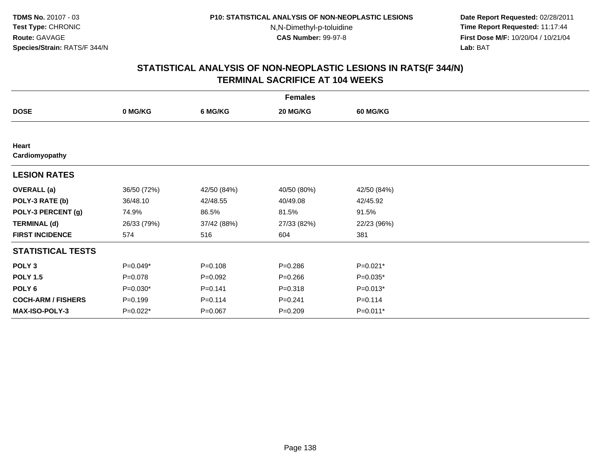**Date Report Requested:** 02/28/2011 **Time Report Requested:** 11:17:44 **First Dose M/F:** 10/20/04 / 10/21/04<br>**Lab:** BAT **Lab:** BAT

|                           |             |             | <b>Females</b> |                 |  |
|---------------------------|-------------|-------------|----------------|-----------------|--|
| <b>DOSE</b>               | 0 MG/KG     | 6 MG/KG     | 20 MG/KG       | <b>60 MG/KG</b> |  |
|                           |             |             |                |                 |  |
| Heart<br>Cardiomyopathy   |             |             |                |                 |  |
| <b>LESION RATES</b>       |             |             |                |                 |  |
| <b>OVERALL</b> (a)        | 36/50 (72%) | 42/50 (84%) | 40/50 (80%)    | 42/50 (84%)     |  |
| POLY-3 RATE (b)           | 36/48.10    | 42/48.55    | 40/49.08       | 42/45.92        |  |
| POLY-3 PERCENT (g)        | 74.9%       | 86.5%       | 81.5%          | 91.5%           |  |
| <b>TERMINAL (d)</b>       | 26/33 (79%) | 37/42 (88%) | 27/33 (82%)    | 22/23 (96%)     |  |
| <b>FIRST INCIDENCE</b>    | 574         | 516         | 604            | 381             |  |
| <b>STATISTICAL TESTS</b>  |             |             |                |                 |  |
| POLY <sub>3</sub>         | $P=0.049*$  | $P = 0.108$ | $P = 0.286$    | P=0.021*        |  |
| <b>POLY 1.5</b>           | $P=0.078$   | $P=0.092$   | $P = 0.266$    | $P=0.035*$      |  |
| POLY <sub>6</sub>         | $P=0.030*$  | $P = 0.141$ | $P = 0.318$    | $P=0.013*$      |  |
| <b>COCH-ARM / FISHERS</b> | $P = 0.199$ | $P = 0.114$ | $P = 0.241$    | $P = 0.114$     |  |
| <b>MAX-ISO-POLY-3</b>     | P=0.022*    | $P = 0.067$ | $P = 0.209$    | P=0.011*        |  |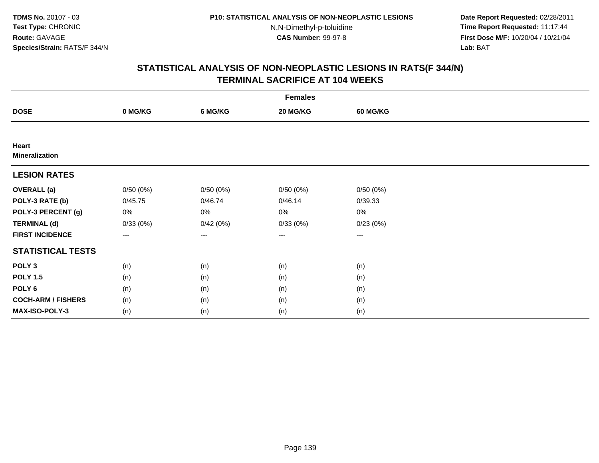**TDMS No.** 20107 - 03**Test Type:** CHRONIC**Route:** GAVAGE**Species/Strain:** RATS/F 344/N

N,N-Dimethyl-p-toluidine

 **Date Report Requested:** 02/28/2011 **Time Report Requested:** 11:17:44 **First Dose M/F:** 10/20/04 / 10/21/04<br>**Lab:** BAT **Lab:** BAT

| <b>Females</b>                 |          |          |                        |                        |  |  |
|--------------------------------|----------|----------|------------------------|------------------------|--|--|
| <b>DOSE</b>                    | 0 MG/KG  | 6 MG/KG  | 20 MG/KG               | <b>60 MG/KG</b>        |  |  |
|                                |          |          |                        |                        |  |  |
| Heart<br><b>Mineralization</b> |          |          |                        |                        |  |  |
| <b>LESION RATES</b>            |          |          |                        |                        |  |  |
| <b>OVERALL</b> (a)             | 0/50(0%) | 0/50(0%) | 0/50(0%)               | 0/50(0%)               |  |  |
| POLY-3 RATE (b)                | 0/45.75  | 0/46.74  | 0/46.14                | 0/39.33                |  |  |
| POLY-3 PERCENT (g)             | 0%       | 0%       | 0%                     | $0\%$                  |  |  |
| <b>TERMINAL (d)</b>            | 0/33(0%) | 0/42(0%) | 0/33(0%)               | 0/23(0%)               |  |  |
| <b>FIRST INCIDENCE</b>         | ---      | $--$     | $\qquad \qquad \cdots$ | $\qquad \qquad \cdots$ |  |  |
| <b>STATISTICAL TESTS</b>       |          |          |                        |                        |  |  |
| POLY <sub>3</sub>              | (n)      | (n)      | (n)                    | (n)                    |  |  |
| <b>POLY 1.5</b>                | (n)      | (n)      | (n)                    | (n)                    |  |  |
| POLY <sub>6</sub>              | (n)      | (n)      | (n)                    | (n)                    |  |  |
| <b>COCH-ARM / FISHERS</b>      | (n)      | (n)      | (n)                    | (n)                    |  |  |
| MAX-ISO-POLY-3                 | (n)      | (n)      | (n)                    | (n)                    |  |  |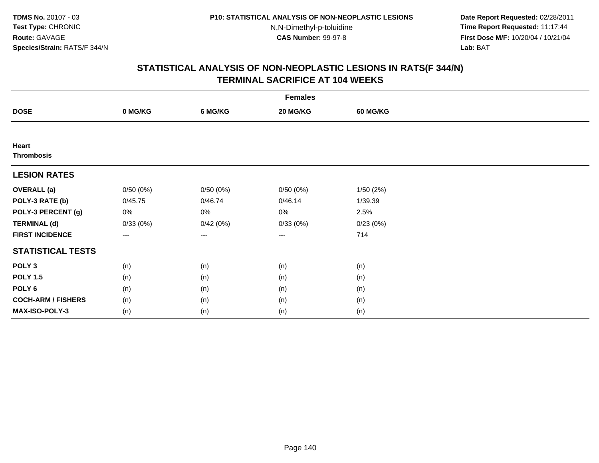**Date Report Requested:** 02/28/2011 **Time Report Requested:** 11:17:44 **First Dose M/F:** 10/20/04 / 10/21/04<br>**Lab:** BAT **Lab:** BAT

|                            |          |          | <b>Females</b>    |          |  |
|----------------------------|----------|----------|-------------------|----------|--|
| <b>DOSE</b>                | 0 MG/KG  | 6 MG/KG  | 20 MG/KG          | 60 MG/KG |  |
|                            |          |          |                   |          |  |
| Heart<br><b>Thrombosis</b> |          |          |                   |          |  |
| <b>LESION RATES</b>        |          |          |                   |          |  |
| <b>OVERALL</b> (a)         | 0/50(0%) | 0/50(0%) | 0/50(0%)          | 1/50(2%) |  |
| POLY-3 RATE (b)            | 0/45.75  | 0/46.74  | 0/46.14           | 1/39.39  |  |
| POLY-3 PERCENT (g)         | 0%       | 0%       | 0%                | 2.5%     |  |
| <b>TERMINAL (d)</b>        | 0/33(0%) | 0/42(0%) | 0/33(0%)          | 0/23(0%) |  |
| <b>FIRST INCIDENCE</b>     | ---      | ---      | $\qquad \qquad -$ | 714      |  |
| <b>STATISTICAL TESTS</b>   |          |          |                   |          |  |
| POLY <sub>3</sub>          | (n)      | (n)      | (n)               | (n)      |  |
| <b>POLY 1.5</b>            | (n)      | (n)      | (n)               | (n)      |  |
| POLY <sub>6</sub>          | (n)      | (n)      | (n)               | (n)      |  |
| <b>COCH-ARM / FISHERS</b>  | (n)      | (n)      | (n)               | (n)      |  |
| MAX-ISO-POLY-3             | (n)      | (n)      | (n)               | (n)      |  |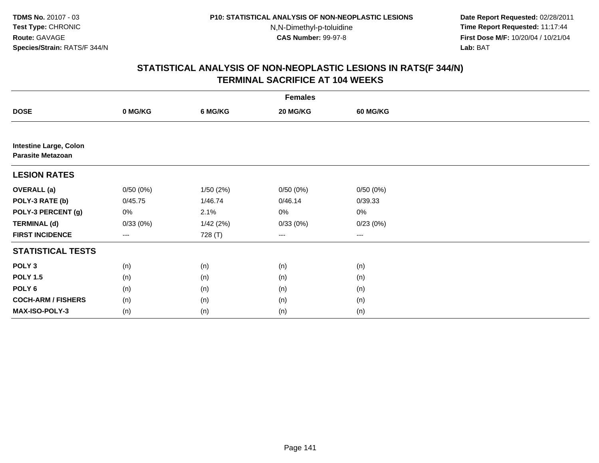**Date Report Requested:** 02/28/2011 **Time Report Requested:** 11:17:44 **First Dose M/F:** 10/20/04 / 10/21/04<br>**Lab:** BAT **Lab:** BAT

|                                                           | <b>Females</b> |          |          |          |  |  |  |  |
|-----------------------------------------------------------|----------------|----------|----------|----------|--|--|--|--|
| <b>DOSE</b>                                               | 0 MG/KG        | 6 MG/KG  | 20 MG/KG | 60 MG/KG |  |  |  |  |
|                                                           |                |          |          |          |  |  |  |  |
| <b>Intestine Large, Colon</b><br><b>Parasite Metazoan</b> |                |          |          |          |  |  |  |  |
| <b>LESION RATES</b>                                       |                |          |          |          |  |  |  |  |
| <b>OVERALL</b> (a)                                        | 0/50(0%)       | 1/50(2%) | 0/50(0%) | 0/50(0%) |  |  |  |  |
| POLY-3 RATE (b)                                           | 0/45.75        | 1/46.74  | 0/46.14  | 0/39.33  |  |  |  |  |
| POLY-3 PERCENT (g)                                        | 0%             | 2.1%     | 0%       | 0%       |  |  |  |  |
| <b>TERMINAL (d)</b>                                       | 0/33(0%)       | 1/42(2%) | 0/33(0%) | 0/23(0%) |  |  |  |  |
| <b>FIRST INCIDENCE</b>                                    | ---            | 728 (T)  | $--$     | ---      |  |  |  |  |
| <b>STATISTICAL TESTS</b>                                  |                |          |          |          |  |  |  |  |
| POLY <sub>3</sub>                                         | (n)            | (n)      | (n)      | (n)      |  |  |  |  |
| <b>POLY 1.5</b>                                           | (n)            | (n)      | (n)      | (n)      |  |  |  |  |
| POLY <sub>6</sub>                                         | (n)            | (n)      | (n)      | (n)      |  |  |  |  |
| <b>COCH-ARM / FISHERS</b>                                 | (n)            | (n)      | (n)      | (n)      |  |  |  |  |
| MAX-ISO-POLY-3                                            | (n)            | (n)      | (n)      | (n)      |  |  |  |  |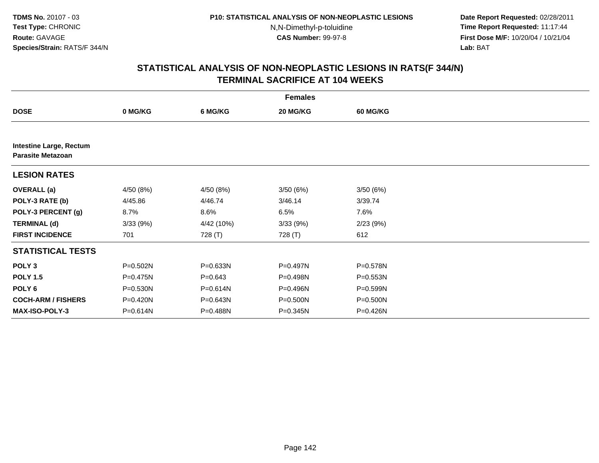**Date Report Requested:** 02/28/2011 **Time Report Requested:** 11:17:44 **First Dose M/F:** 10/20/04 / 10/21/04<br>**Lab:** BAT **Lab:** BAT

|                                                            |           |             | <b>Females</b> |                 |  |
|------------------------------------------------------------|-----------|-------------|----------------|-----------------|--|
| <b>DOSE</b>                                                | 0 MG/KG   | 6 MG/KG     | 20 MG/KG       | <b>60 MG/KG</b> |  |
|                                                            |           |             |                |                 |  |
| <b>Intestine Large, Rectum</b><br><b>Parasite Metazoan</b> |           |             |                |                 |  |
| <b>LESION RATES</b>                                        |           |             |                |                 |  |
| <b>OVERALL</b> (a)                                         | 4/50 (8%) | 4/50 (8%)   | 3/50(6%)       | 3/50(6%)        |  |
| POLY-3 RATE (b)                                            | 4/45.86   | 4/46.74     | 3/46.14        | 3/39.74         |  |
| POLY-3 PERCENT (g)                                         | 8.7%      | 8.6%        | 6.5%           | 7.6%            |  |
| <b>TERMINAL (d)</b>                                        | 3/33(9%)  | 4/42 (10%)  | 3/33(9%)       | 2/23(9%)        |  |
| <b>FIRST INCIDENCE</b>                                     | 701       | 728 (T)     | 728 (T)        | 612             |  |
| <b>STATISTICAL TESTS</b>                                   |           |             |                |                 |  |
| POLY <sub>3</sub>                                          | P=0.502N  | P=0.633N    | P=0.497N       | P=0.578N        |  |
| <b>POLY 1.5</b>                                            | P=0.475N  | $P = 0.643$ | P=0.498N       | P=0.553N        |  |
| POLY 6                                                     | P=0.530N  | P=0.614N    | $P = 0.496N$   | P=0.599N        |  |
| <b>COCH-ARM / FISHERS</b>                                  | P=0.420N  | P=0.643N    | P=0.500N       | P=0.500N        |  |
| <b>MAX-ISO-POLY-3</b>                                      | P=0.614N  | P=0.488N    | P=0.345N       | P=0.426N        |  |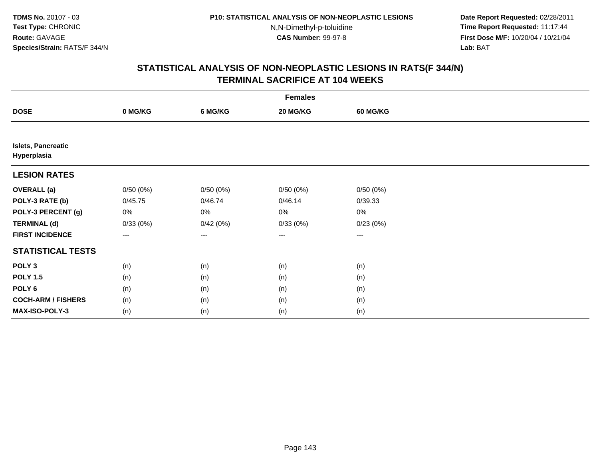**Date Report Requested:** 02/28/2011 **Time Report Requested:** 11:17:44 **First Dose M/F:** 10/20/04 / 10/21/04<br>**Lab:** BAT **Lab:** BAT

|                                          | <b>Females</b> |          |                   |                 |  |  |  |
|------------------------------------------|----------------|----------|-------------------|-----------------|--|--|--|
| <b>DOSE</b>                              | 0 MG/KG        | 6 MG/KG  | 20 MG/KG          | <b>60 MG/KG</b> |  |  |  |
|                                          |                |          |                   |                 |  |  |  |
| <b>Islets, Pancreatic</b><br>Hyperplasia |                |          |                   |                 |  |  |  |
| <b>LESION RATES</b>                      |                |          |                   |                 |  |  |  |
| <b>OVERALL</b> (a)                       | 0/50(0%)       | 0/50(0%) | 0/50(0%)          | 0/50(0%)        |  |  |  |
| POLY-3 RATE (b)                          | 0/45.75        | 0/46.74  | 0/46.14           | 0/39.33         |  |  |  |
| POLY-3 PERCENT (g)                       | 0%             | 0%       | 0%                | $0\%$           |  |  |  |
| <b>TERMINAL (d)</b>                      | 0/33(0%)       | 0/42(0%) | 0/33(0%)          | 0/23(0%)        |  |  |  |
| <b>FIRST INCIDENCE</b>                   | ---            | $--$     | $\qquad \qquad -$ | $---$           |  |  |  |
| <b>STATISTICAL TESTS</b>                 |                |          |                   |                 |  |  |  |
| POLY <sub>3</sub>                        | (n)            | (n)      | (n)               | (n)             |  |  |  |
| <b>POLY 1.5</b>                          | (n)            | (n)      | (n)               | (n)             |  |  |  |
| POLY 6                                   | (n)            | (n)      | (n)               | (n)             |  |  |  |
| <b>COCH-ARM / FISHERS</b>                | (n)            | (n)      | (n)               | (n)             |  |  |  |
| <b>MAX-ISO-POLY-3</b>                    | (n)            | (n)      | (n)               | (n)             |  |  |  |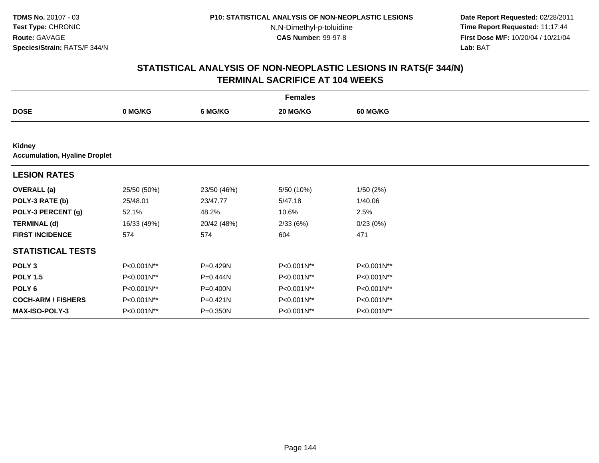**TDMS No.** 20107 - 03**Test Type:** CHRONIC**Route:** GAVAGE**Species/Strain:** RATS/F 344/N

N,N-Dimethyl-p-toluidine

 **Date Report Requested:** 02/28/2011 **Time Report Requested:** 11:17:44 **First Dose M/F:** 10/20/04 / 10/21/04<br>**Lab:** BAT **Lab:** BAT

|                                                |             |              | <b>Females</b> |            |  |
|------------------------------------------------|-------------|--------------|----------------|------------|--|
| <b>DOSE</b>                                    | 0 MG/KG     | 6 MG/KG      | 20 MG/KG       | 60 MG/KG   |  |
|                                                |             |              |                |            |  |
| Kidney<br><b>Accumulation, Hyaline Droplet</b> |             |              |                |            |  |
| <b>LESION RATES</b>                            |             |              |                |            |  |
| <b>OVERALL</b> (a)                             | 25/50 (50%) | 23/50 (46%)  | 5/50 (10%)     | 1/50(2%)   |  |
| POLY-3 RATE (b)                                | 25/48.01    | 23/47.77     | 5/47.18        | 1/40.06    |  |
| POLY-3 PERCENT (g)                             | 52.1%       | 48.2%        | 10.6%          | 2.5%       |  |
| <b>TERMINAL (d)</b>                            | 16/33 (49%) | 20/42 (48%)  | 2/33(6%)       | 0/23(0%)   |  |
| <b>FIRST INCIDENCE</b>                         | 574         | 574          | 604            | 471        |  |
| <b>STATISTICAL TESTS</b>                       |             |              |                |            |  |
| POLY <sub>3</sub>                              | P<0.001N**  | P=0.429N     | P<0.001N**     | P<0.001N** |  |
| <b>POLY 1.5</b>                                | P<0.001N**  | P=0.444N     | P<0.001N**     | P<0.001N** |  |
| POLY <sub>6</sub>                              | P<0.001N**  | P=0.400N     | P<0.001N**     | P<0.001N** |  |
| <b>COCH-ARM / FISHERS</b>                      | P<0.001N**  | $P = 0.421N$ | P<0.001N**     | P<0.001N** |  |
| <b>MAX-ISO-POLY-3</b>                          | P<0.001N**  | P=0.350N     | P<0.001N**     | P<0.001N** |  |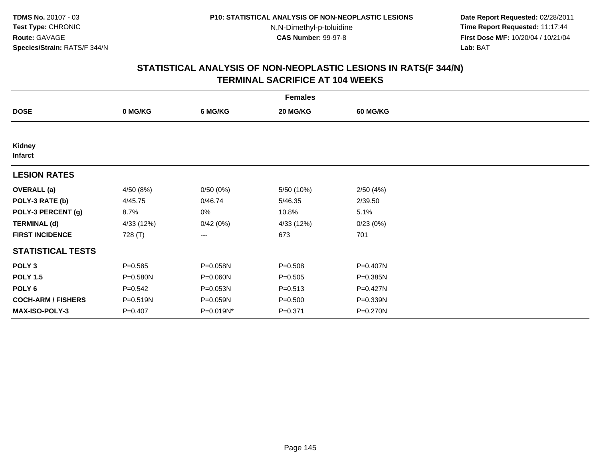**Date Report Requested:** 02/28/2011 **Time Report Requested:** 11:17:44 **First Dose M/F:** 10/20/04 / 10/21/04<br>**Lab:** BAT **Lab:** BAT

| <b>Females</b>            |             |           |             |                 |  |  |  |
|---------------------------|-------------|-----------|-------------|-----------------|--|--|--|
| <b>DOSE</b>               | 0 MG/KG     | 6 MG/KG   | 20 MG/KG    | <b>60 MG/KG</b> |  |  |  |
|                           |             |           |             |                 |  |  |  |
| Kidney<br>Infarct         |             |           |             |                 |  |  |  |
| <b>LESION RATES</b>       |             |           |             |                 |  |  |  |
| <b>OVERALL</b> (a)        | 4/50 (8%)   | 0/50(0%)  | 5/50 (10%)  | 2/50(4%)        |  |  |  |
| POLY-3 RATE (b)           | 4/45.75     | 0/46.74   | 5/46.35     | 2/39.50         |  |  |  |
| POLY-3 PERCENT (g)        | 8.7%        | 0%        | 10.8%       | 5.1%            |  |  |  |
| <b>TERMINAL (d)</b>       | 4/33 (12%)  | 0/42(0%)  | 4/33 (12%)  | 0/23(0%)        |  |  |  |
| <b>FIRST INCIDENCE</b>    | 728 (T)     | ---       | 673         | 701             |  |  |  |
| <b>STATISTICAL TESTS</b>  |             |           |             |                 |  |  |  |
| POLY <sub>3</sub>         | $P = 0.585$ | P=0.058N  | $P = 0.508$ | P=0.407N        |  |  |  |
| <b>POLY 1.5</b>           | P=0.580N    | P=0.060N  | $P = 0.505$ | P=0.385N        |  |  |  |
| POLY <sub>6</sub>         | $P=0.542$   | P=0.053N  | $P = 0.513$ | P=0.427N        |  |  |  |
| <b>COCH-ARM / FISHERS</b> | P=0.519N    | P=0.059N  | $P = 0.500$ | P=0.339N        |  |  |  |
| <b>MAX-ISO-POLY-3</b>     | $P = 0.407$ | P=0.019N* | $P = 0.371$ | P=0.270N        |  |  |  |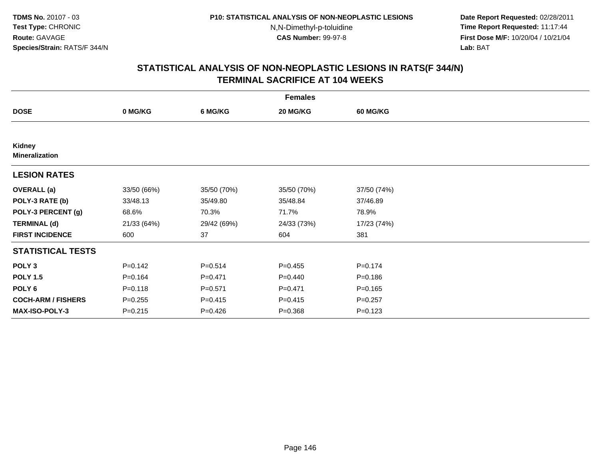**Date Report Requested:** 02/28/2011 **Time Report Requested:** 11:17:44 **First Dose M/F:** 10/20/04 / 10/21/04<br>**Lab:** BAT **Lab:** BAT

| <b>Females</b>                  |             |             |             |                 |  |  |  |
|---------------------------------|-------------|-------------|-------------|-----------------|--|--|--|
| <b>DOSE</b>                     | 0 MG/KG     | 6 MG/KG     | 20 MG/KG    | <b>60 MG/KG</b> |  |  |  |
|                                 |             |             |             |                 |  |  |  |
| Kidney<br><b>Mineralization</b> |             |             |             |                 |  |  |  |
| <b>LESION RATES</b>             |             |             |             |                 |  |  |  |
| <b>OVERALL</b> (a)              | 33/50 (66%) | 35/50 (70%) | 35/50 (70%) | 37/50 (74%)     |  |  |  |
| POLY-3 RATE (b)                 | 33/48.13    | 35/49.80    | 35/48.84    | 37/46.89        |  |  |  |
| POLY-3 PERCENT (g)              | 68.6%       | 70.3%       | 71.7%       | 78.9%           |  |  |  |
| <b>TERMINAL (d)</b>             | 21/33 (64%) | 29/42 (69%) | 24/33 (73%) | 17/23 (74%)     |  |  |  |
| <b>FIRST INCIDENCE</b>          | 600         | 37          | 604         | 381             |  |  |  |
| <b>STATISTICAL TESTS</b>        |             |             |             |                 |  |  |  |
| POLY <sub>3</sub>               | $P = 0.142$ | $P = 0.514$ | $P = 0.455$ | $P = 0.174$     |  |  |  |
| <b>POLY 1.5</b>                 | $P = 0.164$ | $P = 0.471$ | $P=0.440$   | $P = 0.186$     |  |  |  |
| POLY <sub>6</sub>               | $P = 0.118$ | $P = 0.571$ | $P=0.471$   | $P = 0.165$     |  |  |  |
| <b>COCH-ARM / FISHERS</b>       | $P = 0.255$ | $P = 0.415$ | $P = 0.415$ | $P = 0.257$     |  |  |  |
| MAX-ISO-POLY-3                  | $P = 0.215$ | $P = 0.426$ | $P = 0.368$ | $P = 0.123$     |  |  |  |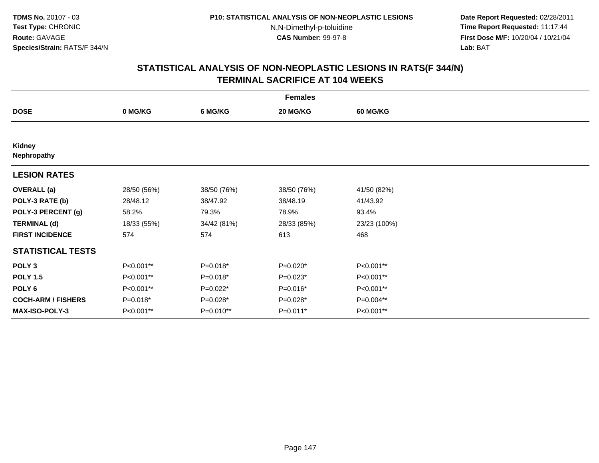**Date Report Requested:** 02/28/2011 **Time Report Requested:** 11:17:44 **First Dose M/F:** 10/20/04 / 10/21/04<br>**Lab:** BAT **Lab:** BAT

| <b>Females</b>            |             |             |             |                 |  |  |  |
|---------------------------|-------------|-------------|-------------|-----------------|--|--|--|
| <b>DOSE</b>               | 0 MG/KG     | 6 MG/KG     | 20 MG/KG    | <b>60 MG/KG</b> |  |  |  |
|                           |             |             |             |                 |  |  |  |
| Kidney<br>Nephropathy     |             |             |             |                 |  |  |  |
| <b>LESION RATES</b>       |             |             |             |                 |  |  |  |
| <b>OVERALL</b> (a)        | 28/50 (56%) | 38/50 (76%) | 38/50 (76%) | 41/50 (82%)     |  |  |  |
| POLY-3 RATE (b)           | 28/48.12    | 38/47.92    | 38/48.19    | 41/43.92        |  |  |  |
| POLY-3 PERCENT (g)        | 58.2%       | 79.3%       | 78.9%       | 93.4%           |  |  |  |
| <b>TERMINAL (d)</b>       | 18/33 (55%) | 34/42 (81%) | 28/33 (85%) | 23/23 (100%)    |  |  |  |
| <b>FIRST INCIDENCE</b>    | 574         | 574         | 613         | 468             |  |  |  |
| <b>STATISTICAL TESTS</b>  |             |             |             |                 |  |  |  |
| POLY <sub>3</sub>         | P<0.001**   | $P=0.018*$  | P=0.020*    | P<0.001**       |  |  |  |
| <b>POLY 1.5</b>           | P<0.001**   | $P=0.018*$  | $P=0.023*$  | P<0.001**       |  |  |  |
| POLY <sub>6</sub>         | P<0.001**   | $P=0.022*$  | P=0.016*    | P<0.001**       |  |  |  |
| <b>COCH-ARM / FISHERS</b> | $P=0.018*$  | P=0.028*    | P=0.028*    | P=0.004**       |  |  |  |
| MAX-ISO-POLY-3            | P<0.001**   | P=0.010**   | $P=0.011*$  | P<0.001**       |  |  |  |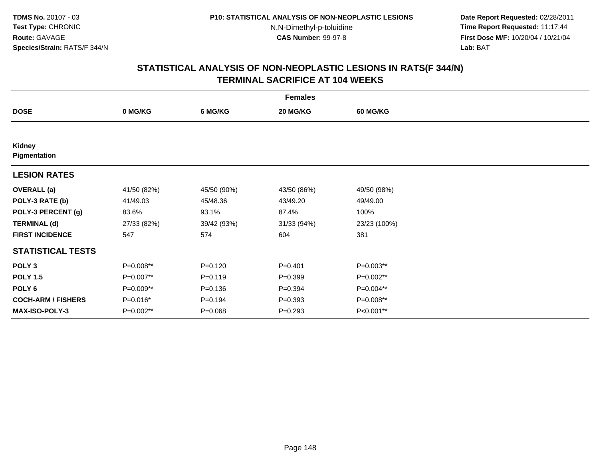**Date Report Requested:** 02/28/2011 **Time Report Requested:** 11:17:44 **First Dose M/F:** 10/20/04 / 10/21/04<br>**Lab:** BAT **Lab:** BAT

| <b>Females</b>            |             |             |             |                 |  |  |  |
|---------------------------|-------------|-------------|-------------|-----------------|--|--|--|
| <b>DOSE</b>               | 0 MG/KG     | 6 MG/KG     | 20 MG/KG    | <b>60 MG/KG</b> |  |  |  |
|                           |             |             |             |                 |  |  |  |
| Kidney<br>Pigmentation    |             |             |             |                 |  |  |  |
| <b>LESION RATES</b>       |             |             |             |                 |  |  |  |
| <b>OVERALL</b> (a)        | 41/50 (82%) | 45/50 (90%) | 43/50 (86%) | 49/50 (98%)     |  |  |  |
| POLY-3 RATE (b)           | 41/49.03    | 45/48.36    | 43/49.20    | 49/49.00        |  |  |  |
| POLY-3 PERCENT (g)        | 83.6%       | 93.1%       | 87.4%       | 100%            |  |  |  |
| <b>TERMINAL (d)</b>       | 27/33 (82%) | 39/42 (93%) | 31/33 (94%) | 23/23 (100%)    |  |  |  |
| <b>FIRST INCIDENCE</b>    | 547         | 574         | 604         | 381             |  |  |  |
| <b>STATISTICAL TESTS</b>  |             |             |             |                 |  |  |  |
| POLY <sub>3</sub>         | $P=0.008**$ | $P = 0.120$ | $P = 0.401$ | $P=0.003**$     |  |  |  |
| <b>POLY 1.5</b>           | P=0.007**   | $P=0.119$   | $P = 0.399$ | $P=0.002**$     |  |  |  |
| POLY <sub>6</sub>         | P=0.009**   | $P = 0.136$ | $P = 0.394$ | P=0.004**       |  |  |  |
| <b>COCH-ARM / FISHERS</b> | $P=0.016*$  | $P = 0.194$ | $P = 0.393$ | P=0.008**       |  |  |  |
| MAX-ISO-POLY-3            | P=0.002**   | $P = 0.068$ | $P=0.293$   | P<0.001**       |  |  |  |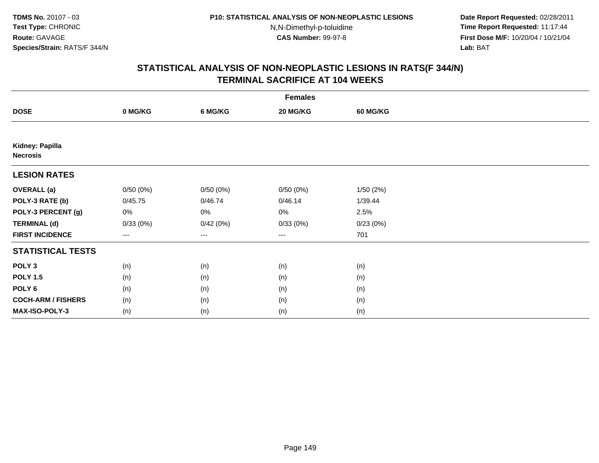**Date Report Requested:** 02/28/2011 **Time Report Requested:** 11:17:44 **First Dose M/F:** 10/20/04 / 10/21/04<br>**Lab:** BAT **Lab:** BAT

| <b>Females</b>                     |          |          |                        |                 |  |  |  |
|------------------------------------|----------|----------|------------------------|-----------------|--|--|--|
| <b>DOSE</b>                        | 0 MG/KG  | 6 MG/KG  | 20 MG/KG               | <b>60 MG/KG</b> |  |  |  |
|                                    |          |          |                        |                 |  |  |  |
| Kidney: Papilla<br><b>Necrosis</b> |          |          |                        |                 |  |  |  |
| <b>LESION RATES</b>                |          |          |                        |                 |  |  |  |
| <b>OVERALL</b> (a)                 | 0/50(0%) | 0/50(0%) | 0/50(0%)               | 1/50(2%)        |  |  |  |
| POLY-3 RATE (b)                    | 0/45.75  | 0/46.74  | 0/46.14                | 1/39.44         |  |  |  |
| POLY-3 PERCENT (g)                 | 0%       | $0\%$    | 0%                     | 2.5%            |  |  |  |
| <b>TERMINAL (d)</b>                | 0/33(0%) | 0/42(0%) | 0/33(0%)               | 0/23(0%)        |  |  |  |
| <b>FIRST INCIDENCE</b>             | ---      | $--$     | $\qquad \qquad \cdots$ | 701             |  |  |  |
| <b>STATISTICAL TESTS</b>           |          |          |                        |                 |  |  |  |
| POLY <sub>3</sub>                  | (n)      | (n)      | (n)                    | (n)             |  |  |  |
| <b>POLY 1.5</b>                    | (n)      | (n)      | (n)                    | (n)             |  |  |  |
| POLY <sub>6</sub>                  | (n)      | (n)      | (n)                    | (n)             |  |  |  |
| <b>COCH-ARM / FISHERS</b>          | (n)      | (n)      | (n)                    | (n)             |  |  |  |
| MAX-ISO-POLY-3                     | (n)      | (n)      | (n)                    | (n)             |  |  |  |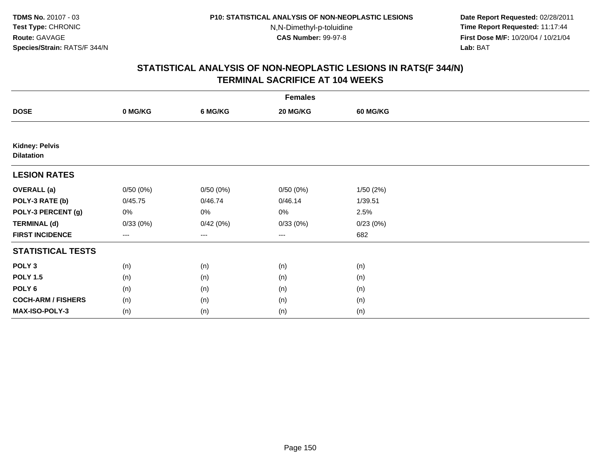**Date Report Requested:** 02/28/2011 **Time Report Requested:** 11:17:44 **First Dose M/F:** 10/20/04 / 10/21/04<br>**Lab:** BAT **Lab:** BAT

| <b>Females</b>                             |          |          |                   |          |  |  |  |
|--------------------------------------------|----------|----------|-------------------|----------|--|--|--|
| <b>DOSE</b>                                | 0 MG/KG  | 6 MG/KG  | 20 MG/KG          | 60 MG/KG |  |  |  |
|                                            |          |          |                   |          |  |  |  |
| <b>Kidney: Pelvis</b><br><b>Dilatation</b> |          |          |                   |          |  |  |  |
| <b>LESION RATES</b>                        |          |          |                   |          |  |  |  |
| <b>OVERALL</b> (a)                         | 0/50(0%) | 0/50(0%) | 0/50(0%)          | 1/50(2%) |  |  |  |
| POLY-3 RATE (b)                            | 0/45.75  | 0/46.74  | 0/46.14           | 1/39.51  |  |  |  |
| POLY-3 PERCENT (g)                         | 0%       | 0%       | 0%                | 2.5%     |  |  |  |
| <b>TERMINAL (d)</b>                        | 0/33(0%) | 0/42(0%) | 0/33(0%)          | 0/23(0%) |  |  |  |
| <b>FIRST INCIDENCE</b>                     | ---      | ---      | $\qquad \qquad -$ | 682      |  |  |  |
| <b>STATISTICAL TESTS</b>                   |          |          |                   |          |  |  |  |
| POLY <sub>3</sub>                          | (n)      | (n)      | (n)               | (n)      |  |  |  |
| <b>POLY 1.5</b>                            | (n)      | (n)      | (n)               | (n)      |  |  |  |
| POLY <sub>6</sub>                          | (n)      | (n)      | (n)               | (n)      |  |  |  |
| <b>COCH-ARM / FISHERS</b>                  | (n)      | (n)      | (n)               | (n)      |  |  |  |
| MAX-ISO-POLY-3                             | (n)      | (n)      | (n)               | (n)      |  |  |  |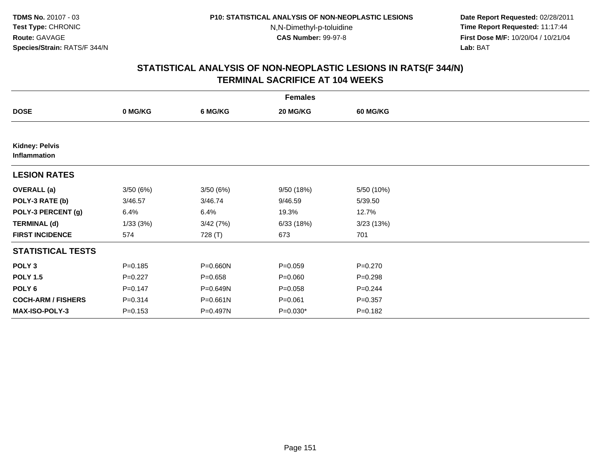**Date Report Requested:** 02/28/2011 **Time Report Requested:** 11:17:44 **First Dose M/F:** 10/20/04 / 10/21/04<br>**Lab:** BAT **Lab:** BAT

|                                       | <b>Females</b> |             |             |                 |  |  |  |  |
|---------------------------------------|----------------|-------------|-------------|-----------------|--|--|--|--|
| <b>DOSE</b>                           | 0 MG/KG        | 6 MG/KG     | 20 MG/KG    | <b>60 MG/KG</b> |  |  |  |  |
|                                       |                |             |             |                 |  |  |  |  |
| <b>Kidney: Pelvis</b><br>Inflammation |                |             |             |                 |  |  |  |  |
| <b>LESION RATES</b>                   |                |             |             |                 |  |  |  |  |
| <b>OVERALL</b> (a)                    | 3/50(6%)       | 3/50 (6%)   | 9/50 (18%)  | 5/50 (10%)      |  |  |  |  |
| POLY-3 RATE (b)                       | 3/46.57        | 3/46.74     | 9/46.59     | 5/39.50         |  |  |  |  |
| POLY-3 PERCENT (g)                    | 6.4%           | 6.4%        | 19.3%       | 12.7%           |  |  |  |  |
| <b>TERMINAL (d)</b>                   | 1/33(3%)       | 3/42(7%)    | 6/33(18%)   | 3/23(13%)       |  |  |  |  |
| <b>FIRST INCIDENCE</b>                | 574            | 728 (T)     | 673         | 701             |  |  |  |  |
| <b>STATISTICAL TESTS</b>              |                |             |             |                 |  |  |  |  |
| POLY <sub>3</sub>                     | $P = 0.185$    | P=0.660N    | $P = 0.059$ | $P = 0.270$     |  |  |  |  |
| <b>POLY 1.5</b>                       | $P=0.227$      | $P = 0.658$ | $P = 0.060$ | $P = 0.298$     |  |  |  |  |
| POLY <sub>6</sub>                     | $P = 0.147$    | P=0.649N    | $P = 0.058$ | $P = 0.244$     |  |  |  |  |
| <b>COCH-ARM / FISHERS</b>             | $P = 0.314$    | P=0.661N    | $P = 0.061$ | $P = 0.357$     |  |  |  |  |
| <b>MAX-ISO-POLY-3</b>                 | $P = 0.153$    | P=0.497N    | $P=0.030*$  | $P = 0.182$     |  |  |  |  |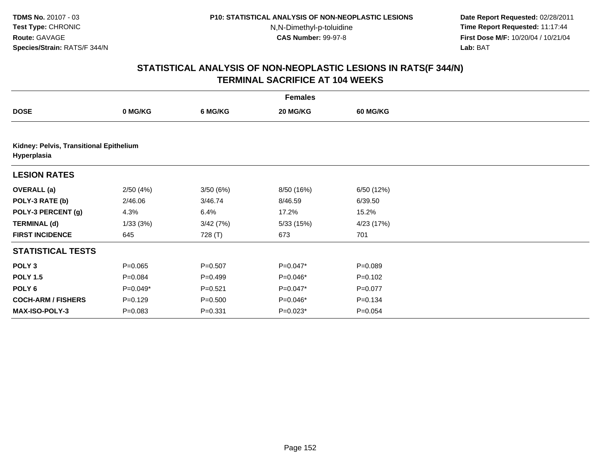**Date Report Requested:** 02/28/2011 **Time Report Requested:** 11:17:44 **First Dose M/F:** 10/20/04 / 10/21/04<br>**Lab:** BAT **Lab:** BAT

| <b>Females</b>                                         |             |             |            |                 |  |  |  |
|--------------------------------------------------------|-------------|-------------|------------|-----------------|--|--|--|
| <b>DOSE</b>                                            | 0 MG/KG     | 6 MG/KG     | 20 MG/KG   | <b>60 MG/KG</b> |  |  |  |
|                                                        |             |             |            |                 |  |  |  |
| Kidney: Pelvis, Transitional Epithelium<br>Hyperplasia |             |             |            |                 |  |  |  |
| <b>LESION RATES</b>                                    |             |             |            |                 |  |  |  |
| <b>OVERALL</b> (a)                                     | 2/50(4%)    | 3/50(6%)    | 8/50 (16%) | 6/50 (12%)      |  |  |  |
| POLY-3 RATE (b)                                        | 2/46.06     | 3/46.74     | 8/46.59    | 6/39.50         |  |  |  |
| POLY-3 PERCENT (g)                                     | 4.3%        | 6.4%        | 17.2%      | 15.2%           |  |  |  |
| <b>TERMINAL (d)</b>                                    | 1/33(3%)    | 3/42(7%)    | 5/33(15%)  | 4/23 (17%)      |  |  |  |
| <b>FIRST INCIDENCE</b>                                 | 645         | 728 (T)     | 673        | 701             |  |  |  |
| <b>STATISTICAL TESTS</b>                               |             |             |            |                 |  |  |  |
| POLY <sub>3</sub>                                      | $P = 0.065$ | $P = 0.507$ | $P=0.047*$ | $P = 0.089$     |  |  |  |
| <b>POLY 1.5</b>                                        | $P = 0.084$ | $P=0.499$   | $P=0.046*$ | $P = 0.102$     |  |  |  |
| POLY 6                                                 | P=0.049*    | $P = 0.521$ | $P=0.047*$ | $P = 0.077$     |  |  |  |
| <b>COCH-ARM / FISHERS</b>                              | $P = 0.129$ | $P = 0.500$ | $P=0.046*$ | $P = 0.134$     |  |  |  |
| <b>MAX-ISO-POLY-3</b>                                  | $P = 0.083$ | $P = 0.331$ | $P=0.023*$ | $P = 0.054$     |  |  |  |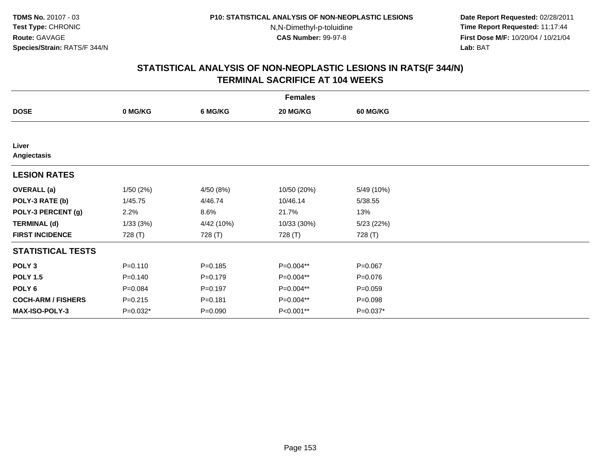**Date Report Requested:** 02/28/2011 **Time Report Requested:** 11:17:44 **First Dose M/F:** 10/20/04 / 10/21/04<br>**Lab:** BAT **Lab:** BAT

|                           | <b>Females</b> |             |             |             |  |  |  |  |
|---------------------------|----------------|-------------|-------------|-------------|--|--|--|--|
| <b>DOSE</b>               | 0 MG/KG        | 6 MG/KG     | 20 MG/KG    | 60 MG/KG    |  |  |  |  |
|                           |                |             |             |             |  |  |  |  |
| Liver<br>Angiectasis      |                |             |             |             |  |  |  |  |
| <b>LESION RATES</b>       |                |             |             |             |  |  |  |  |
| <b>OVERALL</b> (a)        | 1/50(2%)       | 4/50 (8%)   | 10/50 (20%) | 5/49 (10%)  |  |  |  |  |
| POLY-3 RATE (b)           | 1/45.75        | 4/46.74     | 10/46.14    | 5/38.55     |  |  |  |  |
| POLY-3 PERCENT (g)        | 2.2%           | 8.6%        | 21.7%       | 13%         |  |  |  |  |
| <b>TERMINAL (d)</b>       | 1/33(3%)       | 4/42 (10%)  | 10/33 (30%) | 5/23(22%)   |  |  |  |  |
| <b>FIRST INCIDENCE</b>    | 728 (T)        | 728 (T)     | 728 (T)     | 728 (T)     |  |  |  |  |
| <b>STATISTICAL TESTS</b>  |                |             |             |             |  |  |  |  |
| POLY <sub>3</sub>         | $P = 0.110$    | $P = 0.185$ | P=0.004**   | $P = 0.067$ |  |  |  |  |
| <b>POLY 1.5</b>           | $P = 0.140$    | $P = 0.179$ | P=0.004**   | $P = 0.076$ |  |  |  |  |
| POLY 6                    | $P = 0.084$    | $P = 0.197$ | P=0.004**   | $P = 0.059$ |  |  |  |  |
| <b>COCH-ARM / FISHERS</b> | $P = 0.215$    | $P = 0.181$ | P=0.004**   | $P = 0.098$ |  |  |  |  |
| MAX-ISO-POLY-3            | $P=0.032*$     | $P = 0.090$ | P<0.001**   | $P=0.037*$  |  |  |  |  |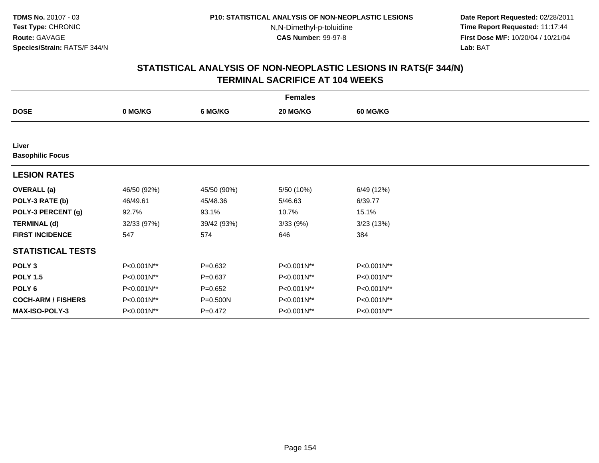**Date Report Requested:** 02/28/2011 **Time Report Requested:** 11:17:44 **First Dose M/F:** 10/20/04 / 10/21/04<br>**Lab:** BAT **Lab:** BAT

| <b>Females</b>                   |             |             |            |                 |  |  |  |
|----------------------------------|-------------|-------------|------------|-----------------|--|--|--|
| <b>DOSE</b>                      | 0 MG/KG     | 6 MG/KG     | 20 MG/KG   | <b>60 MG/KG</b> |  |  |  |
|                                  |             |             |            |                 |  |  |  |
| Liver<br><b>Basophilic Focus</b> |             |             |            |                 |  |  |  |
| <b>LESION RATES</b>              |             |             |            |                 |  |  |  |
| <b>OVERALL</b> (a)               | 46/50 (92%) | 45/50 (90%) | 5/50 (10%) | 6/49 (12%)      |  |  |  |
| POLY-3 RATE (b)                  | 46/49.61    | 45/48.36    | 5/46.63    | 6/39.77         |  |  |  |
| POLY-3 PERCENT (g)               | 92.7%       | 93.1%       | 10.7%      | 15.1%           |  |  |  |
| <b>TERMINAL (d)</b>              | 32/33 (97%) | 39/42 (93%) | 3/33(9%)   | 3/23(13%)       |  |  |  |
| <b>FIRST INCIDENCE</b>           | 547         | 574         | 646        | 384             |  |  |  |
| <b>STATISTICAL TESTS</b>         |             |             |            |                 |  |  |  |
| POLY <sub>3</sub>                | P<0.001N**  | $P = 0.632$ | P<0.001N** | P<0.001N**      |  |  |  |
| <b>POLY 1.5</b>                  | P<0.001N**  | $P = 0.637$ | P<0.001N** | P<0.001N**      |  |  |  |
| POLY 6                           | P<0.001N**  | $P=0.652$   | P<0.001N** | P<0.001N**      |  |  |  |
| <b>COCH-ARM / FISHERS</b>        | P<0.001N**  | P=0.500N    | P<0.001N** | P<0.001N**      |  |  |  |
| <b>MAX-ISO-POLY-3</b>            | P<0.001N**  | $P=0.472$   | P<0.001N** | P<0.001N**      |  |  |  |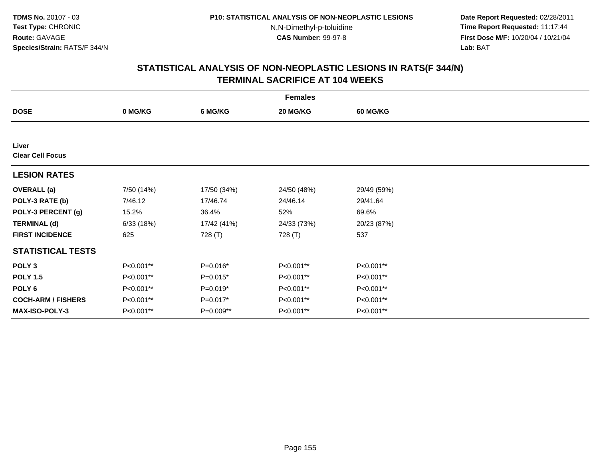**Date Report Requested:** 02/28/2011 **Time Report Requested:** 11:17:44 **First Dose M/F:** 10/20/04 / 10/21/04<br>**Lab:** BAT **Lab:** BAT

|                                  | <b>Females</b> |             |             |                 |  |  |  |  |
|----------------------------------|----------------|-------------|-------------|-----------------|--|--|--|--|
| <b>DOSE</b>                      | 0 MG/KG        | 6 MG/KG     | 20 MG/KG    | <b>60 MG/KG</b> |  |  |  |  |
|                                  |                |             |             |                 |  |  |  |  |
| Liver<br><b>Clear Cell Focus</b> |                |             |             |                 |  |  |  |  |
| <b>LESION RATES</b>              |                |             |             |                 |  |  |  |  |
| <b>OVERALL</b> (a)               | 7/50 (14%)     | 17/50 (34%) | 24/50 (48%) | 29/49 (59%)     |  |  |  |  |
| POLY-3 RATE (b)                  | 7/46.12        | 17/46.74    | 24/46.14    | 29/41.64        |  |  |  |  |
| POLY-3 PERCENT (g)               | 15.2%          | 36.4%       | 52%         | 69.6%           |  |  |  |  |
| <b>TERMINAL (d)</b>              | 6/33(18%)      | 17/42 (41%) | 24/33 (73%) | 20/23 (87%)     |  |  |  |  |
| <b>FIRST INCIDENCE</b>           | 625            | 728 (T)     | 728 (T)     | 537             |  |  |  |  |
| <b>STATISTICAL TESTS</b>         |                |             |             |                 |  |  |  |  |
| POLY <sub>3</sub>                | P<0.001**      | $P=0.016*$  | P<0.001**   | P<0.001**       |  |  |  |  |
| <b>POLY 1.5</b>                  | P<0.001**      | $P=0.015*$  | P<0.001**   | P<0.001**       |  |  |  |  |
| POLY 6                           | P<0.001**      | $P=0.019*$  | P<0.001**   | P<0.001**       |  |  |  |  |
| <b>COCH-ARM / FISHERS</b>        | P<0.001**      | P=0.017*    | P<0.001**   | P<0.001**       |  |  |  |  |
| <b>MAX-ISO-POLY-3</b>            | P<0.001**      | P=0.009**   | P<0.001**   | P<0.001**       |  |  |  |  |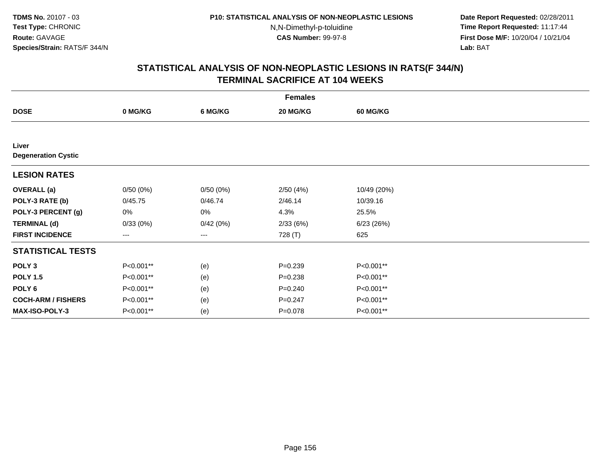**Date Report Requested:** 02/28/2011 **Time Report Requested:** 11:17:44 **First Dose M/F:** 10/20/04 / 10/21/04<br>**Lab:** BAT **Lab:** BAT

| <b>Females</b>                      |           |          |             |                 |  |  |
|-------------------------------------|-----------|----------|-------------|-----------------|--|--|
| <b>DOSE</b>                         | 0 MG/KG   | 6 MG/KG  | 20 MG/KG    | <b>60 MG/KG</b> |  |  |
|                                     |           |          |             |                 |  |  |
| Liver<br><b>Degeneration Cystic</b> |           |          |             |                 |  |  |
| <b>LESION RATES</b>                 |           |          |             |                 |  |  |
| <b>OVERALL</b> (a)                  | 0/50(0%)  | 0/50(0%) | 2/50(4%)    | 10/49 (20%)     |  |  |
| POLY-3 RATE (b)                     | 0/45.75   | 0/46.74  | 2/46.14     | 10/39.16        |  |  |
| POLY-3 PERCENT (g)                  | 0%        | 0%       | 4.3%        | 25.5%           |  |  |
| <b>TERMINAL (d)</b>                 | 0/33(0%)  | 0/42(0%) | 2/33(6%)    | 6/23(26%)       |  |  |
| <b>FIRST INCIDENCE</b>              | $---$     | ---      | 728 (T)     | 625             |  |  |
| <b>STATISTICAL TESTS</b>            |           |          |             |                 |  |  |
| POLY <sub>3</sub>                   | P<0.001** | (e)      | $P = 0.239$ | P<0.001**       |  |  |
| <b>POLY 1.5</b>                     | P<0.001** | (e)      | $P = 0.238$ | P<0.001**       |  |  |
| POLY 6                              | P<0.001** | (e)      | $P = 0.240$ | P<0.001**       |  |  |
| <b>COCH-ARM / FISHERS</b>           | P<0.001** | (e)      | $P = 0.247$ | P<0.001**       |  |  |
| <b>MAX-ISO-POLY-3</b>               | P<0.001** | (e)      | $P = 0.078$ | P<0.001**       |  |  |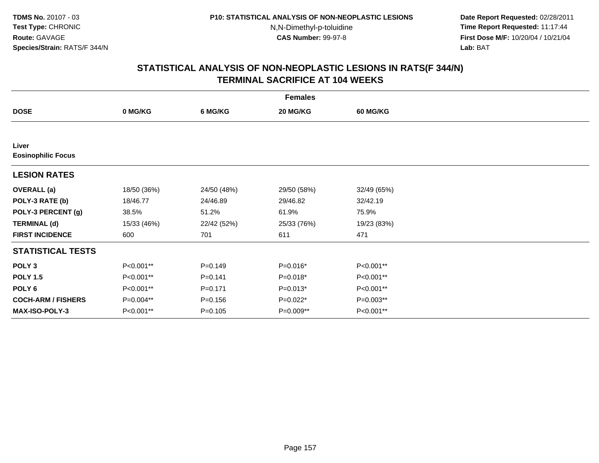**Date Report Requested:** 02/28/2011 **Time Report Requested:** 11:17:44 **First Dose M/F:** 10/20/04 / 10/21/04<br>**Lab:** BAT **Lab:** BAT

|                                    | <b>Females</b> |             |             |             |  |  |  |
|------------------------------------|----------------|-------------|-------------|-------------|--|--|--|
| <b>DOSE</b>                        | 0 MG/KG        | 6 MG/KG     | 20 MG/KG    | 60 MG/KG    |  |  |  |
|                                    |                |             |             |             |  |  |  |
| Liver<br><b>Eosinophilic Focus</b> |                |             |             |             |  |  |  |
| <b>LESION RATES</b>                |                |             |             |             |  |  |  |
| <b>OVERALL</b> (a)                 | 18/50 (36%)    | 24/50 (48%) | 29/50 (58%) | 32/49 (65%) |  |  |  |
| POLY-3 RATE (b)                    | 18/46.77       | 24/46.89    | 29/46.82    | 32/42.19    |  |  |  |
| POLY-3 PERCENT (g)                 | 38.5%          | 51.2%       | 61.9%       | 75.9%       |  |  |  |
| <b>TERMINAL (d)</b>                | 15/33 (46%)    | 22/42 (52%) | 25/33 (76%) | 19/23 (83%) |  |  |  |
| <b>FIRST INCIDENCE</b>             | 600            | 701         | 611         | 471         |  |  |  |
| <b>STATISTICAL TESTS</b>           |                |             |             |             |  |  |  |
| POLY <sub>3</sub>                  | P<0.001**      | $P = 0.149$ | $P=0.016*$  | P<0.001**   |  |  |  |
| <b>POLY 1.5</b>                    | P<0.001**      | $P = 0.141$ | $P=0.018*$  | P<0.001**   |  |  |  |
| POLY 6                             | P<0.001**      | $P = 0.171$ | $P=0.013*$  | P<0.001**   |  |  |  |
| <b>COCH-ARM / FISHERS</b>          | P=0.004**      | $P = 0.156$ | $P=0.022*$  | $P=0.003**$ |  |  |  |
| MAX-ISO-POLY-3                     | P<0.001**      | $P = 0.105$ | P=0.009**   | P<0.001**   |  |  |  |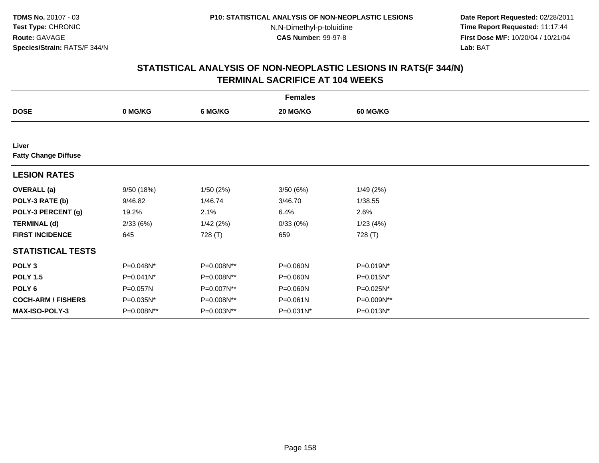**Date Report Requested:** 02/28/2011 **Time Report Requested:** 11:17:44 **First Dose M/F:** 10/20/04 / 10/21/04<br>**Lab:** BAT **Lab:** BAT

|                                      |              |            | <b>Females</b> |                |  |
|--------------------------------------|--------------|------------|----------------|----------------|--|
| <b>DOSE</b>                          | 0 MG/KG      | 6 MG/KG    | 20 MG/KG       | 60 MG/KG       |  |
|                                      |              |            |                |                |  |
| Liver<br><b>Fatty Change Diffuse</b> |              |            |                |                |  |
| <b>LESION RATES</b>                  |              |            |                |                |  |
| <b>OVERALL</b> (a)                   | 9/50 (18%)   | 1/50(2%)   | 3/50(6%)       | 1/49(2%)       |  |
| POLY-3 RATE (b)                      | 9/46.82      | 1/46.74    | 3/46.70        | 1/38.55        |  |
| POLY-3 PERCENT (g)                   | 19.2%        | 2.1%       | 6.4%           | 2.6%           |  |
| <b>TERMINAL (d)</b>                  | 2/33(6%)     | 1/42(2%)   | 0/33(0%)       | 1/23(4%)       |  |
| <b>FIRST INCIDENCE</b>               | 645          | 728 (T)    | 659            | 728 (T)        |  |
| <b>STATISTICAL TESTS</b>             |              |            |                |                |  |
| POLY <sub>3</sub>                    | P=0.048N*    | P=0.008N** | P=0.060N       | P=0.019N*      |  |
| <b>POLY 1.5</b>                      | $P=0.041N^*$ | P=0.008N** | P=0.060N       | $P=0.015N^*$   |  |
| POLY <sub>6</sub>                    | P=0.057N     | P=0.007N** | P=0.060N       | P=0.025N*      |  |
| <b>COCH-ARM / FISHERS</b>            | P=0.035N*    | P=0.008N** | $P = 0.061N$   | P=0.009N**     |  |
| <b>MAX-ISO-POLY-3</b>                | P=0.008N**   | P=0.003N** | $P = 0.031N^*$ | $P = 0.013N^*$ |  |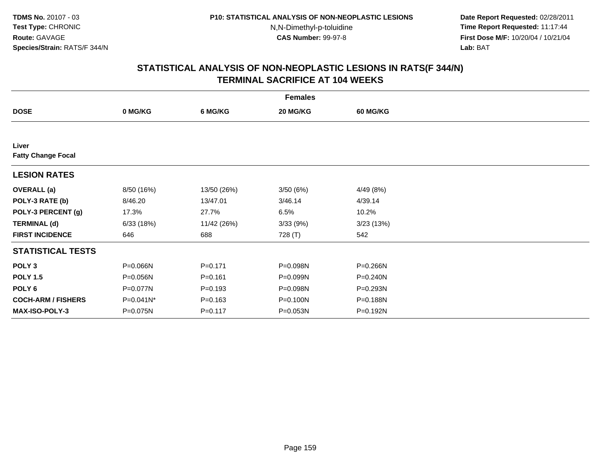**Date Report Requested:** 02/28/2011 **Time Report Requested:** 11:17:44 **First Dose M/F:** 10/20/04 / 10/21/04<br>**Lab:** BAT **Lab:** BAT

|                                    |            |             | <b>Females</b> |              |  |
|------------------------------------|------------|-------------|----------------|--------------|--|
| <b>DOSE</b>                        | 0 MG/KG    | 6 MG/KG     | 20 MG/KG       | 60 MG/KG     |  |
|                                    |            |             |                |              |  |
| Liver<br><b>Fatty Change Focal</b> |            |             |                |              |  |
| <b>LESION RATES</b>                |            |             |                |              |  |
| <b>OVERALL</b> (a)                 | 8/50 (16%) | 13/50 (26%) | 3/50(6%)       | 4/49 (8%)    |  |
| POLY-3 RATE (b)                    | 8/46.20    | 13/47.01    | 3/46.14        | 4/39.14      |  |
| POLY-3 PERCENT (g)                 | 17.3%      | 27.7%       | 6.5%           | 10.2%        |  |
| <b>TERMINAL (d)</b>                | 6/33(18%)  | 11/42 (26%) | 3/33(9%)       | 3/23(13%)    |  |
| <b>FIRST INCIDENCE</b>             | 646        | 688         | 728 (T)        | 542          |  |
| <b>STATISTICAL TESTS</b>           |            |             |                |              |  |
| POLY <sub>3</sub>                  | P=0.066N   | $P = 0.171$ | P=0.098N       | P=0.266N     |  |
| <b>POLY 1.5</b>                    | P=0.056N   | $P=0.161$   | P=0.099N       | $P = 0.240N$ |  |
| POLY <sub>6</sub>                  | P=0.077N   | $P = 0.193$ | P=0.098N       | P=0.293N     |  |
| <b>COCH-ARM / FISHERS</b>          | P=0.041N*  | $P = 0.163$ | P=0.100N       | P=0.188N     |  |
| <b>MAX-ISO-POLY-3</b>              | P=0.075N   | $P = 0.117$ | P=0.053N       | P=0.192N     |  |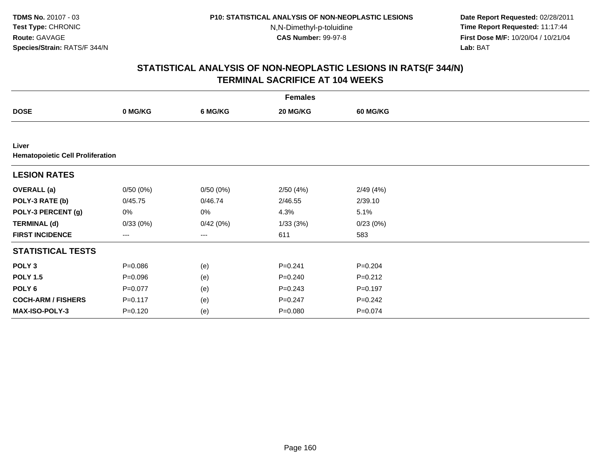**TDMS No.** 20107 - 03**Test Type:** CHRONIC**Route:** GAVAGE**Species/Strain:** RATS/F 344/N

N,N-Dimethyl-p-toluidine

 **Date Report Requested:** 02/28/2011 **Time Report Requested:** 11:17:44 **First Dose M/F:** 10/20/04 / 10/21/04<br>**Lab:** BAT **Lab:** BAT

|                                                  |             |          | <b>Females</b> |                 |  |
|--------------------------------------------------|-------------|----------|----------------|-----------------|--|
| <b>DOSE</b>                                      | 0 MG/KG     | 6 MG/KG  | 20 MG/KG       | <b>60 MG/KG</b> |  |
|                                                  |             |          |                |                 |  |
| Liver<br><b>Hematopoietic Cell Proliferation</b> |             |          |                |                 |  |
| <b>LESION RATES</b>                              |             |          |                |                 |  |
| <b>OVERALL (a)</b>                               | 0/50(0%)    | 0/50(0%) | 2/50(4%)       | 2/49(4%)        |  |
| POLY-3 RATE (b)                                  | 0/45.75     | 0/46.74  | 2/46.55        | 2/39.10         |  |
| POLY-3 PERCENT (g)                               | 0%          | 0%       | 4.3%           | 5.1%            |  |
| <b>TERMINAL (d)</b>                              | 0/33(0%)    | 0/42(0%) | 1/33(3%)       | 0/23(0%)        |  |
| <b>FIRST INCIDENCE</b>                           | $---$       | ---      | 611            | 583             |  |
| <b>STATISTICAL TESTS</b>                         |             |          |                |                 |  |
| POLY <sub>3</sub>                                | $P = 0.086$ | (e)      | $P = 0.241$    | $P = 0.204$     |  |
| <b>POLY 1.5</b>                                  | $P = 0.096$ | (e)      | $P = 0.240$    | $P = 0.212$     |  |
| POLY <sub>6</sub>                                | $P=0.077$   | (e)      | $P = 0.243$    | $P = 0.197$     |  |
| <b>COCH-ARM / FISHERS</b>                        | $P = 0.117$ | (e)      | $P = 0.247$    | $P=0.242$       |  |
| MAX-ISO-POLY-3                                   | $P = 0.120$ | (e)      | $P = 0.080$    | $P = 0.074$     |  |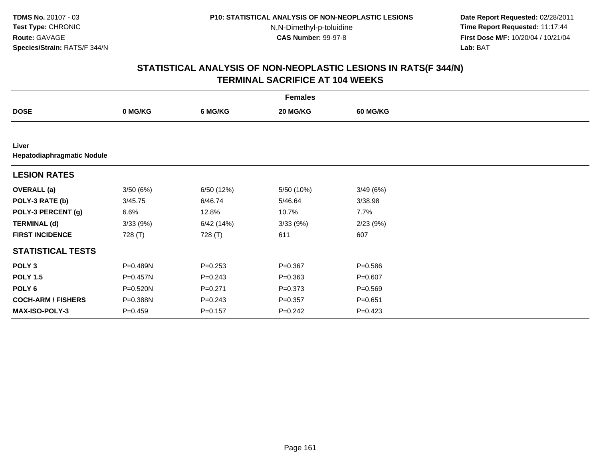**TDMS No.** 20107 - 03**Test Type:** CHRONIC**Route:** GAVAGE**Species/Strain:** RATS/F 344/N

N,N-Dimethyl-p-toluidine

 **Date Report Requested:** 02/28/2011 **Time Report Requested:** 11:17:44 **First Dose M/F:** 10/20/04 / 10/21/04<br>**Lab:** BAT **Lab:** BAT

|                                     |           |             | <b>Females</b> |             |  |
|-------------------------------------|-----------|-------------|----------------|-------------|--|
| <b>DOSE</b>                         | 0 MG/KG   | 6 MG/KG     | 20 MG/KG       | 60 MG/KG    |  |
|                                     |           |             |                |             |  |
| Liver<br>Hepatodiaphragmatic Nodule |           |             |                |             |  |
| <b>LESION RATES</b>                 |           |             |                |             |  |
| <b>OVERALL</b> (a)                  | 3/50(6%)  | 6/50 (12%)  | 5/50 (10%)     | 3/49(6%)    |  |
| POLY-3 RATE (b)                     | 3/45.75   | 6/46.74     | 5/46.64        | 3/38.98     |  |
| POLY-3 PERCENT (g)                  | 6.6%      | 12.8%       | 10.7%          | 7.7%        |  |
| <b>TERMINAL (d)</b>                 | 3/33(9%)  | 6/42 (14%)  | 3/33(9%)       | 2/23(9%)    |  |
| <b>FIRST INCIDENCE</b>              | 728 (T)   | 728 (T)     | 611            | 607         |  |
| <b>STATISTICAL TESTS</b>            |           |             |                |             |  |
| POLY <sub>3</sub>                   | P=0.489N  | $P = 0.253$ | $P = 0.367$    | $P = 0.586$ |  |
| <b>POLY 1.5</b>                     | P=0.457N  | $P = 0.243$ | $P = 0.363$    | $P = 0.607$ |  |
| POLY 6                              | P=0.520N  | $P = 0.271$ | $P = 0.373$    | $P = 0.569$ |  |
| <b>COCH-ARM / FISHERS</b>           | P=0.388N  | $P = 0.243$ | $P = 0.357$    | $P = 0.651$ |  |
| <b>MAX-ISO-POLY-3</b>               | $P=0.459$ | $P = 0.157$ | $P = 0.242$    | $P=0.423$   |  |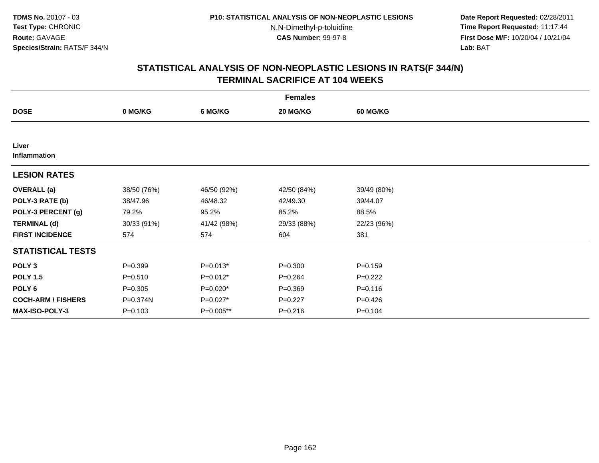**Date Report Requested:** 02/28/2011 **Time Report Requested:** 11:17:44 **First Dose M/F:** 10/20/04 / 10/21/04<br>**Lab:** BAT **Lab:** BAT

|                           | <b>Females</b> |             |             |                 |  |  |  |  |
|---------------------------|----------------|-------------|-------------|-----------------|--|--|--|--|
| <b>DOSE</b>               | 0 MG/KG        | 6 MG/KG     | 20 MG/KG    | <b>60 MG/KG</b> |  |  |  |  |
|                           |                |             |             |                 |  |  |  |  |
| Liver<br>Inflammation     |                |             |             |                 |  |  |  |  |
| <b>LESION RATES</b>       |                |             |             |                 |  |  |  |  |
| <b>OVERALL</b> (a)        | 38/50 (76%)    | 46/50 (92%) | 42/50 (84%) | 39/49 (80%)     |  |  |  |  |
| POLY-3 RATE (b)           | 38/47.96       | 46/48.32    | 42/49.30    | 39/44.07        |  |  |  |  |
| POLY-3 PERCENT (g)        | 79.2%          | 95.2%       | 85.2%       | 88.5%           |  |  |  |  |
| <b>TERMINAL (d)</b>       | 30/33 (91%)    | 41/42 (98%) | 29/33 (88%) | 22/23 (96%)     |  |  |  |  |
| <b>FIRST INCIDENCE</b>    | 574            | 574         | 604         | 381             |  |  |  |  |
| <b>STATISTICAL TESTS</b>  |                |             |             |                 |  |  |  |  |
| POLY <sub>3</sub>         | $P = 0.399$    | $P=0.013*$  | $P = 0.300$ | $P = 0.159$     |  |  |  |  |
| <b>POLY 1.5</b>           | $P = 0.510$    | $P=0.012*$  | $P = 0.264$ | $P=0.222$       |  |  |  |  |
| POLY 6                    | $P = 0.305$    | P=0.020*    | $P = 0.369$ | $P = 0.116$     |  |  |  |  |
| <b>COCH-ARM / FISHERS</b> | P=0.374N       | P=0.027*    | $P=0.227$   | $P = 0.426$     |  |  |  |  |
| <b>MAX-ISO-POLY-3</b>     | $P = 0.103$    | P=0.005**   | $P = 0.216$ | $P = 0.104$     |  |  |  |  |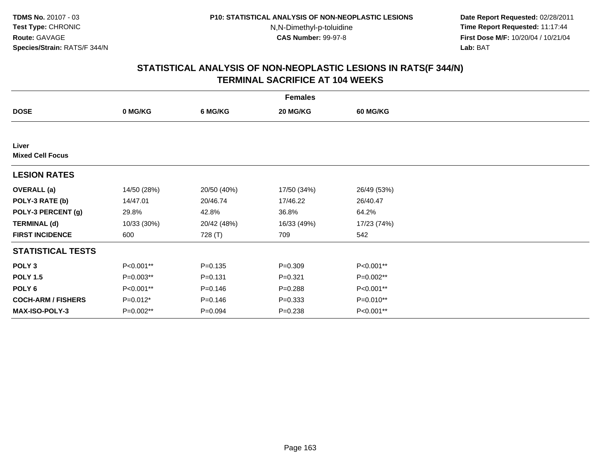**Date Report Requested:** 02/28/2011 **Time Report Requested:** 11:17:44 **First Dose M/F:** 10/20/04 / 10/21/04<br>**Lab:** BAT **Lab:** BAT

|                                  | <b>Females</b> |             |             |             |  |  |  |  |
|----------------------------------|----------------|-------------|-------------|-------------|--|--|--|--|
| <b>DOSE</b>                      | 0 MG/KG        | 6 MG/KG     | 20 MG/KG    | 60 MG/KG    |  |  |  |  |
|                                  |                |             |             |             |  |  |  |  |
| Liver<br><b>Mixed Cell Focus</b> |                |             |             |             |  |  |  |  |
| <b>LESION RATES</b>              |                |             |             |             |  |  |  |  |
| <b>OVERALL</b> (a)               | 14/50 (28%)    | 20/50 (40%) | 17/50 (34%) | 26/49 (53%) |  |  |  |  |
| POLY-3 RATE (b)                  | 14/47.01       | 20/46.74    | 17/46.22    | 26/40.47    |  |  |  |  |
| POLY-3 PERCENT (g)               | 29.8%          | 42.8%       | 36.8%       | 64.2%       |  |  |  |  |
| <b>TERMINAL (d)</b>              | 10/33 (30%)    | 20/42 (48%) | 16/33 (49%) | 17/23 (74%) |  |  |  |  |
| <b>FIRST INCIDENCE</b>           | 600            | 728 (T)     | 709         | 542         |  |  |  |  |
| <b>STATISTICAL TESTS</b>         |                |             |             |             |  |  |  |  |
| POLY <sub>3</sub>                | P<0.001**      | $P = 0.135$ | $P = 0.309$ | P<0.001**   |  |  |  |  |
| <b>POLY 1.5</b>                  | P=0.003**      | $P = 0.131$ | $P = 0.321$ | P=0.002**   |  |  |  |  |
| POLY 6                           | P<0.001**      | $P = 0.146$ | $P = 0.288$ | P<0.001**   |  |  |  |  |
| <b>COCH-ARM / FISHERS</b>        | $P=0.012*$     | $P = 0.146$ | $P = 0.333$ | P=0.010**   |  |  |  |  |
| MAX-ISO-POLY-3                   | $P=0.002**$    | $P=0.094$   | $P = 0.238$ | P<0.001**   |  |  |  |  |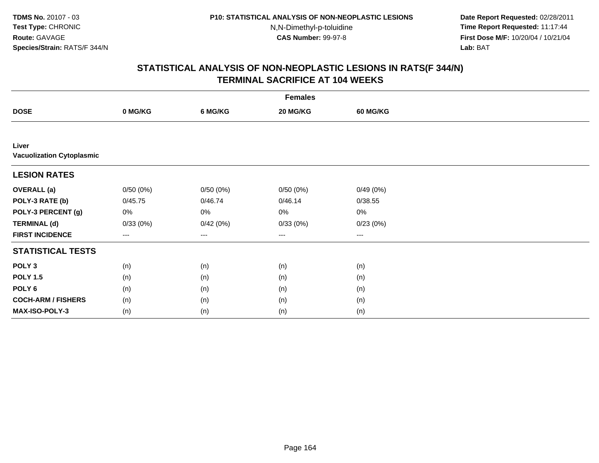**TDMS No.** 20107 - 03**Test Type:** CHRONIC**Route:** GAVAGE**Species/Strain:** RATS/F 344/N

N,N-Dimethyl-p-toluidine

 **Date Report Requested:** 02/28/2011 **Time Report Requested:** 11:17:44 **First Dose M/F:** 10/20/04 / 10/21/04<br>**Lab:** BAT **Lab:** BAT

| <b>Females</b>                            |          |          |          |                 |  |  |
|-------------------------------------------|----------|----------|----------|-----------------|--|--|
| <b>DOSE</b>                               | 0 MG/KG  | 6 MG/KG  | 20 MG/KG | <b>60 MG/KG</b> |  |  |
|                                           |          |          |          |                 |  |  |
| Liver<br><b>Vacuolization Cytoplasmic</b> |          |          |          |                 |  |  |
| <b>LESION RATES</b>                       |          |          |          |                 |  |  |
| <b>OVERALL</b> (a)                        | 0/50(0%) | 0/50(0%) | 0/50(0%) | 0/49(0%)        |  |  |
| POLY-3 RATE (b)                           | 0/45.75  | 0/46.74  | 0/46.14  | 0/38.55         |  |  |
| POLY-3 PERCENT (g)                        | 0%       | 0%       | 0%       | $0\%$           |  |  |
| <b>TERMINAL (d)</b>                       | 0/33(0%) | 0/42(0%) | 0/33(0%) | 0/23(0%)        |  |  |
| <b>FIRST INCIDENCE</b>                    | ---      | ---      | $\cdots$ | ---             |  |  |
| <b>STATISTICAL TESTS</b>                  |          |          |          |                 |  |  |
| POLY <sub>3</sub>                         | (n)      | (n)      | (n)      | (n)             |  |  |
| <b>POLY 1.5</b>                           | (n)      | (n)      | (n)      | (n)             |  |  |
| POLY <sub>6</sub>                         | (n)      | (n)      | (n)      | (n)             |  |  |
| <b>COCH-ARM / FISHERS</b>                 | (n)      | (n)      | (n)      | (n)             |  |  |
| <b>MAX-ISO-POLY-3</b>                     | (n)      | (n)      | (n)      | (n)             |  |  |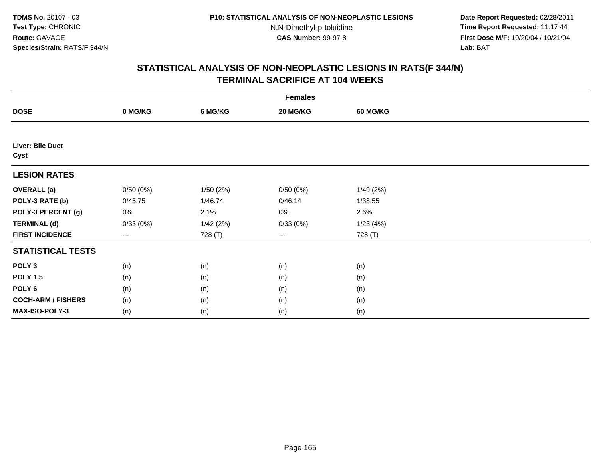**Date Report Requested:** 02/28/2011 **Time Report Requested:** 11:17:44 **First Dose M/F:** 10/20/04 / 10/21/04<br>**Lab:** BAT **Lab:** BAT

|                           | <b>Females</b> |          |                        |          |  |  |  |  |
|---------------------------|----------------|----------|------------------------|----------|--|--|--|--|
| <b>DOSE</b>               | 0 MG/KG        | 6 MG/KG  | 20 MG/KG               | 60 MG/KG |  |  |  |  |
|                           |                |          |                        |          |  |  |  |  |
| Liver: Bile Duct<br>Cyst  |                |          |                        |          |  |  |  |  |
| <b>LESION RATES</b>       |                |          |                        |          |  |  |  |  |
| <b>OVERALL (a)</b>        | 0/50(0%)       | 1/50(2%) | 0/50(0%)               | 1/49(2%) |  |  |  |  |
| POLY-3 RATE (b)           | 0/45.75        | 1/46.74  | 0/46.14                | 1/38.55  |  |  |  |  |
| POLY-3 PERCENT (g)        | 0%             | 2.1%     | 0%                     | 2.6%     |  |  |  |  |
| <b>TERMINAL (d)</b>       | 0/33(0%)       | 1/42(2%) | 0/33(0%)               | 1/23(4%) |  |  |  |  |
| <b>FIRST INCIDENCE</b>    | ---            | 728 (T)  | $\qquad \qquad \cdots$ | 728 (T)  |  |  |  |  |
| <b>STATISTICAL TESTS</b>  |                |          |                        |          |  |  |  |  |
| POLY <sub>3</sub>         | (n)            | (n)      | (n)                    | (n)      |  |  |  |  |
| <b>POLY 1.5</b>           | (n)            | (n)      | (n)                    | (n)      |  |  |  |  |
| POLY <sub>6</sub>         | (n)            | (n)      | (n)                    | (n)      |  |  |  |  |
| <b>COCH-ARM / FISHERS</b> | (n)            | (n)      | (n)                    | (n)      |  |  |  |  |
| MAX-ISO-POLY-3            | (n)            | (n)      | (n)                    | (n)      |  |  |  |  |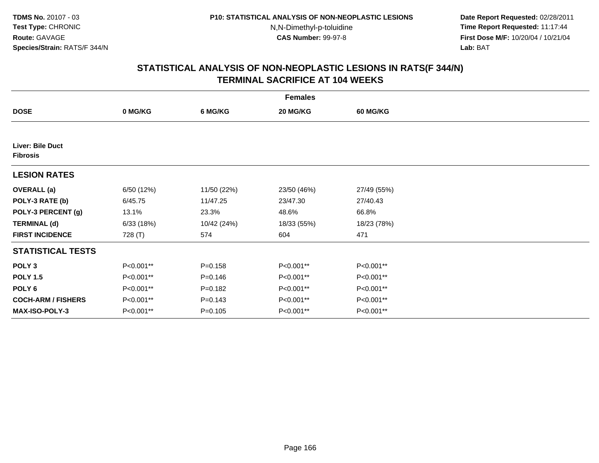**Date Report Requested:** 02/28/2011 **Time Report Requested:** 11:17:44 **First Dose M/F:** 10/20/04 / 10/21/04<br>**Lab:** BAT **Lab:** BAT

|                                     | <b>Females</b> |             |             |                 |  |  |  |  |
|-------------------------------------|----------------|-------------|-------------|-----------------|--|--|--|--|
| <b>DOSE</b>                         | 0 MG/KG        | 6 MG/KG     | 20 MG/KG    | <b>60 MG/KG</b> |  |  |  |  |
|                                     |                |             |             |                 |  |  |  |  |
| Liver: Bile Duct<br><b>Fibrosis</b> |                |             |             |                 |  |  |  |  |
| <b>LESION RATES</b>                 |                |             |             |                 |  |  |  |  |
| <b>OVERALL</b> (a)                  | 6/50 (12%)     | 11/50 (22%) | 23/50 (46%) | 27/49 (55%)     |  |  |  |  |
| POLY-3 RATE (b)                     | 6/45.75        | 11/47.25    | 23/47.30    | 27/40.43        |  |  |  |  |
| POLY-3 PERCENT (g)                  | 13.1%          | 23.3%       | 48.6%       | 66.8%           |  |  |  |  |
| <b>TERMINAL (d)</b>                 | 6/33(18%)      | 10/42 (24%) | 18/33 (55%) | 18/23 (78%)     |  |  |  |  |
| <b>FIRST INCIDENCE</b>              | 728 (T)        | 574         | 604         | 471             |  |  |  |  |
| <b>STATISTICAL TESTS</b>            |                |             |             |                 |  |  |  |  |
| POLY <sub>3</sub>                   | P<0.001**      | $P = 0.158$ | P<0.001**   | P<0.001**       |  |  |  |  |
| <b>POLY 1.5</b>                     | P<0.001**      | $P = 0.146$ | P<0.001**   | P<0.001**       |  |  |  |  |
| POLY 6                              | P<0.001**      | $P = 0.182$ | P<0.001**   | P<0.001**       |  |  |  |  |
| <b>COCH-ARM / FISHERS</b>           | P<0.001**      | $P = 0.143$ | P<0.001**   | P<0.001**       |  |  |  |  |
| <b>MAX-ISO-POLY-3</b>               | P<0.001**      | $P = 0.105$ | P<0.001**   | P<0.001**       |  |  |  |  |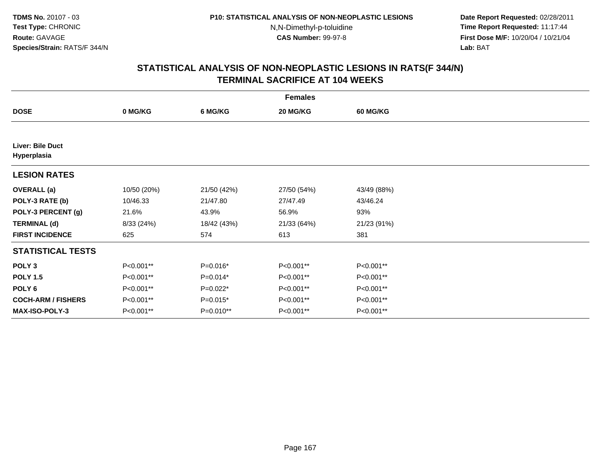**Date Report Requested:** 02/28/2011 **Time Report Requested:** 11:17:44 **First Dose M/F:** 10/20/04 / 10/21/04<br>**Lab:** BAT **Lab:** BAT

|                                 | <b>Females</b> |             |             |                 |  |  |  |
|---------------------------------|----------------|-------------|-------------|-----------------|--|--|--|
| <b>DOSE</b>                     | 0 MG/KG        | 6 MG/KG     | 20 MG/KG    | <b>60 MG/KG</b> |  |  |  |
|                                 |                |             |             |                 |  |  |  |
| Liver: Bile Duct<br>Hyperplasia |                |             |             |                 |  |  |  |
| <b>LESION RATES</b>             |                |             |             |                 |  |  |  |
| <b>OVERALL</b> (a)              | 10/50 (20%)    | 21/50 (42%) | 27/50 (54%) | 43/49 (88%)     |  |  |  |
| POLY-3 RATE (b)                 | 10/46.33       | 21/47.80    | 27/47.49    | 43/46.24        |  |  |  |
| POLY-3 PERCENT (g)              | 21.6%          | 43.9%       | 56.9%       | 93%             |  |  |  |
| <b>TERMINAL (d)</b>             | 8/33 (24%)     | 18/42 (43%) | 21/33 (64%) | 21/23 (91%)     |  |  |  |
| <b>FIRST INCIDENCE</b>          | 625            | 574         | 613         | 381             |  |  |  |
| <b>STATISTICAL TESTS</b>        |                |             |             |                 |  |  |  |
| POLY <sub>3</sub>               | P<0.001**      | P=0.016*    | P<0.001**   | P<0.001**       |  |  |  |
| <b>POLY 1.5</b>                 | P<0.001**      | $P=0.014*$  | P<0.001**   | P<0.001**       |  |  |  |
| POLY 6                          | P<0.001**      | $P=0.022*$  | P<0.001**   | P<0.001**       |  |  |  |
| <b>COCH-ARM / FISHERS</b>       | P<0.001**      | $P=0.015*$  | P<0.001**   | P<0.001**       |  |  |  |
| MAX-ISO-POLY-3                  | P<0.001**      | P=0.010**   | P<0.001**   | P<0.001**       |  |  |  |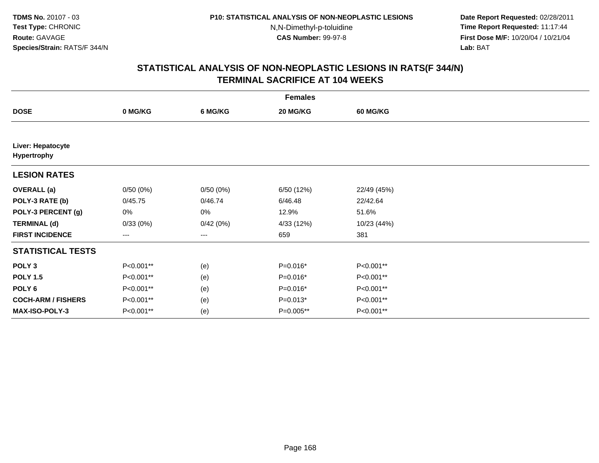**Date Report Requested:** 02/28/2011 **Time Report Requested:** 11:17:44 **First Dose M/F:** 10/20/04 / 10/21/04<br>**Lab:** BAT **Lab:** BAT

|                                         | <b>Females</b> |          |            |             |  |  |  |
|-----------------------------------------|----------------|----------|------------|-------------|--|--|--|
| <b>DOSE</b>                             | 0 MG/KG        | 6 MG/KG  | 20 MG/KG   | 60 MG/KG    |  |  |  |
|                                         |                |          |            |             |  |  |  |
| Liver: Hepatocyte<br><b>Hypertrophy</b> |                |          |            |             |  |  |  |
| <b>LESION RATES</b>                     |                |          |            |             |  |  |  |
| <b>OVERALL</b> (a)                      | 0/50(0%)       | 0/50(0%) | 6/50 (12%) | 22/49 (45%) |  |  |  |
| POLY-3 RATE (b)                         | 0/45.75        | 0/46.74  | 6/46.48    | 22/42.64    |  |  |  |
| POLY-3 PERCENT (g)                      | 0%             | 0%       | 12.9%      | 51.6%       |  |  |  |
| <b>TERMINAL (d)</b>                     | 0/33(0%)       | 0/42(0%) | 4/33 (12%) | 10/23 (44%) |  |  |  |
| <b>FIRST INCIDENCE</b>                  | $---$          | ---      | 659        | 381         |  |  |  |
| <b>STATISTICAL TESTS</b>                |                |          |            |             |  |  |  |
| POLY <sub>3</sub>                       | P<0.001**      | (e)      | $P=0.016*$ | P<0.001**   |  |  |  |
| <b>POLY 1.5</b>                         | P<0.001**      | (e)      | $P=0.016*$ | P<0.001**   |  |  |  |
| POLY <sub>6</sub>                       | P<0.001**      | (e)      | $P=0.016*$ | P<0.001**   |  |  |  |
| <b>COCH-ARM / FISHERS</b>               | P<0.001**      | (e)      | $P=0.013*$ | P<0.001**   |  |  |  |
| <b>MAX-ISO-POLY-3</b>                   | P<0.001**      | (e)      | P=0.005**  | P<0.001**   |  |  |  |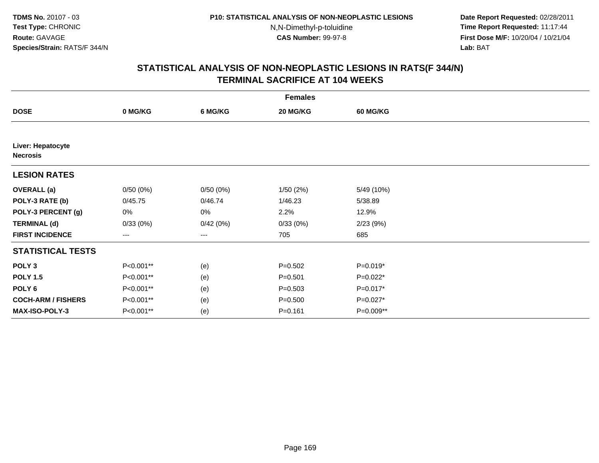**Date Report Requested:** 02/28/2011 **Time Report Requested:** 11:17:44 **First Dose M/F:** 10/20/04 / 10/21/04<br>**Lab:** BAT **Lab:** BAT

| <b>Females</b>                       |                   |          |             |                 |  |  |  |
|--------------------------------------|-------------------|----------|-------------|-----------------|--|--|--|
| <b>DOSE</b>                          | 0 MG/KG           | 6 MG/KG  | 20 MG/KG    | <b>60 MG/KG</b> |  |  |  |
|                                      |                   |          |             |                 |  |  |  |
| Liver: Hepatocyte<br><b>Necrosis</b> |                   |          |             |                 |  |  |  |
| <b>LESION RATES</b>                  |                   |          |             |                 |  |  |  |
| <b>OVERALL</b> (a)                   | 0/50(0%)          | 0/50(0%) | 1/50(2%)    | 5/49 (10%)      |  |  |  |
| POLY-3 RATE (b)                      | 0/45.75           | 0/46.74  | 1/46.23     | 5/38.89         |  |  |  |
| POLY-3 PERCENT (g)                   | 0%                | 0%       | 2.2%        | 12.9%           |  |  |  |
| <b>TERMINAL (d)</b>                  | 0/33(0%)          | 0/42(0%) | 0/33(0%)    | 2/23(9%)        |  |  |  |
| <b>FIRST INCIDENCE</b>               | $\qquad \qquad -$ | ---      | 705         | 685             |  |  |  |
| <b>STATISTICAL TESTS</b>             |                   |          |             |                 |  |  |  |
| POLY <sub>3</sub>                    | P<0.001**         | (e)      | $P = 0.502$ | P=0.019*        |  |  |  |
| <b>POLY 1.5</b>                      | P<0.001**         | (e)      | $P = 0.501$ | $P=0.022*$      |  |  |  |
| POLY 6                               | P<0.001**         | (e)      | $P = 0.503$ | P=0.017*        |  |  |  |
| <b>COCH-ARM / FISHERS</b>            | P<0.001**         | (e)      | $P = 0.500$ | $P=0.027*$      |  |  |  |
| <b>MAX-ISO-POLY-3</b>                | P<0.001**         | (e)      | $P = 0.161$ | P=0.009**       |  |  |  |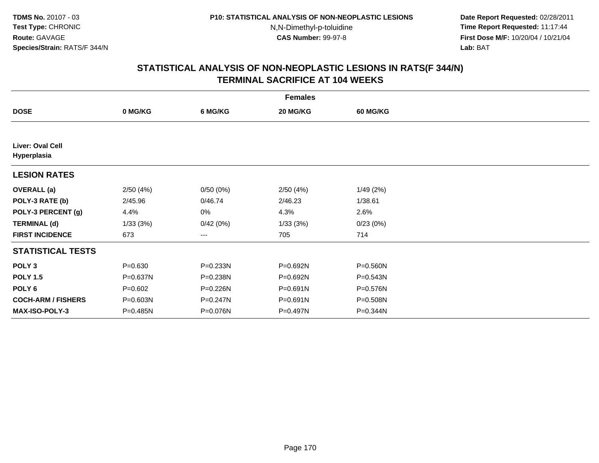**Date Report Requested:** 02/28/2011 **Time Report Requested:** 11:17:44 **First Dose M/F:** 10/20/04 / 10/21/04<br>**Lab:** BAT **Lab:** BAT

|                                 |             |          | <b>Females</b> |                 |  |
|---------------------------------|-------------|----------|----------------|-----------------|--|
| <b>DOSE</b>                     | 0 MG/KG     | 6 MG/KG  | 20 MG/KG       | <b>60 MG/KG</b> |  |
|                                 |             |          |                |                 |  |
| Liver: Oval Cell<br>Hyperplasia |             |          |                |                 |  |
| <b>LESION RATES</b>             |             |          |                |                 |  |
| <b>OVERALL</b> (a)              | 2/50(4%)    | 0/50(0%) | 2/50(4%)       | 1/49(2%)        |  |
| POLY-3 RATE (b)                 | 2/45.96     | 0/46.74  | 2/46.23        | 1/38.61         |  |
| POLY-3 PERCENT (g)              | 4.4%        | 0%       | 4.3%           | 2.6%            |  |
| <b>TERMINAL (d)</b>             | 1/33(3%)    | 0/42(0%) | 1/33(3%)       | 0/23(0%)        |  |
| <b>FIRST INCIDENCE</b>          | 673         | ---      | 705            | 714             |  |
| <b>STATISTICAL TESTS</b>        |             |          |                |                 |  |
| POLY <sub>3</sub>               | $P = 0.630$ | P=0.233N | P=0.692N       | P=0.560N        |  |
| <b>POLY 1.5</b>                 | P=0.637N    | P=0.238N | P=0.692N       | P=0.543N        |  |
| POLY 6                          | $P = 0.602$ | P=0.226N | P=0.691N       | P=0.576N        |  |
| <b>COCH-ARM / FISHERS</b>       | P=0.603N    | P=0.247N | P=0.691N       | P=0.508N        |  |
| <b>MAX-ISO-POLY-3</b>           | P=0.485N    | P=0.076N | P=0.497N       | P=0.344N        |  |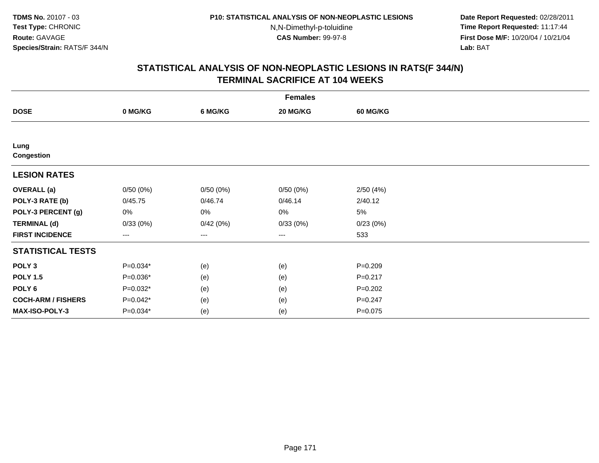**Date Report Requested:** 02/28/2011 **Time Report Requested:** 11:17:44 **First Dose M/F:** 10/20/04 / 10/21/04<br>**Lab:** BAT **Lab:** BAT

| <b>Females</b>            |                        |          |          |             |  |  |  |
|---------------------------|------------------------|----------|----------|-------------|--|--|--|
| <b>DOSE</b>               | 0 MG/KG                | 6 MG/KG  | 20 MG/KG | 60 MG/KG    |  |  |  |
|                           |                        |          |          |             |  |  |  |
| Lung<br><b>Congestion</b> |                        |          |          |             |  |  |  |
| <b>LESION RATES</b>       |                        |          |          |             |  |  |  |
| <b>OVERALL (a)</b>        | 0/50(0%)               | 0/50(0%) | 0/50(0%) | 2/50(4%)    |  |  |  |
| POLY-3 RATE (b)           | 0/45.75                | 0/46.74  | 0/46.14  | 2/40.12     |  |  |  |
| POLY-3 PERCENT (g)        | 0%                     | 0%       | 0%       | 5%          |  |  |  |
| <b>TERMINAL (d)</b>       | 0/33(0%)               | 0/42(0%) | 0/33(0%) | 0/23(0%)    |  |  |  |
| <b>FIRST INCIDENCE</b>    | $\qquad \qquad \cdots$ | ---      | $---$    | 533         |  |  |  |
| <b>STATISTICAL TESTS</b>  |                        |          |          |             |  |  |  |
| POLY <sub>3</sub>         | $P=0.034*$             | (e)      | (e)      | $P = 0.209$ |  |  |  |
| <b>POLY 1.5</b>           | $P=0.036*$             | (e)      | (e)      | $P = 0.217$ |  |  |  |
| POLY <sub>6</sub>         | $P=0.032*$             | (e)      | (e)      | $P = 0.202$ |  |  |  |
| <b>COCH-ARM / FISHERS</b> | $P=0.042*$             | (e)      | (e)      | $P = 0.247$ |  |  |  |
| MAX-ISO-POLY-3            | $P=0.034*$             | (e)      | (e)      | $P = 0.075$ |  |  |  |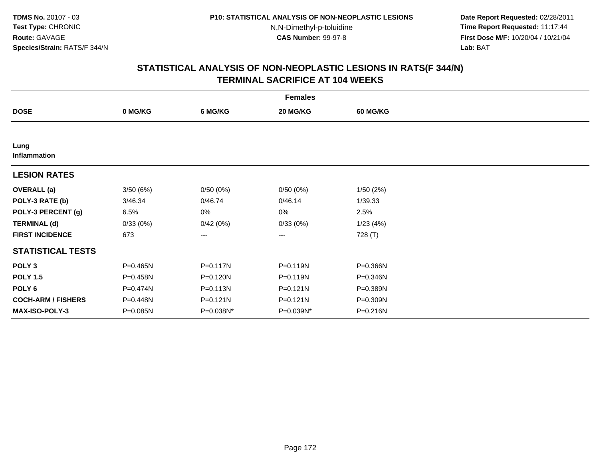**Date Report Requested:** 02/28/2011 **Time Report Requested:** 11:17:44 **First Dose M/F:** 10/20/04 / 10/21/04<br>**Lab:** BAT **Lab:** BAT

|                           | <b>Females</b> |              |              |                 |  |  |  |  |
|---------------------------|----------------|--------------|--------------|-----------------|--|--|--|--|
| <b>DOSE</b>               | 0 MG/KG        | 6 MG/KG      | 20 MG/KG     | <b>60 MG/KG</b> |  |  |  |  |
|                           |                |              |              |                 |  |  |  |  |
| Lung<br>Inflammation      |                |              |              |                 |  |  |  |  |
| <b>LESION RATES</b>       |                |              |              |                 |  |  |  |  |
| <b>OVERALL</b> (a)        | 3/50(6%)       | 0/50(0%)     | 0/50(0%)     | 1/50(2%)        |  |  |  |  |
| POLY-3 RATE (b)           | 3/46.34        | 0/46.74      | 0/46.14      | 1/39.33         |  |  |  |  |
| POLY-3 PERCENT (g)        | 6.5%           | 0%           | 0%           | 2.5%            |  |  |  |  |
| <b>TERMINAL (d)</b>       | 0/33(0%)       | 0/42(0%)     | 0/33(0%)     | 1/23(4%)        |  |  |  |  |
| <b>FIRST INCIDENCE</b>    | 673            | ---          | ---          | 728 (T)         |  |  |  |  |
| <b>STATISTICAL TESTS</b>  |                |              |              |                 |  |  |  |  |
| POLY <sub>3</sub>         | $P = 0.465N$   | P=0.117N     | P=0.119N     | P=0.366N        |  |  |  |  |
| <b>POLY 1.5</b>           | P=0.458N       | P=0.120N     | P=0.119N     | $P = 0.346N$    |  |  |  |  |
| POLY <sub>6</sub>         | P=0.474N       | $P = 0.113N$ | $P = 0.121N$ | P=0.389N        |  |  |  |  |
| <b>COCH-ARM / FISHERS</b> | P=0.448N       | P=0.121N     | P=0.121N     | P=0.309N        |  |  |  |  |
| MAX-ISO-POLY-3            | P=0.085N       | P=0.038N*    | P=0.039N*    | $P = 0.216N$    |  |  |  |  |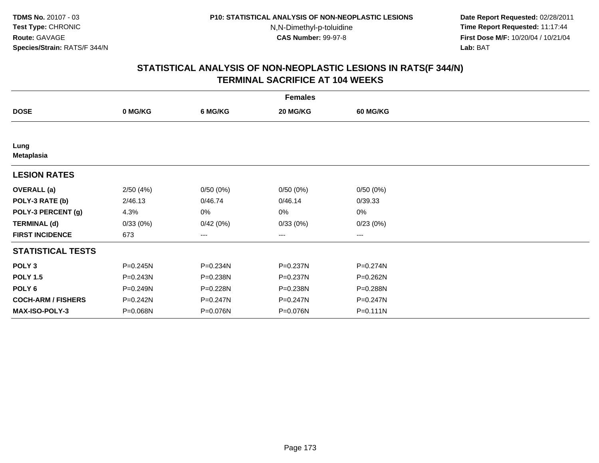**Date Report Requested:** 02/28/2011 **Time Report Requested:** 11:17:44 **First Dose M/F:** 10/20/04 / 10/21/04<br>**Lab:** BAT **Lab:** BAT

|                           |          |          | <b>Females</b> |                 |  |
|---------------------------|----------|----------|----------------|-----------------|--|
| <b>DOSE</b>               | 0 MG/KG  | 6 MG/KG  | 20 MG/KG       | <b>60 MG/KG</b> |  |
|                           |          |          |                |                 |  |
| Lung<br><b>Metaplasia</b> |          |          |                |                 |  |
| <b>LESION RATES</b>       |          |          |                |                 |  |
| <b>OVERALL</b> (a)        | 2/50(4%) | 0/50(0%) | 0/50(0%)       | 0/50(0%)        |  |
| POLY-3 RATE (b)           | 2/46.13  | 0/46.74  | 0/46.14        | 0/39.33         |  |
| POLY-3 PERCENT (g)        | 4.3%     | 0%       | 0%             | $0\%$           |  |
| <b>TERMINAL (d)</b>       | 0/33(0%) | 0/42(0%) | 0/33(0%)       | 0/23(0%)        |  |
| <b>FIRST INCIDENCE</b>    | 673      | ---      | $---$          | ---             |  |
| <b>STATISTICAL TESTS</b>  |          |          |                |                 |  |
| POLY <sub>3</sub>         | P=0.245N | P=0.234N | P=0.237N       | P=0.274N        |  |
| <b>POLY 1.5</b>           | P=0.243N | P=0.238N | P=0.237N       | P=0.262N        |  |
| POLY <sub>6</sub>         | P=0.249N | P=0.228N | P=0.238N       | P=0.288N        |  |
| <b>COCH-ARM / FISHERS</b> | P=0.242N | P=0.247N | P=0.247N       | P=0.247N        |  |
| <b>MAX-ISO-POLY-3</b>     | P=0.068N | P=0.076N | P=0.076N       | $P = 0.111N$    |  |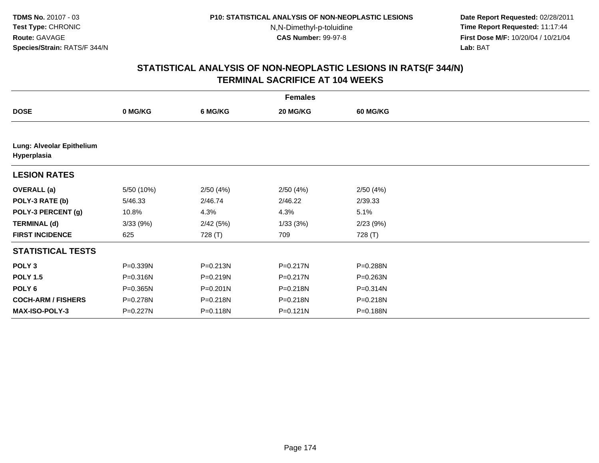**Date Report Requested:** 02/28/2011 **Time Report Requested:** 11:17:44 **First Dose M/F:** 10/20/04 / 10/21/04<br>**Lab:** BAT **Lab:** BAT

|                                          |              |              | <b>Females</b> |                 |  |
|------------------------------------------|--------------|--------------|----------------|-----------------|--|
| <b>DOSE</b>                              | 0 MG/KG      | 6 MG/KG      | 20 MG/KG       | <b>60 MG/KG</b> |  |
|                                          |              |              |                |                 |  |
| Lung: Alveolar Epithelium<br>Hyperplasia |              |              |                |                 |  |
| <b>LESION RATES</b>                      |              |              |                |                 |  |
| <b>OVERALL</b> (a)                       | 5/50 (10%)   | 2/50(4%)     | 2/50(4%)       | 2/50(4%)        |  |
| POLY-3 RATE (b)                          | 5/46.33      | 2/46.74      | 2/46.22        | 2/39.33         |  |
| POLY-3 PERCENT (g)                       | 10.8%        | 4.3%         | 4.3%           | 5.1%            |  |
| <b>TERMINAL (d)</b>                      | 3/33(9%)     | 2/42(5%)     | 1/33(3%)       | 2/23(9%)        |  |
| <b>FIRST INCIDENCE</b>                   | 625          | 728 (T)      | 709            | 728 (T)         |  |
| <b>STATISTICAL TESTS</b>                 |              |              |                |                 |  |
| POLY <sub>3</sub>                        | P=0.339N     | $P = 0.213N$ | P=0.217N       | P=0.288N        |  |
| <b>POLY 1.5</b>                          | P=0.316N     | P=0.219N     | P=0.217N       | P=0.263N        |  |
| POLY <sub>6</sub>                        | $P = 0.365N$ | $P = 0.201N$ | P=0.218N       | $P = 0.314N$    |  |
| <b>COCH-ARM / FISHERS</b>                | P=0.278N     | P=0.218N     | P=0.218N       | P=0.218N        |  |
| <b>MAX-ISO-POLY-3</b>                    | P=0.227N     | P=0.118N     | P=0.121N       | P=0.188N        |  |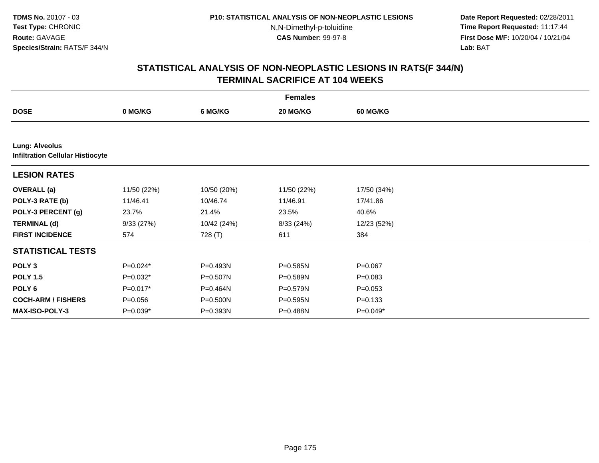**TDMS No.** 20107 - 03**Test Type:** CHRONIC**Route:** GAVAGE**Species/Strain:** RATS/F 344/N

N,N-Dimethyl-p-toluidine

 **Date Report Requested:** 02/28/2011 **Time Report Requested:** 11:17:44 **First Dose M/F:** 10/20/04 / 10/21/04<br>**Lab:** BAT **Lab:** BAT

|                                                                  |             |             | <b>Females</b> |                 |  |
|------------------------------------------------------------------|-------------|-------------|----------------|-----------------|--|
| <b>DOSE</b>                                                      | 0 MG/KG     | 6 MG/KG     | 20 MG/KG       | <b>60 MG/KG</b> |  |
|                                                                  |             |             |                |                 |  |
| <b>Lung: Alveolus</b><br><b>Infiltration Cellular Histiocyte</b> |             |             |                |                 |  |
| <b>LESION RATES</b>                                              |             |             |                |                 |  |
| <b>OVERALL (a)</b>                                               | 11/50 (22%) | 10/50 (20%) | 11/50 (22%)    | 17/50 (34%)     |  |
| POLY-3 RATE (b)                                                  | 11/46.41    | 10/46.74    | 11/46.91       | 17/41.86        |  |
| POLY-3 PERCENT (g)                                               | 23.7%       | 21.4%       | 23.5%          | 40.6%           |  |
| <b>TERMINAL (d)</b>                                              | 9/33(27%)   | 10/42 (24%) | 8/33 (24%)     | 12/23 (52%)     |  |
| <b>FIRST INCIDENCE</b>                                           | 574         | 728 (T)     | 611            | 384             |  |
| <b>STATISTICAL TESTS</b>                                         |             |             |                |                 |  |
| POLY <sub>3</sub>                                                | $P=0.024*$  | P=0.493N    | $P = 0.585N$   | $P = 0.067$     |  |
| <b>POLY 1.5</b>                                                  | $P=0.032*$  | P=0.507N    | P=0.589N       | $P = 0.083$     |  |
| POLY <sub>6</sub>                                                | $P=0.017*$  | P=0.464N    | P=0.579N       | $P=0.053$       |  |
| <b>COCH-ARM / FISHERS</b>                                        | $P = 0.056$ | P=0.500N    | $P = 0.595N$   | $P = 0.133$     |  |
| <b>MAX-ISO-POLY-3</b>                                            | $P=0.039*$  | P=0.393N    | P=0.488N       | $P=0.049*$      |  |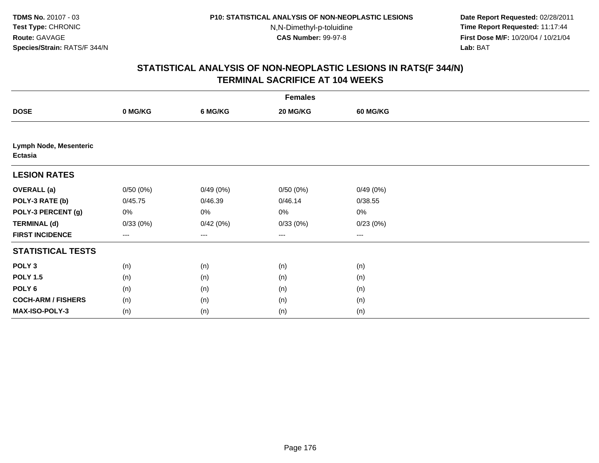**Date Report Requested:** 02/28/2011 **Time Report Requested:** 11:17:44 **First Dose M/F:** 10/20/04 / 10/21/04<br>**Lab:** BAT **Lab:** BAT

|                                          | <b>Females</b> |          |          |                 |  |  |  |  |
|------------------------------------------|----------------|----------|----------|-----------------|--|--|--|--|
| <b>DOSE</b>                              | 0 MG/KG        | 6 MG/KG  | 20 MG/KG | <b>60 MG/KG</b> |  |  |  |  |
|                                          |                |          |          |                 |  |  |  |  |
| Lymph Node, Mesenteric<br><b>Ectasia</b> |                |          |          |                 |  |  |  |  |
| <b>LESION RATES</b>                      |                |          |          |                 |  |  |  |  |
| <b>OVERALL (a)</b>                       | 0/50(0%)       | 0/49(0%) | 0/50(0%) | 0/49(0%)        |  |  |  |  |
| POLY-3 RATE (b)                          | 0/45.75        | 0/46.39  | 0/46.14  | 0/38.55         |  |  |  |  |
| POLY-3 PERCENT (g)                       | 0%             | 0%       | 0%       | $0\%$           |  |  |  |  |
| <b>TERMINAL (d)</b>                      | 0/33(0%)       | 0/42(0%) | 0/33(0%) | 0/23(0%)        |  |  |  |  |
| <b>FIRST INCIDENCE</b>                   | ---            | ---      | $--$     | $---$           |  |  |  |  |
| <b>STATISTICAL TESTS</b>                 |                |          |          |                 |  |  |  |  |
| POLY <sub>3</sub>                        | (n)            | (n)      | (n)      | (n)             |  |  |  |  |
| <b>POLY 1.5</b>                          | (n)            | (n)      | (n)      | (n)             |  |  |  |  |
| POLY <sub>6</sub>                        | (n)            | (n)      | (n)      | (n)             |  |  |  |  |
| <b>COCH-ARM / FISHERS</b>                | (n)            | (n)      | (n)      | (n)             |  |  |  |  |
| MAX-ISO-POLY-3                           | (n)            | (n)      | (n)      | (n)             |  |  |  |  |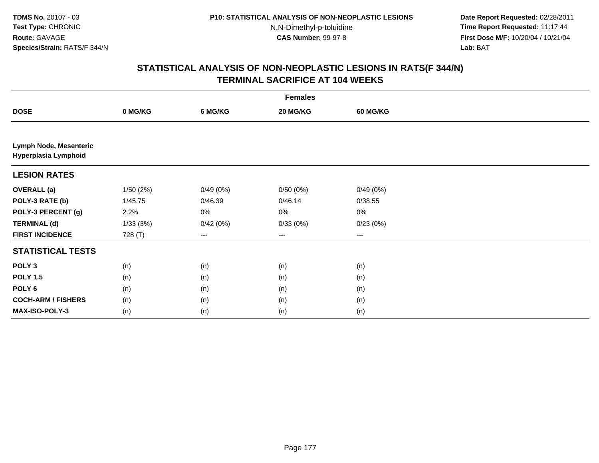**TDMS No.** 20107 - 03**Test Type:** CHRONIC**Route:** GAVAGE**Species/Strain:** RATS/F 344/N

N,N-Dimethyl-p-toluidine

 **Date Report Requested:** 02/28/2011 **Time Report Requested:** 11:17:44 **First Dose M/F:** 10/20/04 / 10/21/04<br>**Lab:** BAT **Lab:** BAT

| <b>Females</b>                                 |          |          |          |          |  |  |  |
|------------------------------------------------|----------|----------|----------|----------|--|--|--|
| <b>DOSE</b>                                    | 0 MG/KG  | 6 MG/KG  | 20 MG/KG | 60 MG/KG |  |  |  |
|                                                |          |          |          |          |  |  |  |
| Lymph Node, Mesenteric<br>Hyperplasia Lymphoid |          |          |          |          |  |  |  |
| <b>LESION RATES</b>                            |          |          |          |          |  |  |  |
| <b>OVERALL (a)</b>                             | 1/50(2%) | 0/49(0%) | 0/50(0%) | 0/49(0%) |  |  |  |
| POLY-3 RATE (b)                                | 1/45.75  | 0/46.39  | 0/46.14  | 0/38.55  |  |  |  |
| POLY-3 PERCENT (g)                             | 2.2%     | 0%       | 0%       | 0%       |  |  |  |
| <b>TERMINAL (d)</b>                            | 1/33(3%) | 0/42(0%) | 0/33(0%) | 0/23(0%) |  |  |  |
| <b>FIRST INCIDENCE</b>                         | 728 (T)  | $--$     | ---      | ---      |  |  |  |
| <b>STATISTICAL TESTS</b>                       |          |          |          |          |  |  |  |
| POLY <sub>3</sub>                              | (n)      | (n)      | (n)      | (n)      |  |  |  |
| <b>POLY 1.5</b>                                | (n)      | (n)      | (n)      | (n)      |  |  |  |
| POLY <sub>6</sub>                              | (n)      | (n)      | (n)      | (n)      |  |  |  |
| <b>COCH-ARM / FISHERS</b>                      | (n)      | (n)      | (n)      | (n)      |  |  |  |
| MAX-ISO-POLY-3                                 | (n)      | (n)      | (n)      | (n)      |  |  |  |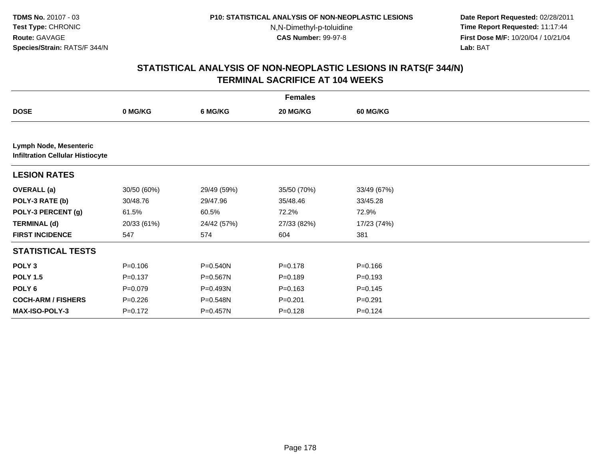**TDMS No.** 20107 - 03**Test Type:** CHRONIC**Route:** GAVAGE**Species/Strain:** RATS/F 344/N

N,N-Dimethyl-p-toluidine

 **Date Report Requested:** 02/28/2011 **Time Report Requested:** 11:17:44 **First Dose M/F:** 10/20/04 / 10/21/04<br>**Lab:** BAT **Lab:** BAT

|                                                                   |             |              | <b>Females</b> |                 |  |
|-------------------------------------------------------------------|-------------|--------------|----------------|-----------------|--|
| <b>DOSE</b>                                                       | 0 MG/KG     | 6 MG/KG      | 20 MG/KG       | <b>60 MG/KG</b> |  |
|                                                                   |             |              |                |                 |  |
| Lymph Node, Mesenteric<br><b>Infiltration Cellular Histiocyte</b> |             |              |                |                 |  |
| <b>LESION RATES</b>                                               |             |              |                |                 |  |
| <b>OVERALL (a)</b>                                                | 30/50 (60%) | 29/49 (59%)  | 35/50 (70%)    | 33/49 (67%)     |  |
| POLY-3 RATE (b)                                                   | 30/48.76    | 29/47.96     | 35/48.46       | 33/45.28        |  |
| POLY-3 PERCENT (g)                                                | 61.5%       | 60.5%        | 72.2%          | 72.9%           |  |
| <b>TERMINAL (d)</b>                                               | 20/33 (61%) | 24/42 (57%)  | 27/33 (82%)    | 17/23 (74%)     |  |
| <b>FIRST INCIDENCE</b>                                            | 547         | 574          | 604            | 381             |  |
| <b>STATISTICAL TESTS</b>                                          |             |              |                |                 |  |
| POLY <sub>3</sub>                                                 | $P = 0.106$ | $P = 0.540N$ | $P = 0.178$    | $P = 0.166$     |  |
| <b>POLY 1.5</b>                                                   | $P = 0.137$ | P=0.567N     | $P = 0.189$    | $P = 0.193$     |  |
| POLY <sub>6</sub>                                                 | $P=0.079$   | P=0.493N     | $P = 0.163$    | $P=0.145$       |  |
| <b>COCH-ARM / FISHERS</b>                                         | $P = 0.226$ | P=0.548N     | $P = 0.201$    | $P = 0.291$     |  |
| MAX-ISO-POLY-3                                                    | $P=0.172$   | P=0.457N     | $P = 0.128$    | $P=0.124$       |  |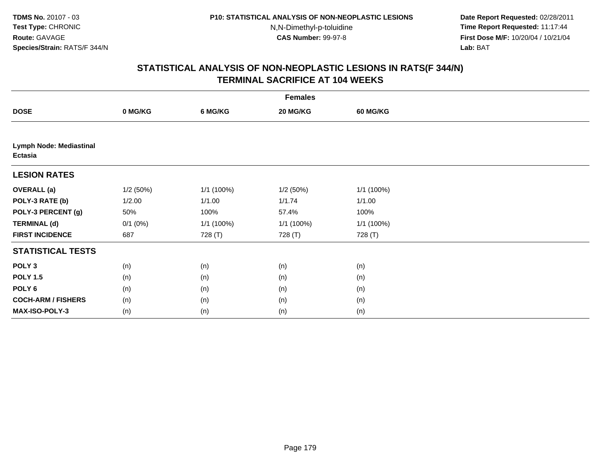**Date Report Requested:** 02/28/2011 **Time Report Requested:** 11:17:44 **First Dose M/F:** 10/20/04 / 10/21/04<br>**Lab:** BAT **Lab:** BAT

|                                           | <b>Females</b> |            |              |                 |  |  |  |  |
|-------------------------------------------|----------------|------------|--------------|-----------------|--|--|--|--|
| <b>DOSE</b>                               | 0 MG/KG        | 6 MG/KG    | 20 MG/KG     | <b>60 MG/KG</b> |  |  |  |  |
|                                           |                |            |              |                 |  |  |  |  |
| <b>Lymph Node: Mediastinal</b><br>Ectasia |                |            |              |                 |  |  |  |  |
| <b>LESION RATES</b>                       |                |            |              |                 |  |  |  |  |
| <b>OVERALL</b> (a)                        | 1/2(50%)       | 1/1 (100%) | 1/2(50%)     | 1/1 (100%)      |  |  |  |  |
| POLY-3 RATE (b)                           | 1/2.00         | 1/1.00     | 1/1.74       | 1/1.00          |  |  |  |  |
| POLY-3 PERCENT (g)                        | 50%            | 100%       | 57.4%        | 100%            |  |  |  |  |
| <b>TERMINAL (d)</b>                       | $0/1$ $(0%)$   | 1/1 (100%) | $1/1$ (100%) | 1/1 (100%)      |  |  |  |  |
| <b>FIRST INCIDENCE</b>                    | 687            | 728 (T)    | 728 (T)      | 728 (T)         |  |  |  |  |
| <b>STATISTICAL TESTS</b>                  |                |            |              |                 |  |  |  |  |
| POLY <sub>3</sub>                         | (n)            | (n)        | (n)          | (n)             |  |  |  |  |
| <b>POLY 1.5</b>                           | (n)            | (n)        | (n)          | (n)             |  |  |  |  |
| POLY <sub>6</sub>                         | (n)            | (n)        | (n)          | (n)             |  |  |  |  |
| <b>COCH-ARM / FISHERS</b>                 | (n)            | (n)        | (n)          | (n)             |  |  |  |  |
| MAX-ISO-POLY-3                            | (n)            | (n)        | (n)          | (n)             |  |  |  |  |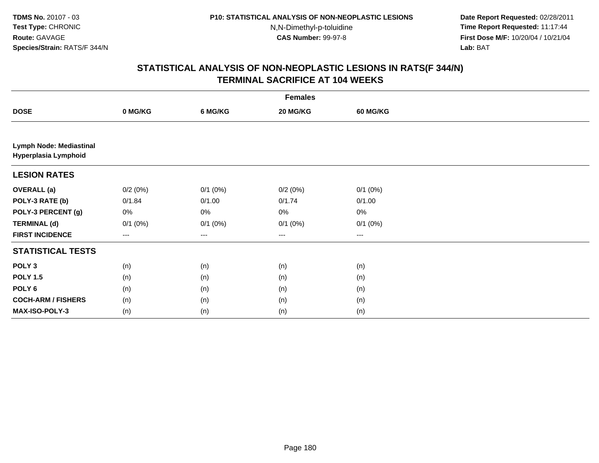**TDMS No.** 20107 - 03**Test Type:** CHRONIC**Route:** GAVAGE**Species/Strain:** RATS/F 344/N

N,N-Dimethyl-p-toluidine

 **Date Report Requested:** 02/28/2011 **Time Report Requested:** 11:17:44 **First Dose M/F:** 10/20/04 / 10/21/04<br>**Lab:** BAT **Lab:** BAT

| <b>Females</b>                                  |              |              |              |                 |  |  |  |
|-------------------------------------------------|--------------|--------------|--------------|-----------------|--|--|--|
| <b>DOSE</b>                                     | 0 MG/KG      | 6 MG/KG      | 20 MG/KG     | <b>60 MG/KG</b> |  |  |  |
|                                                 |              |              |              |                 |  |  |  |
| Lymph Node: Mediastinal<br>Hyperplasia Lymphoid |              |              |              |                 |  |  |  |
| <b>LESION RATES</b>                             |              |              |              |                 |  |  |  |
| <b>OVERALL</b> (a)                              | 0/2(0%)      | $0/1$ $(0%)$ | 0/2(0%)      | $0/1$ $(0%)$    |  |  |  |
| POLY-3 RATE (b)                                 | 0/1.84       | 0/1.00       | 0/1.74       | 0/1.00          |  |  |  |
| POLY-3 PERCENT (g)                              | 0%           | 0%           | 0%           | 0%              |  |  |  |
| <b>TERMINAL (d)</b>                             | $0/1$ $(0%)$ | $0/1$ $(0%)$ | $0/1$ $(0%)$ | $0/1$ $(0%)$    |  |  |  |
| <b>FIRST INCIDENCE</b>                          | $--$         | ---          | ---          | ---             |  |  |  |
| <b>STATISTICAL TESTS</b>                        |              |              |              |                 |  |  |  |
| POLY <sub>3</sub>                               | (n)          | (n)          | (n)          | (n)             |  |  |  |
| <b>POLY 1.5</b>                                 | (n)          | (n)          | (n)          | (n)             |  |  |  |
| POLY <sub>6</sub>                               | (n)          | (n)          | (n)          | (n)             |  |  |  |
| <b>COCH-ARM / FISHERS</b>                       | (n)          | (n)          | (n)          | (n)             |  |  |  |
| MAX-ISO-POLY-3                                  | (n)          | (n)          | (n)          | (n)             |  |  |  |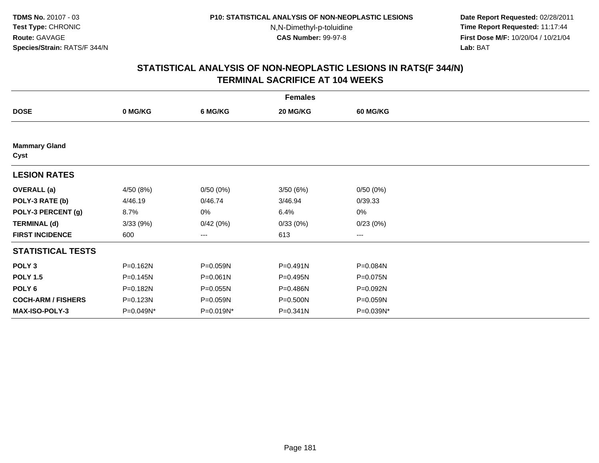**Date Report Requested:** 02/28/2011 **Time Report Requested:** 11:17:44 **First Dose M/F:** 10/20/04 / 10/21/04<br>**Lab:** BAT **Lab:** BAT

| <b>Females</b>               |           |              |              |                 |  |  |  |
|------------------------------|-----------|--------------|--------------|-----------------|--|--|--|
| <b>DOSE</b>                  | 0 MG/KG   | 6 MG/KG      | 20 MG/KG     | <b>60 MG/KG</b> |  |  |  |
|                              |           |              |              |                 |  |  |  |
| <b>Mammary Gland</b><br>Cyst |           |              |              |                 |  |  |  |
| <b>LESION RATES</b>          |           |              |              |                 |  |  |  |
| <b>OVERALL</b> (a)           | 4/50 (8%) | 0/50(0%)     | 3/50(6%)     | 0/50(0%)        |  |  |  |
| POLY-3 RATE (b)              | 4/46.19   | 0/46.74      | 3/46.94      | 0/39.33         |  |  |  |
| POLY-3 PERCENT (g)           | 8.7%      | 0%           | 6.4%         | 0%              |  |  |  |
| <b>TERMINAL (d)</b>          | 3/33(9%)  | 0/42(0%)     | 0/33(0%)     | 0/23(0%)        |  |  |  |
| <b>FIRST INCIDENCE</b>       | 600       | ---          | 613          | ---             |  |  |  |
| <b>STATISTICAL TESTS</b>     |           |              |              |                 |  |  |  |
| POLY <sub>3</sub>            | P=0.162N  | P=0.059N     | P=0.491N     | P=0.084N        |  |  |  |
| <b>POLY 1.5</b>              | P=0.145N  | $P = 0.061N$ | P=0.495N     | P=0.075N        |  |  |  |
| POLY 6                       | P=0.182N  | P=0.055N     | P=0.486N     | P=0.092N        |  |  |  |
| <b>COCH-ARM / FISHERS</b>    | P=0.123N  | P=0.059N     | P=0.500N     | P=0.059N        |  |  |  |
| <b>MAX-ISO-POLY-3</b>        | P=0.049N* | P=0.019N*    | $P = 0.341N$ | P=0.039N*       |  |  |  |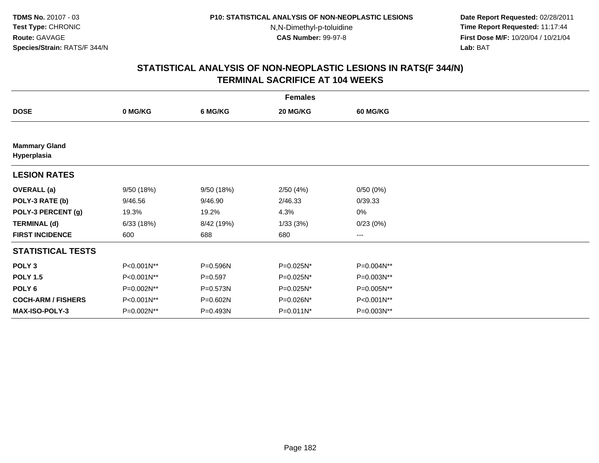**Date Report Requested:** 02/28/2011 **Time Report Requested:** 11:17:44 **First Dose M/F:** 10/20/04 / 10/21/04<br>**Lab:** BAT **Lab:** BAT

| <b>Females</b>                      |            |             |           |                 |  |  |  |
|-------------------------------------|------------|-------------|-----------|-----------------|--|--|--|
| <b>DOSE</b>                         | 0 MG/KG    | 6 MG/KG     | 20 MG/KG  | <b>60 MG/KG</b> |  |  |  |
|                                     |            |             |           |                 |  |  |  |
| <b>Mammary Gland</b><br>Hyperplasia |            |             |           |                 |  |  |  |
| <b>LESION RATES</b>                 |            |             |           |                 |  |  |  |
| <b>OVERALL</b> (a)                  | 9/50 (18%) | 9/50 (18%)  | 2/50(4%)  | 0/50(0%)        |  |  |  |
| POLY-3 RATE (b)                     | 9/46.56    | 9/46.90     | 2/46.33   | 0/39.33         |  |  |  |
| POLY-3 PERCENT (g)                  | 19.3%      | 19.2%       | 4.3%      | 0%              |  |  |  |
| <b>TERMINAL (d)</b>                 | 6/33(18%)  | 8/42 (19%)  | 1/33(3%)  | 0/23(0%)        |  |  |  |
| <b>FIRST INCIDENCE</b>              | 600        | 688         | 680       | ---             |  |  |  |
| <b>STATISTICAL TESTS</b>            |            |             |           |                 |  |  |  |
| POLY <sub>3</sub>                   | P<0.001N** | P=0.596N    | P=0.025N* | P=0.004N**      |  |  |  |
| <b>POLY 1.5</b>                     | P<0.001N** | $P = 0.597$ | P=0.025N* | P=0.003N**      |  |  |  |
| POLY 6                              | P=0.002N** | P=0.573N    | P=0.025N* | P=0.005N**      |  |  |  |
| <b>COCH-ARM / FISHERS</b>           | P<0.001N** | P=0.602N    | P=0.026N* | P<0.001N**      |  |  |  |
| MAX-ISO-POLY-3                      | P=0.002N** | P=0.493N    | P=0.011N* | P=0.003N**      |  |  |  |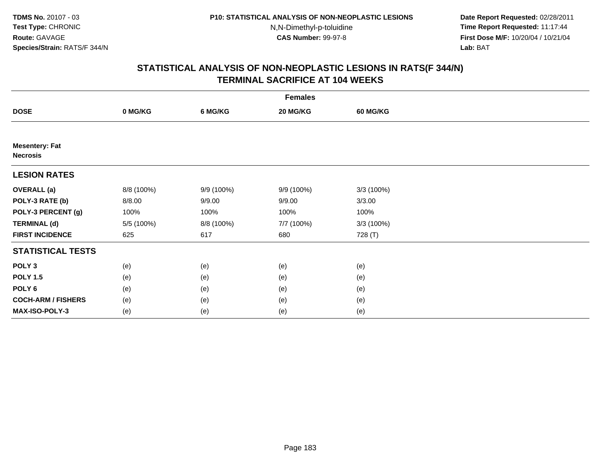N,N-Dimethyl-p-toluidine

 **Date Report Requested:** 02/28/2011 **Time Report Requested:** 11:17:44 **First Dose M/F:** 10/20/04 / 10/21/04<br>**Lab:** BAT **Lab:** BAT

|                                          | <b>Females</b> |            |            |                 |  |  |  |  |
|------------------------------------------|----------------|------------|------------|-----------------|--|--|--|--|
| <b>DOSE</b>                              | 0 MG/KG        | 6 MG/KG    | 20 MG/KG   | <b>60 MG/KG</b> |  |  |  |  |
|                                          |                |            |            |                 |  |  |  |  |
| <b>Mesentery: Fat</b><br><b>Necrosis</b> |                |            |            |                 |  |  |  |  |
| <b>LESION RATES</b>                      |                |            |            |                 |  |  |  |  |
| <b>OVERALL</b> (a)                       | 8/8 (100%)     | 9/9 (100%) | 9/9 (100%) | 3/3(100%)       |  |  |  |  |
| POLY-3 RATE (b)                          | 8/8.00         | 9/9.00     | 9/9.00     | 3/3.00          |  |  |  |  |
| POLY-3 PERCENT (g)                       | 100%           | 100%       | 100%       | 100%            |  |  |  |  |
| <b>TERMINAL (d)</b>                      | 5/5 (100%)     | 8/8 (100%) | 7/7 (100%) | 3/3(100%)       |  |  |  |  |
| <b>FIRST INCIDENCE</b>                   | 625            | 617        | 680        | 728 (T)         |  |  |  |  |
| <b>STATISTICAL TESTS</b>                 |                |            |            |                 |  |  |  |  |
| POLY <sub>3</sub>                        | (e)            | (e)        | (e)        | (e)             |  |  |  |  |
| <b>POLY 1.5</b>                          | (e)            | (e)        | (e)        | (e)             |  |  |  |  |
| POLY <sub>6</sub>                        | (e)            | (e)        | (e)        | (e)             |  |  |  |  |
| <b>COCH-ARM / FISHERS</b>                | (e)            | (e)        | (e)        | (e)             |  |  |  |  |
| MAX-ISO-POLY-3                           | (e)            | (e)        | (e)        | (e)             |  |  |  |  |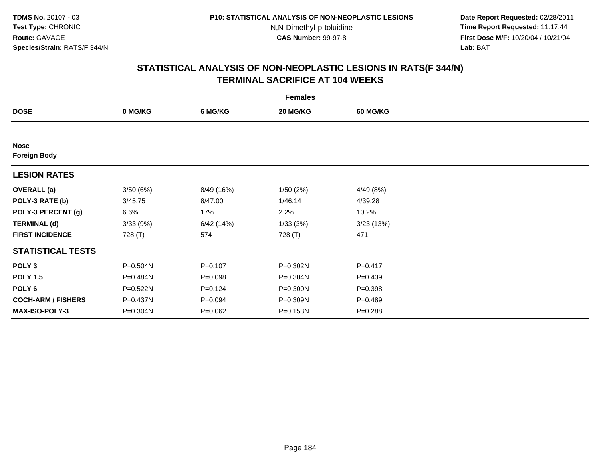**Date Report Requested:** 02/28/2011 **Time Report Requested:** 11:17:44 **First Dose M/F:** 10/20/04 / 10/21/04<br>**Lab:** BAT **Lab:** BAT

| <b>Females</b>                     |          |             |              |             |  |  |  |
|------------------------------------|----------|-------------|--------------|-------------|--|--|--|
| <b>DOSE</b>                        | 0 MG/KG  | 6 MG/KG     | 20 MG/KG     | 60 MG/KG    |  |  |  |
|                                    |          |             |              |             |  |  |  |
| <b>Nose</b><br><b>Foreign Body</b> |          |             |              |             |  |  |  |
| <b>LESION RATES</b>                |          |             |              |             |  |  |  |
| <b>OVERALL</b> (a)                 | 3/50(6%) | 8/49 (16%)  | 1/50(2%)     | 4/49 (8%)   |  |  |  |
| POLY-3 RATE (b)                    | 3/45.75  | 8/47.00     | 1/46.14      | 4/39.28     |  |  |  |
| POLY-3 PERCENT (g)                 | 6.6%     | 17%         | 2.2%         | 10.2%       |  |  |  |
| <b>TERMINAL (d)</b>                | 3/33(9%) | 6/42 (14%)  | 1/33(3%)     | 3/23(13%)   |  |  |  |
| <b>FIRST INCIDENCE</b>             | 728 (T)  | 574         | 728 (T)      | 471         |  |  |  |
| <b>STATISTICAL TESTS</b>           |          |             |              |             |  |  |  |
| POLY <sub>3</sub>                  | P=0.504N | $P = 0.107$ | P=0.302N     | $P = 0.417$ |  |  |  |
| <b>POLY 1.5</b>                    | P=0.484N | $P = 0.098$ | P=0.304N     | $P = 0.439$ |  |  |  |
| POLY <sub>6</sub>                  | P=0.522N | $P=0.124$   | $P = 0.300N$ | $P = 0.398$ |  |  |  |
| <b>COCH-ARM / FISHERS</b>          | P=0.437N | $P = 0.094$ | P=0.309N     | $P = 0.489$ |  |  |  |
| <b>MAX-ISO-POLY-3</b>              | P=0.304N | $P = 0.062$ | P=0.153N     | $P = 0.288$ |  |  |  |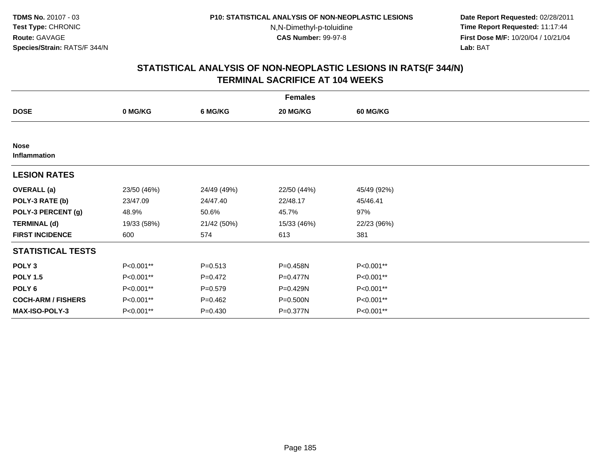**Date Report Requested:** 02/28/2011 **Time Report Requested:** 11:17:44 **First Dose M/F:** 10/20/04 / 10/21/04<br>**Lab:** BAT **Lab:** BAT

| <b>Females</b>              |             |             |             |             |  |  |  |
|-----------------------------|-------------|-------------|-------------|-------------|--|--|--|
| <b>DOSE</b>                 | 0 MG/KG     | 6 MG/KG     | 20 MG/KG    | 60 MG/KG    |  |  |  |
|                             |             |             |             |             |  |  |  |
| <b>Nose</b><br>Inflammation |             |             |             |             |  |  |  |
| <b>LESION RATES</b>         |             |             |             |             |  |  |  |
| <b>OVERALL</b> (a)          | 23/50 (46%) | 24/49 (49%) | 22/50 (44%) | 45/49 (92%) |  |  |  |
| POLY-3 RATE (b)             | 23/47.09    | 24/47.40    | 22/48.17    | 45/46.41    |  |  |  |
| POLY-3 PERCENT (g)          | 48.9%       | 50.6%       | 45.7%       | 97%         |  |  |  |
| <b>TERMINAL (d)</b>         | 19/33 (58%) | 21/42 (50%) | 15/33 (46%) | 22/23 (96%) |  |  |  |
| <b>FIRST INCIDENCE</b>      | 600         | 574         | 613         | 381         |  |  |  |
| <b>STATISTICAL TESTS</b>    |             |             |             |             |  |  |  |
| POLY <sub>3</sub>           | P<0.001**   | $P = 0.513$ | P=0.458N    | P<0.001**   |  |  |  |
| <b>POLY 1.5</b>             | P<0.001**   | $P=0.472$   | P=0.477N    | P<0.001**   |  |  |  |
| POLY 6                      | P<0.001**   | $P = 0.579$ | $P=0.429N$  | P<0.001**   |  |  |  |
| <b>COCH-ARM / FISHERS</b>   | P<0.001**   | $P=0.462$   | P=0.500N    | P<0.001**   |  |  |  |
| MAX-ISO-POLY-3              | P<0.001**   | $P = 0.430$ | P=0.377N    | P<0.001**   |  |  |  |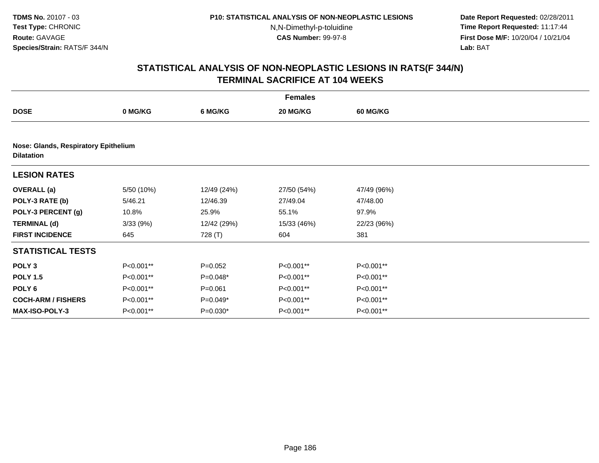**Date Report Requested:** 02/28/2011 **Time Report Requested:** 11:17:44 **First Dose M/F:** 10/20/04 / 10/21/04<br>**Lab:** BAT **Lab:** BAT

| <b>Females</b>                                            |            |             |             |                 |  |  |  |
|-----------------------------------------------------------|------------|-------------|-------------|-----------------|--|--|--|
| <b>DOSE</b>                                               | 0 MG/KG    | 6 MG/KG     | 20 MG/KG    | <b>60 MG/KG</b> |  |  |  |
|                                                           |            |             |             |                 |  |  |  |
| Nose: Glands, Respiratory Epithelium<br><b>Dilatation</b> |            |             |             |                 |  |  |  |
| <b>LESION RATES</b>                                       |            |             |             |                 |  |  |  |
| <b>OVERALL</b> (a)                                        | 5/50 (10%) | 12/49 (24%) | 27/50 (54%) | 47/49 (96%)     |  |  |  |
| POLY-3 RATE (b)                                           | 5/46.21    | 12/46.39    | 27/49.04    | 47/48.00        |  |  |  |
| POLY-3 PERCENT (g)                                        | 10.8%      | 25.9%       | 55.1%       | 97.9%           |  |  |  |
| <b>TERMINAL (d)</b>                                       | 3/33(9%)   | 12/42 (29%) | 15/33 (46%) | 22/23 (96%)     |  |  |  |
| <b>FIRST INCIDENCE</b>                                    | 645        | 728 (T)     | 604         | 381             |  |  |  |
| <b>STATISTICAL TESTS</b>                                  |            |             |             |                 |  |  |  |
| POLY <sub>3</sub>                                         | P<0.001**  | $P=0.052$   | P<0.001**   | P<0.001**       |  |  |  |
| <b>POLY 1.5</b>                                           | P<0.001**  | $P=0.048*$  | P<0.001**   | P<0.001**       |  |  |  |
| POLY <sub>6</sub>                                         | P<0.001**  | $P = 0.061$ | P<0.001**   | P<0.001**       |  |  |  |
| <b>COCH-ARM / FISHERS</b>                                 | P<0.001**  | $P=0.049*$  | P<0.001**   | P<0.001**       |  |  |  |
| <b>MAX-ISO-POLY-3</b>                                     | P<0.001**  | $P=0.030*$  | P<0.001**   | P<0.001**       |  |  |  |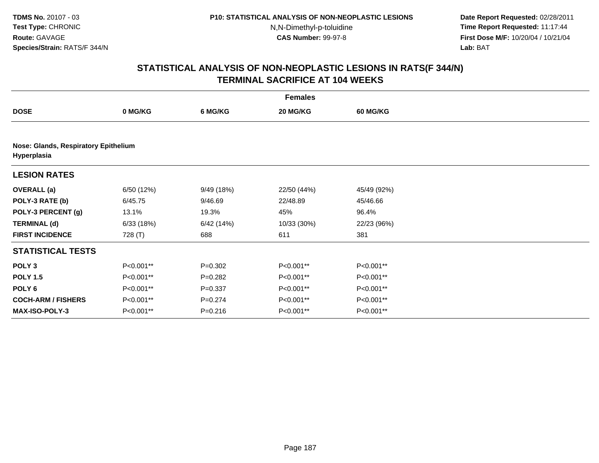**Date Report Requested:** 02/28/2011 **Time Report Requested:** 11:17:44 **First Dose M/F:** 10/20/04 / 10/21/04<br>**Lab:** BAT **Lab:** BAT

|                                                     | <b>Females</b> |             |             |                 |  |  |  |  |
|-----------------------------------------------------|----------------|-------------|-------------|-----------------|--|--|--|--|
| <b>DOSE</b>                                         | 0 MG/KG        | 6 MG/KG     | 20 MG/KG    | <b>60 MG/KG</b> |  |  |  |  |
|                                                     |                |             |             |                 |  |  |  |  |
| Nose: Glands, Respiratory Epithelium<br>Hyperplasia |                |             |             |                 |  |  |  |  |
| <b>LESION RATES</b>                                 |                |             |             |                 |  |  |  |  |
| <b>OVERALL</b> (a)                                  | 6/50 (12%)     | 9/49 (18%)  | 22/50 (44%) | 45/49 (92%)     |  |  |  |  |
| POLY-3 RATE (b)                                     | 6/45.75        | 9/46.69     | 22/48.89    | 45/46.66        |  |  |  |  |
| POLY-3 PERCENT (g)                                  | 13.1%          | 19.3%       | 45%         | 96.4%           |  |  |  |  |
| <b>TERMINAL (d)</b>                                 | 6/33(18%)      | 6/42 (14%)  | 10/33 (30%) | 22/23 (96%)     |  |  |  |  |
| <b>FIRST INCIDENCE</b>                              | 728 (T)        | 688         | 611         | 381             |  |  |  |  |
| <b>STATISTICAL TESTS</b>                            |                |             |             |                 |  |  |  |  |
| POLY <sub>3</sub>                                   | P<0.001**      | $P=0.302$   | P<0.001**   | P<0.001**       |  |  |  |  |
| <b>POLY 1.5</b>                                     | P<0.001**      | $P=0.282$   | P<0.001**   | P<0.001**       |  |  |  |  |
| POLY <sub>6</sub>                                   | P<0.001**      | $P = 0.337$ | P<0.001**   | P<0.001**       |  |  |  |  |
| <b>COCH-ARM / FISHERS</b>                           | P<0.001**      | $P=0.274$   | P<0.001**   | P<0.001**       |  |  |  |  |
| <b>MAX-ISO-POLY-3</b>                               | P<0.001**      | $P = 0.216$ | P<0.001**   | P<0.001**       |  |  |  |  |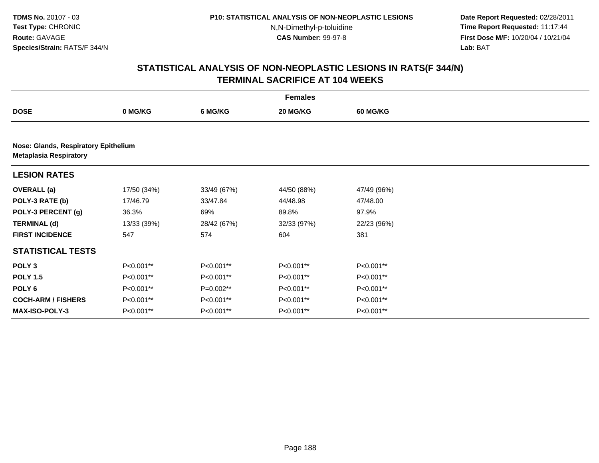**Date Report Requested:** 02/28/2011 **Time Report Requested:** 11:17:44 **First Dose M/F:** 10/20/04 / 10/21/04<br>**Lab:** BAT **Lab:** BAT

|                                                                       | <b>Females</b> |             |             |                 |  |  |  |  |
|-----------------------------------------------------------------------|----------------|-------------|-------------|-----------------|--|--|--|--|
| <b>DOSE</b>                                                           | 0 MG/KG        | 6 MG/KG     | 20 MG/KG    | <b>60 MG/KG</b> |  |  |  |  |
|                                                                       |                |             |             |                 |  |  |  |  |
| Nose: Glands, Respiratory Epithelium<br><b>Metaplasia Respiratory</b> |                |             |             |                 |  |  |  |  |
| <b>LESION RATES</b>                                                   |                |             |             |                 |  |  |  |  |
| <b>OVERALL</b> (a)                                                    | 17/50 (34%)    | 33/49 (67%) | 44/50 (88%) | 47/49 (96%)     |  |  |  |  |
| POLY-3 RATE (b)                                                       | 17/46.79       | 33/47.84    | 44/48.98    | 47/48.00        |  |  |  |  |
| POLY-3 PERCENT (g)                                                    | 36.3%          | 69%         | 89.8%       | 97.9%           |  |  |  |  |
| <b>TERMINAL (d)</b>                                                   | 13/33 (39%)    | 28/42 (67%) | 32/33 (97%) | 22/23 (96%)     |  |  |  |  |
| <b>FIRST INCIDENCE</b>                                                | 547            | 574         | 604         | 381             |  |  |  |  |
| <b>STATISTICAL TESTS</b>                                              |                |             |             |                 |  |  |  |  |
| POLY <sub>3</sub>                                                     | P<0.001**      | P<0.001**   | P<0.001**   | P<0.001**       |  |  |  |  |
| <b>POLY 1.5</b>                                                       | P<0.001**      | P<0.001**   | P<0.001**   | P<0.001**       |  |  |  |  |
| POLY 6                                                                | P<0.001**      | $P=0.002**$ | P<0.001**   | P<0.001**       |  |  |  |  |
| <b>COCH-ARM / FISHERS</b>                                             | P<0.001**      | P<0.001**   | P<0.001**   | P<0.001**       |  |  |  |  |
| <b>MAX-ISO-POLY-3</b>                                                 | P<0.001**      | P<0.001**   | P<0.001**   | P<0.001**       |  |  |  |  |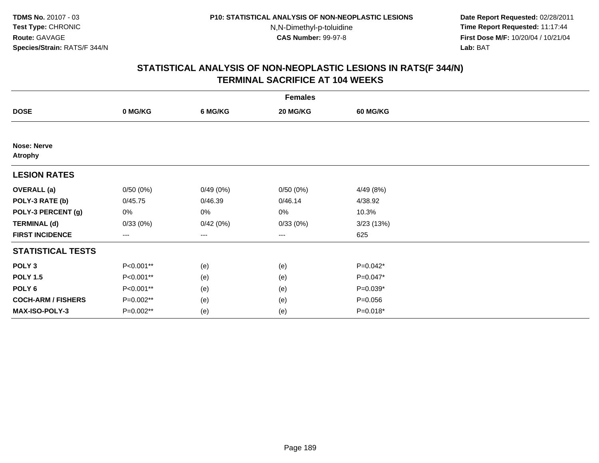**Date Report Requested:** 02/28/2011 **Time Report Requested:** 11:17:44 **First Dose M/F:** 10/20/04 / 10/21/04<br>**Lab:** BAT **Lab:** BAT

| <b>Females</b>                       |           |          |                        |                 |  |  |  |
|--------------------------------------|-----------|----------|------------------------|-----------------|--|--|--|
| <b>DOSE</b>                          | 0 MG/KG   | 6 MG/KG  | 20 MG/KG               | <b>60 MG/KG</b> |  |  |  |
|                                      |           |          |                        |                 |  |  |  |
| <b>Nose: Nerve</b><br><b>Atrophy</b> |           |          |                        |                 |  |  |  |
| <b>LESION RATES</b>                  |           |          |                        |                 |  |  |  |
| <b>OVERALL</b> (a)                   | 0/50(0%)  | 0/49(0%) | 0/50(0%)               | 4/49 (8%)       |  |  |  |
| POLY-3 RATE (b)                      | 0/45.75   | 0/46.39  | 0/46.14                | 4/38.92         |  |  |  |
| POLY-3 PERCENT (g)                   | 0%        | 0%       | 0%                     | 10.3%           |  |  |  |
| <b>TERMINAL (d)</b>                  | 0/33(0%)  | 0/42(0%) | 0/33(0%)               | 3/23(13%)       |  |  |  |
| <b>FIRST INCIDENCE</b>               | ---       | ---      | $\qquad \qquad \cdots$ | 625             |  |  |  |
| <b>STATISTICAL TESTS</b>             |           |          |                        |                 |  |  |  |
| POLY <sub>3</sub>                    | P<0.001** | (e)      | (e)                    | P=0.042*        |  |  |  |
| <b>POLY 1.5</b>                      | P<0.001** | (e)      | (e)                    | P=0.047*        |  |  |  |
| POLY <sub>6</sub>                    | P<0.001** | (e)      | (e)                    | P=0.039*        |  |  |  |
| <b>COCH-ARM / FISHERS</b>            | P=0.002** | (e)      | (e)                    | $P = 0.056$     |  |  |  |
| MAX-ISO-POLY-3                       | P=0.002** | (e)      | (e)                    | $P=0.018*$      |  |  |  |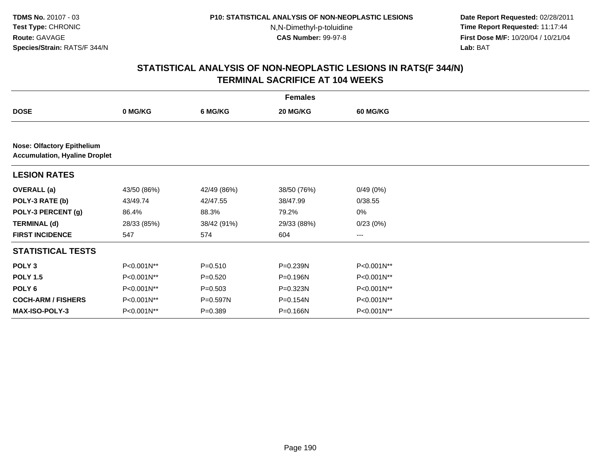N,N-Dimethyl-p-toluidine

 **Date Report Requested:** 02/28/2011 **Time Report Requested:** 11:17:44 **First Dose M/F:** 10/20/04 / 10/21/04<br>**Lab:** BAT **Lab:** BAT

|                                                                           | <b>Females</b> |             |              |                 |  |  |  |  |
|---------------------------------------------------------------------------|----------------|-------------|--------------|-----------------|--|--|--|--|
| <b>DOSE</b>                                                               | 0 MG/KG        | 6 MG/KG     | 20 MG/KG     | <b>60 MG/KG</b> |  |  |  |  |
|                                                                           |                |             |              |                 |  |  |  |  |
| <b>Nose: Olfactory Epithelium</b><br><b>Accumulation, Hyaline Droplet</b> |                |             |              |                 |  |  |  |  |
| <b>LESION RATES</b>                                                       |                |             |              |                 |  |  |  |  |
| <b>OVERALL (a)</b>                                                        | 43/50 (86%)    | 42/49 (86%) | 38/50 (76%)  | 0/49(0%)        |  |  |  |  |
| POLY-3 RATE (b)                                                           | 43/49.74       | 42/47.55    | 38/47.99     | 0/38.55         |  |  |  |  |
| POLY-3 PERCENT (g)                                                        | 86.4%          | 88.3%       | 79.2%        | 0%              |  |  |  |  |
| <b>TERMINAL (d)</b>                                                       | 28/33 (85%)    | 38/42 (91%) | 29/33 (88%)  | 0/23(0%)        |  |  |  |  |
| <b>FIRST INCIDENCE</b>                                                    | 547            | 574         | 604          | ---             |  |  |  |  |
| <b>STATISTICAL TESTS</b>                                                  |                |             |              |                 |  |  |  |  |
| POLY <sub>3</sub>                                                         | P<0.001N**     | $P = 0.510$ | P=0.239N     | P<0.001N**      |  |  |  |  |
| <b>POLY 1.5</b>                                                           | P<0.001N**     | $P = 0.520$ | P=0.196N     | P<0.001N**      |  |  |  |  |
| POLY <sub>6</sub>                                                         | P<0.001N**     | $P = 0.503$ | P=0.323N     | P<0.001N**      |  |  |  |  |
| <b>COCH-ARM / FISHERS</b>                                                 | P<0.001N**     | P=0.597N    | P=0.154N     | P<0.001N**      |  |  |  |  |
| <b>MAX-ISO-POLY-3</b>                                                     | P<0.001N**     | $P = 0.389$ | $P = 0.166N$ | P<0.001N**      |  |  |  |  |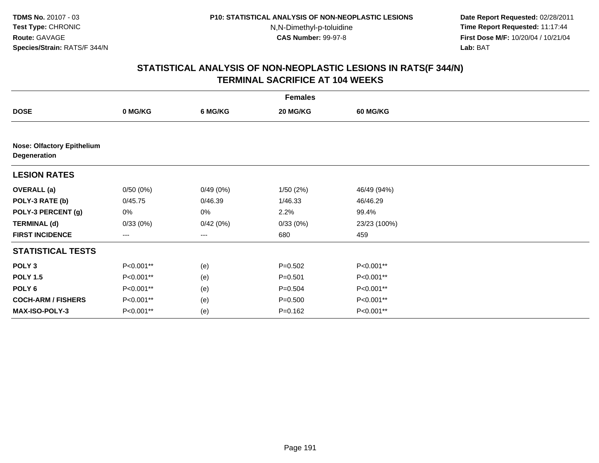**Date Report Requested:** 02/28/2011 **Time Report Requested:** 11:17:44 **First Dose M/F:** 10/20/04 / 10/21/04<br>**Lab:** BAT **Lab:** BAT

|                                                   | <b>Females</b> |                   |             |                 |  |  |  |  |
|---------------------------------------------------|----------------|-------------------|-------------|-----------------|--|--|--|--|
| <b>DOSE</b>                                       | 0 MG/KG        | 6 MG/KG           | 20 MG/KG    | <b>60 MG/KG</b> |  |  |  |  |
|                                                   |                |                   |             |                 |  |  |  |  |
| <b>Nose: Olfactory Epithelium</b><br>Degeneration |                |                   |             |                 |  |  |  |  |
| <b>LESION RATES</b>                               |                |                   |             |                 |  |  |  |  |
| <b>OVERALL</b> (a)                                | 0/50(0%)       | 0/49(0%)          | 1/50(2%)    | 46/49 (94%)     |  |  |  |  |
| POLY-3 RATE (b)                                   | 0/45.75        | 0/46.39           | 1/46.33     | 46/46.29        |  |  |  |  |
| POLY-3 PERCENT (g)                                | 0%             | 0%                | 2.2%        | 99.4%           |  |  |  |  |
| <b>TERMINAL (d)</b>                               | 0/33(0%)       | 0/42(0%)          | 0/33(0%)    | 23/23 (100%)    |  |  |  |  |
| <b>FIRST INCIDENCE</b>                            | ---            | $\qquad \qquad -$ | 680         | 459             |  |  |  |  |
| <b>STATISTICAL TESTS</b>                          |                |                   |             |                 |  |  |  |  |
| POLY <sub>3</sub>                                 | P<0.001**      | (e)               | $P=0.502$   | P<0.001**       |  |  |  |  |
| <b>POLY 1.5</b>                                   | P<0.001**      | (e)               | $P = 0.501$ | P<0.001**       |  |  |  |  |
| POLY <sub>6</sub>                                 | P<0.001**      | (e)               | $P = 0.504$ | P<0.001**       |  |  |  |  |
| <b>COCH-ARM / FISHERS</b>                         | P<0.001**      | (e)               | $P = 0.500$ | P<0.001**       |  |  |  |  |
| MAX-ISO-POLY-3                                    | P<0.001**      | (e)               | $P = 0.162$ | P<0.001**       |  |  |  |  |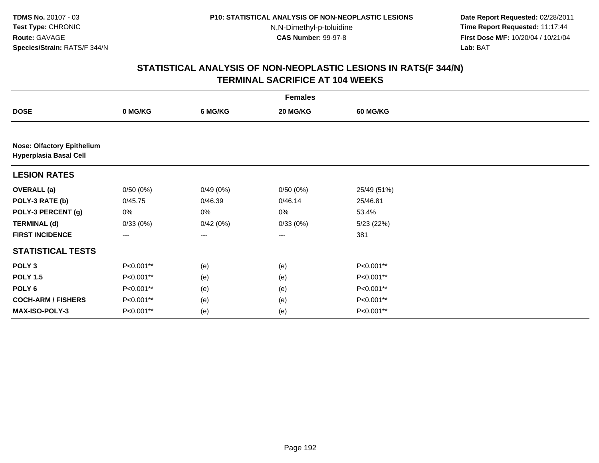**Date Report Requested:** 02/28/2011 **Time Report Requested:** 11:17:44 **First Dose M/F:** 10/20/04 / 10/21/04<br>**Lab:** BAT **Lab:** BAT

|                                                                    | <b>Females</b> |          |          |                 |  |  |  |  |
|--------------------------------------------------------------------|----------------|----------|----------|-----------------|--|--|--|--|
| <b>DOSE</b>                                                        | 0 MG/KG        | 6 MG/KG  | 20 MG/KG | <b>60 MG/KG</b> |  |  |  |  |
|                                                                    |                |          |          |                 |  |  |  |  |
| <b>Nose: Olfactory Epithelium</b><br><b>Hyperplasia Basal Cell</b> |                |          |          |                 |  |  |  |  |
| <b>LESION RATES</b>                                                |                |          |          |                 |  |  |  |  |
| <b>OVERALL</b> (a)                                                 | 0/50(0%)       | 0/49(0%) | 0/50(0%) | 25/49 (51%)     |  |  |  |  |
| POLY-3 RATE (b)                                                    | 0/45.75        | 0/46.39  | 0/46.14  | 25/46.81        |  |  |  |  |
| POLY-3 PERCENT (g)                                                 | 0%             | 0%       | 0%       | 53.4%           |  |  |  |  |
| <b>TERMINAL (d)</b>                                                | 0/33(0%)       | 0/42(0%) | 0/33(0%) | 5/23(22%)       |  |  |  |  |
| <b>FIRST INCIDENCE</b>                                             | ---            | $---$    | ---      | 381             |  |  |  |  |
| <b>STATISTICAL TESTS</b>                                           |                |          |          |                 |  |  |  |  |
| POLY <sub>3</sub>                                                  | P<0.001**      | (e)      | (e)      | P<0.001**       |  |  |  |  |
| <b>POLY 1.5</b>                                                    | P<0.001**      | (e)      | (e)      | P<0.001**       |  |  |  |  |
| POLY <sub>6</sub>                                                  | P<0.001**      | (e)      | (e)      | P<0.001**       |  |  |  |  |
| <b>COCH-ARM / FISHERS</b>                                          | P<0.001**      | (e)      | (e)      | P<0.001**       |  |  |  |  |
| MAX-ISO-POLY-3                                                     | P<0.001**      | (e)      | (e)      | P<0.001**       |  |  |  |  |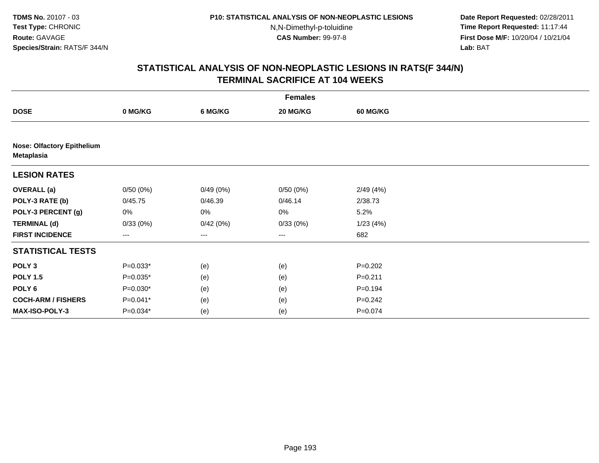**Date Report Requested:** 02/28/2011 **Time Report Requested:** 11:17:44 **First Dose M/F:** 10/20/04 / 10/21/04<br>**Lab:** BAT **Lab:** BAT

|                                                        | <b>Females</b> |          |          |                 |  |  |  |  |
|--------------------------------------------------------|----------------|----------|----------|-----------------|--|--|--|--|
| <b>DOSE</b>                                            | 0 MG/KG        | 6 MG/KG  | 20 MG/KG | <b>60 MG/KG</b> |  |  |  |  |
|                                                        |                |          |          |                 |  |  |  |  |
| <b>Nose: Olfactory Epithelium</b><br><b>Metaplasia</b> |                |          |          |                 |  |  |  |  |
| <b>LESION RATES</b>                                    |                |          |          |                 |  |  |  |  |
| <b>OVERALL</b> (a)                                     | 0/50(0%)       | 0/49(0%) | 0/50(0%) | 2/49(4%)        |  |  |  |  |
| POLY-3 RATE (b)                                        | 0/45.75        | 0/46.39  | 0/46.14  | 2/38.73         |  |  |  |  |
| POLY-3 PERCENT (g)                                     | 0%             | 0%       | $0\%$    | 5.2%            |  |  |  |  |
| <b>TERMINAL (d)</b>                                    | 0/33(0%)       | 0/42(0%) | 0/33(0%) | 1/23(4%)        |  |  |  |  |
| <b>FIRST INCIDENCE</b>                                 | ---            | $\cdots$ | $\cdots$ | 682             |  |  |  |  |
| <b>STATISTICAL TESTS</b>                               |                |          |          |                 |  |  |  |  |
| POLY <sub>3</sub>                                      | $P=0.033*$     | (e)      | (e)      | $P=0.202$       |  |  |  |  |
| <b>POLY 1.5</b>                                        | $P=0.035*$     | (e)      | (e)      | $P = 0.211$     |  |  |  |  |
| POLY <sub>6</sub>                                      | $P=0.030*$     | (e)      | (e)      | $P = 0.194$     |  |  |  |  |
| <b>COCH-ARM / FISHERS</b>                              | $P=0.041*$     | (e)      | (e)      | $P = 0.242$     |  |  |  |  |
| MAX-ISO-POLY-3                                         | P=0.034*       | (e)      | (e)      | $P = 0.074$     |  |  |  |  |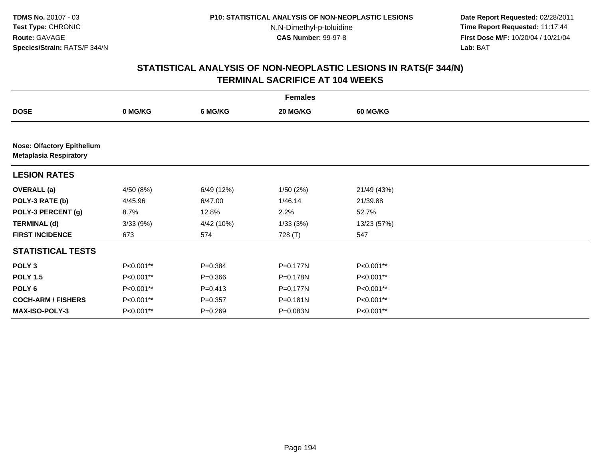**Date Report Requested:** 02/28/2011 **Time Report Requested:** 11:17:44 **First Dose M/F:** 10/20/04 / 10/21/04<br>**Lab:** BAT **Lab:** BAT

|                                                                    | <b>Females</b> |             |              |                 |  |  |  |  |
|--------------------------------------------------------------------|----------------|-------------|--------------|-----------------|--|--|--|--|
| <b>DOSE</b>                                                        | 0 MG/KG        | 6 MG/KG     | 20 MG/KG     | <b>60 MG/KG</b> |  |  |  |  |
|                                                                    |                |             |              |                 |  |  |  |  |
| <b>Nose: Olfactory Epithelium</b><br><b>Metaplasia Respiratory</b> |                |             |              |                 |  |  |  |  |
| <b>LESION RATES</b>                                                |                |             |              |                 |  |  |  |  |
| <b>OVERALL</b> (a)                                                 | 4/50 (8%)      | 6/49 (12%)  | 1/50(2%)     | 21/49 (43%)     |  |  |  |  |
| POLY-3 RATE (b)                                                    | 4/45.96        | 6/47.00     | 1/46.14      | 21/39.88        |  |  |  |  |
| POLY-3 PERCENT (g)                                                 | 8.7%           | 12.8%       | 2.2%         | 52.7%           |  |  |  |  |
| <b>TERMINAL (d)</b>                                                | 3/33(9%)       | 4/42 (10%)  | 1/33(3%)     | 13/23 (57%)     |  |  |  |  |
| <b>FIRST INCIDENCE</b>                                             | 673            | 574         | 728 (T)      | 547             |  |  |  |  |
| <b>STATISTICAL TESTS</b>                                           |                |             |              |                 |  |  |  |  |
| POLY <sub>3</sub>                                                  | P<0.001**      | $P = 0.384$ | P=0.177N     | P<0.001**       |  |  |  |  |
| <b>POLY 1.5</b>                                                    | P<0.001**      | $P = 0.366$ | P=0.178N     | P<0.001**       |  |  |  |  |
| POLY 6                                                             | P<0.001**      | $P = 0.413$ | P=0.177N     | P<0.001**       |  |  |  |  |
| <b>COCH-ARM / FISHERS</b>                                          | P<0.001**      | $P=0.357$   | $P = 0.181N$ | P<0.001**       |  |  |  |  |
| MAX-ISO-POLY-3                                                     | P<0.001**      | $P = 0.269$ | P=0.083N     | P<0.001**       |  |  |  |  |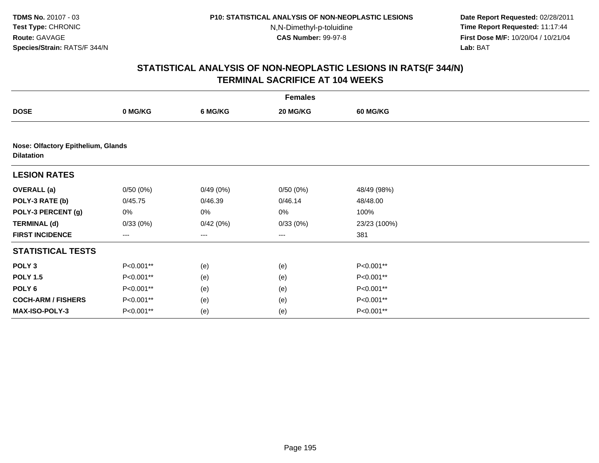**Date Report Requested:** 02/28/2011 **Time Report Requested:** 11:17:44 **First Dose M/F:** 10/20/04 / 10/21/04<br>**Lab:** BAT **Lab:** BAT

|                                                         | <b>Females</b> |          |          |                 |  |  |  |  |
|---------------------------------------------------------|----------------|----------|----------|-----------------|--|--|--|--|
| <b>DOSE</b>                                             | 0 MG/KG        | 6 MG/KG  | 20 MG/KG | <b>60 MG/KG</b> |  |  |  |  |
|                                                         |                |          |          |                 |  |  |  |  |
| Nose: Olfactory Epithelium, Glands<br><b>Dilatation</b> |                |          |          |                 |  |  |  |  |
| <b>LESION RATES</b>                                     |                |          |          |                 |  |  |  |  |
| <b>OVERALL</b> (a)                                      | 0/50(0%)       | 0/49(0%) | 0/50(0%) | 48/49 (98%)     |  |  |  |  |
| POLY-3 RATE (b)                                         | 0/45.75        | 0/46.39  | 0/46.14  | 48/48.00        |  |  |  |  |
| POLY-3 PERCENT (g)                                      | 0%             | 0%       | $0\%$    | 100%            |  |  |  |  |
| <b>TERMINAL (d)</b>                                     | 0/33(0%)       | 0/42(0%) | 0/33(0%) | 23/23 (100%)    |  |  |  |  |
| <b>FIRST INCIDENCE</b>                                  | ---            | $--$     | ---      | 381             |  |  |  |  |
| <b>STATISTICAL TESTS</b>                                |                |          |          |                 |  |  |  |  |
| POLY <sub>3</sub>                                       | P<0.001**      | (e)      | (e)      | P<0.001**       |  |  |  |  |
| <b>POLY 1.5</b>                                         | P<0.001**      | (e)      | (e)      | P<0.001**       |  |  |  |  |
| POLY <sub>6</sub>                                       | P<0.001**      | (e)      | (e)      | P<0.001**       |  |  |  |  |
| <b>COCH-ARM / FISHERS</b>                               | P<0.001**      | (e)      | (e)      | P<0.001**       |  |  |  |  |
| <b>MAX-ISO-POLY-3</b>                                   | P<0.001**      | (e)      | (e)      | P<0.001**       |  |  |  |  |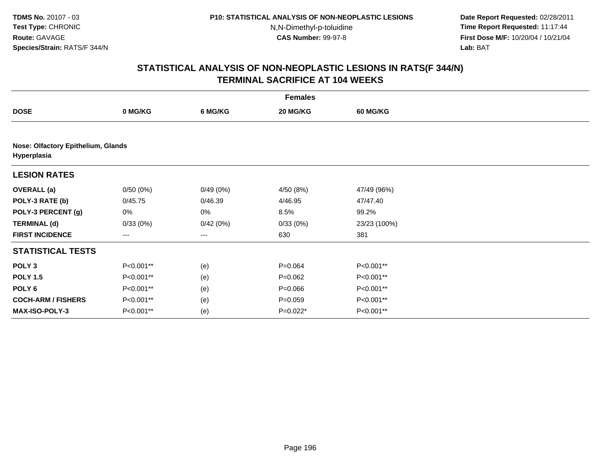**Date Report Requested:** 02/28/2011 **Time Report Requested:** 11:17:44 **First Dose M/F:** 10/20/04 / 10/21/04<br>**Lab:** BAT **Lab:** BAT

|                                                   | <b>Females</b> |          |             |              |  |  |  |  |
|---------------------------------------------------|----------------|----------|-------------|--------------|--|--|--|--|
| <b>DOSE</b>                                       | 0 MG/KG        | 6 MG/KG  | 20 MG/KG    | 60 MG/KG     |  |  |  |  |
|                                                   |                |          |             |              |  |  |  |  |
| Nose: Olfactory Epithelium, Glands<br>Hyperplasia |                |          |             |              |  |  |  |  |
| <b>LESION RATES</b>                               |                |          |             |              |  |  |  |  |
| <b>OVERALL</b> (a)                                | 0/50(0%)       | 0/49(0%) | 4/50 (8%)   | 47/49 (96%)  |  |  |  |  |
| POLY-3 RATE (b)                                   | 0/45.75        | 0/46.39  | 4/46.95     | 47/47.40     |  |  |  |  |
| POLY-3 PERCENT (g)                                | 0%             | 0%       | 8.5%        | 99.2%        |  |  |  |  |
| <b>TERMINAL (d)</b>                               | 0/33(0%)       | 0/42(0%) | 0/33(0%)    | 23/23 (100%) |  |  |  |  |
| <b>FIRST INCIDENCE</b>                            | ---            | $---$    | 630         | 381          |  |  |  |  |
| <b>STATISTICAL TESTS</b>                          |                |          |             |              |  |  |  |  |
| POLY <sub>3</sub>                                 | P<0.001**      | (e)      | $P = 0.064$ | P<0.001**    |  |  |  |  |
| <b>POLY 1.5</b>                                   | P<0.001**      | (e)      | $P=0.062$   | P<0.001**    |  |  |  |  |
| POLY <sub>6</sub>                                 | P<0.001**      | (e)      | $P = 0.066$ | P<0.001**    |  |  |  |  |
| <b>COCH-ARM / FISHERS</b>                         | P<0.001**      | (e)      | $P = 0.059$ | P<0.001**    |  |  |  |  |
| MAX-ISO-POLY-3                                    | P<0.001**      | (e)      | $P=0.022*$  | P<0.001**    |  |  |  |  |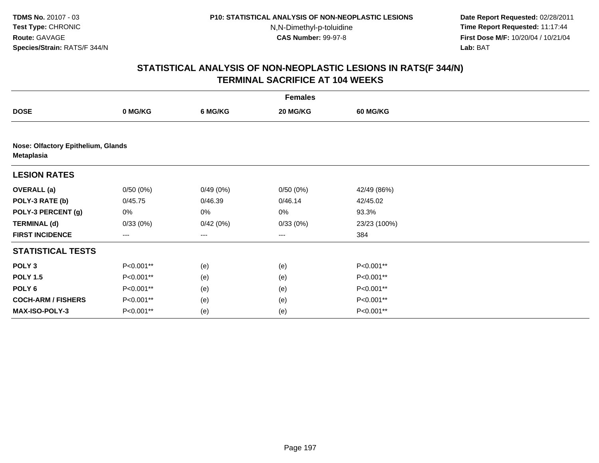**Date Report Requested:** 02/28/2011 **Time Report Requested:** 11:17:44 **First Dose M/F:** 10/20/04 / 10/21/04<br>**Lab:** BAT **Lab:** BAT

|                                                                | <b>Females</b> |                        |          |                 |  |  |  |  |
|----------------------------------------------------------------|----------------|------------------------|----------|-----------------|--|--|--|--|
| <b>DOSE</b>                                                    | 0 MG/KG        | 6 MG/KG                | 20 MG/KG | <b>60 MG/KG</b> |  |  |  |  |
|                                                                |                |                        |          |                 |  |  |  |  |
| <b>Nose: Olfactory Epithelium, Glands</b><br><b>Metaplasia</b> |                |                        |          |                 |  |  |  |  |
| <b>LESION RATES</b>                                            |                |                        |          |                 |  |  |  |  |
| <b>OVERALL</b> (a)                                             | 0/50(0%)       | 0/49(0%)               | 0/50(0%) | 42/49 (86%)     |  |  |  |  |
| POLY-3 RATE (b)                                                | 0/45.75        | 0/46.39                | 0/46.14  | 42/45.02        |  |  |  |  |
| POLY-3 PERCENT (g)                                             | 0%             | 0%                     | 0%       | 93.3%           |  |  |  |  |
| <b>TERMINAL (d)</b>                                            | 0/33(0%)       | 0/42(0%)               | 0/33(0%) | 23/23 (100%)    |  |  |  |  |
| <b>FIRST INCIDENCE</b>                                         | ---            | $\qquad \qquad \cdots$ | ---      | 384             |  |  |  |  |
| <b>STATISTICAL TESTS</b>                                       |                |                        |          |                 |  |  |  |  |
| POLY <sub>3</sub>                                              | P<0.001**      | (e)                    | (e)      | P<0.001**       |  |  |  |  |
| <b>POLY 1.5</b>                                                | P<0.001**      | (e)                    | (e)      | P<0.001**       |  |  |  |  |
| POLY 6                                                         | P<0.001**      | (e)                    | (e)      | P<0.001**       |  |  |  |  |
| <b>COCH-ARM / FISHERS</b>                                      | P<0.001**      | (e)                    | (e)      | P<0.001**       |  |  |  |  |
| <b>MAX-ISO-POLY-3</b>                                          | P<0.001**      | (e)                    | (e)      | P<0.001**       |  |  |  |  |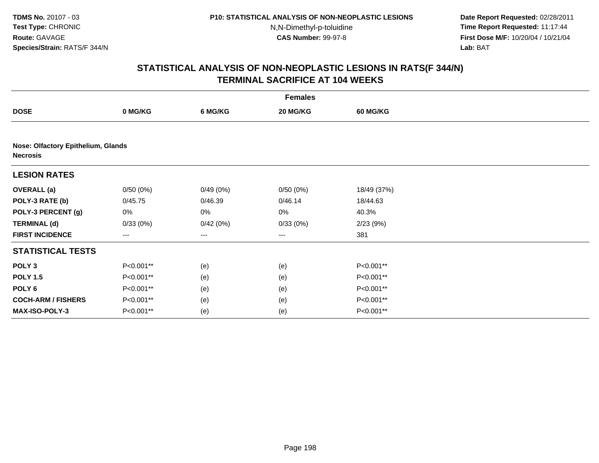**Date Report Requested:** 02/28/2011 **Time Report Requested:** 11:17:44 **First Dose M/F:** 10/20/04 / 10/21/04<br>**Lab:** BAT **Lab:** BAT

|                                                       | <b>Females</b> |          |          |                 |  |  |  |  |
|-------------------------------------------------------|----------------|----------|----------|-----------------|--|--|--|--|
| <b>DOSE</b>                                           | 0 MG/KG        | 6 MG/KG  | 20 MG/KG | <b>60 MG/KG</b> |  |  |  |  |
|                                                       |                |          |          |                 |  |  |  |  |
| Nose: Olfactory Epithelium, Glands<br><b>Necrosis</b> |                |          |          |                 |  |  |  |  |
| <b>LESION RATES</b>                                   |                |          |          |                 |  |  |  |  |
| <b>OVERALL</b> (a)                                    | 0/50(0%)       | 0/49(0%) | 0/50(0%) | 18/49 (37%)     |  |  |  |  |
| POLY-3 RATE (b)                                       | 0/45.75        | 0/46.39  | 0/46.14  | 18/44.63        |  |  |  |  |
| POLY-3 PERCENT (g)                                    | 0%             | 0%       | 0%       | 40.3%           |  |  |  |  |
| <b>TERMINAL (d)</b>                                   | 0/33(0%)       | 0/42(0%) | 0/33(0%) | 2/23(9%)        |  |  |  |  |
| <b>FIRST INCIDENCE</b>                                | $---$          | $--$     | ---      | 381             |  |  |  |  |
| <b>STATISTICAL TESTS</b>                              |                |          |          |                 |  |  |  |  |
| POLY <sub>3</sub>                                     | P<0.001**      | (e)      | (e)      | P<0.001**       |  |  |  |  |
| <b>POLY 1.5</b>                                       | P<0.001**      | (e)      | (e)      | P<0.001**       |  |  |  |  |
| POLY <sub>6</sub>                                     | P<0.001**      | (e)      | (e)      | P<0.001**       |  |  |  |  |
| <b>COCH-ARM / FISHERS</b>                             | P<0.001**      | (e)      | (e)      | P<0.001**       |  |  |  |  |
| <b>MAX-ISO-POLY-3</b>                                 | P<0.001**      | (e)      | (e)      | P<0.001**       |  |  |  |  |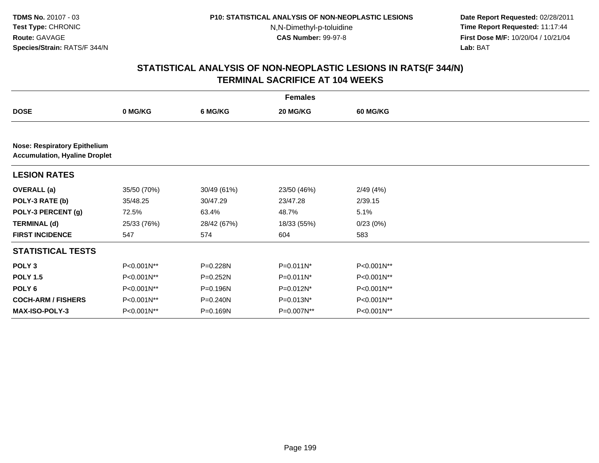N,N-Dimethyl-p-toluidine

 **Date Report Requested:** 02/28/2011 **Time Report Requested:** 11:17:44 **First Dose M/F:** 10/20/04 / 10/21/04<br>**Lab:** BAT **Lab:** BAT

|                                                                             | <b>Females</b> |             |             |                 |  |  |  |  |
|-----------------------------------------------------------------------------|----------------|-------------|-------------|-----------------|--|--|--|--|
| <b>DOSE</b>                                                                 | 0 MG/KG        | 6 MG/KG     | 20 MG/KG    | <b>60 MG/KG</b> |  |  |  |  |
|                                                                             |                |             |             |                 |  |  |  |  |
| <b>Nose: Respiratory Epithelium</b><br><b>Accumulation, Hyaline Droplet</b> |                |             |             |                 |  |  |  |  |
| <b>LESION RATES</b>                                                         |                |             |             |                 |  |  |  |  |
| <b>OVERALL</b> (a)                                                          | 35/50 (70%)    | 30/49 (61%) | 23/50 (46%) | 2/49(4%)        |  |  |  |  |
| POLY-3 RATE (b)                                                             | 35/48.25       | 30/47.29    | 23/47.28    | 2/39.15         |  |  |  |  |
| POLY-3 PERCENT (g)                                                          | 72.5%          | 63.4%       | 48.7%       | 5.1%            |  |  |  |  |
| <b>TERMINAL (d)</b>                                                         | 25/33 (76%)    | 28/42 (67%) | 18/33 (55%) | 0/23(0%)        |  |  |  |  |
| <b>FIRST INCIDENCE</b>                                                      | 547            | 574         | 604         | 583             |  |  |  |  |
| <b>STATISTICAL TESTS</b>                                                    |                |             |             |                 |  |  |  |  |
| POLY <sub>3</sub>                                                           | P<0.001N**     | P=0.228N    | P=0.011N*   | P<0.001N**      |  |  |  |  |
| <b>POLY 1.5</b>                                                             | P<0.001N**     | P=0.252N    | P=0.011N*   | P<0.001N**      |  |  |  |  |
| POLY <sub>6</sub>                                                           | P<0.001N**     | P=0.196N    | P=0.012N*   | P<0.001N**      |  |  |  |  |
| <b>COCH-ARM / FISHERS</b>                                                   | P<0.001N**     | P=0.240N    | P=0.013N*   | P<0.001N**      |  |  |  |  |
| <b>MAX-ISO-POLY-3</b>                                                       | P<0.001N**     | P=0.169N    | P=0.007N**  | P<0.001N**      |  |  |  |  |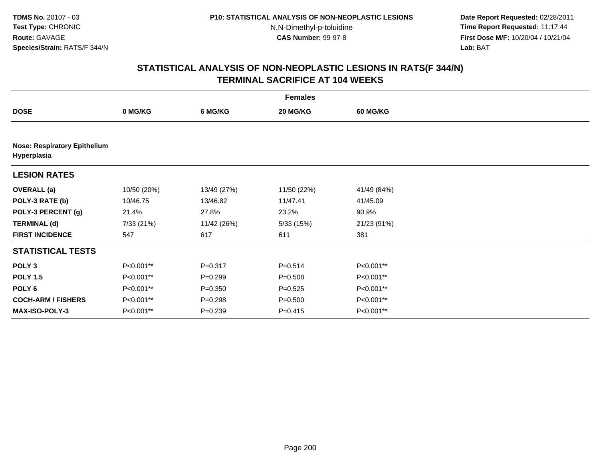**Date Report Requested:** 02/28/2011 **Time Report Requested:** 11:17:44 **First Dose M/F:** 10/20/04 / 10/21/04<br>**Lab:** BAT **Lab:** BAT

|                                                    | <b>Females</b> |             |             |                 |  |  |  |  |
|----------------------------------------------------|----------------|-------------|-------------|-----------------|--|--|--|--|
| <b>DOSE</b>                                        | 0 MG/KG        | 6 MG/KG     | 20 MG/KG    | <b>60 MG/KG</b> |  |  |  |  |
|                                                    |                |             |             |                 |  |  |  |  |
| <b>Nose: Respiratory Epithelium</b><br>Hyperplasia |                |             |             |                 |  |  |  |  |
| <b>LESION RATES</b>                                |                |             |             |                 |  |  |  |  |
| <b>OVERALL</b> (a)                                 | 10/50 (20%)    | 13/49 (27%) | 11/50 (22%) | 41/49 (84%)     |  |  |  |  |
| POLY-3 RATE (b)                                    | 10/46.75       | 13/46.82    | 11/47.41    | 41/45.09        |  |  |  |  |
| POLY-3 PERCENT (g)                                 | 21.4%          | 27.8%       | 23.2%       | 90.9%           |  |  |  |  |
| <b>TERMINAL (d)</b>                                | 7/33 (21%)     | 11/42 (26%) | 5/33(15%)   | 21/23 (91%)     |  |  |  |  |
| <b>FIRST INCIDENCE</b>                             | 547            | 617         | 611         | 381             |  |  |  |  |
| <b>STATISTICAL TESTS</b>                           |                |             |             |                 |  |  |  |  |
| POLY <sub>3</sub>                                  | P<0.001**      | $P = 0.317$ | $P = 0.514$ | P<0.001**       |  |  |  |  |
| <b>POLY 1.5</b>                                    | P<0.001**      | $P=0.299$   | $P = 0.508$ | P<0.001**       |  |  |  |  |
| POLY <sub>6</sub>                                  | P<0.001**      | $P = 0.350$ | $P = 0.525$ | P<0.001**       |  |  |  |  |
| <b>COCH-ARM / FISHERS</b>                          | P<0.001**      | $P = 0.298$ | $P = 0.500$ | P<0.001**       |  |  |  |  |
| MAX-ISO-POLY-3                                     | P<0.001**      | $P=0.239$   | $P = 0.415$ | P<0.001**       |  |  |  |  |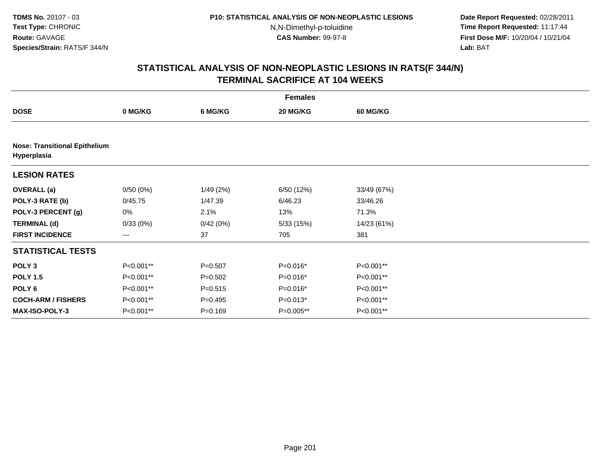**Date Report Requested:** 02/28/2011 **Time Report Requested:** 11:17:44 **First Dose M/F:** 10/20/04 / 10/21/04<br>**Lab:** BAT **Lab:** BAT

|                                                     |           |             | <b>Females</b> |                 |  |
|-----------------------------------------------------|-----------|-------------|----------------|-----------------|--|
| <b>DOSE</b>                                         | 0 MG/KG   | 6 MG/KG     | 20 MG/KG       | <b>60 MG/KG</b> |  |
|                                                     |           |             |                |                 |  |
| <b>Nose: Transitional Epithelium</b><br>Hyperplasia |           |             |                |                 |  |
| <b>LESION RATES</b>                                 |           |             |                |                 |  |
| <b>OVERALL</b> (a)                                  | 0/50(0%)  | 1/49(2%)    | 6/50(12%)      | 33/49 (67%)     |  |
| POLY-3 RATE (b)                                     | 0/45.75   | 1/47.39     | 6/46.23        | 33/46.26        |  |
| POLY-3 PERCENT (g)                                  | 0%        | 2.1%        | 13%            | 71.3%           |  |
| <b>TERMINAL (d)</b>                                 | 0/33(0%)  | 0/42(0%)    | 5/33(15%)      | 14/23 (61%)     |  |
| <b>FIRST INCIDENCE</b>                              | ---       | 37          | 705            | 381             |  |
| <b>STATISTICAL TESTS</b>                            |           |             |                |                 |  |
| POLY <sub>3</sub>                                   | P<0.001** | $P = 0.507$ | $P=0.016*$     | P<0.001**       |  |
| <b>POLY 1.5</b>                                     | P<0.001** | $P = 0.502$ | $P=0.016*$     | P<0.001**       |  |
| POLY 6                                              | P<0.001** | $P = 0.515$ | $P=0.016*$     | P<0.001**       |  |
| <b>COCH-ARM / FISHERS</b>                           | P<0.001** | $P = 0.495$ | $P=0.013*$     | P<0.001**       |  |
| MAX-ISO-POLY-3                                      | P<0.001** | $P = 0.169$ | P=0.005**      | P<0.001**       |  |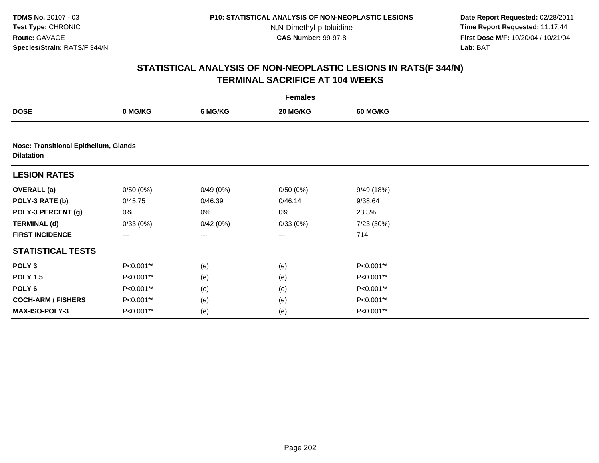**Date Report Requested:** 02/28/2011 **Time Report Requested:** 11:17:44 **First Dose M/F:** 10/20/04 / 10/21/04<br>**Lab:** BAT **Lab:** BAT

|                                                                   | <b>Females</b> |          |          |                 |  |  |  |  |
|-------------------------------------------------------------------|----------------|----------|----------|-----------------|--|--|--|--|
| <b>DOSE</b>                                                       | 0 MG/KG        | 6 MG/KG  | 20 MG/KG | <b>60 MG/KG</b> |  |  |  |  |
|                                                                   |                |          |          |                 |  |  |  |  |
| <b>Nose: Transitional Epithelium, Glands</b><br><b>Dilatation</b> |                |          |          |                 |  |  |  |  |
| <b>LESION RATES</b>                                               |                |          |          |                 |  |  |  |  |
| <b>OVERALL</b> (a)                                                | 0/50(0%)       | 0/49(0%) | 0/50(0%) | 9/49 (18%)      |  |  |  |  |
| POLY-3 RATE (b)                                                   | 0/45.75        | 0/46.39  | 0/46.14  | 9/38.64         |  |  |  |  |
| POLY-3 PERCENT (g)                                                | 0%             | 0%       | 0%       | 23.3%           |  |  |  |  |
| <b>TERMINAL (d)</b>                                               | 0/33(0%)       | 0/42(0%) | 0/33(0%) | 7/23 (30%)      |  |  |  |  |
| <b>FIRST INCIDENCE</b>                                            | ---            | $---$    | ---      | 714             |  |  |  |  |
| <b>STATISTICAL TESTS</b>                                          |                |          |          |                 |  |  |  |  |
| POLY <sub>3</sub>                                                 | P<0.001**      | (e)      | (e)      | P<0.001**       |  |  |  |  |
| <b>POLY 1.5</b>                                                   | P<0.001**      | (e)      | (e)      | P<0.001**       |  |  |  |  |
| POLY 6                                                            | P<0.001**      | (e)      | (e)      | P<0.001**       |  |  |  |  |
| <b>COCH-ARM / FISHERS</b>                                         | P<0.001**      | (e)      | (e)      | P<0.001**       |  |  |  |  |
| MAX-ISO-POLY-3                                                    | P<0.001**      | (e)      | (e)      | P<0.001**       |  |  |  |  |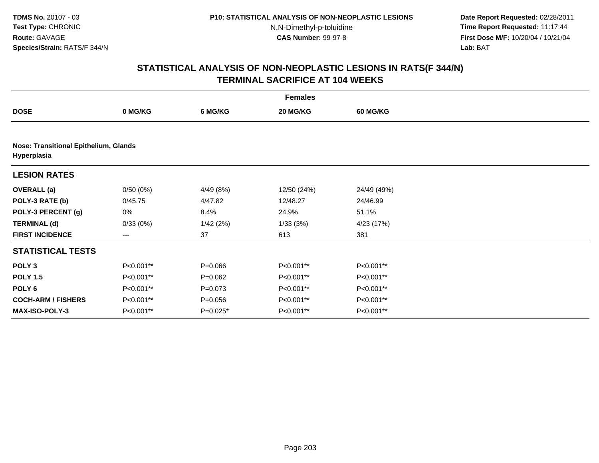**Date Report Requested:** 02/28/2011 **Time Report Requested:** 11:17:44 **First Dose M/F:** 10/20/04 / 10/21/04<br>**Lab:** BAT **Lab:** BAT

|                                                             | <b>Females</b> |             |             |                 |  |  |  |  |
|-------------------------------------------------------------|----------------|-------------|-------------|-----------------|--|--|--|--|
| <b>DOSE</b>                                                 | 0 MG/KG        | 6 MG/KG     | 20 MG/KG    | <b>60 MG/KG</b> |  |  |  |  |
|                                                             |                |             |             |                 |  |  |  |  |
| <b>Nose: Transitional Epithelium, Glands</b><br>Hyperplasia |                |             |             |                 |  |  |  |  |
| <b>LESION RATES</b>                                         |                |             |             |                 |  |  |  |  |
| <b>OVERALL</b> (a)                                          | 0/50(0%)       | 4/49 (8%)   | 12/50 (24%) | 24/49 (49%)     |  |  |  |  |
| POLY-3 RATE (b)                                             | 0/45.75        | 4/47.82     | 12/48.27    | 24/46.99        |  |  |  |  |
| POLY-3 PERCENT (g)                                          | 0%             | 8.4%        | 24.9%       | 51.1%           |  |  |  |  |
| <b>TERMINAL (d)</b>                                         | 0/33(0%)       | 1/42(2%)    | 1/33(3%)    | 4/23 (17%)      |  |  |  |  |
| <b>FIRST INCIDENCE</b>                                      | ---            | 37          | 613         | 381             |  |  |  |  |
| <b>STATISTICAL TESTS</b>                                    |                |             |             |                 |  |  |  |  |
| POLY <sub>3</sub>                                           | P<0.001**      | $P = 0.066$ | P<0.001**   | P<0.001**       |  |  |  |  |
| <b>POLY 1.5</b>                                             | P<0.001**      | $P=0.062$   | P<0.001**   | P<0.001**       |  |  |  |  |
| POLY 6                                                      | P<0.001**      | $P = 0.073$ | P<0.001**   | P<0.001**       |  |  |  |  |
| <b>COCH-ARM / FISHERS</b>                                   | P<0.001**      | $P = 0.056$ | P<0.001**   | P<0.001**       |  |  |  |  |
| <b>MAX-ISO-POLY-3</b>                                       | P<0.001**      | $P=0.025*$  | P<0.001**   | P<0.001**       |  |  |  |  |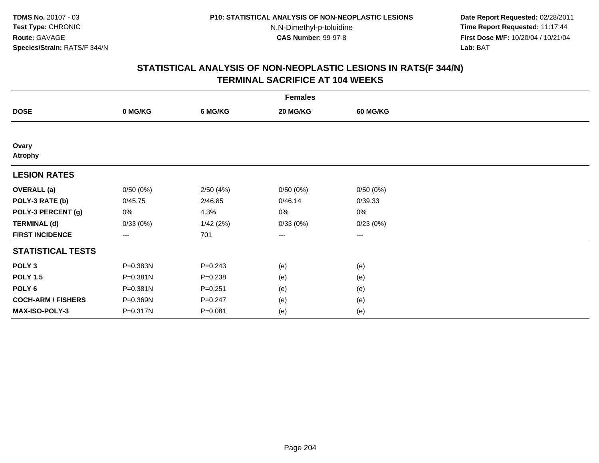N,N-Dimethyl-p-toluidine

 **Date Report Requested:** 02/28/2011 **Time Report Requested:** 11:17:44 **First Dose M/F:** 10/20/04 / 10/21/04<br>**Lab:** BAT **Lab:** BAT

|                           | <b>Females</b>    |             |                        |                        |  |  |  |  |  |
|---------------------------|-------------------|-------------|------------------------|------------------------|--|--|--|--|--|
| <b>DOSE</b>               | 0 MG/KG           | 6 MG/KG     | 20 MG/KG               | <b>60 MG/KG</b>        |  |  |  |  |  |
|                           |                   |             |                        |                        |  |  |  |  |  |
| Ovary<br><b>Atrophy</b>   |                   |             |                        |                        |  |  |  |  |  |
| <b>LESION RATES</b>       |                   |             |                        |                        |  |  |  |  |  |
| <b>OVERALL</b> (a)        | 0/50(0%)          | 2/50(4%)    | 0/50(0%)               | 0/50(0%)               |  |  |  |  |  |
| POLY-3 RATE (b)           | 0/45.75           | 2/46.85     | 0/46.14                | 0/39.33                |  |  |  |  |  |
| POLY-3 PERCENT (g)        | 0%                | 4.3%        | 0%                     | $0\%$                  |  |  |  |  |  |
| <b>TERMINAL (d)</b>       | 0/33(0%)          | 1/42(2%)    | 0/33(0%)               | 0/23(0%)               |  |  |  |  |  |
| <b>FIRST INCIDENCE</b>    | $\qquad \qquad -$ | 701         | $\qquad \qquad \cdots$ | $\qquad \qquad \cdots$ |  |  |  |  |  |
| <b>STATISTICAL TESTS</b>  |                   |             |                        |                        |  |  |  |  |  |
| POLY <sub>3</sub>         | P=0.383N          | $P = 0.243$ | (e)                    | (e)                    |  |  |  |  |  |
| <b>POLY 1.5</b>           | P=0.381N          | $P = 0.238$ | (e)                    | (e)                    |  |  |  |  |  |
| POLY <sub>6</sub>         | P=0.381N          | $P = 0.251$ | (e)                    | (e)                    |  |  |  |  |  |
| <b>COCH-ARM / FISHERS</b> | P=0.369N          | $P = 0.247$ | (e)                    | (e)                    |  |  |  |  |  |
| MAX-ISO-POLY-3            | P=0.317N          | $P = 0.081$ | (e)                    | (e)                    |  |  |  |  |  |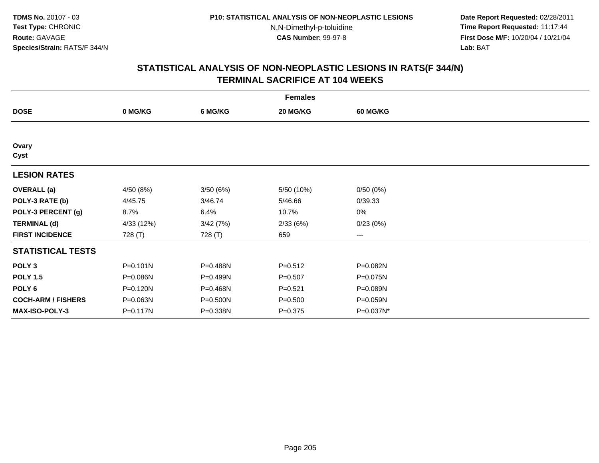**Date Report Requested:** 02/28/2011 **Time Report Requested:** 11:17:44 **First Dose M/F:** 10/20/04 / 10/21/04<br>**Lab:** BAT **Lab:** BAT

| <b>Females</b>            |            |           |             |                 |  |  |  |
|---------------------------|------------|-----------|-------------|-----------------|--|--|--|
| <b>DOSE</b>               | 0 MG/KG    | 6 MG/KG   | 20 MG/KG    | <b>60 MG/KG</b> |  |  |  |
|                           |            |           |             |                 |  |  |  |
| Ovary<br>Cyst             |            |           |             |                 |  |  |  |
| <b>LESION RATES</b>       |            |           |             |                 |  |  |  |
| <b>OVERALL</b> (a)        | 4/50 (8%)  | 3/50 (6%) | 5/50 (10%)  | 0/50(0%)        |  |  |  |
| POLY-3 RATE (b)           | 4/45.75    | 3/46.74   | 5/46.66     | 0/39.33         |  |  |  |
| POLY-3 PERCENT (g)        | 8.7%       | 6.4%      | 10.7%       | 0%              |  |  |  |
| <b>TERMINAL (d)</b>       | 4/33 (12%) | 3/42(7%)  | 2/33(6%)    | 0/23(0%)        |  |  |  |
| <b>FIRST INCIDENCE</b>    | 728 (T)    | 728 (T)   | 659         | ---             |  |  |  |
| <b>STATISTICAL TESTS</b>  |            |           |             |                 |  |  |  |
| POLY <sub>3</sub>         | P=0.101N   | P=0.488N  | $P = 0.512$ | P=0.082N        |  |  |  |
| <b>POLY 1.5</b>           | P=0.086N   | P=0.499N  | $P = 0.507$ | P=0.075N        |  |  |  |
| POLY <sub>6</sub>         | P=0.120N   | P=0.468N  | $P = 0.521$ | P=0.089N        |  |  |  |
| <b>COCH-ARM / FISHERS</b> | P=0.063N   | P=0.500N  | $P = 0.500$ | P=0.059N        |  |  |  |
| <b>MAX-ISO-POLY-3</b>     | P=0.117N   | P=0.338N  | $P = 0.375$ | P=0.037N*       |  |  |  |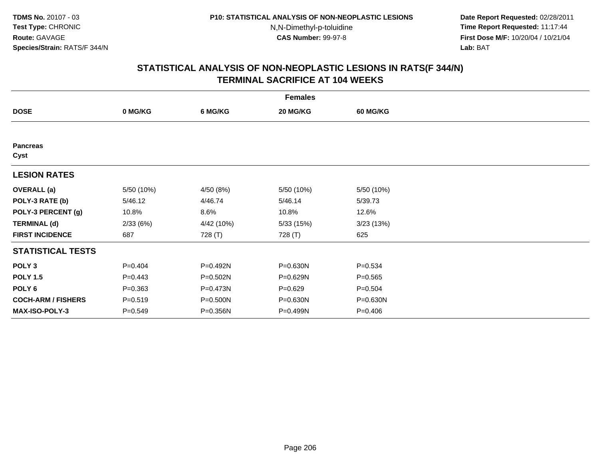**Date Report Requested:** 02/28/2011 **Time Report Requested:** 11:17:44 **First Dose M/F:** 10/20/04 / 10/21/04<br>**Lab:** BAT **Lab:** BAT

|                           | <b>Females</b> |            |              |                 |  |  |  |  |
|---------------------------|----------------|------------|--------------|-----------------|--|--|--|--|
| <b>DOSE</b>               | 0 MG/KG        | 6 MG/KG    | 20 MG/KG     | <b>60 MG/KG</b> |  |  |  |  |
|                           |                |            |              |                 |  |  |  |  |
| <b>Pancreas</b><br>Cyst   |                |            |              |                 |  |  |  |  |
| <b>LESION RATES</b>       |                |            |              |                 |  |  |  |  |
| <b>OVERALL</b> (a)        | 5/50 (10%)     | 4/50 (8%)  | 5/50 (10%)   | 5/50 (10%)      |  |  |  |  |
| POLY-3 RATE (b)           | 5/46.12        | 4/46.74    | 5/46.14      | 5/39.73         |  |  |  |  |
| POLY-3 PERCENT (g)        | 10.8%          | 8.6%       | 10.8%        | 12.6%           |  |  |  |  |
| <b>TERMINAL (d)</b>       | 2/33(6%)       | 4/42 (10%) | 5/33 (15%)   | 3/23(13%)       |  |  |  |  |
| <b>FIRST INCIDENCE</b>    | 687            | 728 (T)    | 728 (T)      | 625             |  |  |  |  |
| <b>STATISTICAL TESTS</b>  |                |            |              |                 |  |  |  |  |
| POLY <sub>3</sub>         | $P=0.404$      | P=0.492N   | P=0.630N     | $P = 0.534$     |  |  |  |  |
| <b>POLY 1.5</b>           | $P=0.443$      | P=0.502N   | $P = 0.629N$ | $P = 0.565$     |  |  |  |  |
| POLY 6                    | $P = 0.363$    | P=0.473N   | $P = 0.629$  | $P = 0.504$     |  |  |  |  |
| <b>COCH-ARM / FISHERS</b> | $P = 0.519$    | P=0.500N   | P=0.630N     | P=0.630N        |  |  |  |  |
| <b>MAX-ISO-POLY-3</b>     | $P = 0.549$    | P=0.356N   | P=0.499N     | $P = 0.406$     |  |  |  |  |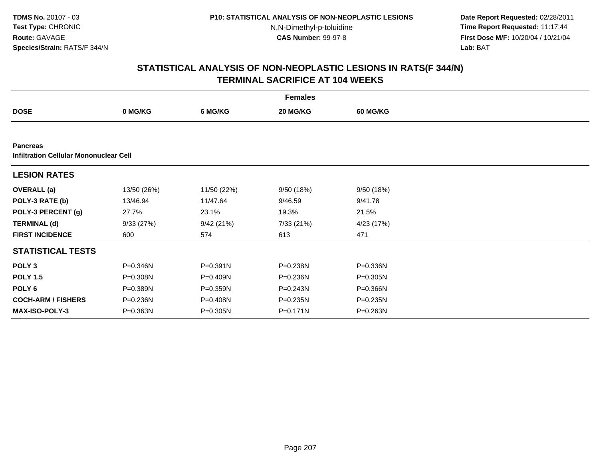N,N-Dimethyl-p-toluidine

 **Date Report Requested:** 02/28/2011 **Time Report Requested:** 11:17:44 **First Dose M/F:** 10/20/04 / 10/21/04<br>**Lab:** BAT **Lab:** BAT

|                                                                  |             |              | <b>Females</b> |                 |  |  |  |  |
|------------------------------------------------------------------|-------------|--------------|----------------|-----------------|--|--|--|--|
| <b>DOSE</b>                                                      | 0 MG/KG     | 6 MG/KG      | 20 MG/KG       | <b>60 MG/KG</b> |  |  |  |  |
|                                                                  |             |              |                |                 |  |  |  |  |
| <b>Pancreas</b><br><b>Infiltration Cellular Mononuclear Cell</b> |             |              |                |                 |  |  |  |  |
| <b>LESION RATES</b>                                              |             |              |                |                 |  |  |  |  |
| <b>OVERALL</b> (a)                                               | 13/50 (26%) | 11/50 (22%)  | 9/50 (18%)     | 9/50(18%)       |  |  |  |  |
| POLY-3 RATE (b)                                                  | 13/46.94    | 11/47.64     | 9/46.59        | 9/41.78         |  |  |  |  |
| POLY-3 PERCENT (g)                                               | 27.7%       | 23.1%        | 19.3%          | 21.5%           |  |  |  |  |
| <b>TERMINAL (d)</b>                                              | 9/33(27%)   | 9/42(21%)    | 7/33 (21%)     | 4/23 (17%)      |  |  |  |  |
| <b>FIRST INCIDENCE</b>                                           | 600         | 574          | 613            | 471             |  |  |  |  |
| <b>STATISTICAL TESTS</b>                                         |             |              |                |                 |  |  |  |  |
| POLY <sub>3</sub>                                                | P=0.346N    | $P = 0.391N$ | P=0.238N       | P=0.336N        |  |  |  |  |
| <b>POLY 1.5</b>                                                  | P=0.308N    | $P = 0.409N$ | P=0.236N       | P=0.305N        |  |  |  |  |
| POLY 6                                                           | P=0.389N    | $P = 0.359N$ | $P = 0.243N$   | P=0.366N        |  |  |  |  |
| <b>COCH-ARM / FISHERS</b>                                        | P=0.236N    | P=0.408N     | $P = 0.235N$   | $P = 0.235N$    |  |  |  |  |
| <b>MAX-ISO-POLY-3</b>                                            | P=0.363N    | $P = 0.305N$ | $P = 0.171N$   | P=0.263N        |  |  |  |  |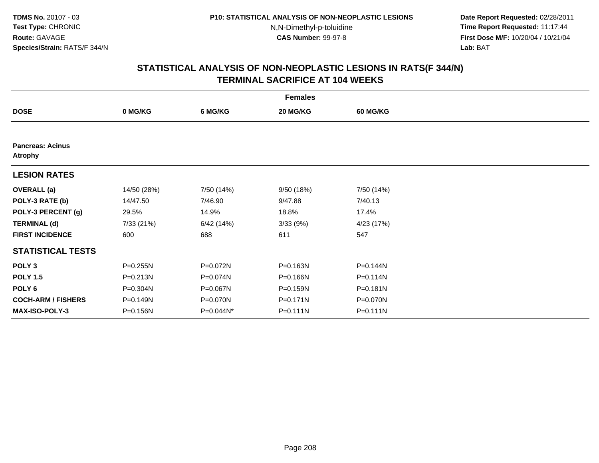**Date Report Requested:** 02/28/2011 **Time Report Requested:** 11:17:44 **First Dose M/F:** 10/20/04 / 10/21/04<br>**Lab:** BAT **Lab:** BAT

| <b>Females</b>                            |             |            |              |            |  |  |  |
|-------------------------------------------|-------------|------------|--------------|------------|--|--|--|
| <b>DOSE</b>                               | 0 MG/KG     | 6 MG/KG    | 20 MG/KG     | 60 MG/KG   |  |  |  |
|                                           |             |            |              |            |  |  |  |
| <b>Pancreas: Acinus</b><br><b>Atrophy</b> |             |            |              |            |  |  |  |
| <b>LESION RATES</b>                       |             |            |              |            |  |  |  |
| <b>OVERALL</b> (a)                        | 14/50 (28%) | 7/50 (14%) | 9/50(18%)    | 7/50 (14%) |  |  |  |
| POLY-3 RATE (b)                           | 14/47.50    | 7/46.90    | 9/47.88      | 7/40.13    |  |  |  |
| POLY-3 PERCENT (g)                        | 29.5%       | 14.9%      | 18.8%        | 17.4%      |  |  |  |
| <b>TERMINAL (d)</b>                       | 7/33 (21%)  | 6/42 (14%) | 3/33(9%)     | 4/23 (17%) |  |  |  |
| <b>FIRST INCIDENCE</b>                    | 600         | 688        | 611          | 547        |  |  |  |
| <b>STATISTICAL TESTS</b>                  |             |            |              |            |  |  |  |
| POLY <sub>3</sub>                         | P=0.255N    | P=0.072N   | P=0.163N     | P=0.144N   |  |  |  |
| <b>POLY 1.5</b>                           | P=0.213N    | P=0.074N   | P=0.166N     | P=0.114N   |  |  |  |
| POLY 6                                    | P=0.304N    | P=0.067N   | P=0.159N     | P=0.181N   |  |  |  |
| <b>COCH-ARM / FISHERS</b>                 | P=0.149N    | P=0.070N   | $P = 0.171N$ | P=0.070N   |  |  |  |
| <b>MAX-ISO-POLY-3</b>                     | P=0.156N    | P=0.044N*  | P=0.111N     | P=0.111N   |  |  |  |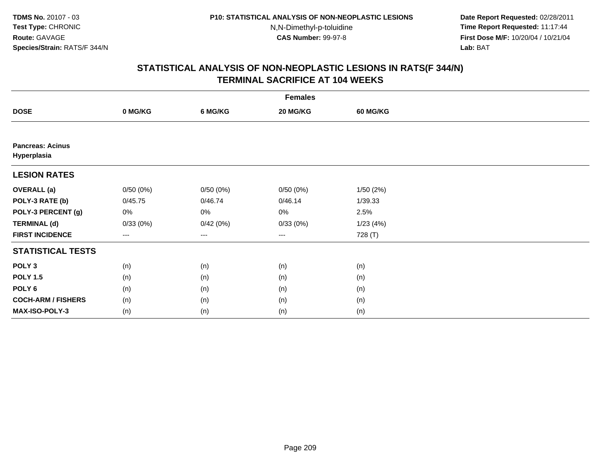N,N-Dimethyl-p-toluidine

 **Date Report Requested:** 02/28/2011 **Time Report Requested:** 11:17:44 **First Dose M/F:** 10/20/04 / 10/21/04<br>**Lab:** BAT **Lab:** BAT

|                                        | <b>Females</b> |          |          |                 |  |  |  |  |
|----------------------------------------|----------------|----------|----------|-----------------|--|--|--|--|
| <b>DOSE</b>                            | 0 MG/KG        | 6 MG/KG  | 20 MG/KG | <b>60 MG/KG</b> |  |  |  |  |
|                                        |                |          |          |                 |  |  |  |  |
| <b>Pancreas: Acinus</b><br>Hyperplasia |                |          |          |                 |  |  |  |  |
| <b>LESION RATES</b>                    |                |          |          |                 |  |  |  |  |
| <b>OVERALL</b> (a)                     | 0/50(0%)       | 0/50(0%) | 0/50(0%) | 1/50(2%)        |  |  |  |  |
| POLY-3 RATE (b)                        | 0/45.75        | 0/46.74  | 0/46.14  | 1/39.33         |  |  |  |  |
| POLY-3 PERCENT (g)                     | 0%             | 0%       | 0%       | 2.5%            |  |  |  |  |
| <b>TERMINAL (d)</b>                    | 0/33(0%)       | 0/42(0%) | 0/33(0%) | 1/23(4%)        |  |  |  |  |
| <b>FIRST INCIDENCE</b>                 | $--$           | $--$     | $--$     | 728 (T)         |  |  |  |  |
| <b>STATISTICAL TESTS</b>               |                |          |          |                 |  |  |  |  |
| POLY <sub>3</sub>                      | (n)            | (n)      | (n)      | (n)             |  |  |  |  |
| <b>POLY 1.5</b>                        | (n)            | (n)      | (n)      | (n)             |  |  |  |  |
| POLY <sub>6</sub>                      | (n)            | (n)      | (n)      | (n)             |  |  |  |  |
| <b>COCH-ARM / FISHERS</b>              | (n)            | (n)      | (n)      | (n)             |  |  |  |  |
| MAX-ISO-POLY-3                         | (n)            | (n)      | (n)      | (n)             |  |  |  |  |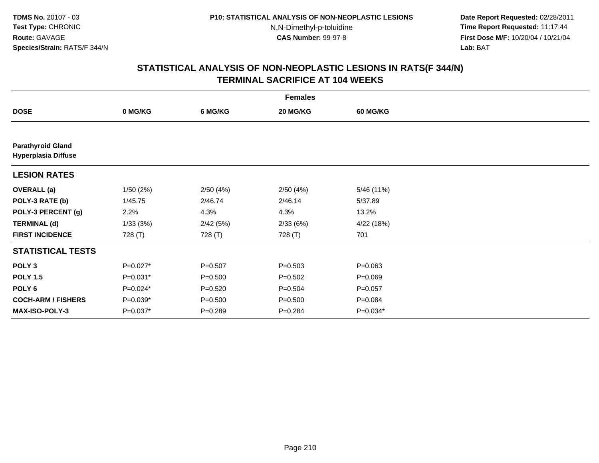N,N-Dimethyl-p-toluidine

 **Date Report Requested:** 02/28/2011 **Time Report Requested:** 11:17:44 **First Dose M/F:** 10/20/04 / 10/21/04<br>**Lab:** BAT **Lab:** BAT

| <b>Females</b>                                         |            |             |             |                 |  |  |  |
|--------------------------------------------------------|------------|-------------|-------------|-----------------|--|--|--|
| <b>DOSE</b>                                            | 0 MG/KG    | 6 MG/KG     | 20 MG/KG    | <b>60 MG/KG</b> |  |  |  |
|                                                        |            |             |             |                 |  |  |  |
| <b>Parathyroid Gland</b><br><b>Hyperplasia Diffuse</b> |            |             |             |                 |  |  |  |
| <b>LESION RATES</b>                                    |            |             |             |                 |  |  |  |
| <b>OVERALL</b> (a)                                     | 1/50(2%)   | 2/50(4%)    | 2/50(4%)    | 5/46 (11%)      |  |  |  |
| POLY-3 RATE (b)                                        | 1/45.75    | 2/46.74     | 2/46.14     | 5/37.89         |  |  |  |
| POLY-3 PERCENT (g)                                     | 2.2%       | 4.3%        | 4.3%        | 13.2%           |  |  |  |
| <b>TERMINAL (d)</b>                                    | 1/33(3%)   | 2/42(5%)    | 2/33(6%)    | 4/22 (18%)      |  |  |  |
| <b>FIRST INCIDENCE</b>                                 | 728 (T)    | 728 (T)     | 728 (T)     | 701             |  |  |  |
| <b>STATISTICAL TESTS</b>                               |            |             |             |                 |  |  |  |
| POLY <sub>3</sub>                                      | P=0.027*   | $P = 0.507$ | $P = 0.503$ | $P = 0.063$     |  |  |  |
| <b>POLY 1.5</b>                                        | $P=0.031*$ | $P = 0.500$ | $P = 0.502$ | $P = 0.069$     |  |  |  |
| POLY <sub>6</sub>                                      | $P=0.024*$ | $P=0.520$   | $P = 0.504$ | $P=0.057$       |  |  |  |
| <b>COCH-ARM / FISHERS</b>                              | P=0.039*   | $P = 0.500$ | $P = 0.500$ | $P = 0.084$     |  |  |  |
| <b>MAX-ISO-POLY-3</b>                                  | P=0.037*   | $P = 0.289$ | $P = 0.284$ | P=0.034*        |  |  |  |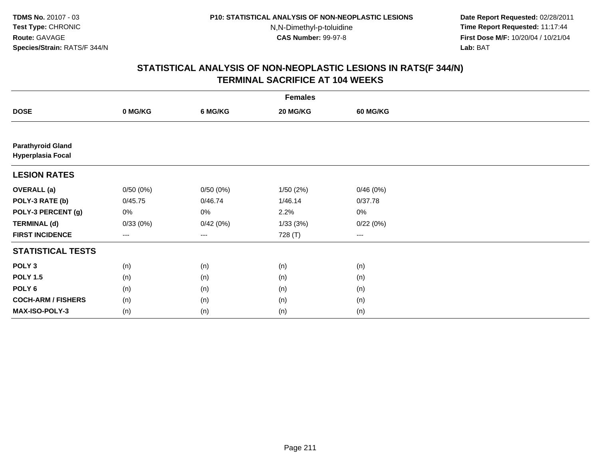N,N-Dimethyl-p-toluidine

 **Date Report Requested:** 02/28/2011 **Time Report Requested:** 11:17:44 **First Dose M/F:** 10/20/04 / 10/21/04<br>**Lab:** BAT **Lab:** BAT

|                                                      | <b>Females</b> |          |          |                   |  |  |  |  |
|------------------------------------------------------|----------------|----------|----------|-------------------|--|--|--|--|
| <b>DOSE</b>                                          | 0 MG/KG        | 6 MG/KG  | 20 MG/KG | <b>60 MG/KG</b>   |  |  |  |  |
|                                                      |                |          |          |                   |  |  |  |  |
| <b>Parathyroid Gland</b><br><b>Hyperplasia Focal</b> |                |          |          |                   |  |  |  |  |
| <b>LESION RATES</b>                                  |                |          |          |                   |  |  |  |  |
| <b>OVERALL (a)</b>                                   | 0/50(0%)       | 0/50(0%) | 1/50(2%) | 0/46(0%)          |  |  |  |  |
| POLY-3 RATE (b)                                      | 0/45.75        | 0/46.74  | 1/46.14  | 0/37.78           |  |  |  |  |
| POLY-3 PERCENT (g)                                   | 0%             | 0%       | 2.2%     | $0\%$             |  |  |  |  |
| <b>TERMINAL (d)</b>                                  | 0/33(0%)       | 0/42(0%) | 1/33(3%) | 0/22(0%)          |  |  |  |  |
| <b>FIRST INCIDENCE</b>                               | $--$           | $\cdots$ | 728 (T)  | $\qquad \qquad -$ |  |  |  |  |
| <b>STATISTICAL TESTS</b>                             |                |          |          |                   |  |  |  |  |
| POLY <sub>3</sub>                                    | (n)            | (n)      | (n)      | (n)               |  |  |  |  |
| <b>POLY 1.5</b>                                      | (n)            | (n)      | (n)      | (n)               |  |  |  |  |
| POLY <sub>6</sub>                                    | (n)            | (n)      | (n)      | (n)               |  |  |  |  |
| <b>COCH-ARM / FISHERS</b>                            | (n)            | (n)      | (n)      | (n)               |  |  |  |  |
| MAX-ISO-POLY-3                                       | (n)            | (n)      | (n)      | (n)               |  |  |  |  |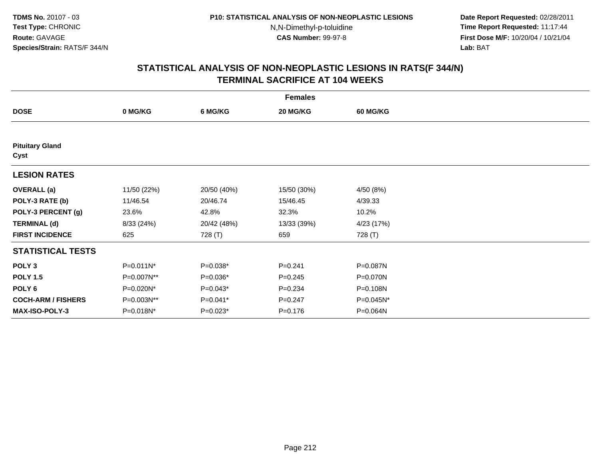**Date Report Requested:** 02/28/2011 **Time Report Requested:** 11:17:44 **First Dose M/F:** 10/20/04 / 10/21/04<br>**Lab:** BAT **Lab:** BAT

| <b>Females</b>                 |             |             |             |                 |  |  |  |  |
|--------------------------------|-------------|-------------|-------------|-----------------|--|--|--|--|
| <b>DOSE</b>                    | 0 MG/KG     | 6 MG/KG     | 20 MG/KG    | <b>60 MG/KG</b> |  |  |  |  |
|                                |             |             |             |                 |  |  |  |  |
| <b>Pituitary Gland</b><br>Cyst |             |             |             |                 |  |  |  |  |
| <b>LESION RATES</b>            |             |             |             |                 |  |  |  |  |
| <b>OVERALL</b> (a)             | 11/50 (22%) | 20/50 (40%) | 15/50 (30%) | 4/50 (8%)       |  |  |  |  |
| POLY-3 RATE (b)                | 11/46.54    | 20/46.74    | 15/46.45    | 4/39.33         |  |  |  |  |
| POLY-3 PERCENT (g)             | 23.6%       | 42.8%       | 32.3%       | 10.2%           |  |  |  |  |
| <b>TERMINAL (d)</b>            | 8/33 (24%)  | 20/42 (48%) | 13/33 (39%) | 4/23 (17%)      |  |  |  |  |
| <b>FIRST INCIDENCE</b>         | 625         | 728 (T)     | 659         | 728 (T)         |  |  |  |  |
| <b>STATISTICAL TESTS</b>       |             |             |             |                 |  |  |  |  |
| POLY <sub>3</sub>              | P=0.011N*   | P=0.038*    | $P = 0.241$ | P=0.087N        |  |  |  |  |
| <b>POLY 1.5</b>                | P=0.007N**  | P=0.036*    | $P = 0.245$ | P=0.070N        |  |  |  |  |
| POLY <sub>6</sub>              | P=0.020N*   | $P=0.043*$  | $P = 0.234$ | P=0.108N        |  |  |  |  |
| <b>COCH-ARM / FISHERS</b>      | P=0.003N**  | $P=0.041*$  | $P = 0.247$ | P=0.045N*       |  |  |  |  |
| <b>MAX-ISO-POLY-3</b>          | P=0.018N*   | $P=0.023*$  | $P = 0.176$ | P=0.064N        |  |  |  |  |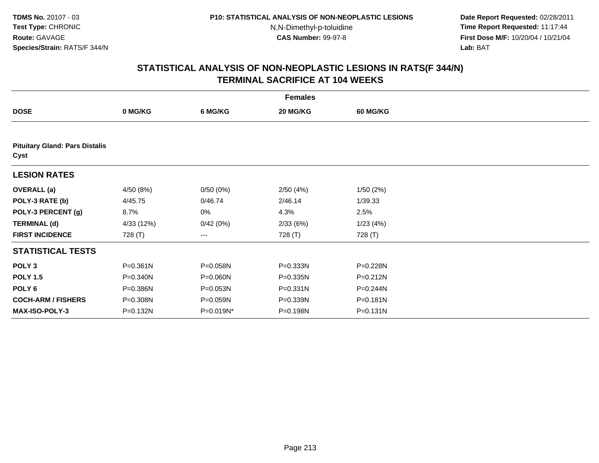**Date Report Requested:** 02/28/2011 **Time Report Requested:** 11:17:44 **First Dose M/F:** 10/20/04 / 10/21/04<br>**Lab:** BAT **Lab:** BAT

| <b>Females</b>            |                                       |           |          |                 |  |  |  |  |  |
|---------------------------|---------------------------------------|-----------|----------|-----------------|--|--|--|--|--|
| <b>DOSE</b>               | 0 MG/KG                               | 6 MG/KG   | 20 MG/KG | <b>60 MG/KG</b> |  |  |  |  |  |
|                           |                                       |           |          |                 |  |  |  |  |  |
| Cyst                      | <b>Pituitary Gland: Pars Distalis</b> |           |          |                 |  |  |  |  |  |
| <b>LESION RATES</b>       |                                       |           |          |                 |  |  |  |  |  |
| <b>OVERALL</b> (a)        | 4/50 (8%)                             | 0/50(0%)  | 2/50(4%) | 1/50(2%)        |  |  |  |  |  |
| POLY-3 RATE (b)           | 4/45.75                               | 0/46.74   | 2/46.14  | 1/39.33         |  |  |  |  |  |
| POLY-3 PERCENT (g)        | 8.7%                                  | 0%        | 4.3%     | 2.5%            |  |  |  |  |  |
| <b>TERMINAL (d)</b>       | 4/33 (12%)                            | 0/42(0%)  | 2/33(6%) | 1/23(4%)        |  |  |  |  |  |
| <b>FIRST INCIDENCE</b>    | 728 (T)                               | ---       | 728 (T)  | 728 (T)         |  |  |  |  |  |
| <b>STATISTICAL TESTS</b>  |                                       |           |          |                 |  |  |  |  |  |
| POLY <sub>3</sub>         | P=0.361N                              | P=0.058N  | P=0.333N | P=0.228N        |  |  |  |  |  |
| <b>POLY 1.5</b>           | $P = 0.340N$                          | P=0.060N  | P=0.335N | $P = 0.212N$    |  |  |  |  |  |
| POLY 6                    | P=0.386N                              | P=0.053N  | P=0.331N | P=0.244N        |  |  |  |  |  |
| <b>COCH-ARM / FISHERS</b> | P=0.308N                              | P=0.059N  | P=0.339N | $P = 0.181N$    |  |  |  |  |  |
| <b>MAX-ISO-POLY-3</b>     | P=0.132N                              | P=0.019N* | P=0.198N | $P = 0.131N$    |  |  |  |  |  |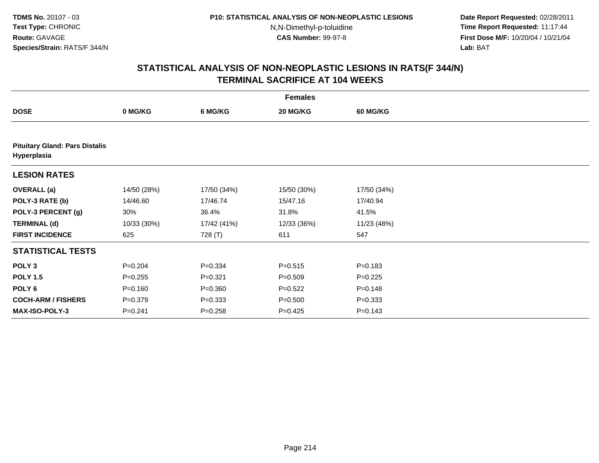**Date Report Requested:** 02/28/2011 **Time Report Requested:** 11:17:44 **First Dose M/F:** 10/20/04 / 10/21/04<br>**Lab:** BAT **Lab:** BAT

|                                                      | <b>Females</b> |             |             |                 |  |  |  |  |
|------------------------------------------------------|----------------|-------------|-------------|-----------------|--|--|--|--|
| <b>DOSE</b>                                          | 0 MG/KG        | 6 MG/KG     | 20 MG/KG    | <b>60 MG/KG</b> |  |  |  |  |
|                                                      |                |             |             |                 |  |  |  |  |
| <b>Pituitary Gland: Pars Distalis</b><br>Hyperplasia |                |             |             |                 |  |  |  |  |
| <b>LESION RATES</b>                                  |                |             |             |                 |  |  |  |  |
| <b>OVERALL</b> (a)                                   | 14/50 (28%)    | 17/50 (34%) | 15/50 (30%) | 17/50 (34%)     |  |  |  |  |
| POLY-3 RATE (b)                                      | 14/46.60       | 17/46.74    | 15/47.16    | 17/40.94        |  |  |  |  |
| POLY-3 PERCENT (g)                                   | 30%            | 36.4%       | 31.8%       | 41.5%           |  |  |  |  |
| <b>TERMINAL (d)</b>                                  | 10/33 (30%)    | 17/42 (41%) | 12/33 (36%) | 11/23 (48%)     |  |  |  |  |
| <b>FIRST INCIDENCE</b>                               | 625            | 728 (T)     | 611         | 547             |  |  |  |  |
| <b>STATISTICAL TESTS</b>                             |                |             |             |                 |  |  |  |  |
| POLY <sub>3</sub>                                    | $P=0.204$      | $P = 0.334$ | $P = 0.515$ | $P = 0.183$     |  |  |  |  |
| <b>POLY 1.5</b>                                      | $P = 0.255$    | $P = 0.321$ | $P = 0.509$ | $P=0.225$       |  |  |  |  |
| POLY 6                                               | $P = 0.160$    | $P = 0.360$ | $P=0.522$   | $P = 0.148$     |  |  |  |  |
| <b>COCH-ARM / FISHERS</b>                            | $P = 0.379$    | $P = 0.333$ | $P = 0.500$ | $P = 0.333$     |  |  |  |  |
| MAX-ISO-POLY-3                                       | $P = 0.241$    | $P = 0.258$ | $P=0.425$   | $P = 0.143$     |  |  |  |  |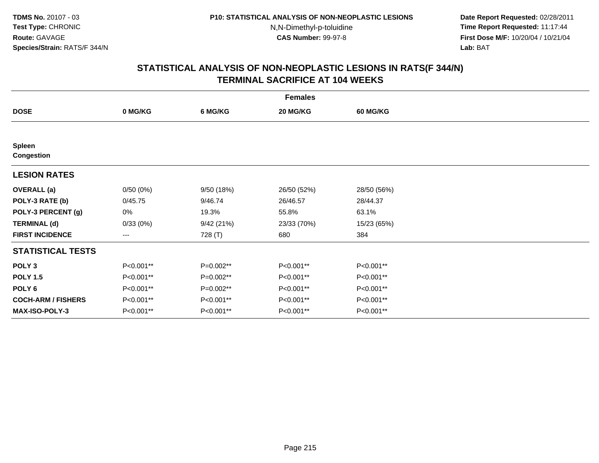N,N-Dimethyl-p-toluidine

 **Date Report Requested:** 02/28/2011 **Time Report Requested:** 11:17:44 **First Dose M/F:** 10/20/04 / 10/21/04<br>**Lab:** BAT **Lab:** BAT

|                                    | <b>Females</b> |             |             |                 |  |  |  |  |
|------------------------------------|----------------|-------------|-------------|-----------------|--|--|--|--|
| <b>DOSE</b>                        | 0 MG/KG        | 6 MG/KG     | 20 MG/KG    | <b>60 MG/KG</b> |  |  |  |  |
|                                    |                |             |             |                 |  |  |  |  |
| <b>Spleen</b><br><b>Congestion</b> |                |             |             |                 |  |  |  |  |
| <b>LESION RATES</b>                |                |             |             |                 |  |  |  |  |
| <b>OVERALL</b> (a)                 | 0/50(0%)       | 9/50 (18%)  | 26/50 (52%) | 28/50 (56%)     |  |  |  |  |
| POLY-3 RATE (b)                    | 0/45.75        | 9/46.74     | 26/46.57    | 28/44.37        |  |  |  |  |
| POLY-3 PERCENT (g)                 | 0%             | 19.3%       | 55.8%       | 63.1%           |  |  |  |  |
| <b>TERMINAL (d)</b>                | 0/33(0%)       | 9/42(21%)   | 23/33 (70%) | 15/23 (65%)     |  |  |  |  |
| <b>FIRST INCIDENCE</b>             | ---            | 728 (T)     | 680         | 384             |  |  |  |  |
| <b>STATISTICAL TESTS</b>           |                |             |             |                 |  |  |  |  |
| POLY <sub>3</sub>                  | P<0.001**      | $P=0.002**$ | P<0.001**   | P<0.001**       |  |  |  |  |
| <b>POLY 1.5</b>                    | P<0.001**      | P=0.002**   | P<0.001**   | P<0.001**       |  |  |  |  |
| POLY <sub>6</sub>                  | P<0.001**      | P=0.002**   | P<0.001**   | P<0.001**       |  |  |  |  |
| <b>COCH-ARM / FISHERS</b>          | P<0.001**      | P<0.001**   | P<0.001**   | P<0.001**       |  |  |  |  |
| <b>MAX-ISO-POLY-3</b>              | P<0.001**      | P<0.001**   | P<0.001**   | P<0.001**       |  |  |  |  |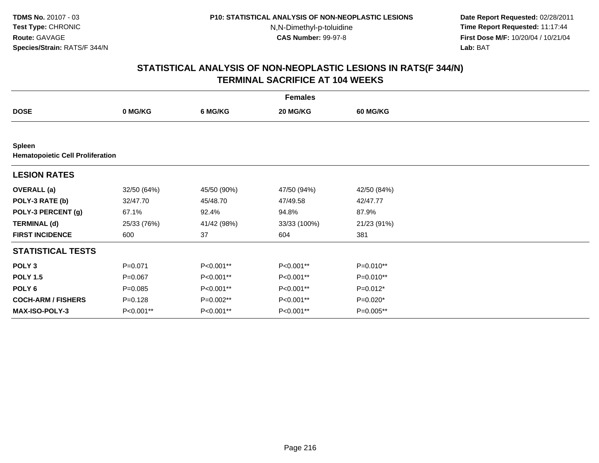N,N-Dimethyl-p-toluidine

 **Date Report Requested:** 02/28/2011 **Time Report Requested:** 11:17:44 **First Dose M/F:** 10/20/04 / 10/21/04<br>**Lab:** BAT **Lab:** BAT

| <b>Females</b>                                           |             |             |              |                 |  |  |  |
|----------------------------------------------------------|-------------|-------------|--------------|-----------------|--|--|--|
| <b>DOSE</b>                                              | 0 MG/KG     | 6 MG/KG     | 20 MG/KG     | <b>60 MG/KG</b> |  |  |  |
|                                                          |             |             |              |                 |  |  |  |
| <b>Spleen</b><br><b>Hematopoietic Cell Proliferation</b> |             |             |              |                 |  |  |  |
| <b>LESION RATES</b>                                      |             |             |              |                 |  |  |  |
| <b>OVERALL</b> (a)                                       | 32/50 (64%) | 45/50 (90%) | 47/50 (94%)  | 42/50 (84%)     |  |  |  |
| POLY-3 RATE (b)                                          | 32/47.70    | 45/48.70    | 47/49.58     | 42/47.77        |  |  |  |
| POLY-3 PERCENT (g)                                       | 67.1%       | 92.4%       | 94.8%        | 87.9%           |  |  |  |
| <b>TERMINAL (d)</b>                                      | 25/33 (76%) | 41/42 (98%) | 33/33 (100%) | 21/23 (91%)     |  |  |  |
| <b>FIRST INCIDENCE</b>                                   | 600         | 37          | 604          | 381             |  |  |  |
| <b>STATISTICAL TESTS</b>                                 |             |             |              |                 |  |  |  |
| POLY <sub>3</sub>                                        | $P = 0.071$ | P<0.001**   | P<0.001**    | P=0.010**       |  |  |  |
| <b>POLY 1.5</b>                                          | $P = 0.067$ | P<0.001**   | P<0.001**    | P=0.010**       |  |  |  |
| POLY <sub>6</sub>                                        | $P = 0.085$ | P<0.001**   | P<0.001**    | $P=0.012*$      |  |  |  |
| <b>COCH-ARM / FISHERS</b>                                | $P = 0.128$ | P=0.002**   | P<0.001**    | $P=0.020*$      |  |  |  |
| <b>MAX-ISO-POLY-3</b>                                    | P<0.001**   | P<0.001**   | P<0.001**    | P=0.005**       |  |  |  |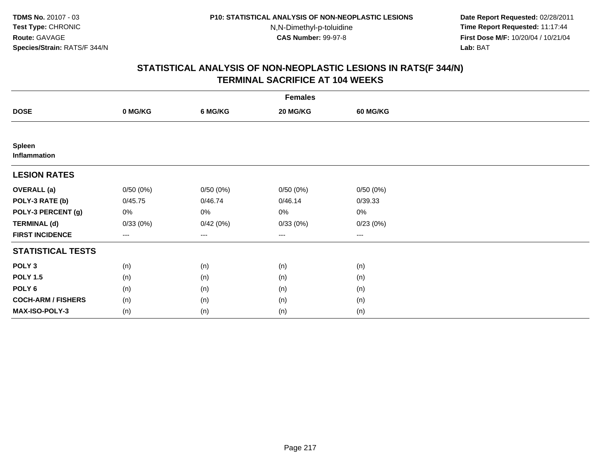N,N-Dimethyl-p-toluidine

 **Date Report Requested:** 02/28/2011 **Time Report Requested:** 11:17:44 **First Dose M/F:** 10/20/04 / 10/21/04<br>**Lab:** BAT **Lab:** BAT

|                           | <b>Females</b>    |          |          |                 |  |  |  |  |
|---------------------------|-------------------|----------|----------|-----------------|--|--|--|--|
| <b>DOSE</b>               | 0 MG/KG           | 6 MG/KG  | 20 MG/KG | <b>60 MG/KG</b> |  |  |  |  |
|                           |                   |          |          |                 |  |  |  |  |
| Spleen<br>Inflammation    |                   |          |          |                 |  |  |  |  |
| <b>LESION RATES</b>       |                   |          |          |                 |  |  |  |  |
| <b>OVERALL</b> (a)        | 0/50(0%)          | 0/50(0%) | 0/50(0%) | 0/50(0%)        |  |  |  |  |
| POLY-3 RATE (b)           | 0/45.75           | 0/46.74  | 0/46.14  | 0/39.33         |  |  |  |  |
| POLY-3 PERCENT (g)        | 0%                | $0\%$    | 0%       | 0%              |  |  |  |  |
| <b>TERMINAL (d)</b>       | 0/33(0%)          | 0/42(0%) | 0/33(0%) | 0/23(0%)        |  |  |  |  |
| <b>FIRST INCIDENCE</b>    | $\qquad \qquad -$ | ---      | $\cdots$ | $\cdots$        |  |  |  |  |
| <b>STATISTICAL TESTS</b>  |                   |          |          |                 |  |  |  |  |
| POLY <sub>3</sub>         | (n)               | (n)      | (n)      | (n)             |  |  |  |  |
| <b>POLY 1.5</b>           | (n)               | (n)      | (n)      | (n)             |  |  |  |  |
| POLY <sub>6</sub>         | (n)               | (n)      | (n)      | (n)             |  |  |  |  |
| <b>COCH-ARM / FISHERS</b> | (n)               | (n)      | (n)      | (n)             |  |  |  |  |
| <b>MAX-ISO-POLY-3</b>     | (n)               | (n)      | (n)      | (n)             |  |  |  |  |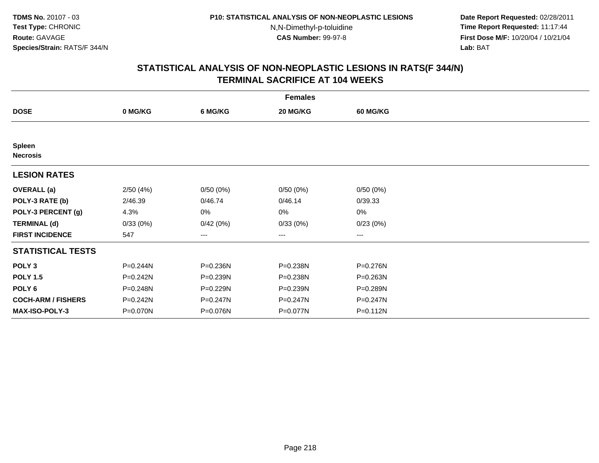N,N-Dimethyl-p-toluidine

 **Date Report Requested:** 02/28/2011 **Time Report Requested:** 11:17:44 **First Dose M/F:** 10/20/04 / 10/21/04<br>**Lab:** BAT **Lab:** BAT

| <b>Females</b>                   |          |          |          |                 |  |  |  |
|----------------------------------|----------|----------|----------|-----------------|--|--|--|
| <b>DOSE</b>                      | 0 MG/KG  | 6 MG/KG  | 20 MG/KG | <b>60 MG/KG</b> |  |  |  |
|                                  |          |          |          |                 |  |  |  |
| <b>Spleen</b><br><b>Necrosis</b> |          |          |          |                 |  |  |  |
| <b>LESION RATES</b>              |          |          |          |                 |  |  |  |
| <b>OVERALL</b> (a)               | 2/50(4%) | 0/50(0%) | 0/50(0%) | 0/50(0%)        |  |  |  |
| POLY-3 RATE (b)                  | 2/46.39  | 0/46.74  | 0/46.14  | 0/39.33         |  |  |  |
| POLY-3 PERCENT (g)               | 4.3%     | 0%       | 0%       | 0%              |  |  |  |
| <b>TERMINAL (d)</b>              | 0/33(0%) | 0/42(0%) | 0/33(0%) | 0/23(0%)        |  |  |  |
| <b>FIRST INCIDENCE</b>           | 547      | ---      | ---      | ---             |  |  |  |
| <b>STATISTICAL TESTS</b>         |          |          |          |                 |  |  |  |
| POLY <sub>3</sub>                | P=0.244N | P=0.236N | P=0.238N | P=0.276N        |  |  |  |
| <b>POLY 1.5</b>                  | P=0.242N | P=0.239N | P=0.238N | P=0.263N        |  |  |  |
| POLY <sub>6</sub>                | P=0.248N | P=0.229N | P=0.239N | P=0.289N        |  |  |  |
| <b>COCH-ARM / FISHERS</b>        | P=0.242N | P=0.247N | P=0.247N | P=0.247N        |  |  |  |
| <b>MAX-ISO-POLY-3</b>            | P=0.070N | P=0.076N | P=0.077N | P=0.112N        |  |  |  |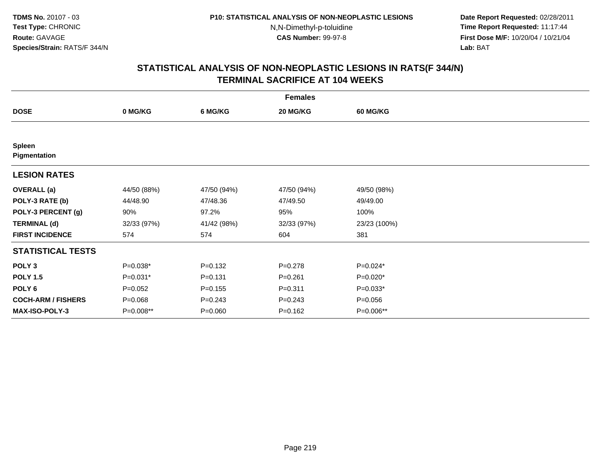N,N-Dimethyl-p-toluidine

 **Date Report Requested:** 02/28/2011 **Time Report Requested:** 11:17:44 **First Dose M/F:** 10/20/04 / 10/21/04<br>**Lab:** BAT **Lab:** BAT

| <b>Females</b>                |             |             |             |                 |  |  |  |
|-------------------------------|-------------|-------------|-------------|-----------------|--|--|--|
| <b>DOSE</b>                   | 0 MG/KG     | 6 MG/KG     | 20 MG/KG    | <b>60 MG/KG</b> |  |  |  |
|                               |             |             |             |                 |  |  |  |
| <b>Spleen</b><br>Pigmentation |             |             |             |                 |  |  |  |
| <b>LESION RATES</b>           |             |             |             |                 |  |  |  |
| <b>OVERALL</b> (a)            | 44/50 (88%) | 47/50 (94%) | 47/50 (94%) | 49/50 (98%)     |  |  |  |
| POLY-3 RATE (b)               | 44/48.90    | 47/48.36    | 47/49.50    | 49/49.00        |  |  |  |
| POLY-3 PERCENT (g)            | 90%         | 97.2%       | 95%         | 100%            |  |  |  |
| <b>TERMINAL (d)</b>           | 32/33 (97%) | 41/42 (98%) | 32/33 (97%) | 23/23 (100%)    |  |  |  |
| <b>FIRST INCIDENCE</b>        | 574         | 574         | 604         | 381             |  |  |  |
| <b>STATISTICAL TESTS</b>      |             |             |             |                 |  |  |  |
| POLY <sub>3</sub>             | P=0.038*    | $P = 0.132$ | $P = 0.278$ | P=0.024*        |  |  |  |
| <b>POLY 1.5</b>               | $P=0.031*$  | $P = 0.131$ | $P = 0.261$ | $P=0.020*$      |  |  |  |
| POLY 6                        | $P=0.052$   | $P = 0.155$ | $P = 0.311$ | $P=0.033*$      |  |  |  |
| <b>COCH-ARM / FISHERS</b>     | $P = 0.068$ | $P = 0.243$ | $P = 0.243$ | $P = 0.056$     |  |  |  |
| <b>MAX-ISO-POLY-3</b>         | P=0.008**   | $P = 0.060$ | $P = 0.162$ | P=0.006**       |  |  |  |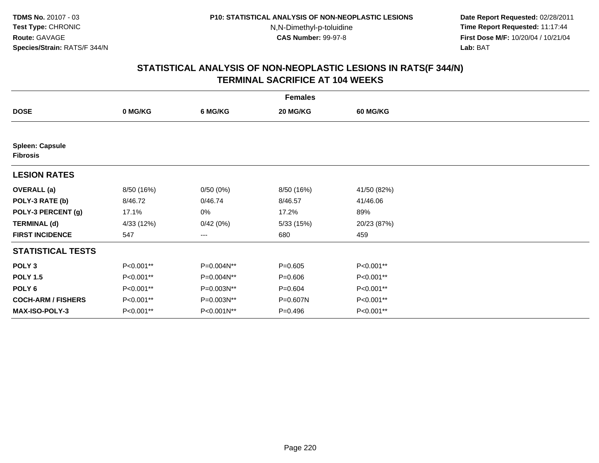N,N-Dimethyl-p-toluidine

 **Date Report Requested:** 02/28/2011 **Time Report Requested:** 11:17:44 **First Dose M/F:** 10/20/04 / 10/21/04<br>**Lab:** BAT **Lab:** BAT

|                                           | <b>Females</b> |            |             |                 |  |  |  |  |
|-------------------------------------------|----------------|------------|-------------|-----------------|--|--|--|--|
| <b>DOSE</b>                               | 0 MG/KG        | 6 MG/KG    | 20 MG/KG    | <b>60 MG/KG</b> |  |  |  |  |
|                                           |                |            |             |                 |  |  |  |  |
| <b>Spleen: Capsule</b><br><b>Fibrosis</b> |                |            |             |                 |  |  |  |  |
| <b>LESION RATES</b>                       |                |            |             |                 |  |  |  |  |
| <b>OVERALL</b> (a)                        | 8/50 (16%)     | 0/50(0%)   | 8/50 (16%)  | 41/50 (82%)     |  |  |  |  |
| POLY-3 RATE (b)                           | 8/46.72        | 0/46.74    | 8/46.57     | 41/46.06        |  |  |  |  |
| POLY-3 PERCENT (g)                        | 17.1%          | 0%         | 17.2%       | 89%             |  |  |  |  |
| <b>TERMINAL (d)</b>                       | 4/33 (12%)     | 0/42(0%)   | 5/33(15%)   | 20/23 (87%)     |  |  |  |  |
| <b>FIRST INCIDENCE</b>                    | 547            | ---        | 680         | 459             |  |  |  |  |
| <b>STATISTICAL TESTS</b>                  |                |            |             |                 |  |  |  |  |
| POLY <sub>3</sub>                         | P<0.001**      | P=0.004N** | $P = 0.605$ | P<0.001**       |  |  |  |  |
| <b>POLY 1.5</b>                           | P<0.001**      | P=0.004N** | $P = 0.606$ | P<0.001**       |  |  |  |  |
| POLY <sub>6</sub>                         | P<0.001**      | P=0.003N** | $P = 0.604$ | P<0.001**       |  |  |  |  |
| <b>COCH-ARM / FISHERS</b>                 | P<0.001**      | P=0.003N** | P=0.607N    | P<0.001**       |  |  |  |  |
| <b>MAX-ISO-POLY-3</b>                     | P<0.001**      | P<0.001N** | $P = 0.496$ | P<0.001**       |  |  |  |  |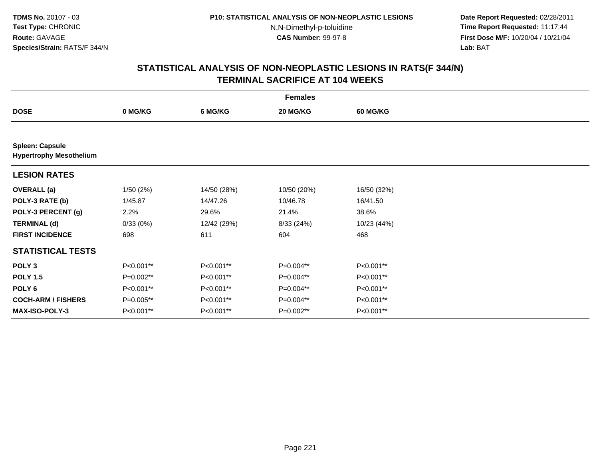N,N-Dimethyl-p-toluidine

 **Date Report Requested:** 02/28/2011 **Time Report Requested:** 11:17:44 **First Dose M/F:** 10/20/04 / 10/21/04<br>**Lab:** BAT **Lab:** BAT

|                                                          | <b>Females</b> |             |             |                 |  |  |  |  |
|----------------------------------------------------------|----------------|-------------|-------------|-----------------|--|--|--|--|
| <b>DOSE</b>                                              | 0 MG/KG        | 6 MG/KG     | 20 MG/KG    | <b>60 MG/KG</b> |  |  |  |  |
|                                                          |                |             |             |                 |  |  |  |  |
| <b>Spleen: Capsule</b><br><b>Hypertrophy Mesothelium</b> |                |             |             |                 |  |  |  |  |
| <b>LESION RATES</b>                                      |                |             |             |                 |  |  |  |  |
| <b>OVERALL</b> (a)                                       | 1/50(2%)       | 14/50 (28%) | 10/50 (20%) | 16/50 (32%)     |  |  |  |  |
| POLY-3 RATE (b)                                          | 1/45.87        | 14/47.26    | 10/46.78    | 16/41.50        |  |  |  |  |
| POLY-3 PERCENT (g)                                       | 2.2%           | 29.6%       | 21.4%       | 38.6%           |  |  |  |  |
| <b>TERMINAL (d)</b>                                      | 0/33(0%)       | 12/42 (29%) | 8/33 (24%)  | 10/23 (44%)     |  |  |  |  |
| <b>FIRST INCIDENCE</b>                                   | 698            | 611         | 604         | 468             |  |  |  |  |
| <b>STATISTICAL TESTS</b>                                 |                |             |             |                 |  |  |  |  |
| POLY <sub>3</sub>                                        | P<0.001**      | P<0.001**   | P=0.004**   | P<0.001**       |  |  |  |  |
| <b>POLY 1.5</b>                                          | P=0.002**      | P<0.001**   | P=0.004**   | P<0.001**       |  |  |  |  |
| POLY 6                                                   | P<0.001**      | P<0.001**   | P=0.004**   | P<0.001**       |  |  |  |  |
| <b>COCH-ARM / FISHERS</b>                                | P=0.005**      | P<0.001**   | P=0.004**   | P<0.001**       |  |  |  |  |
| <b>MAX-ISO-POLY-3</b>                                    | P<0.001**      | P<0.001**   | P=0.002**   | P<0.001**       |  |  |  |  |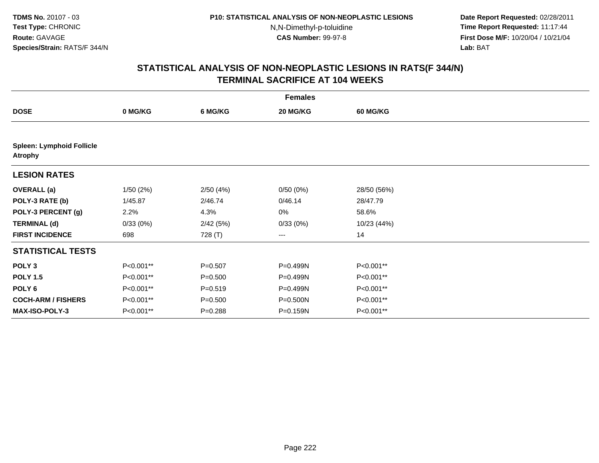**Date Report Requested:** 02/28/2011 **Time Report Requested:** 11:17:44 **First Dose M/F:** 10/20/04 / 10/21/04<br>**Lab:** BAT **Lab:** BAT

|                                                    | <b>Females</b> |             |              |                 |  |  |  |  |
|----------------------------------------------------|----------------|-------------|--------------|-----------------|--|--|--|--|
| <b>DOSE</b>                                        | 0 MG/KG        | 6 MG/KG     | 20 MG/KG     | <b>60 MG/KG</b> |  |  |  |  |
|                                                    |                |             |              |                 |  |  |  |  |
| <b>Spleen: Lymphoid Follicle</b><br><b>Atrophy</b> |                |             |              |                 |  |  |  |  |
| <b>LESION RATES</b>                                |                |             |              |                 |  |  |  |  |
| <b>OVERALL</b> (a)                                 | 1/50(2%)       | 2/50(4%)    | 0/50(0%)     | 28/50 (56%)     |  |  |  |  |
| POLY-3 RATE (b)                                    | 1/45.87        | 2/46.74     | 0/46.14      | 28/47.79        |  |  |  |  |
| POLY-3 PERCENT (g)                                 | 2.2%           | 4.3%        | 0%           | 58.6%           |  |  |  |  |
| <b>TERMINAL (d)</b>                                | 0/33(0%)       | 2/42(5%)    | 0/33(0%)     | 10/23 (44%)     |  |  |  |  |
| <b>FIRST INCIDENCE</b>                             | 698            | 728 (T)     | $--$         | 14              |  |  |  |  |
| <b>STATISTICAL TESTS</b>                           |                |             |              |                 |  |  |  |  |
| POLY <sub>3</sub>                                  | P<0.001**      | $P = 0.507$ | P=0.499N     | P<0.001**       |  |  |  |  |
| <b>POLY 1.5</b>                                    | P<0.001**      | $P = 0.500$ | P=0.499N     | P<0.001**       |  |  |  |  |
| POLY <sub>6</sub>                                  | P<0.001**      | $P = 0.519$ | P=0.499N     | P<0.001**       |  |  |  |  |
| <b>COCH-ARM / FISHERS</b>                          | P<0.001**      | $P = 0.500$ | P=0.500N     | P<0.001**       |  |  |  |  |
| MAX-ISO-POLY-3                                     | P<0.001**      | $P = 0.288$ | $P = 0.159N$ | P<0.001**       |  |  |  |  |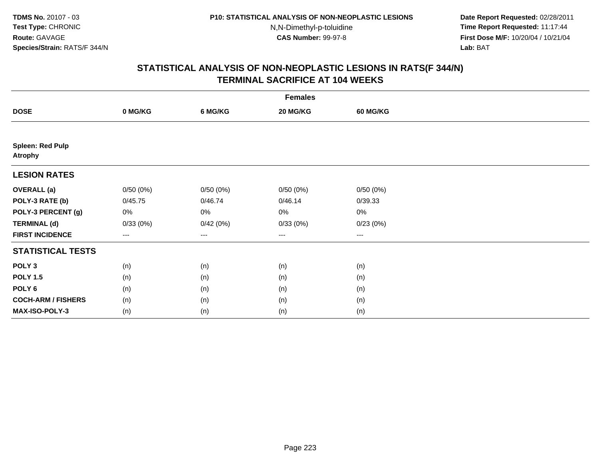N,N-Dimethyl-p-toluidine

 **Date Report Requested:** 02/28/2011 **Time Report Requested:** 11:17:44 **First Dose M/F:** 10/20/04 / 10/21/04<br>**Lab:** BAT **Lab:** BAT

|                                           | <b>Females</b> |          |                        |                        |  |  |  |  |
|-------------------------------------------|----------------|----------|------------------------|------------------------|--|--|--|--|
| <b>DOSE</b>                               | 0 MG/KG        | 6 MG/KG  | 20 MG/KG               | <b>60 MG/KG</b>        |  |  |  |  |
|                                           |                |          |                        |                        |  |  |  |  |
| <b>Spleen: Red Pulp</b><br><b>Atrophy</b> |                |          |                        |                        |  |  |  |  |
| <b>LESION RATES</b>                       |                |          |                        |                        |  |  |  |  |
| <b>OVERALL</b> (a)                        | 0/50(0%)       | 0/50(0%) | 0/50(0%)               | 0/50(0%)               |  |  |  |  |
| POLY-3 RATE (b)                           | 0/45.75        | 0/46.74  | 0/46.14                | 0/39.33                |  |  |  |  |
| POLY-3 PERCENT (g)                        | 0%             | $0\%$    | 0%                     | $0\%$                  |  |  |  |  |
| <b>TERMINAL (d)</b>                       | 0/33(0%)       | 0/42(0%) | 0/33(0%)               | 0/23(0%)               |  |  |  |  |
| <b>FIRST INCIDENCE</b>                    | $--$           | $--$     | $\qquad \qquad \cdots$ | $\qquad \qquad \cdots$ |  |  |  |  |
| <b>STATISTICAL TESTS</b>                  |                |          |                        |                        |  |  |  |  |
| POLY <sub>3</sub>                         | (n)            | (n)      | (n)                    | (n)                    |  |  |  |  |
| <b>POLY 1.5</b>                           | (n)            | (n)      | (n)                    | (n)                    |  |  |  |  |
| POLY <sub>6</sub>                         | (n)            | (n)      | (n)                    | (n)                    |  |  |  |  |
| <b>COCH-ARM / FISHERS</b>                 | (n)            | (n)      | (n)                    | (n)                    |  |  |  |  |
| MAX-ISO-POLY-3                            | (n)            | (n)      | (n)                    | (n)                    |  |  |  |  |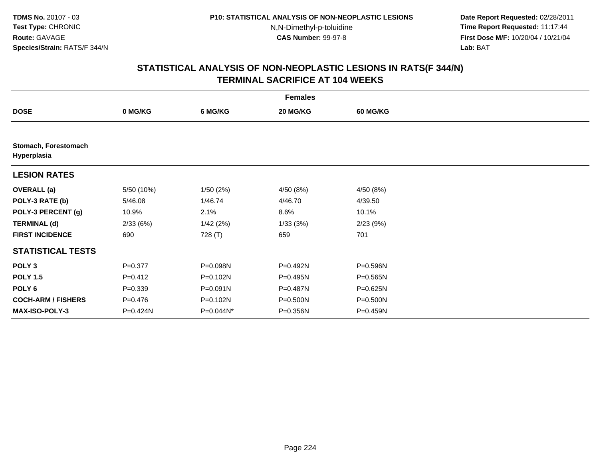**Date Report Requested:** 02/28/2011 **Time Report Requested:** 11:17:44 **First Dose M/F:** 10/20/04 / 10/21/04<br>**Lab:** BAT **Lab:** BAT

| <b>Females</b>                      |             |           |           |              |  |  |  |
|-------------------------------------|-------------|-----------|-----------|--------------|--|--|--|
| <b>DOSE</b>                         | 0 MG/KG     | 6 MG/KG   | 20 MG/KG  | 60 MG/KG     |  |  |  |
|                                     |             |           |           |              |  |  |  |
| Stomach, Forestomach<br>Hyperplasia |             |           |           |              |  |  |  |
| <b>LESION RATES</b>                 |             |           |           |              |  |  |  |
| <b>OVERALL</b> (a)                  | 5/50 (10%)  | 1/50(2%)  | 4/50 (8%) | 4/50 (8%)    |  |  |  |
| POLY-3 RATE (b)                     | 5/46.08     | 1/46.74   | 4/46.70   | 4/39.50      |  |  |  |
| POLY-3 PERCENT (g)                  | 10.9%       | 2.1%      | 8.6%      | 10.1%        |  |  |  |
| <b>TERMINAL (d)</b>                 | 2/33(6%)    | 1/42(2%)  | 1/33(3%)  | 2/23(9%)     |  |  |  |
| <b>FIRST INCIDENCE</b>              | 690         | 728 (T)   | 659       | 701          |  |  |  |
| <b>STATISTICAL TESTS</b>            |             |           |           |              |  |  |  |
| POLY <sub>3</sub>                   | $P=0.377$   | P=0.098N  | P=0.492N  | P=0.596N     |  |  |  |
| <b>POLY 1.5</b>                     | $P=0.412$   | P=0.102N  | P=0.495N  | $P = 0.565N$ |  |  |  |
| POLY <sub>6</sub>                   | $P = 0.339$ | P=0.091N  | P=0.487N  | P=0.625N     |  |  |  |
| <b>COCH-ARM / FISHERS</b>           | $P = 0.476$ | P=0.102N  | P=0.500N  | P=0.500N     |  |  |  |
| <b>MAX-ISO-POLY-3</b>               | P=0.424N    | P=0.044N* | P=0.356N  | P=0.459N     |  |  |  |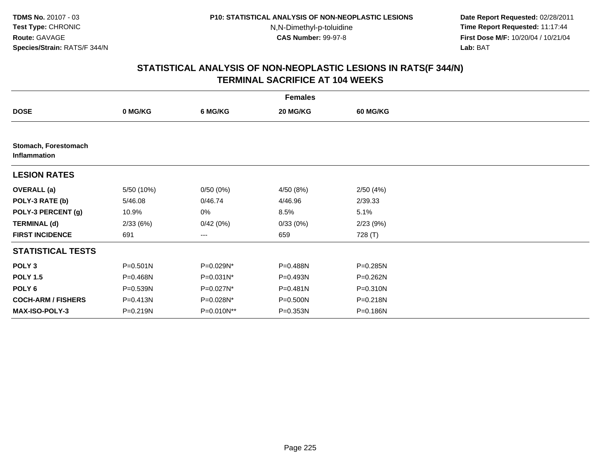**Date Report Requested:** 02/28/2011 **Time Report Requested:** 11:17:44 **First Dose M/F:** 10/20/04 / 10/21/04<br>**Lab:** BAT **Lab:** BAT

| <b>Females</b>                       |              |                        |           |                 |  |  |  |
|--------------------------------------|--------------|------------------------|-----------|-----------------|--|--|--|
| <b>DOSE</b>                          | 0 MG/KG      | 6 MG/KG                | 20 MG/KG  | <b>60 MG/KG</b> |  |  |  |
|                                      |              |                        |           |                 |  |  |  |
| Stomach, Forestomach<br>Inflammation |              |                        |           |                 |  |  |  |
| <b>LESION RATES</b>                  |              |                        |           |                 |  |  |  |
| <b>OVERALL</b> (a)                   | 5/50 (10%)   | 0/50(0%)               | 4/50 (8%) | 2/50(4%)        |  |  |  |
| POLY-3 RATE (b)                      | 5/46.08      | 0/46.74                | 4/46.96   | 2/39.33         |  |  |  |
| POLY-3 PERCENT (g)                   | 10.9%        | 0%                     | 8.5%      | 5.1%            |  |  |  |
| <b>TERMINAL (d)</b>                  | 2/33(6%)     | 0/42(0%)               | 0/33(0%)  | 2/23(9%)        |  |  |  |
| <b>FIRST INCIDENCE</b>               | 691          | $\qquad \qquad \cdots$ | 659       | 728 (T)         |  |  |  |
| <b>STATISTICAL TESTS</b>             |              |                        |           |                 |  |  |  |
| POLY <sub>3</sub>                    | $P = 0.501N$ | P=0.029N*              | P=0.488N  | P=0.285N        |  |  |  |
| <b>POLY 1.5</b>                      | P=0.468N     | P=0.031N*              | P=0.493N  | P=0.262N        |  |  |  |
| POLY <sub>6</sub>                    | P=0.539N     | P=0.027N*              | P=0.481N  | $P = 0.310N$    |  |  |  |
| <b>COCH-ARM / FISHERS</b>            | P=0.413N     | P=0.028N*              | P=0.500N  | P=0.218N        |  |  |  |
| <b>MAX-ISO-POLY-3</b>                | P=0.219N     | P=0.010N**             | P=0.353N  | P=0.186N        |  |  |  |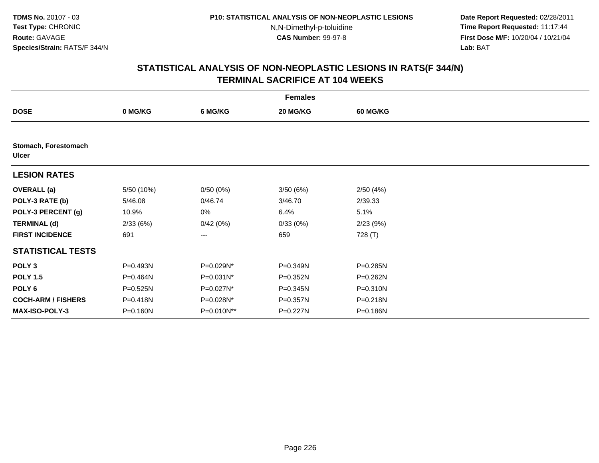**Date Report Requested:** 02/28/2011 **Time Report Requested:** 11:17:44 **First Dose M/F:** 10/20/04 / 10/21/04<br>**Lab:** BAT **Lab:** BAT

|                                      | <b>Females</b> |            |              |                 |  |  |  |  |
|--------------------------------------|----------------|------------|--------------|-----------------|--|--|--|--|
| <b>DOSE</b>                          | 0 MG/KG        | 6 MG/KG    | 20 MG/KG     | <b>60 MG/KG</b> |  |  |  |  |
|                                      |                |            |              |                 |  |  |  |  |
| Stomach, Forestomach<br><b>Ulcer</b> |                |            |              |                 |  |  |  |  |
| <b>LESION RATES</b>                  |                |            |              |                 |  |  |  |  |
| <b>OVERALL</b> (a)                   | 5/50 (10%)     | 0/50(0%)   | 3/50(6%)     | 2/50(4%)        |  |  |  |  |
| POLY-3 RATE (b)                      | 5/46.08        | 0/46.74    | 3/46.70      | 2/39.33         |  |  |  |  |
| POLY-3 PERCENT (g)                   | 10.9%          | 0%         | 6.4%         | 5.1%            |  |  |  |  |
| <b>TERMINAL (d)</b>                  | 2/33(6%)       | 0/42(0%)   | 0/33(0%)     | 2/23(9%)        |  |  |  |  |
| <b>FIRST INCIDENCE</b>               | 691            | ---        | 659          | 728 (T)         |  |  |  |  |
| <b>STATISTICAL TESTS</b>             |                |            |              |                 |  |  |  |  |
| POLY <sub>3</sub>                    | P=0.493N       | P=0.029N*  | P=0.349N     | P=0.285N        |  |  |  |  |
| <b>POLY 1.5</b>                      | P=0.464N       | P=0.031N*  | P=0.352N     | P=0.262N        |  |  |  |  |
| POLY 6                               | P=0.525N       | P=0.027N*  | $P = 0.345N$ | P=0.310N        |  |  |  |  |
| <b>COCH-ARM / FISHERS</b>            | P=0.418N       | P=0.028N*  | P=0.357N     | P=0.218N        |  |  |  |  |
| <b>MAX-ISO-POLY-3</b>                | P=0.160N       | P=0.010N** | P=0.227N     | P=0.186N        |  |  |  |  |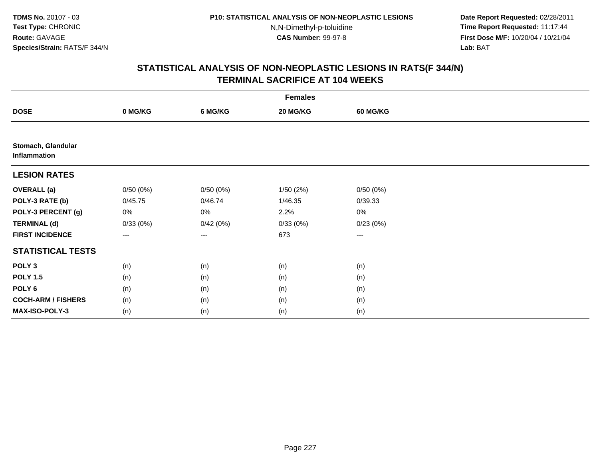N,N-Dimethyl-p-toluidine

 **Date Report Requested:** 02/28/2011 **Time Report Requested:** 11:17:44 **First Dose M/F:** 10/20/04 / 10/21/04<br>**Lab:** BAT **Lab:** BAT

|                                    | <b>Females</b> |          |          |                 |  |  |  |  |
|------------------------------------|----------------|----------|----------|-----------------|--|--|--|--|
| <b>DOSE</b>                        | 0 MG/KG        | 6 MG/KG  | 20 MG/KG | <b>60 MG/KG</b> |  |  |  |  |
|                                    |                |          |          |                 |  |  |  |  |
| Stomach, Glandular<br>Inflammation |                |          |          |                 |  |  |  |  |
| <b>LESION RATES</b>                |                |          |          |                 |  |  |  |  |
| <b>OVERALL (a)</b>                 | 0/50(0%)       | 0/50(0%) | 1/50(2%) | 0/50(0%)        |  |  |  |  |
| POLY-3 RATE (b)                    | 0/45.75        | 0/46.74  | 1/46.35  | 0/39.33         |  |  |  |  |
| POLY-3 PERCENT (g)                 | 0%             | 0%       | 2.2%     | $0\%$           |  |  |  |  |
| <b>TERMINAL (d)</b>                | 0/33(0%)       | 0/42(0%) | 0/33(0%) | 0/23(0%)        |  |  |  |  |
| <b>FIRST INCIDENCE</b>             | $--$           | $--$     | 673      | $--$            |  |  |  |  |
| <b>STATISTICAL TESTS</b>           |                |          |          |                 |  |  |  |  |
| POLY <sub>3</sub>                  | (n)            | (n)      | (n)      | (n)             |  |  |  |  |
| <b>POLY 1.5</b>                    | (n)            | (n)      | (n)      | (n)             |  |  |  |  |
| POLY <sub>6</sub>                  | (n)            | (n)      | (n)      | (n)             |  |  |  |  |
| <b>COCH-ARM / FISHERS</b>          | (n)            | (n)      | (n)      | (n)             |  |  |  |  |
| MAX-ISO-POLY-3                     | (n)            | (n)      | (n)      | (n)             |  |  |  |  |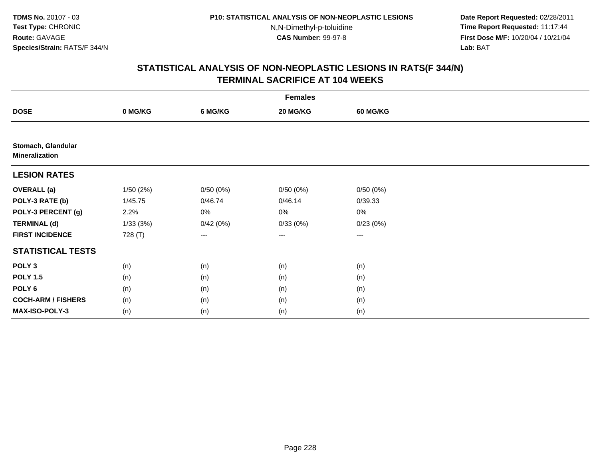N,N-Dimethyl-p-toluidine

 **Date Report Requested:** 02/28/2011 **Time Report Requested:** 11:17:44 **First Dose M/F:** 10/20/04 / 10/21/04<br>**Lab:** BAT **Lab:** BAT

|                                             | <b>Females</b> |          |          |          |  |  |  |  |
|---------------------------------------------|----------------|----------|----------|----------|--|--|--|--|
| <b>DOSE</b>                                 | 0 MG/KG        | 6 MG/KG  | 20 MG/KG | 60 MG/KG |  |  |  |  |
|                                             |                |          |          |          |  |  |  |  |
| Stomach, Glandular<br><b>Mineralization</b> |                |          |          |          |  |  |  |  |
| <b>LESION RATES</b>                         |                |          |          |          |  |  |  |  |
| <b>OVERALL (a)</b>                          | 1/50(2%)       | 0/50(0%) | 0/50(0%) | 0/50(0%) |  |  |  |  |
| POLY-3 RATE (b)                             | 1/45.75        | 0/46.74  | 0/46.14  | 0/39.33  |  |  |  |  |
| POLY-3 PERCENT (g)                          | 2.2%           | 0%       | $0\%$    | $0\%$    |  |  |  |  |
| <b>TERMINAL (d)</b>                         | 1/33(3%)       | 0/42(0%) | 0/33(0%) | 0/23(0%) |  |  |  |  |
| <b>FIRST INCIDENCE</b>                      | 728 (T)        | $--$     | $--$     | ---      |  |  |  |  |
| <b>STATISTICAL TESTS</b>                    |                |          |          |          |  |  |  |  |
| POLY <sub>3</sub>                           | (n)            | (n)      | (n)      | (n)      |  |  |  |  |
| <b>POLY 1.5</b>                             | (n)            | (n)      | (n)      | (n)      |  |  |  |  |
| POLY <sub>6</sub>                           | (n)            | (n)      | (n)      | (n)      |  |  |  |  |
| <b>COCH-ARM / FISHERS</b>                   | (n)            | (n)      | (n)      | (n)      |  |  |  |  |
| MAX-ISO-POLY-3                              | (n)            | (n)      | (n)      | (n)      |  |  |  |  |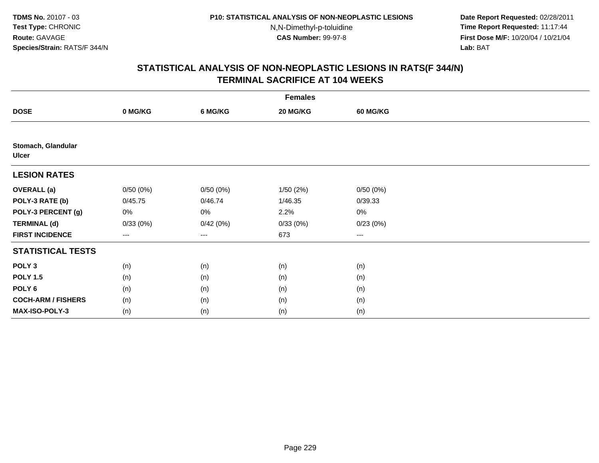**Date Report Requested:** 02/28/2011 **Time Report Requested:** 11:17:44 **First Dose M/F:** 10/20/04 / 10/21/04<br>**Lab:** BAT **Lab:** BAT

| <b>Females</b>                     |                   |          |          |                   |  |
|------------------------------------|-------------------|----------|----------|-------------------|--|
| <b>DOSE</b>                        | 0 MG/KG           | 6 MG/KG  | 20 MG/KG | <b>60 MG/KG</b>   |  |
|                                    |                   |          |          |                   |  |
| Stomach, Glandular<br><b>Ulcer</b> |                   |          |          |                   |  |
| <b>LESION RATES</b>                |                   |          |          |                   |  |
| <b>OVERALL</b> (a)                 | 0/50(0%)          | 0/50(0%) | 1/50(2%) | 0/50(0%)          |  |
| POLY-3 RATE (b)                    | 0/45.75           | 0/46.74  | 1/46.35  | 0/39.33           |  |
| POLY-3 PERCENT (g)                 | 0%                | 0%       | 2.2%     | $0\%$             |  |
| <b>TERMINAL (d)</b>                | 0/33(0%)          | 0/42(0%) | 0/33(0%) | 0/23(0%)          |  |
| <b>FIRST INCIDENCE</b>             | $\qquad \qquad -$ | ---      | 673      | $\qquad \qquad -$ |  |
| <b>STATISTICAL TESTS</b>           |                   |          |          |                   |  |
| POLY <sub>3</sub>                  | (n)               | (n)      | (n)      | (n)               |  |
| <b>POLY 1.5</b>                    | (n)               | (n)      | (n)      | (n)               |  |
| POLY <sub>6</sub>                  | (n)               | (n)      | (n)      | (n)               |  |
| <b>COCH-ARM / FISHERS</b>          | (n)               | (n)      | (n)      | (n)               |  |
| MAX-ISO-POLY-3                     | (n)               | (n)      | (n)      | (n)               |  |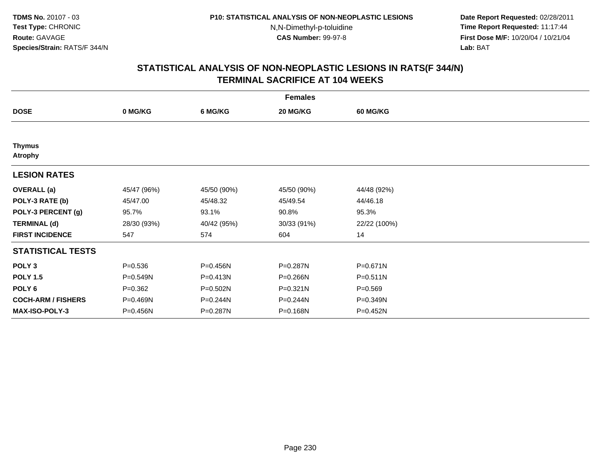**Date Report Requested:** 02/28/2011 **Time Report Requested:** 11:17:44 **First Dose M/F:** 10/20/04 / 10/21/04<br>**Lab:** BAT **Lab:** BAT

| <b>Females</b>                  |             |             |             |                 |  |
|---------------------------------|-------------|-------------|-------------|-----------------|--|
| <b>DOSE</b>                     | 0 MG/KG     | 6 MG/KG     | 20 MG/KG    | <b>60 MG/KG</b> |  |
|                                 |             |             |             |                 |  |
| <b>Thymus</b><br><b>Atrophy</b> |             |             |             |                 |  |
| <b>LESION RATES</b>             |             |             |             |                 |  |
| <b>OVERALL</b> (a)              | 45/47 (96%) | 45/50 (90%) | 45/50 (90%) | 44/48 (92%)     |  |
| POLY-3 RATE (b)                 | 45/47.00    | 45/48.32    | 45/49.54    | 44/46.18        |  |
| POLY-3 PERCENT (g)              | 95.7%       | 93.1%       | 90.8%       | 95.3%           |  |
| <b>TERMINAL (d)</b>             | 28/30 (93%) | 40/42 (95%) | 30/33 (91%) | 22/22 (100%)    |  |
| <b>FIRST INCIDENCE</b>          | 547         | 574         | 604         | 14              |  |
| <b>STATISTICAL TESTS</b>        |             |             |             |                 |  |
| POLY <sub>3</sub>               | $P = 0.536$ | P=0.456N    | P=0.287N    | P=0.671N        |  |
| <b>POLY 1.5</b>                 | P=0.549N    | P=0.413N    | P=0.266N    | P=0.511N        |  |
| POLY 6                          | $P = 0.362$ | P=0.502N    | P=0.321N    | $P = 0.569$     |  |
| <b>COCH-ARM / FISHERS</b>       | P=0.469N    | P=0.244N    | P=0.244N    | P=0.349N        |  |
| <b>MAX-ISO-POLY-3</b>           | P=0.456N    | P=0.287N    | P=0.168N    | P=0.452N        |  |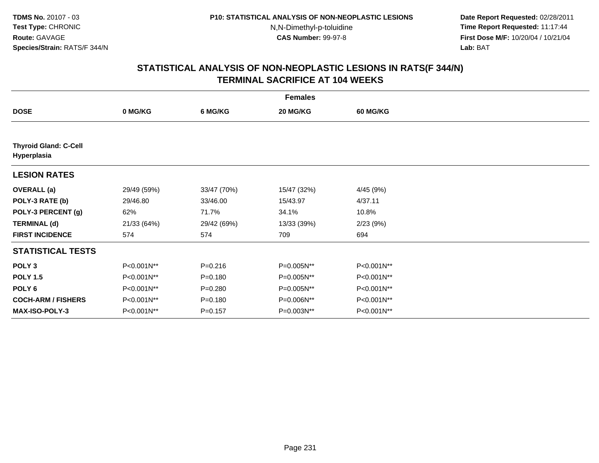**Date Report Requested:** 02/28/2011 **Time Report Requested:** 11:17:44 **First Dose M/F:** 10/20/04 / 10/21/04<br>**Lab:** BAT **Lab:** BAT

|                                             | <b>Females</b> |             |             |            |  |
|---------------------------------------------|----------------|-------------|-------------|------------|--|
| <b>DOSE</b>                                 | 0 MG/KG        | 6 MG/KG     | 20 MG/KG    | 60 MG/KG   |  |
|                                             |                |             |             |            |  |
| <b>Thyroid Gland: C-Cell</b><br>Hyperplasia |                |             |             |            |  |
| <b>LESION RATES</b>                         |                |             |             |            |  |
| <b>OVERALL</b> (a)                          | 29/49 (59%)    | 33/47 (70%) | 15/47 (32%) | 4/45 (9%)  |  |
| POLY-3 RATE (b)                             | 29/46.80       | 33/46.00    | 15/43.97    | 4/37.11    |  |
| POLY-3 PERCENT (g)                          | 62%            | 71.7%       | 34.1%       | 10.8%      |  |
| <b>TERMINAL (d)</b>                         | 21/33 (64%)    | 29/42 (69%) | 13/33 (39%) | 2/23(9%)   |  |
| <b>FIRST INCIDENCE</b>                      | 574            | 574         | 709         | 694        |  |
| <b>STATISTICAL TESTS</b>                    |                |             |             |            |  |
| POLY <sub>3</sub>                           | P<0.001N**     | $P = 0.216$ | P=0.005N**  | P<0.001N** |  |
| <b>POLY 1.5</b>                             | P<0.001N**     | $P = 0.180$ | P=0.005N**  | P<0.001N** |  |
| POLY <sub>6</sub>                           | P<0.001N**     | $P = 0.280$ | P=0.005N**  | P<0.001N** |  |
| <b>COCH-ARM / FISHERS</b>                   | P<0.001N**     | $P = 0.180$ | P=0.006N**  | P<0.001N** |  |
| <b>MAX-ISO-POLY-3</b>                       | P<0.001N**     | $P=0.157$   | P=0.003N**  | P<0.001N** |  |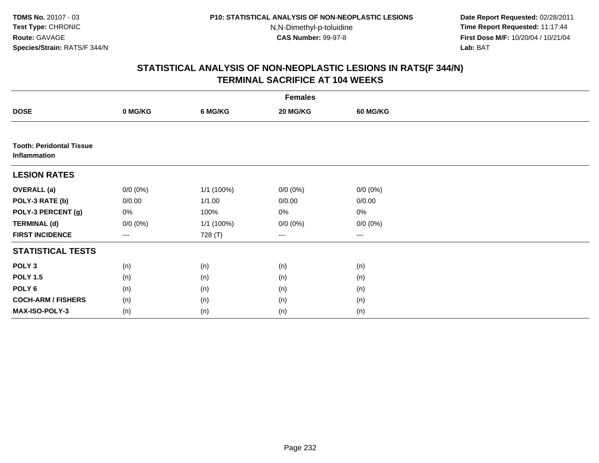**Date Report Requested:** 02/28/2011 **Time Report Requested:** 11:17:44 **First Dose M/F:** 10/20/04 / 10/21/04<br>**Lab:** BAT **Lab:** BAT

|                                                 | <b>Females</b> |              |             |             |  |
|-------------------------------------------------|----------------|--------------|-------------|-------------|--|
| <b>DOSE</b>                                     | 0 MG/KG        | 6 MG/KG      | 20 MG/KG    | 60 MG/KG    |  |
|                                                 |                |              |             |             |  |
| <b>Tooth: Peridontal Tissue</b><br>Inflammation |                |              |             |             |  |
| <b>LESION RATES</b>                             |                |              |             |             |  |
| <b>OVERALL</b> (a)                              | $0/0 (0\%)$    | 1/1 (100%)   | $0/0 (0\%)$ | $0/0 (0\%)$ |  |
| POLY-3 RATE (b)                                 | 0/0.00         | 1/1.00       | 0/0.00      | 0/0.00      |  |
| POLY-3 PERCENT (g)                              | 0%             | 100%         | $0\%$       | $0\%$       |  |
| <b>TERMINAL (d)</b>                             | $0/0 (0\%)$    | $1/1$ (100%) | $0/0 (0\%)$ | $0/0 (0\%)$ |  |
| <b>FIRST INCIDENCE</b>                          | ---            | 728 (T)      | $---$       | ---         |  |
| <b>STATISTICAL TESTS</b>                        |                |              |             |             |  |
| POLY <sub>3</sub>                               | (n)            | (n)          | (n)         | (n)         |  |
| <b>POLY 1.5</b>                                 | (n)            | (n)          | (n)         | (n)         |  |
| POLY <sub>6</sub>                               | (n)            | (n)          | (n)         | (n)         |  |
| <b>COCH-ARM / FISHERS</b>                       | (n)            | (n)          | (n)         | (n)         |  |
| MAX-ISO-POLY-3                                  | (n)            | (n)          | (n)         | (n)         |  |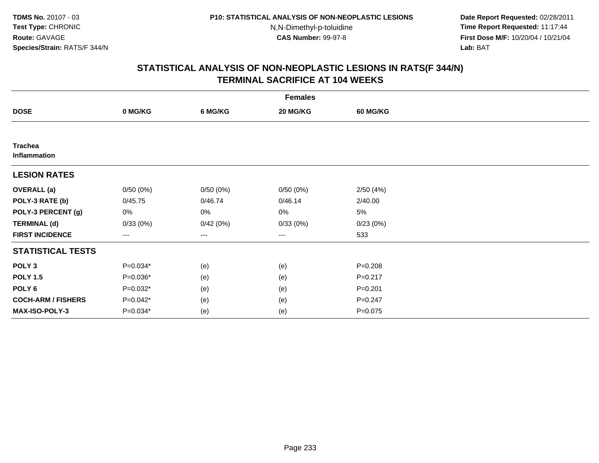N,N-Dimethyl-p-toluidine

 **Date Report Requested:** 02/28/2011 **Time Report Requested:** 11:17:44 **First Dose M/F:** 10/20/04 / 10/21/04<br>**Lab:** BAT **Lab:** BAT

| <b>Females</b>                 |            |          |          |             |  |
|--------------------------------|------------|----------|----------|-------------|--|
| <b>DOSE</b>                    | 0 MG/KG    | 6 MG/KG  | 20 MG/KG | 60 MG/KG    |  |
|                                |            |          |          |             |  |
| <b>Trachea</b><br>Inflammation |            |          |          |             |  |
| <b>LESION RATES</b>            |            |          |          |             |  |
| <b>OVERALL (a)</b>             | 0/50(0%)   | 0/50(0%) | 0/50(0%) | 2/50(4%)    |  |
| POLY-3 RATE (b)                | 0/45.75    | 0/46.74  | 0/46.14  | 2/40.00     |  |
| POLY-3 PERCENT (g)             | 0%         | 0%       | 0%       | 5%          |  |
| <b>TERMINAL (d)</b>            | 0/33(0%)   | 0/42(0%) | 0/33(0%) | 0/23(0%)    |  |
| <b>FIRST INCIDENCE</b>         | ---        | ---      | $\cdots$ | 533         |  |
| <b>STATISTICAL TESTS</b>       |            |          |          |             |  |
| POLY <sub>3</sub>              | $P=0.034*$ | (e)      | (e)      | $P = 0.208$ |  |
| <b>POLY 1.5</b>                | $P=0.036*$ | (e)      | (e)      | $P = 0.217$ |  |
| POLY <sub>6</sub>              | $P=0.032*$ | (e)      | (e)      | $P = 0.201$ |  |
| <b>COCH-ARM / FISHERS</b>      | $P=0.042*$ | (e)      | (e)      | $P = 0.247$ |  |
| MAX-ISO-POLY-3                 | $P=0.034*$ | (e)      | (e)      | $P = 0.075$ |  |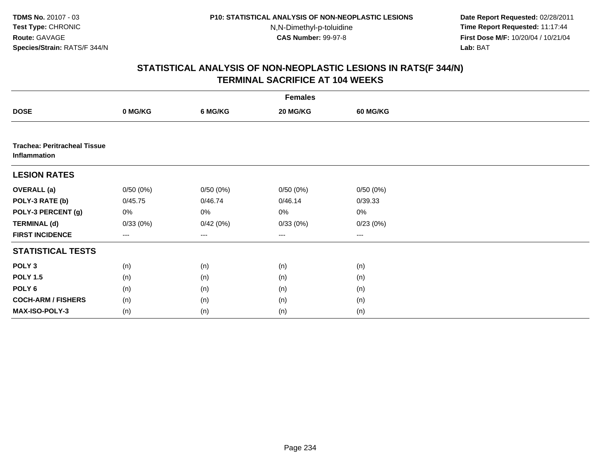**Date Report Requested:** 02/28/2011 **Time Report Requested:** 11:17:44 **First Dose M/F:** 10/20/04 / 10/21/04<br>**Lab:** BAT **Lab:** BAT

|                                                     | <b>Females</b> |          |          |                 |  |
|-----------------------------------------------------|----------------|----------|----------|-----------------|--|
| <b>DOSE</b>                                         | 0 MG/KG        | 6 MG/KG  | 20 MG/KG | <b>60 MG/KG</b> |  |
|                                                     |                |          |          |                 |  |
| <b>Trachea: Peritracheal Tissue</b><br>Inflammation |                |          |          |                 |  |
| <b>LESION RATES</b>                                 |                |          |          |                 |  |
| <b>OVERALL</b> (a)                                  | 0/50(0%)       | 0/50(0%) | 0/50(0%) | 0/50(0%)        |  |
| POLY-3 RATE (b)                                     | 0/45.75        | 0/46.74  | 0/46.14  | 0/39.33         |  |
| POLY-3 PERCENT (g)                                  | 0%             | 0%       | $0\%$    | 0%              |  |
| <b>TERMINAL (d)</b>                                 | 0/33(0%)       | 0/42(0%) | 0/33(0%) | 0/23(0%)        |  |
| <b>FIRST INCIDENCE</b>                              | ---            | $\cdots$ | $\cdots$ | ---             |  |
| <b>STATISTICAL TESTS</b>                            |                |          |          |                 |  |
| POLY <sub>3</sub>                                   | (n)            | (n)      | (n)      | (n)             |  |
| <b>POLY 1.5</b>                                     | (n)            | (n)      | (n)      | (n)             |  |
| POLY <sub>6</sub>                                   | (n)            | (n)      | (n)      | (n)             |  |
| <b>COCH-ARM / FISHERS</b>                           | (n)            | (n)      | (n)      | (n)             |  |
| <b>MAX-ISO-POLY-3</b>                               | (n)            | (n)      | (n)      | (n)             |  |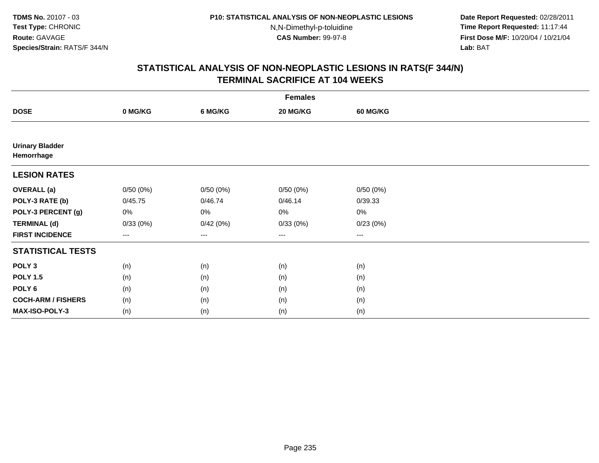N,N-Dimethyl-p-toluidine

 **Date Report Requested:** 02/28/2011 **Time Report Requested:** 11:17:44 **First Dose M/F:** 10/20/04 / 10/21/04<br>**Lab:** BAT **Lab:** BAT

| <b>Females</b>                       |          |          |                        |                        |  |
|--------------------------------------|----------|----------|------------------------|------------------------|--|
| <b>DOSE</b>                          | 0 MG/KG  | 6 MG/KG  | 20 MG/KG               | <b>60 MG/KG</b>        |  |
|                                      |          |          |                        |                        |  |
| <b>Urinary Bladder</b><br>Hemorrhage |          |          |                        |                        |  |
| <b>LESION RATES</b>                  |          |          |                        |                        |  |
| <b>OVERALL</b> (a)                   | 0/50(0%) | 0/50(0%) | 0/50(0%)               | 0/50(0%)               |  |
| POLY-3 RATE (b)                      | 0/45.75  | 0/46.74  | 0/46.14                | 0/39.33                |  |
| POLY-3 PERCENT (g)                   | 0%       | $0\%$    | 0%                     | $0\%$                  |  |
| <b>TERMINAL (d)</b>                  | 0/33(0%) | 0/42(0%) | 0/33(0%)               | 0/23(0%)               |  |
| <b>FIRST INCIDENCE</b>               | ---      | $--$     | $\qquad \qquad \cdots$ | $\qquad \qquad \cdots$ |  |
| <b>STATISTICAL TESTS</b>             |          |          |                        |                        |  |
| POLY <sub>3</sub>                    | (n)      | (n)      | (n)                    | (n)                    |  |
| <b>POLY 1.5</b>                      | (n)      | (n)      | (n)                    | (n)                    |  |
| POLY <sub>6</sub>                    | (n)      | (n)      | (n)                    | (n)                    |  |
| <b>COCH-ARM / FISHERS</b>            | (n)      | (n)      | (n)                    | (n)                    |  |
| MAX-ISO-POLY-3                       | (n)      | (n)      | (n)                    | (n)                    |  |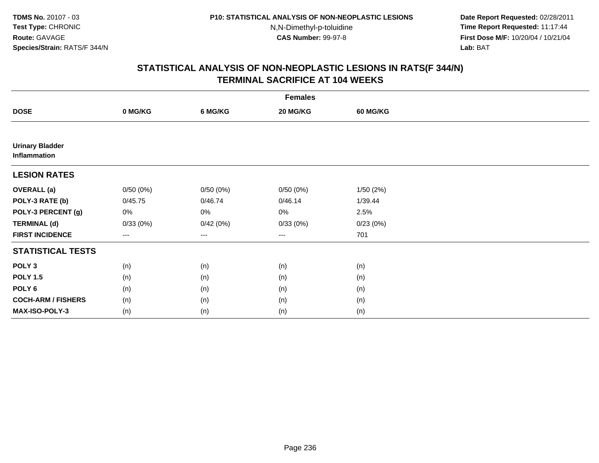N,N-Dimethyl-p-toluidine

 **Date Report Requested:** 02/28/2011 **Time Report Requested:** 11:17:44 **First Dose M/F:** 10/20/04 / 10/21/04<br>**Lab:** BAT **Lab:** BAT

| <b>Females</b>                         |          |          |                        |                 |  |
|----------------------------------------|----------|----------|------------------------|-----------------|--|
| <b>DOSE</b>                            | 0 MG/KG  | 6 MG/KG  | 20 MG/KG               | <b>60 MG/KG</b> |  |
|                                        |          |          |                        |                 |  |
| <b>Urinary Bladder</b><br>Inflammation |          |          |                        |                 |  |
| <b>LESION RATES</b>                    |          |          |                        |                 |  |
| <b>OVERALL</b> (a)                     | 0/50(0%) | 0/50(0%) | 0/50(0%)               | 1/50(2%)        |  |
| POLY-3 RATE (b)                        | 0/45.75  | 0/46.74  | 0/46.14                | 1/39.44         |  |
| POLY-3 PERCENT (g)                     | 0%       | 0%       | 0%                     | 2.5%            |  |
| <b>TERMINAL (d)</b>                    | 0/33(0%) | 0/42(0%) | 0/33(0%)               | 0/23(0%)        |  |
| <b>FIRST INCIDENCE</b>                 | ---      | $--$     | $\qquad \qquad \cdots$ | 701             |  |
| <b>STATISTICAL TESTS</b>               |          |          |                        |                 |  |
| POLY <sub>3</sub>                      | (n)      | (n)      | (n)                    | (n)             |  |
| <b>POLY 1.5</b>                        | (n)      | (n)      | (n)                    | (n)             |  |
| POLY <sub>6</sub>                      | (n)      | (n)      | (n)                    | (n)             |  |
| <b>COCH-ARM / FISHERS</b>              | (n)      | (n)      | (n)                    | (n)             |  |
| MAX-ISO-POLY-3                         | (n)      | (n)      | (n)                    | (n)             |  |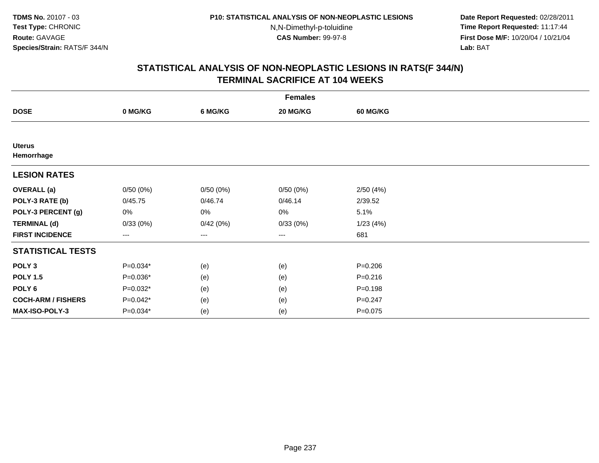N,N-Dimethyl-p-toluidine

 **Date Report Requested:** 02/28/2011 **Time Report Requested:** 11:17:44 **First Dose M/F:** 10/20/04 / 10/21/04<br>**Lab:** BAT **Lab:** BAT

|                             | <b>Females</b>    |          |                        |                 |  |
|-----------------------------|-------------------|----------|------------------------|-----------------|--|
| <b>DOSE</b>                 | 0 MG/KG           | 6 MG/KG  | 20 MG/KG               | <b>60 MG/KG</b> |  |
|                             |                   |          |                        |                 |  |
| <b>Uterus</b><br>Hemorrhage |                   |          |                        |                 |  |
| <b>LESION RATES</b>         |                   |          |                        |                 |  |
| <b>OVERALL</b> (a)          | 0/50(0%)          | 0/50(0%) | 0/50(0%)               | 2/50(4%)        |  |
| POLY-3 RATE (b)             | 0/45.75           | 0/46.74  | 0/46.14                | 2/39.52         |  |
| POLY-3 PERCENT (g)          | 0%                | 0%       | 0%                     | 5.1%            |  |
| <b>TERMINAL (d)</b>         | 0/33(0%)          | 0/42(0%) | 0/33(0%)               | 1/23(4%)        |  |
| <b>FIRST INCIDENCE</b>      | $\qquad \qquad -$ | ---      | $\qquad \qquad \cdots$ | 681             |  |
| <b>STATISTICAL TESTS</b>    |                   |          |                        |                 |  |
| POLY <sub>3</sub>           | P=0.034*          | (e)      | (e)                    | $P = 0.206$     |  |
| <b>POLY 1.5</b>             | P=0.036*          | (e)      | (e)                    | $P = 0.216$     |  |
| POLY <sub>6</sub>           | P=0.032*          | (e)      | (e)                    | $P = 0.198$     |  |
| <b>COCH-ARM / FISHERS</b>   | P=0.042*          | (e)      | (e)                    | $P = 0.247$     |  |
| MAX-ISO-POLY-3              | $P=0.034*$        | (e)      | (e)                    | $P = 0.075$     |  |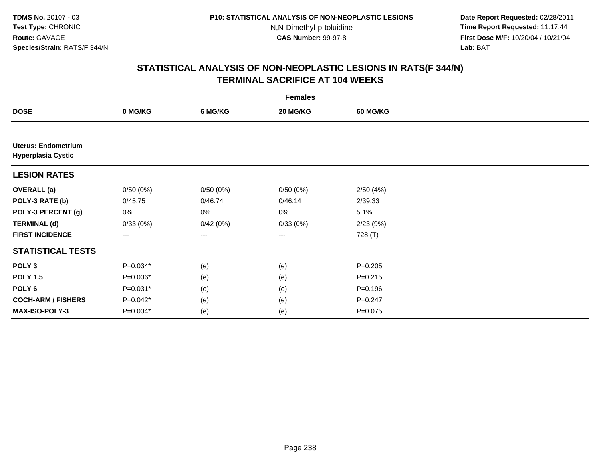N,N-Dimethyl-p-toluidine

 **Date Report Requested:** 02/28/2011 **Time Report Requested:** 11:17:44 **First Dose M/F:** 10/20/04 / 10/21/04<br>**Lab:** BAT **Lab:** BAT

| <b>Females</b>                                          |            |          |          |                 |  |
|---------------------------------------------------------|------------|----------|----------|-----------------|--|
| <b>DOSE</b>                                             | 0 MG/KG    | 6 MG/KG  | 20 MG/KG | <b>60 MG/KG</b> |  |
|                                                         |            |          |          |                 |  |
| <b>Uterus: Endometrium</b><br><b>Hyperplasia Cystic</b> |            |          |          |                 |  |
| <b>LESION RATES</b>                                     |            |          |          |                 |  |
| <b>OVERALL</b> (a)                                      | 0/50(0%)   | 0/50(0%) | 0/50(0%) | 2/50(4%)        |  |
| POLY-3 RATE (b)                                         | 0/45.75    | 0/46.74  | 0/46.14  | 2/39.33         |  |
| POLY-3 PERCENT (g)                                      | 0%         | 0%       | 0%       | 5.1%            |  |
| <b>TERMINAL (d)</b>                                     | 0/33(0%)   | 0/42(0%) | 0/33(0%) | 2/23(9%)        |  |
| <b>FIRST INCIDENCE</b>                                  | ---        | $--$     | $--$     | 728 (T)         |  |
| <b>STATISTICAL TESTS</b>                                |            |          |          |                 |  |
| POLY <sub>3</sub>                                       | $P=0.034*$ | (e)      | (e)      | $P = 0.205$     |  |
| <b>POLY 1.5</b>                                         | $P=0.036*$ | (e)      | (e)      | $P = 0.215$     |  |
| POLY <sub>6</sub>                                       | $P=0.031*$ | (e)      | (e)      | $P = 0.196$     |  |
| <b>COCH-ARM / FISHERS</b>                               | $P=0.042*$ | (e)      | (e)      | $P = 0.247$     |  |
| MAX-ISO-POLY-3                                          | $P=0.034*$ | (e)      | (e)      | $P = 0.075$     |  |